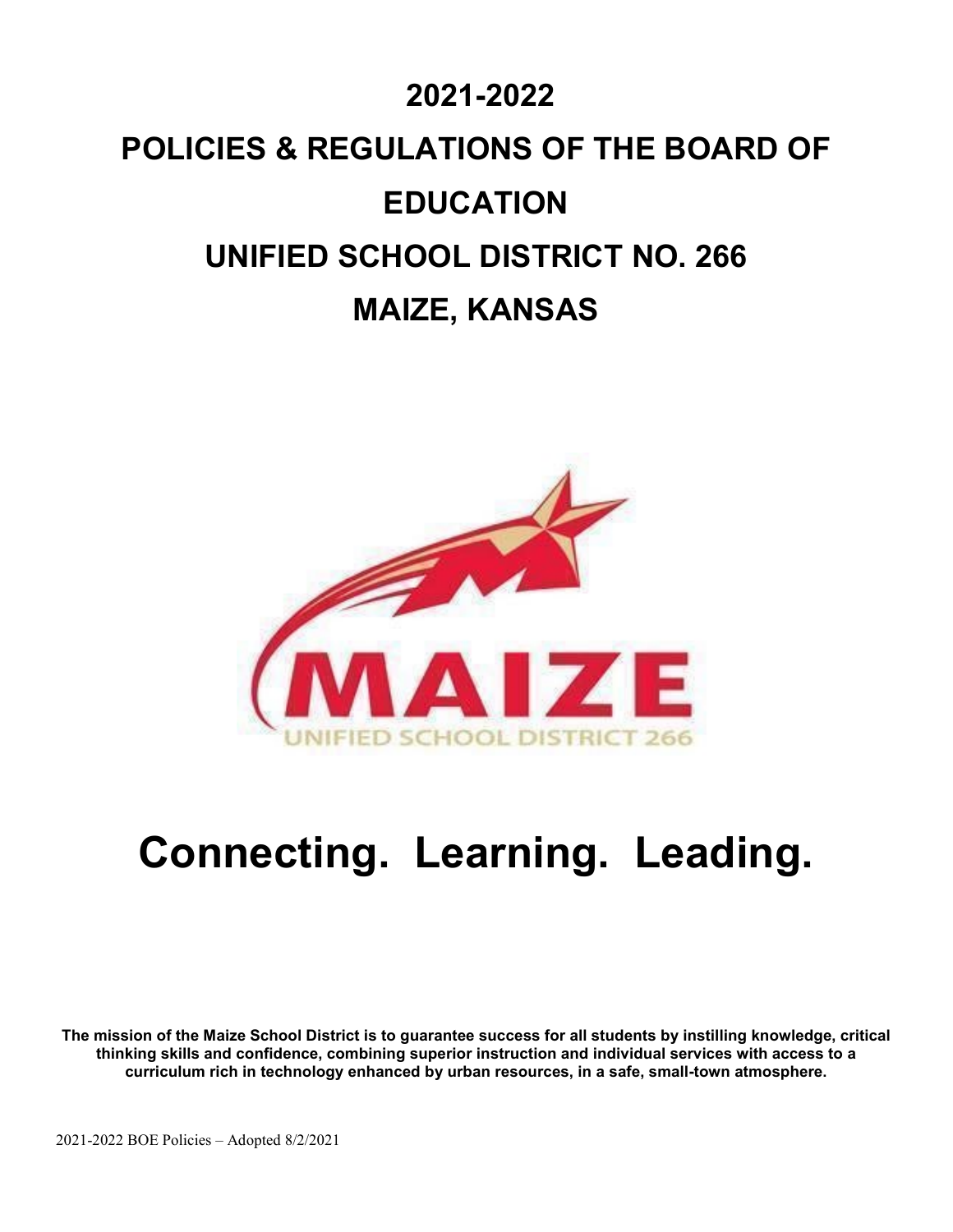# **2021-2022 POLICIES & REGULATIONS OF THE BOARD OF EDUCATION UNIFIED SCHOOL DISTRICT NO. 266 MAIZE, KANSAS**



# **Connecting. Learning. Leading.**

**The mission of the Maize School District is to guarantee success for all students by instilling knowledge, critical thinking skills and confidence, combining superior instruction and individual services with access to a curriculum rich in technology enhanced by urban resources, in a safe, small-town atmosphere.**

2021-2022 BOE Policies – Adopted 8/2/2021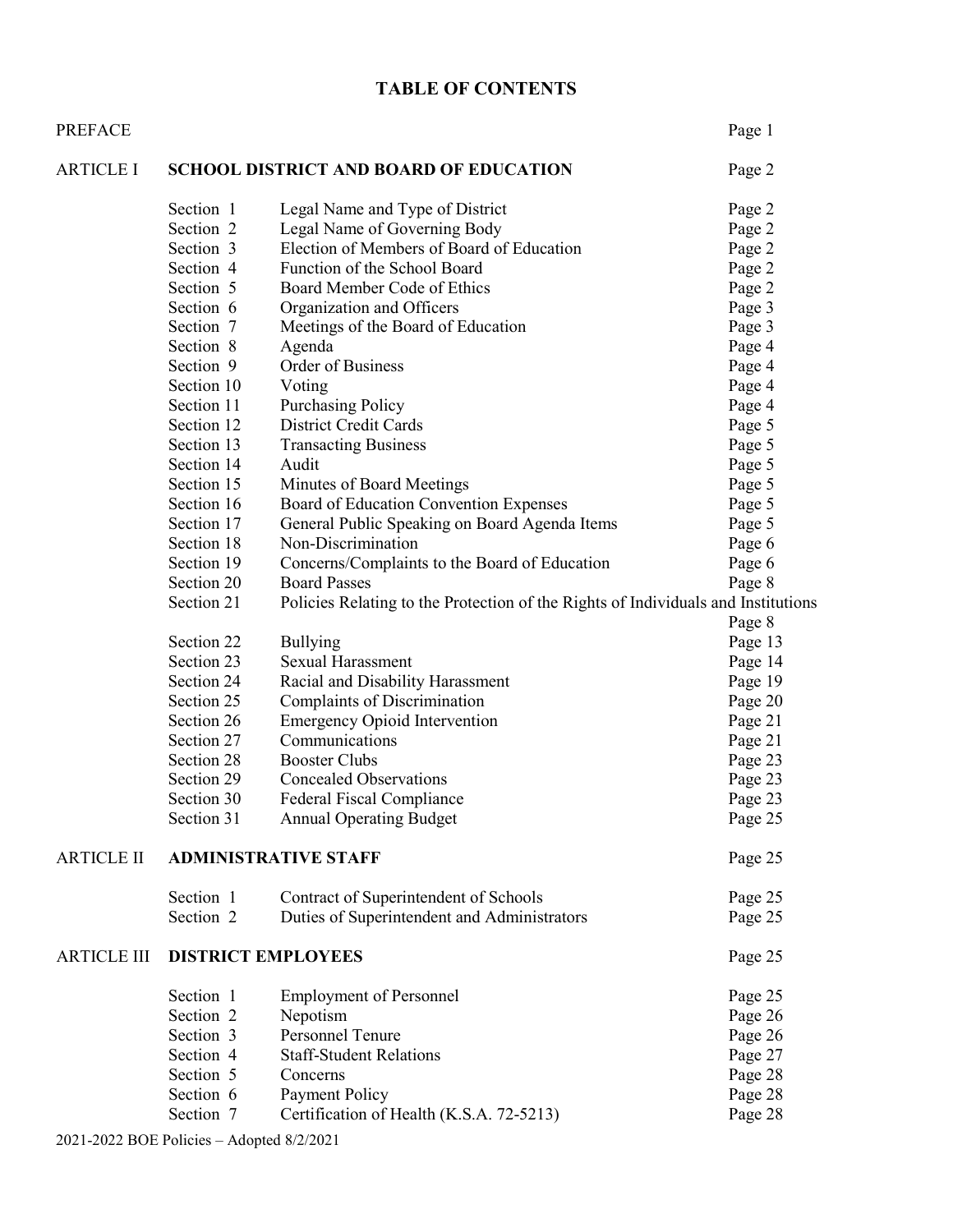# **TABLE OF CONTENTS**

| <b>PREFACE</b>     |                                               |                                                                                   | Page 1  |
|--------------------|-----------------------------------------------|-----------------------------------------------------------------------------------|---------|
| <b>ARTICLE I</b>   | <b>SCHOOL DISTRICT AND BOARD OF EDUCATION</b> | Page 2                                                                            |         |
|                    | Section 1                                     | Legal Name and Type of District                                                   | Page 2  |
|                    | Section 2                                     | Legal Name of Governing Body                                                      | Page 2  |
|                    | Section 3                                     | Election of Members of Board of Education                                         | Page 2  |
|                    | Section 4                                     | Function of the School Board                                                      | Page 2  |
|                    | Section 5                                     | Board Member Code of Ethics                                                       | Page 2  |
|                    | Section 6                                     | Organization and Officers                                                         | Page 3  |
|                    | Section 7                                     | Meetings of the Board of Education                                                | Page 3  |
|                    | Section 8                                     | Agenda                                                                            | Page 4  |
|                    | Section 9                                     | Order of Business                                                                 | Page 4  |
|                    | Section 10                                    | Voting                                                                            | Page 4  |
|                    | Section 11                                    | <b>Purchasing Policy</b>                                                          | Page 4  |
|                    | Section 12                                    | <b>District Credit Cards</b>                                                      | Page 5  |
|                    | Section 13                                    | <b>Transacting Business</b>                                                       | Page 5  |
|                    | Section 14                                    | Audit                                                                             | Page 5  |
|                    | Section 15                                    | Minutes of Board Meetings                                                         | Page 5  |
|                    | Section 16                                    | Board of Education Convention Expenses                                            | Page 5  |
|                    | Section 17                                    | General Public Speaking on Board Agenda Items                                     | Page 5  |
|                    | Section 18                                    | Non-Discrimination                                                                | Page 6  |
|                    | Section 19                                    | Concerns/Complaints to the Board of Education                                     | Page 6  |
|                    | Section 20                                    | <b>Board Passes</b>                                                               | Page 8  |
|                    | Section 21                                    | Policies Relating to the Protection of the Rights of Individuals and Institutions |         |
|                    |                                               |                                                                                   | Page 8  |
|                    | Section 22                                    | <b>Bullying</b>                                                                   | Page 13 |
|                    | Section 23                                    | <b>Sexual Harassment</b>                                                          | Page 14 |
|                    | Section 24                                    | Racial and Disability Harassment                                                  | Page 19 |
|                    | Section 25                                    | Complaints of Discrimination                                                      | Page 20 |
|                    | Section 26                                    | <b>Emergency Opioid Intervention</b>                                              | Page 21 |
|                    | Section 27                                    | Communications                                                                    | Page 21 |
|                    | Section 28                                    | <b>Booster Clubs</b>                                                              | Page 23 |
|                    | Section 29                                    | <b>Concealed Observations</b>                                                     | Page 23 |
|                    | Section 30                                    | <b>Federal Fiscal Compliance</b>                                                  | Page 23 |
|                    | Section 31                                    | <b>Annual Operating Budget</b>                                                    | Page 25 |
| ARTICLE II         | <b>ADMINISTRATIVE STAFF</b>                   | Page 25                                                                           |         |
|                    | Section 1                                     | Contract of Superintendent of Schools                                             | Page 25 |
|                    | Section 2                                     | Duties of Superintendent and Administrators                                       | Page 25 |
| <b>ARTICLE III</b> | <b>DISTRICT EMPLOYEES</b>                     | Page 25                                                                           |         |
|                    | Section 1                                     | <b>Employment of Personnel</b>                                                    | Page 25 |
|                    | Section 2                                     | Nepotism                                                                          | Page 26 |
|                    | Section 3                                     | Personnel Tenure                                                                  | Page 26 |
|                    | Section 4                                     | <b>Staff-Student Relations</b>                                                    | Page 27 |
|                    | Section 5                                     | Concerns                                                                          | Page 28 |
|                    | Section 6                                     | Payment Policy                                                                    | Page 28 |
|                    | Section 7                                     | Certification of Health (K.S.A. 72-5213)                                          | Page 28 |

2021-2022 BOE Policies – Adopted 8/2/2021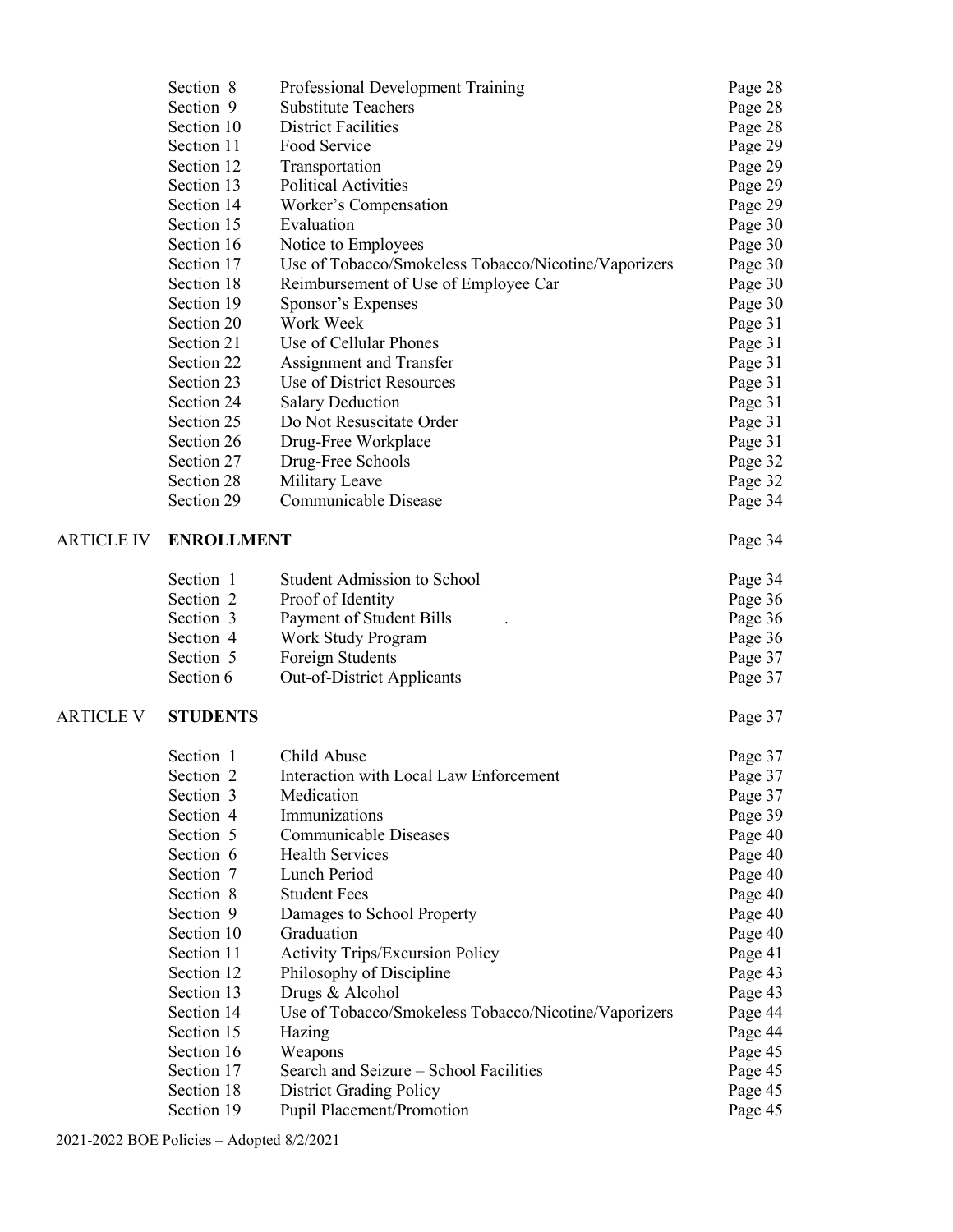|                   | Section 8         | Professional Development Training                    | Page 28 |
|-------------------|-------------------|------------------------------------------------------|---------|
|                   | Section 9         | <b>Substitute Teachers</b>                           | Page 28 |
|                   | Section 10        | <b>District Facilities</b>                           | Page 28 |
|                   | Section 11        | Food Service                                         | Page 29 |
|                   | Section 12        | Transportation                                       | Page 29 |
|                   | Section 13        | <b>Political Activities</b>                          | Page 29 |
|                   | Section 14        | Worker's Compensation                                | Page 29 |
|                   | Section 15        | Evaluation                                           | Page 30 |
|                   | Section 16        | Notice to Employees                                  | Page 30 |
|                   | Section 17        | Use of Tobacco/Smokeless Tobacco/Nicotine/Vaporizers | Page 30 |
|                   | Section 18        | Reimbursement of Use of Employee Car                 | Page 30 |
|                   | Section 19        | Sponsor's Expenses                                   | Page 30 |
|                   | Section 20        | Work Week                                            | Page 31 |
|                   | Section 21        | Use of Cellular Phones                               | Page 31 |
|                   | Section 22        | Assignment and Transfer                              | Page 31 |
|                   | Section 23        | Use of District Resources                            | Page 31 |
|                   | Section 24        | <b>Salary Deduction</b>                              | Page 31 |
|                   | Section 25        | Do Not Resuscitate Order                             | Page 31 |
|                   | Section 26        | Drug-Free Workplace                                  | Page 31 |
|                   | Section 27        | Drug-Free Schools                                    | Page 32 |
|                   | Section 28        | Military Leave                                       | Page 32 |
|                   | Section 29        | Communicable Disease                                 | Page 34 |
| <b>ARTICLE IV</b> | <b>ENROLLMENT</b> |                                                      | Page 34 |
|                   | Section 1         | <b>Student Admission to School</b>                   | Page 34 |
|                   | Section 2         | Proof of Identity                                    | Page 36 |
|                   | Section 3         | Payment of Student Bills                             | Page 36 |
|                   | Section 4         | Work Study Program                                   | Page 36 |
|                   | Section 5         | Foreign Students                                     | Page 37 |
|                   | Section 6         | Out-of-District Applicants                           | Page 37 |
| <b>ARTICLE V</b>  | <b>STUDENTS</b>   |                                                      | Page 37 |
|                   | Section 1         | Child Abuse                                          | Page 37 |
|                   | Section 2         | Interaction with Local Law Enforcement               | Page 37 |
|                   | Section 3         | Medication                                           | Page 37 |
|                   | Section 4         | Immunizations                                        | Page 39 |
|                   | Section 5         | <b>Communicable Diseases</b>                         | Page 40 |
|                   | Section 6         | <b>Health Services</b>                               | Page 40 |
|                   | Section 7         | Lunch Period                                         | Page 40 |
|                   | Section 8         | <b>Student Fees</b>                                  | Page 40 |
|                   | Section 9         | Damages to School Property                           | Page 40 |
|                   | Section 10        | Graduation                                           | Page 40 |
|                   | Section 11        | <b>Activity Trips/Excursion Policy</b>               | Page 41 |
|                   | Section 12        | Philosophy of Discipline                             | Page 43 |
|                   | Section 13        | Drugs & Alcohol                                      | Page 43 |
|                   | Section 14        | Use of Tobacco/Smokeless Tobacco/Nicotine/Vaporizers | Page 44 |
|                   | Section 15        | Hazing                                               | Page 44 |
|                   | Section 16        | Weapons                                              | Page 45 |
|                   | Section 17        | Search and Seizure - School Facilities               | Page 45 |
|                   | Section 18        | <b>District Grading Policy</b>                       | Page 45 |
|                   | Section 19        | Pupil Placement/Promotion                            | Page 45 |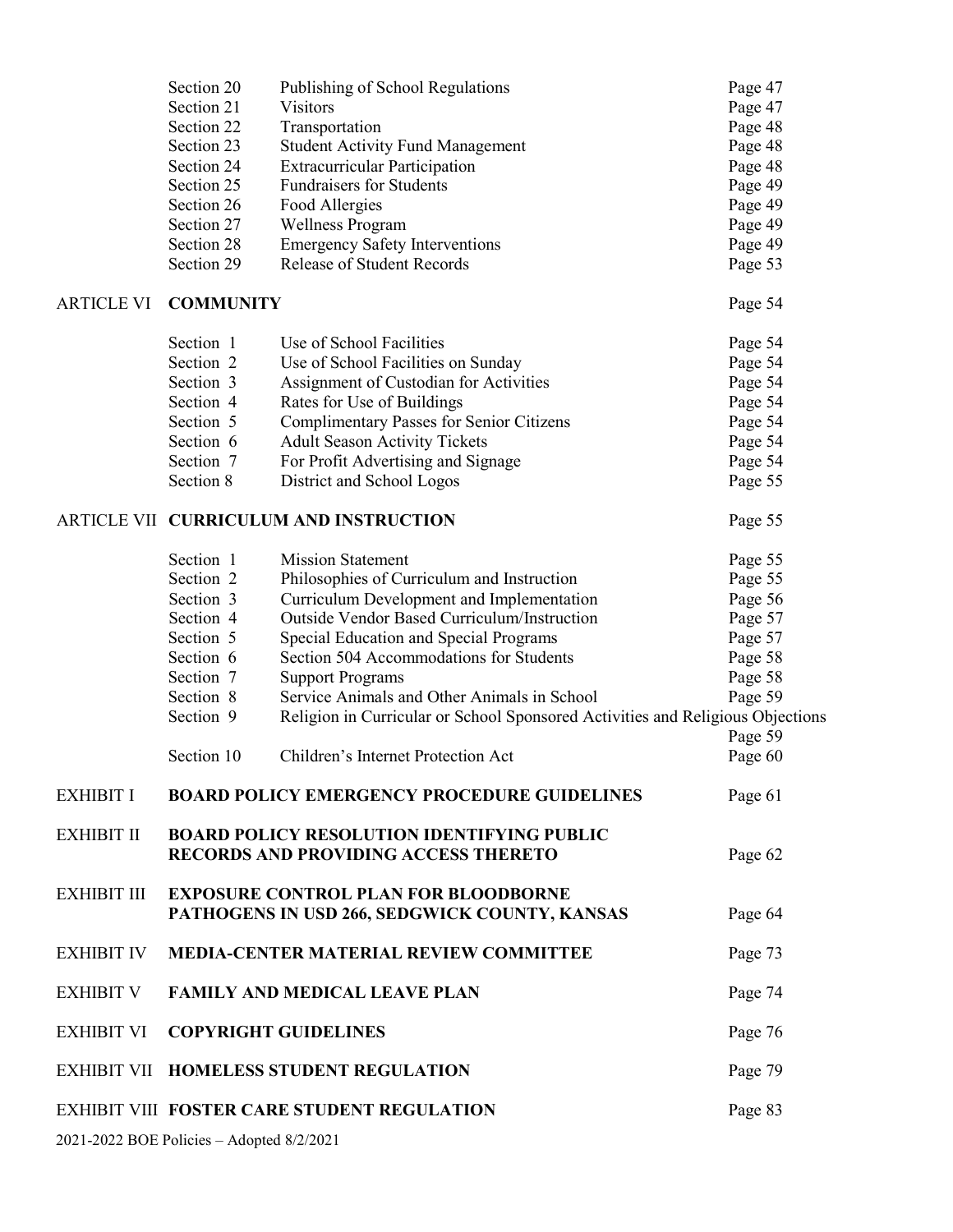|                                                                                                            | Section 20<br>Section 21 | Publishing of School Regulations<br><b>Visitors</b>                                          | Page 47<br>Page 47 |  |  |  |
|------------------------------------------------------------------------------------------------------------|--------------------------|----------------------------------------------------------------------------------------------|--------------------|--|--|--|
|                                                                                                            | Section 22               | Transportation                                                                               | Page 48            |  |  |  |
|                                                                                                            | Section 23               | <b>Student Activity Fund Management</b>                                                      | Page 48            |  |  |  |
|                                                                                                            | Section 24               | <b>Extracurricular Participation</b>                                                         | Page 48            |  |  |  |
|                                                                                                            | Section 25               | <b>Fundraisers for Students</b>                                                              | Page 49            |  |  |  |
|                                                                                                            | Section 26               | Food Allergies                                                                               | Page 49            |  |  |  |
|                                                                                                            | Section 27               | <b>Wellness Program</b>                                                                      | Page 49            |  |  |  |
|                                                                                                            | Section 28               | <b>Emergency Safety Interventions</b>                                                        | Page 49            |  |  |  |
|                                                                                                            | Section 29               | <b>Release of Student Records</b>                                                            | Page 53            |  |  |  |
| <b>ARTICLE VI</b>                                                                                          | <b>COMMUNITY</b>         |                                                                                              | Page 54            |  |  |  |
|                                                                                                            | Section 1                | Use of School Facilities                                                                     | Page 54            |  |  |  |
|                                                                                                            | Section 2                | Use of School Facilities on Sunday                                                           | Page 54            |  |  |  |
|                                                                                                            | Section 3                | Assignment of Custodian for Activities                                                       | Page 54            |  |  |  |
|                                                                                                            | Section 4                | Rates for Use of Buildings                                                                   | Page 54            |  |  |  |
|                                                                                                            | Section 5                | <b>Complimentary Passes for Senior Citizens</b>                                              | Page 54            |  |  |  |
|                                                                                                            | Section 6                | <b>Adult Season Activity Tickets</b>                                                         | Page 54            |  |  |  |
|                                                                                                            | Section 7                | For Profit Advertising and Signage                                                           | Page 54            |  |  |  |
|                                                                                                            | Section 8                | District and School Logos                                                                    | Page 55            |  |  |  |
|                                                                                                            |                          | ARTICLE VII CURRICULUM AND INSTRUCTION                                                       | Page 55            |  |  |  |
|                                                                                                            | Section 1                | <b>Mission Statement</b>                                                                     | Page 55            |  |  |  |
|                                                                                                            | Section 2                | Philosophies of Curriculum and Instruction                                                   | Page 55            |  |  |  |
|                                                                                                            | Section 3                | Curriculum Development and Implementation                                                    | Page 56            |  |  |  |
|                                                                                                            | Section 4                | Outside Vendor Based Curriculum/Instruction                                                  | Page 57            |  |  |  |
|                                                                                                            | Section 5                | Special Education and Special Programs                                                       | Page 57            |  |  |  |
|                                                                                                            | Section 6                | Section 504 Accommodations for Students                                                      | Page 58            |  |  |  |
|                                                                                                            | Section 7                | <b>Support Programs</b>                                                                      | Page 58            |  |  |  |
|                                                                                                            | Section 8                | Service Animals and Other Animals in School                                                  | Page 59            |  |  |  |
|                                                                                                            | Section 9                | Religion in Curricular or School Sponsored Activities and Religious Objections               | Page 59            |  |  |  |
|                                                                                                            | Section 10               | Children's Internet Protection Act                                                           | Page 60            |  |  |  |
| <b>EXHIBIT I</b>                                                                                           |                          | <b>BOARD POLICY EMERGENCY PROCEDURE GUIDELINES</b>                                           | Page 61            |  |  |  |
| <b>EXHIBIT II</b>                                                                                          |                          | <b>BOARD POLICY RESOLUTION IDENTIFYING PUBLIC</b>                                            |                    |  |  |  |
|                                                                                                            |                          | <b>RECORDS AND PROVIDING ACCESS THERETO</b>                                                  | Page 62            |  |  |  |
| <b>EXHIBIT III</b>                                                                                         |                          | <b>EXPOSURE CONTROL PLAN FOR BLOODBORNE</b><br>PATHOGENS IN USD 266, SEDGWICK COUNTY, KANSAS | Page 64            |  |  |  |
| <b>EXHIBIT IV</b>                                                                                          |                          | <b>MEDIA-CENTER MATERIAL REVIEW COMMITTEE</b>                                                | Page 73            |  |  |  |
| <b>EXHIBIT V</b>                                                                                           |                          | <b>FAMILY AND MEDICAL LEAVE PLAN</b>                                                         | Page 74            |  |  |  |
| <b>EXHIBIT VI</b>                                                                                          |                          | <b>COPYRIGHT GUIDELINES</b>                                                                  | Page 76            |  |  |  |
| <b>EXHIBIT VII</b>                                                                                         |                          | <b>HOMELESS STUDENT REGULATION</b>                                                           | Page 79            |  |  |  |
| <b>EXHIBIT VIII FOSTER CARE STUDENT REGULATION</b><br>Page 83<br>2021-2022 BOE Policies - Adopted 8/2/2021 |                          |                                                                                              |                    |  |  |  |
|                                                                                                            |                          |                                                                                              |                    |  |  |  |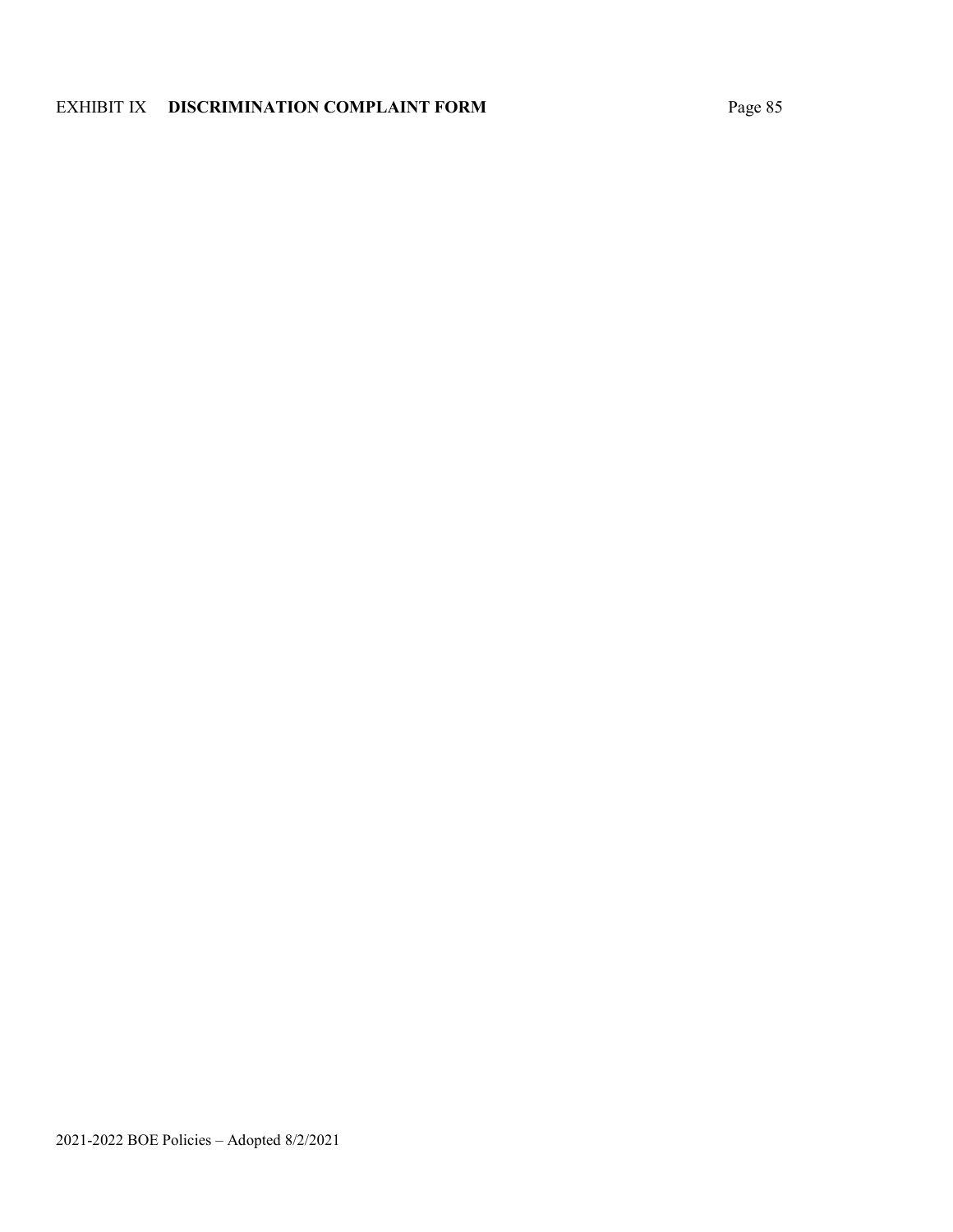# EXHIBIT IX **DISCRIMINATION COMPLAINT FORM** Page 85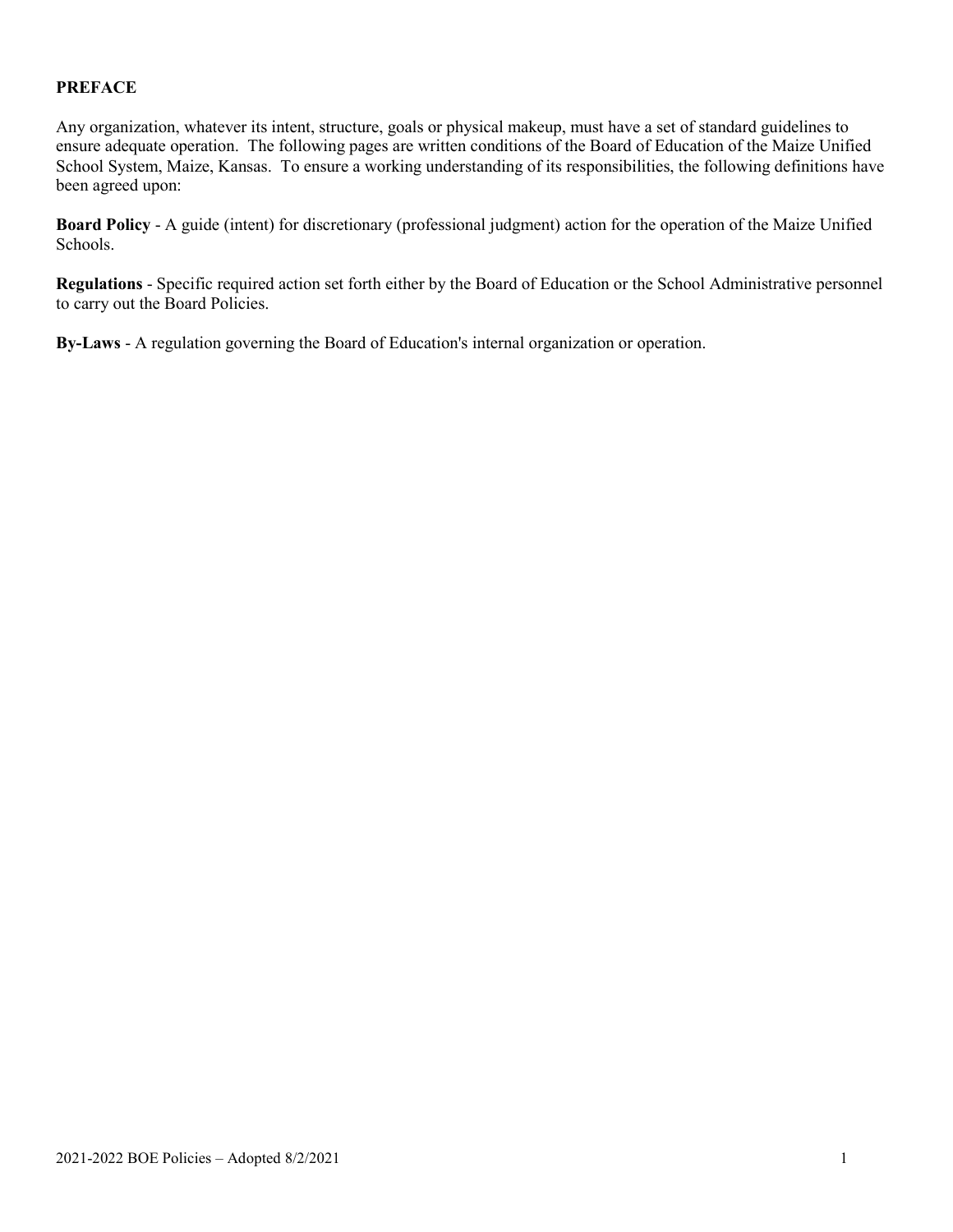#### **PREFACE**

Any organization, whatever its intent, structure, goals or physical makeup, must have a set of standard guidelines to ensure adequate operation. The following pages are written conditions of the Board of Education of the Maize Unified School System, Maize, Kansas. To ensure a working understanding of its responsibilities, the following definitions have been agreed upon:

**Board Policy** - A guide (intent) for discretionary (professional judgment) action for the operation of the Maize Unified Schools.

**Regulations** - Specific required action set forth either by the Board of Education or the School Administrative personnel to carry out the Board Policies.

**By-Laws** - A regulation governing the Board of Education's internal organization or operation.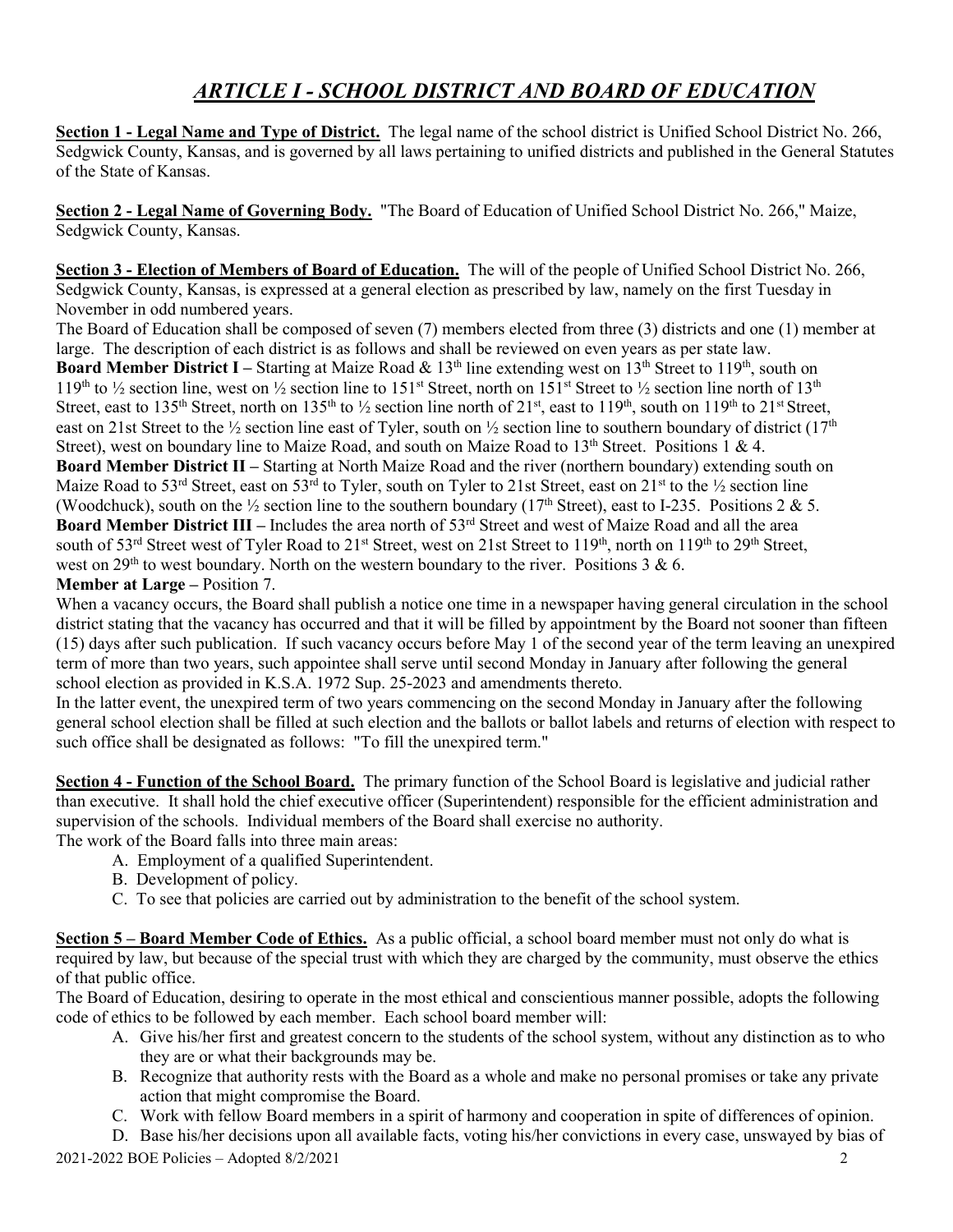# *ARTICLE I - SCHOOL DISTRICT AND BOARD OF EDUCATION*

**Section 1 - Legal Name and Type of District.** The legal name of the school district is Unified School District No. 266, Sedgwick County, Kansas, and is governed by all laws pertaining to unified districts and published in the General Statutes of the State of Kansas.

**Section 2 - Legal Name of Governing Body.** "The Board of Education of Unified School District No. 266," Maize, Sedgwick County, Kansas.

**Section 3 - Election of Members of Board of Education.** The will of the people of Unified School District No. 266, Sedgwick County, Kansas, is expressed at a general election as prescribed by law, namely on the first Tuesday in November in odd numbered years.

The Board of Education shall be composed of seven (7) members elected from three (3) districts and one (1) member at large. The description of each district is as follows and shall be reviewed on even years as per state law.

**Board Member District I** – Starting at Maize Road & 13<sup>th</sup> line extending west on 13<sup>th</sup> Street to 119<sup>th</sup>, south on 119<sup>th</sup> to <sup>1</sup>/<sub>2</sub> section line, west on <sup>1</sup>/<sub>2</sub> section line to 151<sup>st</sup> Street, north on 151<sup>st</sup> Street to <sup>1</sup>/<sub>2</sub> section line north of 13<sup>th</sup> Street, east to 135<sup>th</sup> Street, north on 135<sup>th</sup> to ½ section line north of 21<sup>st</sup>, east to 119<sup>th</sup>, south on 119<sup>th</sup> to 21<sup>st</sup> Street, east on 21st Street to the  $\frac{1}{2}$  section line east of Tyler, south on  $\frac{1}{2}$  section line to southern boundary of district (17<sup>th</sup>) Street), west on boundary line to Maize Road, and south on Maize Road to  $13<sup>th</sup>$  Street. Positions 1 & 4. **Board Member District II –** Starting at North Maize Road and the river (northern boundary) extending south on Maize Road to 53<sup>rd</sup> Street, east on 53<sup>rd</sup> to Tyler, south on Tyler to 21st Street, east on 21<sup>st</sup> to the 1/2 section line (Woodchuck), south on the  $\frac{1}{2}$  section line to the southern boundary (17<sup>th</sup> Street), east to I-235. Positions 2 & 5. **Board Member District III** – Includes the area north of 53<sup>rd</sup> Street and west of Maize Road and all the area south of 53<sup>rd</sup> Street west of Tyler Road to 21<sup>st</sup> Street, west on 21st Street to 119<sup>th</sup>, north on 119<sup>th</sup> to 29<sup>th</sup> Street, west on  $29<sup>th</sup>$  to west boundary. North on the western boundary to the river. Positions 3 & 6.

#### **Member at Large –** Position 7.

When a vacancy occurs, the Board shall publish a notice one time in a newspaper having general circulation in the school district stating that the vacancy has occurred and that it will be filled by appointment by the Board not sooner than fifteen (15) days after such publication. If such vacancy occurs before May 1 of the second year of the term leaving an unexpired term of more than two years, such appointee shall serve until second Monday in January after following the general school election as provided in K.S.A. 1972 Sup. 25-2023 and amendments thereto.

In the latter event, the unexpired term of two years commencing on the second Monday in January after the following general school election shall be filled at such election and the ballots or ballot labels and returns of election with respect to such office shall be designated as follows: "To fill the unexpired term."

**Section 4 - Function of the School Board.** The primary function of the School Board is legislative and judicial rather than executive. It shall hold the chief executive officer (Superintendent) responsible for the efficient administration and supervision of the schools. Individual members of the Board shall exercise no authority.

The work of the Board falls into three main areas:

- A. Employment of a qualified Superintendent.
- B. Development of policy.
- C. To see that policies are carried out by administration to the benefit of the school system.

**Section 5 – Board Member Code of Ethics.** As a public official, a school board member must not only do what is required by law, but because of the special trust with which they are charged by the community, must observe the ethics of that public office.

The Board of Education, desiring to operate in the most ethical and conscientious manner possible, adopts the following code of ethics to be followed by each member. Each school board member will:

- A. Give his/her first and greatest concern to the students of the school system, without any distinction as to who they are or what their backgrounds may be.
- B. Recognize that authority rests with the Board as a whole and make no personal promises or take any private action that might compromise the Board.
- C. Work with fellow Board members in a spirit of harmony and cooperation in spite of differences of opinion.

2021-2022 BOE Policies – Adopted 8/2/2021 2 D. Base his/her decisions upon all available facts, voting his/her convictions in every case, unswayed by bias of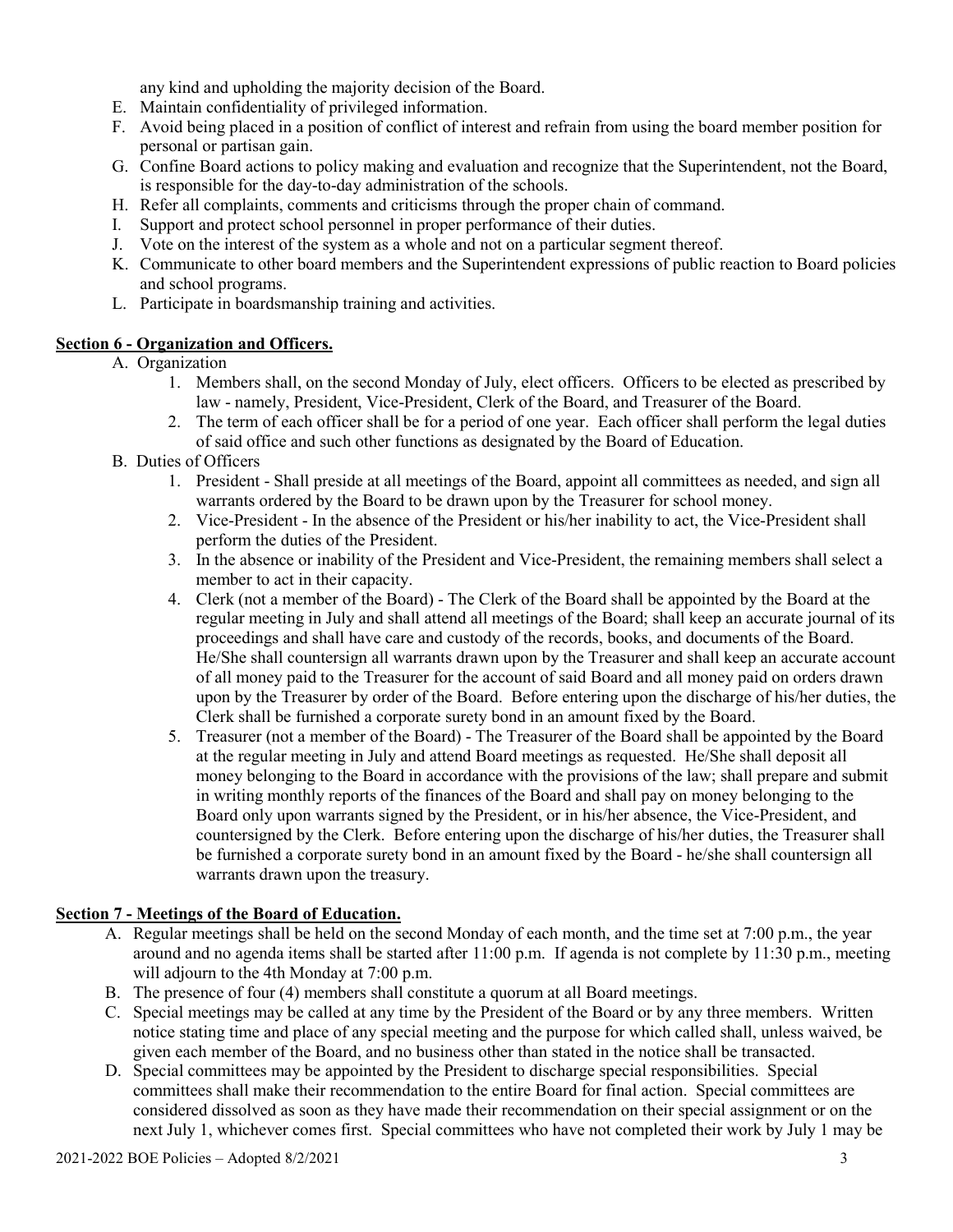any kind and upholding the majority decision of the Board.

- E. Maintain confidentiality of privileged information.
- F. Avoid being placed in a position of conflict of interest and refrain from using the board member position for personal or partisan gain.
- G. Confine Board actions to policy making and evaluation and recognize that the Superintendent, not the Board, is responsible for the day-to-day administration of the schools.
- H. Refer all complaints, comments and criticisms through the proper chain of command.
- I. Support and protect school personnel in proper performance of their duties.
- J. Vote on the interest of the system as a whole and not on a particular segment thereof.
- K. Communicate to other board members and the Superintendent expressions of public reaction to Board policies and school programs.
- L. Participate in boardsmanship training and activities.

#### **Section 6 - Organization and Officers.**

- A. Organization
	- 1. Members shall, on the second Monday of July, elect officers. Officers to be elected as prescribed by law - namely, President, Vice-President, Clerk of the Board, and Treasurer of the Board.
	- 2. The term of each officer shall be for a period of one year. Each officer shall perform the legal duties of said office and such other functions as designated by the Board of Education.
- B. Duties of Officers
	- 1. President Shall preside at all meetings of the Board, appoint all committees as needed, and sign all warrants ordered by the Board to be drawn upon by the Treasurer for school money.
	- 2. Vice-President In the absence of the President or his/her inability to act, the Vice-President shall perform the duties of the President.
	- 3. In the absence or inability of the President and Vice-President, the remaining members shall select a member to act in their capacity.
	- 4. Clerk (not a member of the Board) The Clerk of the Board shall be appointed by the Board at the regular meeting in July and shall attend all meetings of the Board; shall keep an accurate journal of its proceedings and shall have care and custody of the records, books, and documents of the Board. He/She shall countersign all warrants drawn upon by the Treasurer and shall keep an accurate account of all money paid to the Treasurer for the account of said Board and all money paid on orders drawn upon by the Treasurer by order of the Board. Before entering upon the discharge of his/her duties, the Clerk shall be furnished a corporate surety bond in an amount fixed by the Board.
	- 5. Treasurer (not a member of the Board) The Treasurer of the Board shall be appointed by the Board at the regular meeting in July and attend Board meetings as requested. He/She shall deposit all money belonging to the Board in accordance with the provisions of the law; shall prepare and submit in writing monthly reports of the finances of the Board and shall pay on money belonging to the Board only upon warrants signed by the President, or in his/her absence, the Vice-President, and countersigned by the Clerk. Before entering upon the discharge of his/her duties, the Treasurer shall be furnished a corporate surety bond in an amount fixed by the Board - he/she shall countersign all warrants drawn upon the treasury.

#### **Section 7 - Meetings of the Board of Education.**

- A. Regular meetings shall be held on the second Monday of each month, and the time set at 7:00 p.m., the year around and no agenda items shall be started after 11:00 p.m. If agenda is not complete by 11:30 p.m., meeting will adjourn to the 4th Monday at 7:00 p.m.
- B. The presence of four (4) members shall constitute a quorum at all Board meetings.
- C. Special meetings may be called at any time by the President of the Board or by any three members. Written notice stating time and place of any special meeting and the purpose for which called shall, unless waived, be given each member of the Board, and no business other than stated in the notice shall be transacted.
- D. Special committees may be appointed by the President to discharge special responsibilities. Special committees shall make their recommendation to the entire Board for final action. Special committees are considered dissolved as soon as they have made their recommendation on their special assignment or on the next July 1, whichever comes first. Special committees who have not completed their work by July 1 may be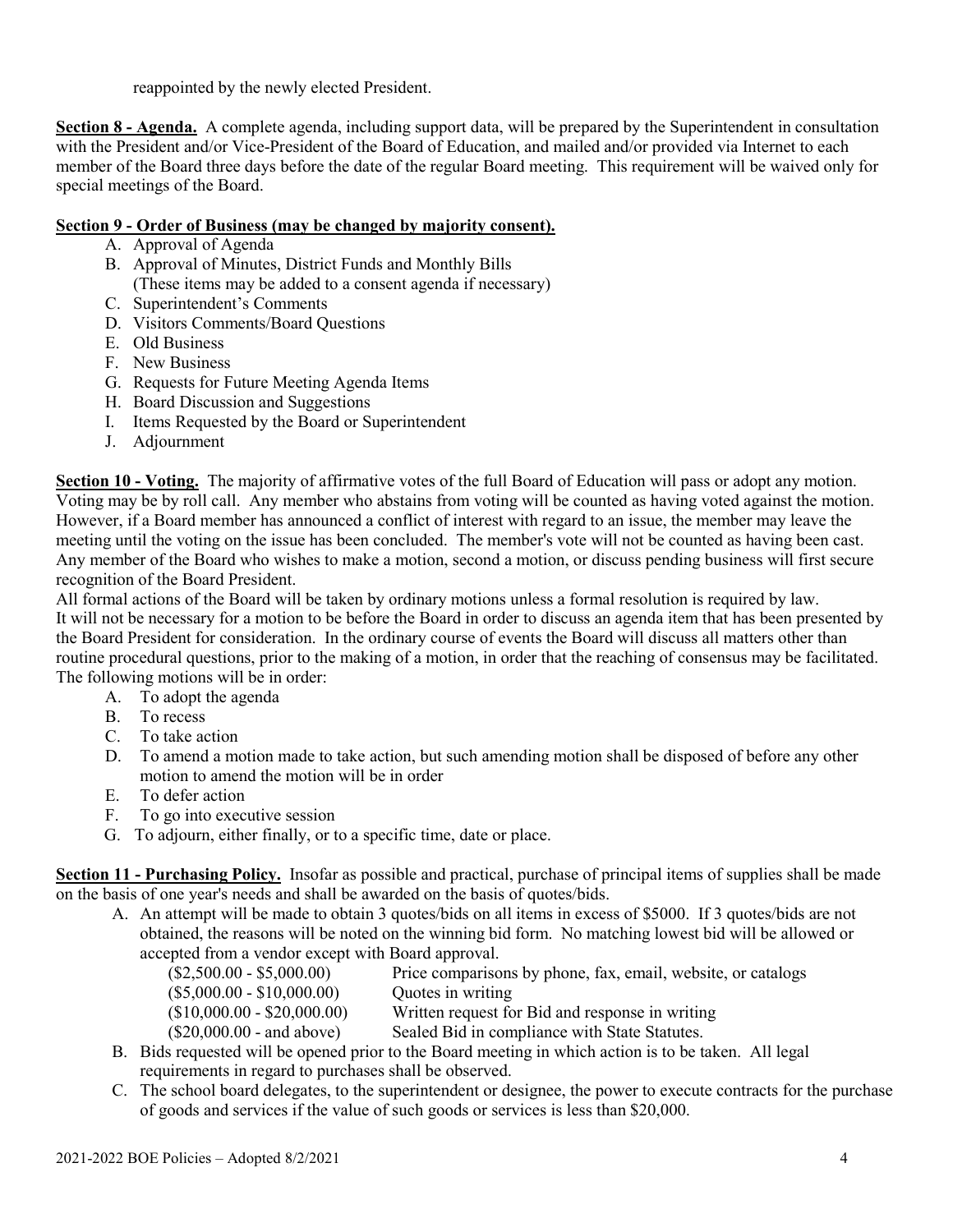reappointed by the newly elected President.

**Section 8 - Agenda.** A complete agenda, including support data, will be prepared by the Superintendent in consultation with the President and/or Vice-President of the Board of Education, and mailed and/or provided via Internet to each member of the Board three days before the date of the regular Board meeting. This requirement will be waived only for special meetings of the Board.

#### **Section 9 - Order of Business (may be changed by majority consent).**

- A. Approval of Agenda
- B. Approval of Minutes, District Funds and Monthly Bills (These items may be added to a consent agenda if necessary)
- C. Superintendent's Comments
- D. Visitors Comments/Board Questions
- E. Old Business
- F. New Business
- G. Requests for Future Meeting Agenda Items
- H. Board Discussion and Suggestions
- I. Items Requested by the Board or Superintendent
- J. Adjournment

**Section 10 - Voting.** The majority of affirmative votes of the full Board of Education will pass or adopt any motion. Voting may be by roll call. Any member who abstains from voting will be counted as having voted against the motion. However, if a Board member has announced a conflict of interest with regard to an issue, the member may leave the meeting until the voting on the issue has been concluded. The member's vote will not be counted as having been cast. Any member of the Board who wishes to make a motion, second a motion, or discuss pending business will first secure recognition of the Board President.

All formal actions of the Board will be taken by ordinary motions unless a formal resolution is required by law. It will not be necessary for a motion to be before the Board in order to discuss an agenda item that has been presented by the Board President for consideration. In the ordinary course of events the Board will discuss all matters other than routine procedural questions, prior to the making of a motion, in order that the reaching of consensus may be facilitated. The following motions will be in order:

- A. To adopt the agenda
- B. To recess
- C. To take action
- D. To amend a motion made to take action, but such amending motion shall be disposed of before any other motion to amend the motion will be in order
- E. To defer action
- F. To go into executive session
- G. To adjourn, either finally, or to a specific time, date or place.

**Section 11 - Purchasing Policy.** Insofar as possible and practical, purchase of principal items of supplies shall be made on the basis of one year's needs and shall be awarded on the basis of quotes/bids.

- A. An attempt will be made to obtain 3 quotes/bids on all items in excess of \$5000. If 3 quotes/bids are not obtained, the reasons will be noted on the winning bid form. No matching lowest bid will be allowed or accepted from a vendor except with Board approval.
	- (\$2,500.00 \$5,000.00) Price comparisons by phone, fax, email, website, or catalogs (\$5,000.00 - \$10,000.00) Quotes in writing (\$10,000.00 - \$20,000.00) Written request for Bid and response in writing (\$20,000.00 - and above) Sealed Bid in compliance with State Statutes.
- B. Bids requested will be opened prior to the Board meeting in which action is to be taken. All legal requirements in regard to purchases shall be observed.
- C. The school board delegates, to the superintendent or designee, the power to execute contracts for the purchase of goods and services if the value of such goods or services is less than \$20,000.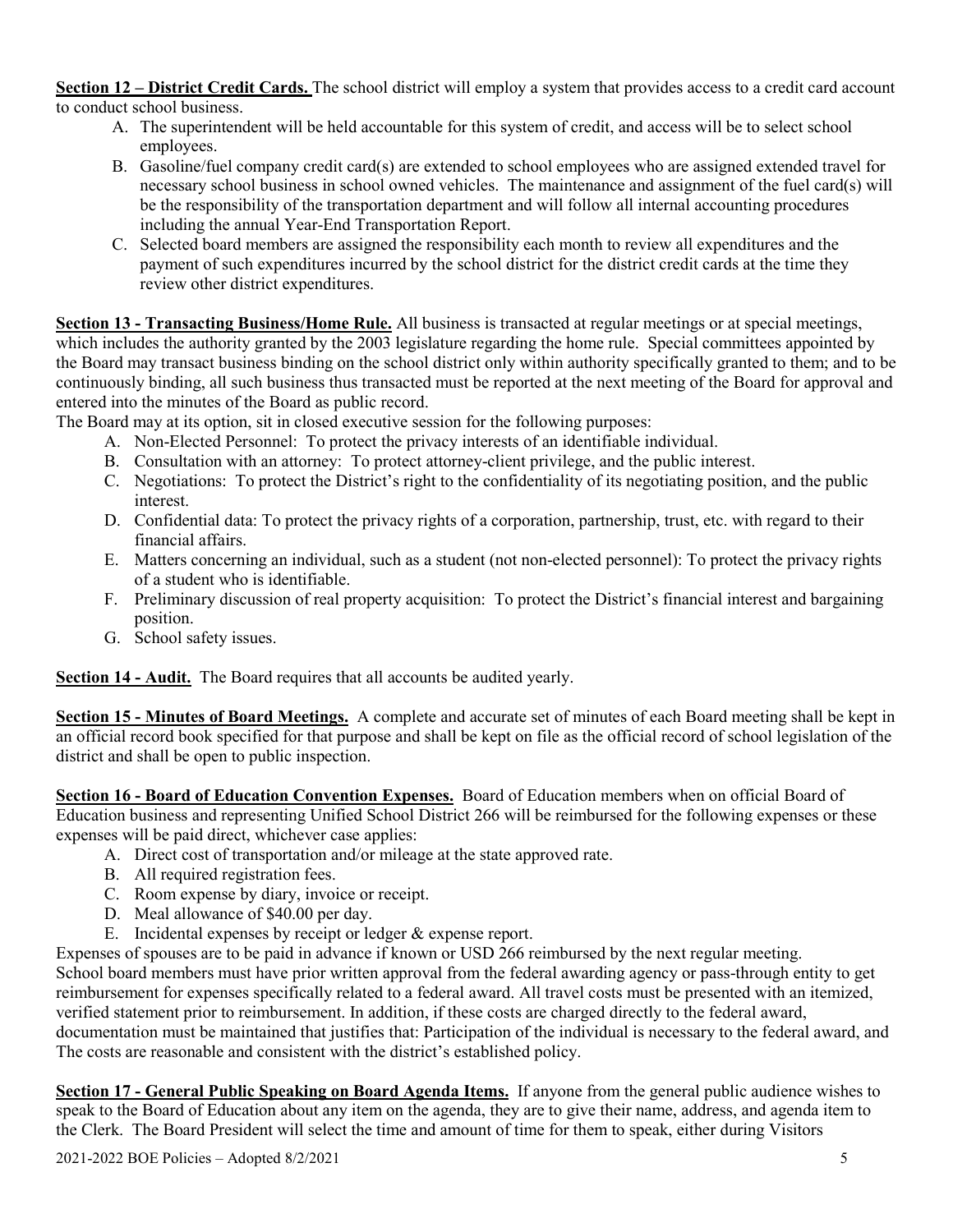**Section 12 – District Credit Cards.** The school district will employ a system that provides access to a credit card account to conduct school business.

- A. The superintendent will be held accountable for this system of credit, and access will be to select school employees.
- B. Gasoline/fuel company credit card(s) are extended to school employees who are assigned extended travel for necessary school business in school owned vehicles. The maintenance and assignment of the fuel card(s) will be the responsibility of the transportation department and will follow all internal accounting procedures including the annual Year-End Transportation Report.
- C. Selected board members are assigned the responsibility each month to review all expenditures and the payment of such expenditures incurred by the school district for the district credit cards at the time they review other district expenditures.

**Section 13 - Transacting Business/Home Rule.** All business is transacted at regular meetings or at special meetings, which includes the authority granted by the 2003 legislature regarding the home rule. Special committees appointed by the Board may transact business binding on the school district only within authority specifically granted to them; and to be continuously binding, all such business thus transacted must be reported at the next meeting of the Board for approval and entered into the minutes of the Board as public record.

The Board may at its option, sit in closed executive session for the following purposes:

- A. Non-Elected Personnel: To protect the privacy interests of an identifiable individual.
- B. Consultation with an attorney: To protect attorney-client privilege, and the public interest.
- C. Negotiations: To protect the District's right to the confidentiality of its negotiating position, and the public interest.
- D. Confidential data: To protect the privacy rights of a corporation, partnership, trust, etc. with regard to their financial affairs.
- E. Matters concerning an individual, such as a student (not non-elected personnel): To protect the privacy rights of a student who is identifiable.
- F. Preliminary discussion of real property acquisition: To protect the District's financial interest and bargaining position.
- G. School safety issues.

**Section 14 - Audit.** The Board requires that all accounts be audited yearly.

**Section 15 - Minutes of Board Meetings.** A complete and accurate set of minutes of each Board meeting shall be kept in an official record book specified for that purpose and shall be kept on file as the official record of school legislation of the district and shall be open to public inspection.

**Section 16 - Board of Education Convention Expenses.** Board of Education members when on official Board of Education business and representing Unified School District 266 will be reimbursed for the following expenses or these expenses will be paid direct, whichever case applies:

- A. Direct cost of transportation and/or mileage at the state approved rate.
- B. All required registration fees.
- C. Room expense by diary, invoice or receipt.
- D. Meal allowance of \$40.00 per day.
- E. Incidental expenses by receipt or ledger & expense report.

Expenses of spouses are to be paid in advance if known or USD 266 reimbursed by the next regular meeting. School board members must have prior written approval from the federal awarding agency or pass-through entity to get reimbursement for expenses specifically related to a federal award. All travel costs must be presented with an itemized, verified statement prior to reimbursement. In addition, if these costs are charged directly to the federal award, documentation must be maintained that justifies that: Participation of the individual is necessary to the federal award, and The costs are reasonable and consistent with the district's established policy.

**Section 17 - General Public Speaking on Board Agenda Items.** If anyone from the general public audience wishes to speak to the Board of Education about any item on the agenda, they are to give their name, address, and agenda item to the Clerk. The Board President will select the time and amount of time for them to speak, either during Visitors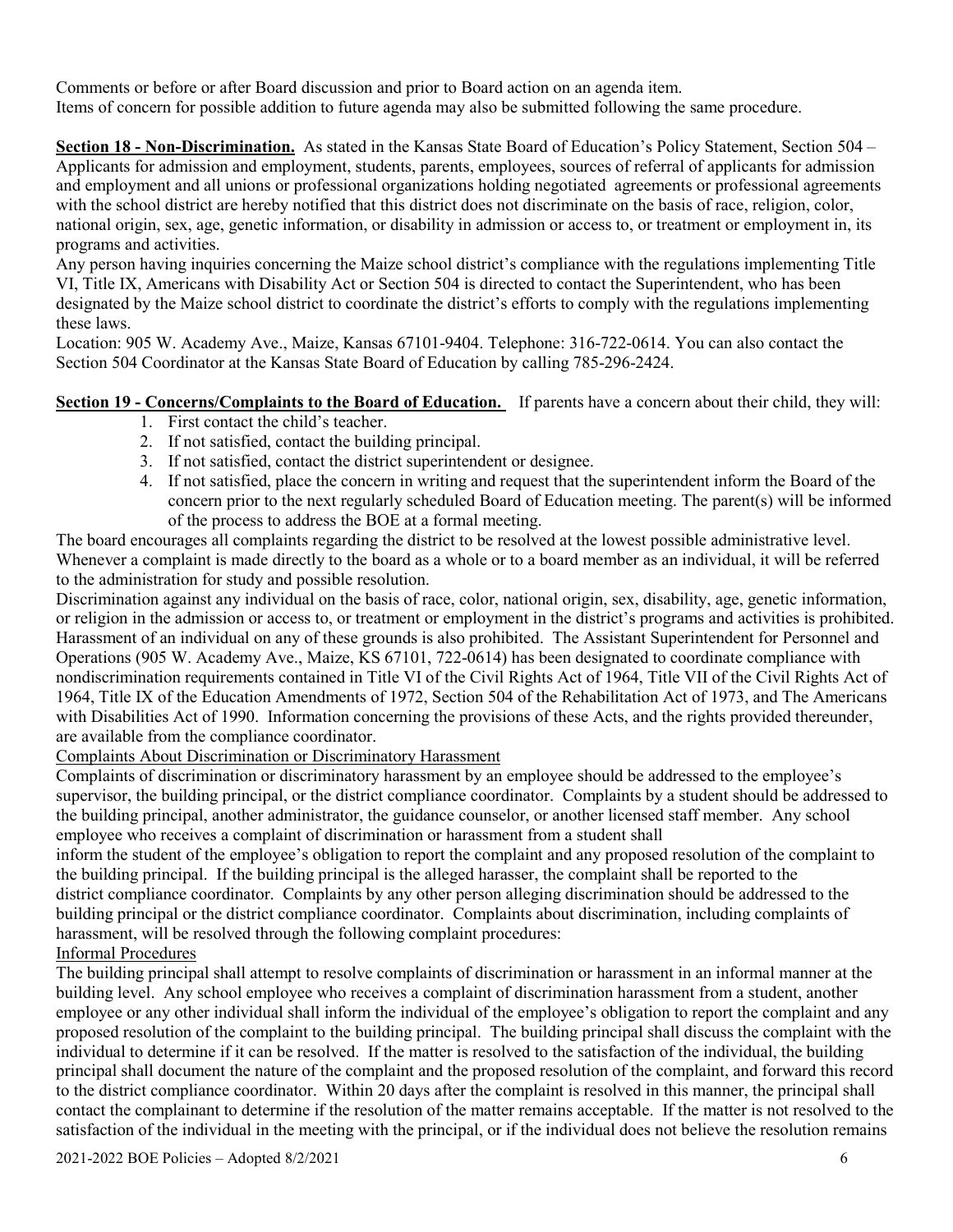Comments or before or after Board discussion and prior to Board action on an agenda item. Items of concern for possible addition to future agenda may also be submitted following the same procedure.

**Section 18 - Non-Discrimination.** As stated in the Kansas State Board of Education's Policy Statement, Section 504 – Applicants for admission and employment, students, parents, employees, sources of referral of applicants for admission and employment and all unions or professional organizations holding negotiated agreements or professional agreements with the school district are hereby notified that this district does not discriminate on the basis of race, religion, color, national origin, sex, age, genetic information, or disability in admission or access to, or treatment or employment in, its programs and activities.

Any person having inquiries concerning the Maize school district's compliance with the regulations implementing Title VI, Title IX, Americans with Disability Act or Section 504 is directed to contact the Superintendent, who has been designated by the Maize school district to coordinate the district's efforts to comply with the regulations implementing these laws.

Location: 905 W. Academy Ave., Maize, Kansas 67101-9404. Telephone: 316-722-0614. You can also contact the Section 504 Coordinator at the Kansas State Board of Education by calling 785-296-2424.

#### **Section 19 - Concerns/Complaints to the Board of Education.** If parents have a concern about their child, they will:

- 1. First contact the child's teacher.
- 2. If not satisfied, contact the building principal.
- 3. If not satisfied, contact the district superintendent or designee.
- 4. If not satisfied, place the concern in writing and request that the superintendent inform the Board of the concern prior to the next regularly scheduled Board of Education meeting. The parent(s) will be informed of the process to address the BOE at a formal meeting.

The board encourages all complaints regarding the district to be resolved at the lowest possible administrative level. Whenever a complaint is made directly to the board as a whole or to a board member as an individual, it will be referred to the administration for study and possible resolution.

Discrimination against any individual on the basis of race, color, national origin, sex, disability, age, genetic information, or religion in the admission or access to, or treatment or employment in the district's programs and activities is prohibited. Harassment of an individual on any of these grounds is also prohibited. The Assistant Superintendent for Personnel and Operations (905 W. Academy Ave., Maize, KS 67101, 722-0614) has been designated to coordinate compliance with nondiscrimination requirements contained in Title VI of the Civil Rights Act of 1964, Title VII of the Civil Rights Act of 1964, Title IX of the Education Amendments of 1972, Section 504 of the Rehabilitation Act of 1973, and The Americans with Disabilities Act of 1990. Information concerning the provisions of these Acts, and the rights provided thereunder, are available from the compliance coordinator.

#### Complaints About Discrimination or Discriminatory Harassment

Complaints of discrimination or discriminatory harassment by an employee should be addressed to the employee's supervisor, the building principal, or the district compliance coordinator. Complaints by a student should be addressed to the building principal, another administrator, the guidance counselor, or another licensed staff member. Any school employee who receives a complaint of discrimination or harassment from a student shall

inform the student of the employee's obligation to report the complaint and any proposed resolution of the complaint to the building principal. If the building principal is the alleged harasser, the complaint shall be reported to the district compliance coordinator. Complaints by any other person alleging discrimination should be addressed to the building principal or the district compliance coordinator. Complaints about discrimination, including complaints of harassment, will be resolved through the following complaint procedures: Informal Procedures

The building principal shall attempt to resolve complaints of discrimination or harassment in an informal manner at the building level. Any school employee who receives a complaint of discrimination harassment from a student, another employee or any other individual shall inform the individual of the employee's obligation to report the complaint and any proposed resolution of the complaint to the building principal. The building principal shall discuss the complaint with the individual to determine if it can be resolved. If the matter is resolved to the satisfaction of the individual, the building principal shall document the nature of the complaint and the proposed resolution of the complaint, and forward this record to the district compliance coordinator. Within 20 days after the complaint is resolved in this manner, the principal shall contact the complainant to determine if the resolution of the matter remains acceptable. If the matter is not resolved to the satisfaction of the individual in the meeting with the principal, or if the individual does not believe the resolution remains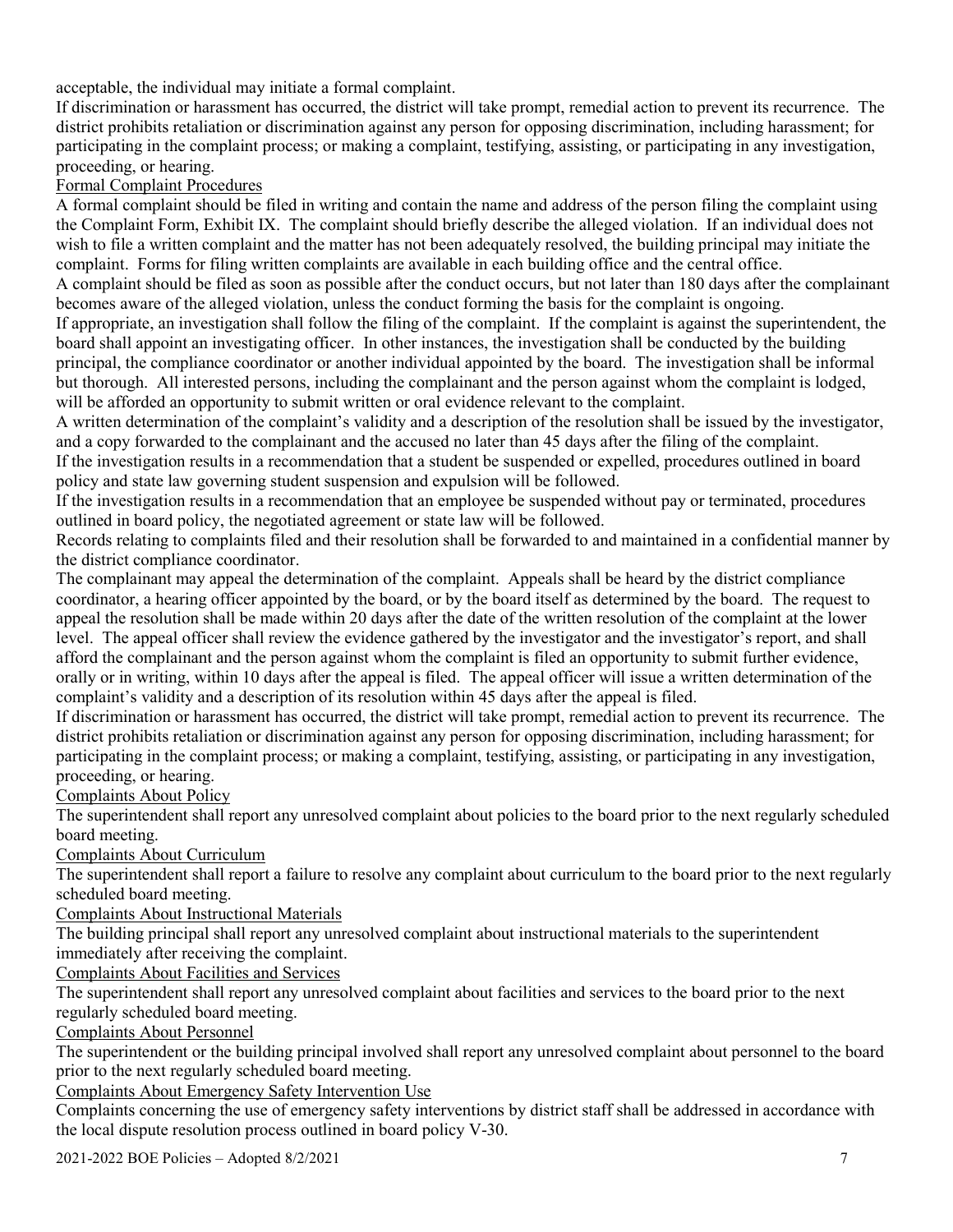acceptable, the individual may initiate a formal complaint.

If discrimination or harassment has occurred, the district will take prompt, remedial action to prevent its recurrence. The district prohibits retaliation or discrimination against any person for opposing discrimination, including harassment; for participating in the complaint process; or making a complaint, testifying, assisting, or participating in any investigation, proceeding, or hearing.

#### Formal Complaint Procedures

A formal complaint should be filed in writing and contain the name and address of the person filing the complaint using the Complaint Form, Exhibit IX. The complaint should briefly describe the alleged violation. If an individual does not wish to file a written complaint and the matter has not been adequately resolved, the building principal may initiate the complaint. Forms for filing written complaints are available in each building office and the central office.

A complaint should be filed as soon as possible after the conduct occurs, but not later than 180 days after the complainant becomes aware of the alleged violation, unless the conduct forming the basis for the complaint is ongoing.

If appropriate, an investigation shall follow the filing of the complaint. If the complaint is against the superintendent, the board shall appoint an investigating officer. In other instances, the investigation shall be conducted by the building principal, the compliance coordinator or another individual appointed by the board. The investigation shall be informal but thorough. All interested persons, including the complainant and the person against whom the complaint is lodged, will be afforded an opportunity to submit written or oral evidence relevant to the complaint.

A written determination of the complaint's validity and a description of the resolution shall be issued by the investigator, and a copy forwarded to the complainant and the accused no later than 45 days after the filing of the complaint.

If the investigation results in a recommendation that a student be suspended or expelled, procedures outlined in board policy and state law governing student suspension and expulsion will be followed.

If the investigation results in a recommendation that an employee be suspended without pay or terminated, procedures outlined in board policy, the negotiated agreement or state law will be followed.

Records relating to complaints filed and their resolution shall be forwarded to and maintained in a confidential manner by the district compliance coordinator.

The complainant may appeal the determination of the complaint. Appeals shall be heard by the district compliance coordinator, a hearing officer appointed by the board, or by the board itself as determined by the board. The request to appeal the resolution shall be made within 20 days after the date of the written resolution of the complaint at the lower level. The appeal officer shall review the evidence gathered by the investigator and the investigator's report, and shall afford the complainant and the person against whom the complaint is filed an opportunity to submit further evidence, orally or in writing, within 10 days after the appeal is filed. The appeal officer will issue a written determination of the complaint's validity and a description of its resolution within 45 days after the appeal is filed.

If discrimination or harassment has occurred, the district will take prompt, remedial action to prevent its recurrence. The district prohibits retaliation or discrimination against any person for opposing discrimination, including harassment; for participating in the complaint process; or making a complaint, testifying, assisting, or participating in any investigation, proceeding, or hearing.

Complaints About Policy

The superintendent shall report any unresolved complaint about policies to the board prior to the next regularly scheduled board meeting.

Complaints About Curriculum

The superintendent shall report a failure to resolve any complaint about curriculum to the board prior to the next regularly scheduled board meeting.

Complaints About Instructional Materials

The building principal shall report any unresolved complaint about instructional materials to the superintendent immediately after receiving the complaint.

Complaints About Facilities and Services

The superintendent shall report any unresolved complaint about facilities and services to the board prior to the next regularly scheduled board meeting.

Complaints About Personnel

The superintendent or the building principal involved shall report any unresolved complaint about personnel to the board prior to the next regularly scheduled board meeting.

Complaints About Emergency Safety Intervention Use

Complaints concerning the use of emergency safety interventions by district staff shall be addressed in accordance with the local dispute resolution process outlined in board policy V-30.

2021-2022 BOE Policies – Adopted 8/2/2021 7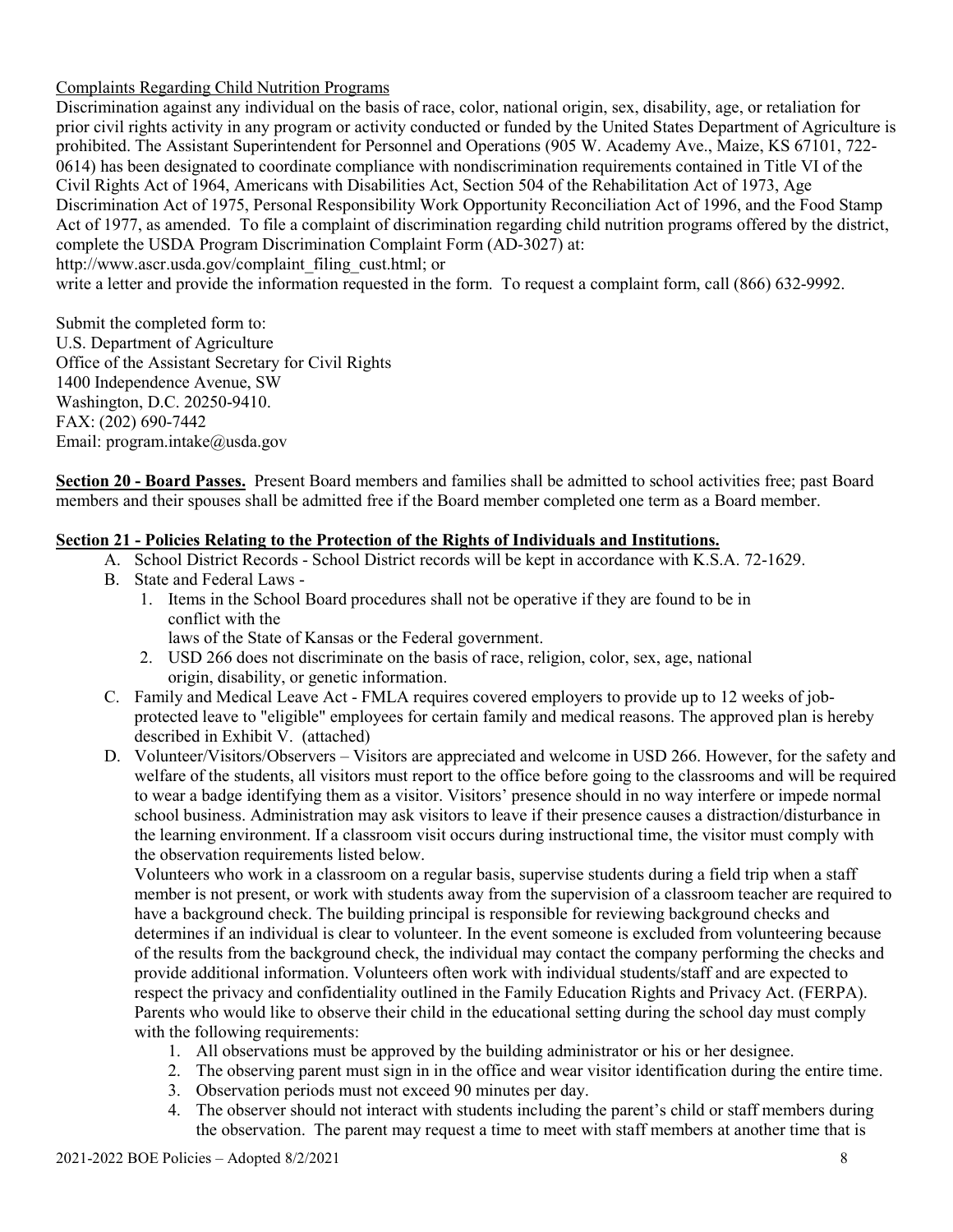#### Complaints Regarding Child Nutrition Programs

Discrimination against any individual on the basis of race, color, national origin, sex, disability, age, or retaliation for prior civil rights activity in any program or activity conducted or funded by the United States Department of Agriculture is prohibited. The Assistant Superintendent for Personnel and Operations (905 W. Academy Ave., Maize, KS 67101, 722- 0614) has been designated to coordinate compliance with nondiscrimination requirements contained in Title VI of the Civil Rights Act of 1964, Americans with Disabilities Act, Section 504 of the Rehabilitation Act of 1973, Age Discrimination Act of 1975, Personal Responsibility Work Opportunity Reconciliation Act of 1996, and the Food Stamp Act of 1977, as amended. To file a complaint of discrimination regarding child nutrition programs offered by the district, complete the USDA Program Discrimination Complaint Form (AD-3027) at[:](http://www.ascr.usda.gov/complaint_filing_cust.html) [http://www.ascr.usda.gov/complaint\\_filing\\_cust.html;](http://www.ascr.usda.gov/complaint_filing_cust.html) or

write a letter and provide the information requested in the form. To request a complaint form, call (866) 632-9992.

Submit the completed form to: U.S. Department of Agriculture Office of the Assistant Secretary for Civil Rights 1400 Independence Avenue, SW Washington, D.C. 20250-9410. FAX: (202) 690-7442 Email: program.intake@usda.gov

**Section 20 - Board Passes.** Present Board members and families shall be admitted to school activities free; past Board members and their spouses shall be admitted free if the Board member completed one term as a Board member.

#### **Section 21 - Policies Relating to the Protection of the Rights of Individuals and Institutions.**

- A. School District Records School District records will be kept in accordance with K.S.A. 72-1629.
- B. State and Federal Laws
	- 1. Items in the School Board procedures shall not be operative if they are found to be in conflict with the

laws of the State of Kansas or the Federal government.

- 2. USD 266 does not discriminate on the basis of race, religion, color, sex, age, national origin, disability, or genetic information.
- C. Family and Medical Leave Act FMLA requires covered employers to provide up to 12 weeks of jobprotected leave to "eligible" employees for certain family and medical reasons. The approved plan is hereby described in Exhibit V. (attached)
- D. Volunteer/Visitors/Observers Visitors are appreciated and welcome in USD 266. However, for the safety and welfare of the students, all visitors must report to the office before going to the classrooms and will be required to wear a badge identifying them as a visitor. Visitors' presence should in no way interfere or impede normal school business. Administration may ask visitors to leave if their presence causes a distraction/disturbance in the learning environment. If a classroom visit occurs during instructional time, the visitor must comply with the observation requirements listed below.

Volunteers who work in a classroom on a regular basis, supervise students during a field trip when a staff member is not present, or work with students away from the supervision of a classroom teacher are required to have a background check. The building principal is responsible for reviewing background checks and determines if an individual is clear to volunteer. In the event someone is excluded from volunteering because of the results from the background check, the individual may contact the company performing the checks and provide additional information. Volunteers often work with individual students/staff and are expected to respect the privacy and confidentiality outlined in the Family Education Rights and Privacy Act. (FERPA). Parents who would like to observe their child in the educational setting during the school day must comply with the following requirements:

- 1. All observations must be approved by the building administrator or his or her designee.
- 2. The observing parent must sign in in the office and wear visitor identification during the entire time.
- 3. Observation periods must not exceed 90 minutes per day.
- 4. The observer should not interact with students including the parent's child or staff members during the observation. The parent may request a time to meet with staff members at another time that is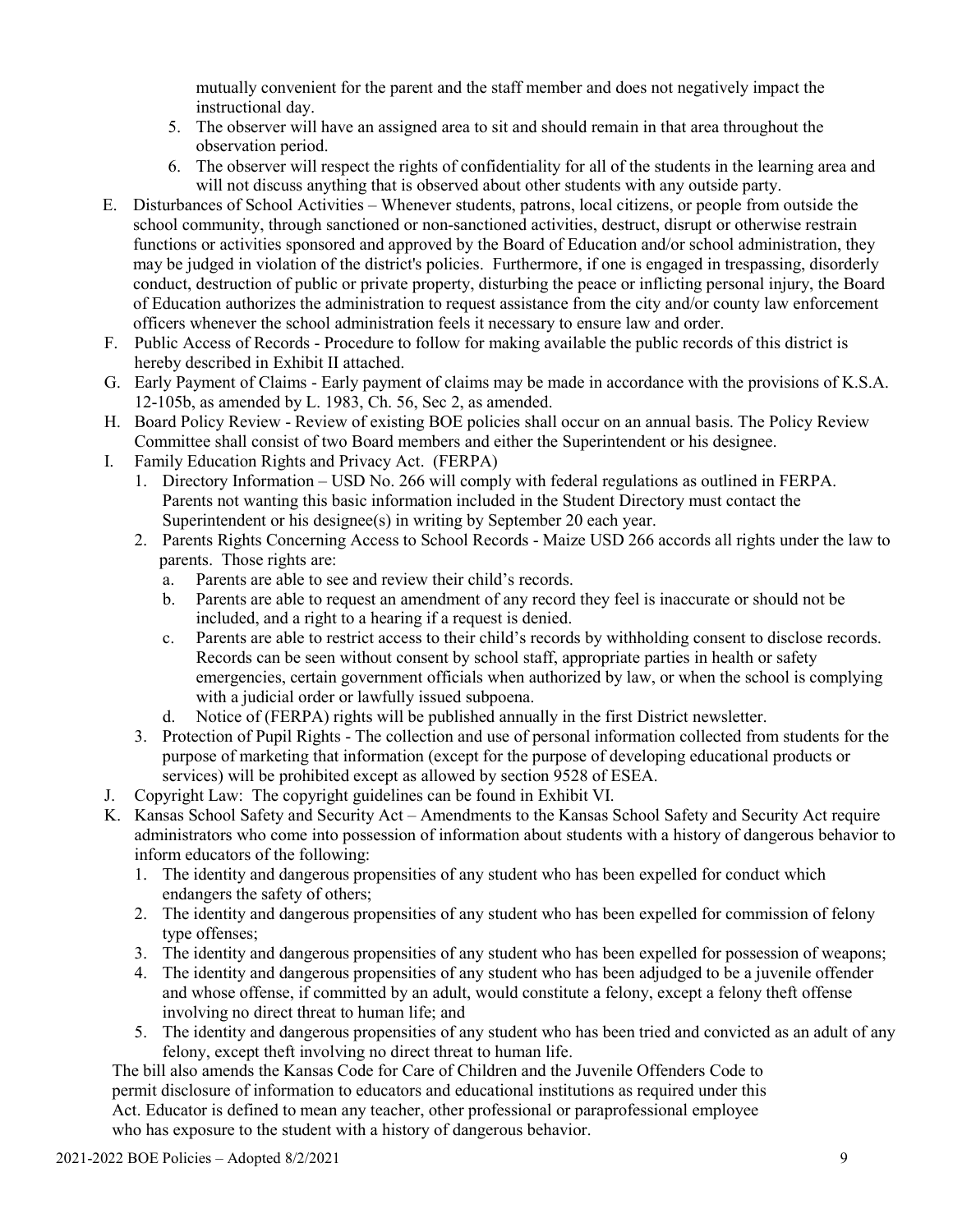mutually convenient for the parent and the staff member and does not negatively impact the instructional day.

- 5. The observer will have an assigned area to sit and should remain in that area throughout the observation period.
- 6. The observer will respect the rights of confidentiality for all of the students in the learning area and will not discuss anything that is observed about other students with any outside party.
- E. Disturbances of School Activities Whenever students, patrons, local citizens, or people from outside the school community, through sanctioned or non-sanctioned activities, destruct, disrupt or otherwise restrain functions or activities sponsored and approved by the Board of Education and/or school administration, they may be judged in violation of the district's policies. Furthermore, if one is engaged in trespassing, disorderly conduct, destruction of public or private property, disturbing the peace or inflicting personal injury, the Board of Education authorizes the administration to request assistance from the city and/or county law enforcement officers whenever the school administration feels it necessary to ensure law and order.
- F. Public Access of Records Procedure to follow for making available the public records of this district is hereby described in Exhibit II attached.
- G. Early Payment of Claims Early payment of claims may be made in accordance with the provisions of K.S.A. 12-105b, as amended by L. 1983, Ch. 56, Sec 2, as amended.
- H. Board Policy Review Review of existing BOE policies shall occur on an annual basis. The Policy Review Committee shall consist of two Board members and either the Superintendent or his designee.
- I. Family Education Rights and Privacy Act. (FERPA)
	- 1. Directory Information USD No. 266 will comply with federal regulations as outlined in FERPA. Parents not wanting this basic information included in the Student Directory must contact the Superintendent or his designee(s) in writing by September 20 each year.
	- 2. Parents Rights Concerning Access to School Records Maize USD 266 accords all rights under the law to parents. Those rights are:
		- a. Parents are able to see and review their child's records.
		- b. Parents are able to request an amendment of any record they feel is inaccurate or should not be included, and a right to a hearing if a request is denied.
		- c. Parents are able to restrict access to their child's records by withholding consent to disclose records. Records can be seen without consent by school staff, appropriate parties in health or safety emergencies, certain government officials when authorized by law, or when the school is complying with a judicial order or lawfully issued subpoena.
		- d. Notice of (FERPA) rights will be published annually in the first District newsletter.
	- 3. Protection of Pupil Rights The collection and use of personal information collected from students for the purpose of marketing that information (except for the purpose of developing educational products or services) will be prohibited except as allowed by section 9528 of ESEA.
- J. Copyright Law: The copyright guidelines can be found in Exhibit VI.
- K. Kansas School Safety and Security Act Amendments to the Kansas School Safety and Security Act require administrators who come into possession of information about students with a history of dangerous behavior to inform educators of the following:
	- 1. The identity and dangerous propensities of any student who has been expelled for conduct which endangers the safety of others;
	- 2. The identity and dangerous propensities of any student who has been expelled for commission of felony type offenses;
	- 3. The identity and dangerous propensities of any student who has been expelled for possession of weapons;
	- 4. The identity and dangerous propensities of any student who has been adjudged to be a juvenile offender and whose offense, if committed by an adult, would constitute a felony, except a felony theft offense involving no direct threat to human life; and
	- 5. The identity and dangerous propensities of any student who has been tried and convicted as an adult of any felony, except theft involving no direct threat to human life.

The bill also amends the Kansas Code for Care of Children and the Juvenile Offenders Code to permit disclosure of information to educators and educational institutions as required under this Act. Educator is defined to mean any teacher, other professional or paraprofessional employee who has exposure to the student with a history of dangerous behavior.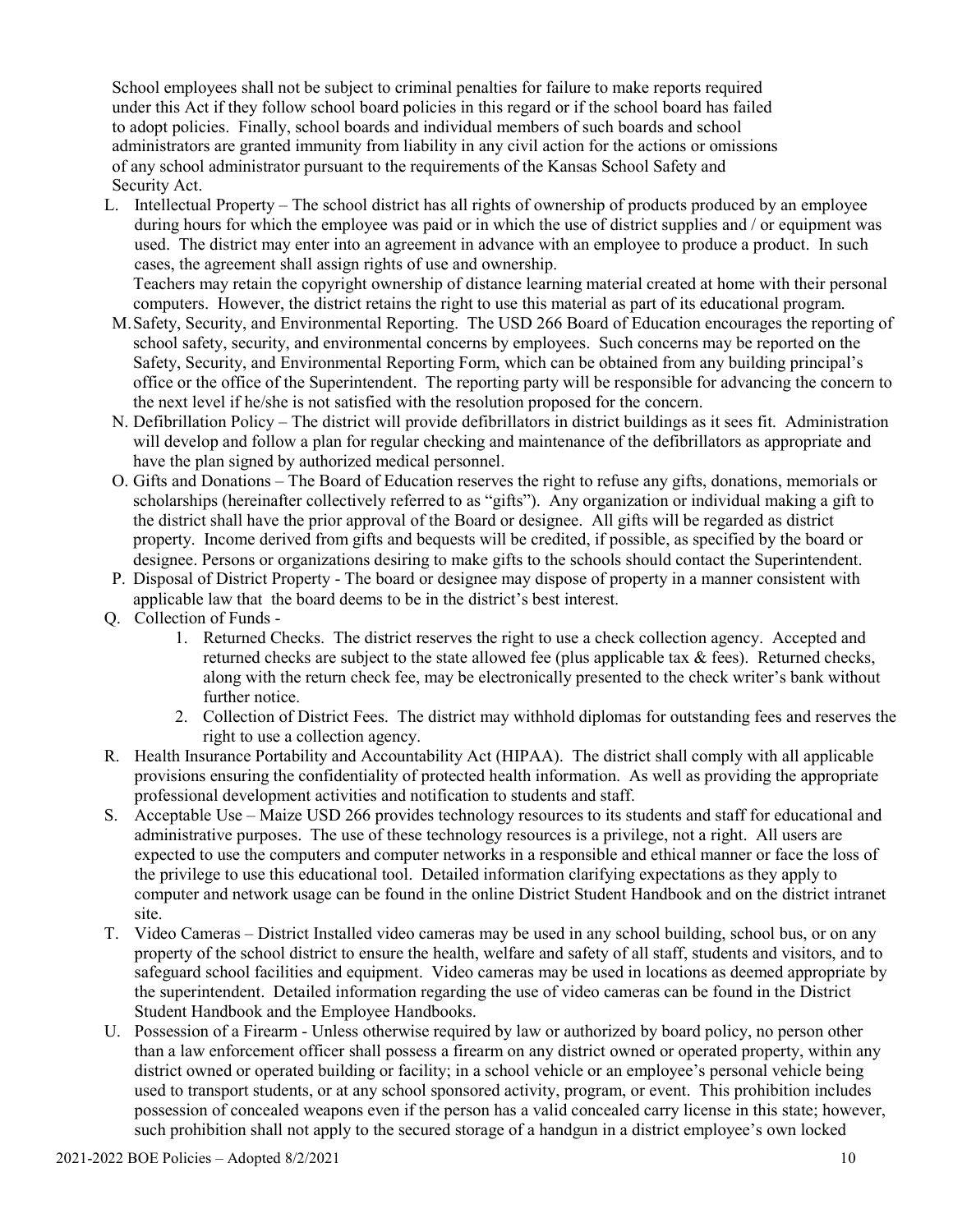School employees shall not be subject to criminal penalties for failure to make reports required under this Act if they follow school board policies in this regard or if the school board has failed to adopt policies. Finally, school boards and individual members of such boards and school administrators are granted immunity from liability in any civil action for the actions or omissions of any school administrator pursuant to the requirements of the Kansas School Safety and Security Act.

L. Intellectual Property – The school district has all rights of ownership of products produced by an employee during hours for which the employee was paid or in which the use of district supplies and / or equipment was used. The district may enter into an agreement in advance with an employee to produce a product. In such cases, the agreement shall assign rights of use and ownership.

Teachers may retain the copyright ownership of distance learning material created at home with their personal computers. However, the district retains the right to use this material as part of its educational program.

- M.Safety, Security, and Environmental Reporting. The USD 266 Board of Education encourages the reporting of school safety, security, and environmental concerns by employees. Such concerns may be reported on the Safety, Security, and Environmental Reporting Form, which can be obtained from any building principal's office or the office of the Superintendent. The reporting party will be responsible for advancing the concern to the next level if he/she is not satisfied with the resolution proposed for the concern.
- N. Defibrillation Policy The district will provide defibrillators in district buildings as it sees fit. Administration will develop and follow a plan for regular checking and maintenance of the defibrillators as appropriate and have the plan signed by authorized medical personnel.
- O. Gifts and Donations The Board of Education reserves the right to refuse any gifts, donations, memorials or scholarships (hereinafter collectively referred to as "gifts"). Any organization or individual making a gift to the district shall have the prior approval of the Board or designee. All gifts will be regarded as district property. Income derived from gifts and bequests will be credited, if possible, as specified by the board or designee. Persons or organizations desiring to make gifts to the schools should contact the Superintendent.
- P. Disposal of District Property The board or designee may dispose of property in a manner consistent with applicable law that the board deems to be in the district's best interest.
- Q. Collection of Funds
	- 1. Returned Checks. The district reserves the right to use a check collection agency. Accepted and returned checks are subject to the state allowed fee (plus applicable tax  $\&$  fees). Returned checks, along with the return check fee, may be electronically presented to the check writer's bank without further notice.
	- 2. Collection of District Fees. The district may withhold diplomas for outstanding fees and reserves the right to use a collection agency.
- R. Health Insurance Portability and Accountability Act (HIPAA). The district shall comply with all applicable provisions ensuring the confidentiality of protected health information. As well as providing the appropriate professional development activities and notification to students and staff.
- S. Acceptable Use Maize USD 266 provides technology resources to its students and staff for educational and administrative purposes. The use of these technology resources is a privilege, not a right. All users are expected to use the computers and computer networks in a responsible and ethical manner or face the loss of the privilege to use this educational tool. Detailed information clarifying expectations as they apply to computer and network usage can be found in the online District Student Handbook and on the district intranet site.
- T. Video Cameras District Installed video cameras may be used in any school building, school bus, or on any property of the school district to ensure the health, welfare and safety of all staff, students and visitors, and to safeguard school facilities and equipment. Video cameras may be used in locations as deemed appropriate by the superintendent. Detailed information regarding the use of video cameras can be found in the District Student Handbook and the Employee Handbooks.
- U. Possession of a Firearm Unless otherwise required by law or authorized by board policy, no person other than a law enforcement officer shall possess a firearm on any district owned or operated property, within any district owned or operated building or facility; in a school vehicle or an employee's personal vehicle being used to transport students, or at any school sponsored activity, program, or event. This prohibition includes possession of concealed weapons even if the person has a valid concealed carry license in this state; however, such prohibition shall not apply to the secured storage of a handgun in a district employee's own locked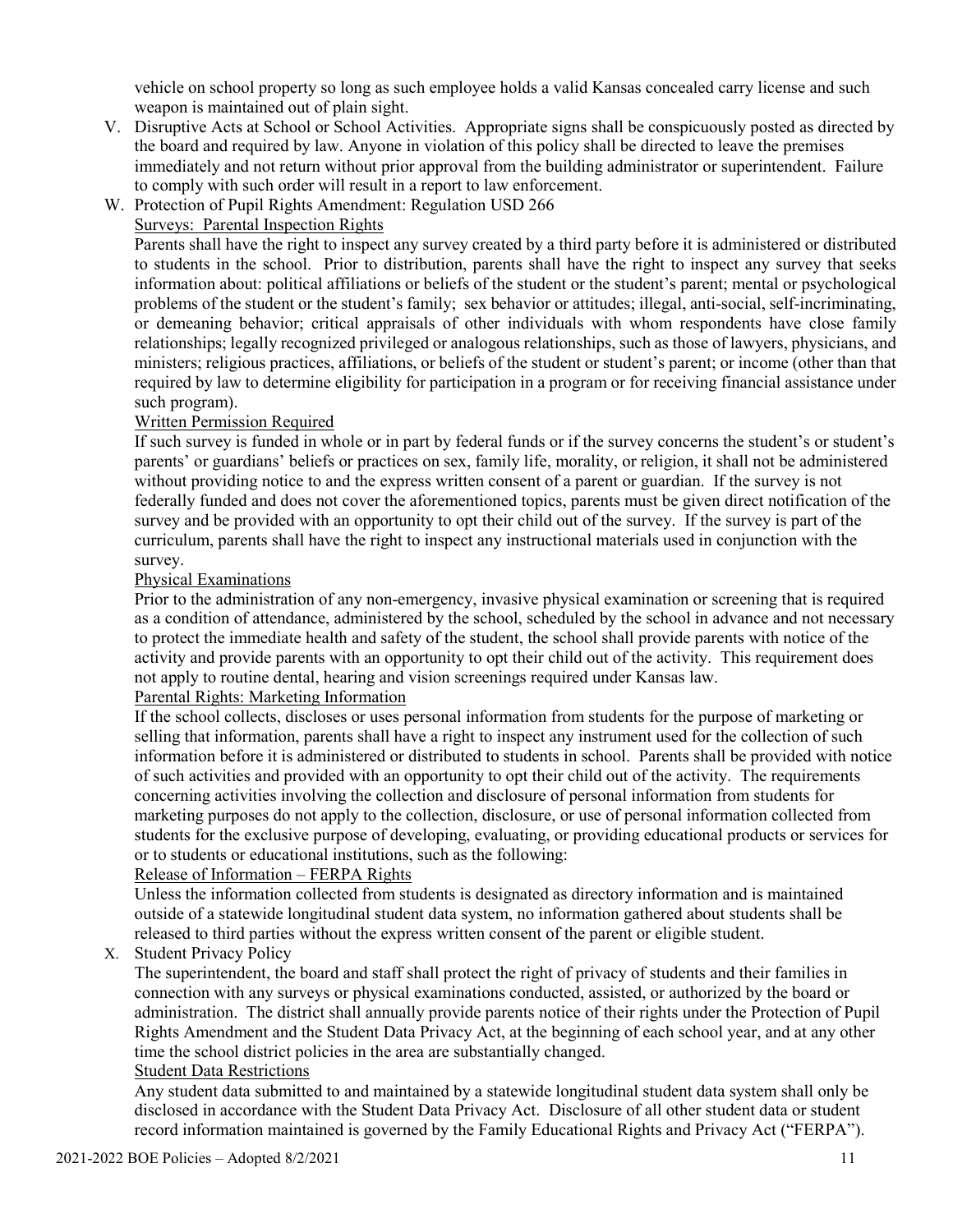vehicle on school property so long as such employee holds a valid Kansas concealed carry license and such weapon is maintained out of plain sight.

- V. Disruptive Acts at School or School Activities. Appropriate signs shall be conspicuously posted as directed by the board and required by law. Anyone in violation of this policy shall be directed to leave the premises immediately and not return without prior approval from the building administrator or superintendent. Failure to comply with such order will result in a report to law enforcement.
- W. Protection of Pupil Rights Amendment: Regulation USD 266

#### Surveys: Parental Inspection Rights

Parents shall have the right to inspect any survey created by a third party before it is administered or distributed to students in the school. Prior to distribution, parents shall have the right to inspect any survey that seeks information about: political affiliations or beliefs of the student or the student's parent; mental or psychological problems of the student or the student's family; sex behavior or attitudes; illegal, anti-social, self-incriminating, or demeaning behavior; critical appraisals of other individuals with whom respondents have close family relationships; legally recognized privileged or analogous relationships, such as those of lawyers, physicians, and ministers; religious practices, affiliations, or beliefs of the student or student's parent; or income (other than that required by law to determine eligibility for participation in a program or for receiving financial assistance under such program).

#### Written Permission Required

If such survey is funded in whole or in part by federal funds or if the survey concerns the student's or student's parents' or guardians' beliefs or practices on sex, family life, morality, or religion, it shall not be administered without providing notice to and the express written consent of a parent or guardian. If the survey is not federally funded and does not cover the aforementioned topics, parents must be given direct notification of the survey and be provided with an opportunity to opt their child out of the survey. If the survey is part of the curriculum, parents shall have the right to inspect any instructional materials used in conjunction with the survey.

#### Physical Examinations

Prior to the administration of any non-emergency, invasive physical examination or screening that is required as a condition of attendance, administered by the school, scheduled by the school in advance and not necessary to protect the immediate health and safety of the student, the school shall provide parents with notice of the activity and provide parents with an opportunity to opt their child out of the activity. This requirement does not apply to routine dental, hearing and vision screenings required under Kansas law.

#### Parental Rights: Marketing Information

If the school collects, discloses or uses personal information from students for the purpose of marketing or selling that information, parents shall have a right to inspect any instrument used for the collection of such information before it is administered or distributed to students in school. Parents shall be provided with notice of such activities and provided with an opportunity to opt their child out of the activity. The requirements concerning activities involving the collection and disclosure of personal information from students for marketing purposes do not apply to the collection, disclosure, or use of personal information collected from students for the exclusive purpose of developing, evaluating, or providing educational products or services for or to students or educational institutions, such as the following:

#### Release of Information – FERPA Rights

Unless the information collected from students is designated as directory information and is maintained outside of a statewide longitudinal student data system, no information gathered about students shall be released to third parties without the express written consent of the parent or eligible student.

X. Student Privacy Policy

The superintendent, the board and staff shall protect the right of privacy of students and their families in connection with any surveys or physical examinations conducted, assisted, or authorized by the board or administration. The district shall annually provide parents notice of their rights under the Protection of Pupil Rights Amendment and the Student Data Privacy Act, at the beginning of each school year, and at any other time the school district policies in the area are substantially changed. Student Data Restrictions

Any student data submitted to and maintained by a statewide longitudinal student data system shall only be disclosed in accordance with the Student Data Privacy Act. Disclosure of all other student data or student record information maintained is governed by the Family Educational Rights and Privacy Act ("FERPA").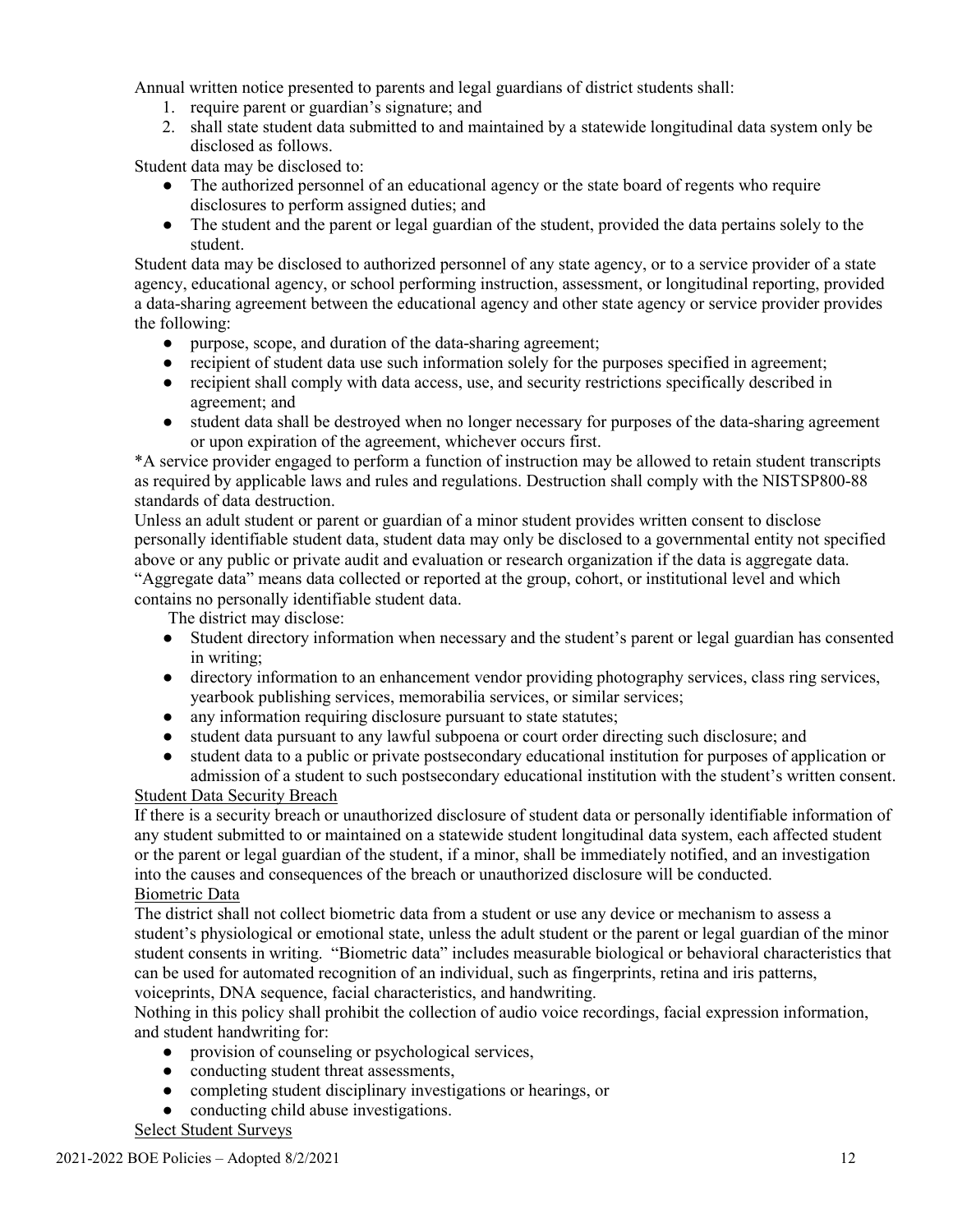Annual written notice presented to parents and legal guardians of district students shall:

- 1. require parent or guardian's signature; and
- 2. shall state student data submitted to and maintained by a statewide longitudinal data system only be disclosed as follows.

Student data may be disclosed to:

- The authorized personnel of an educational agency or the state board of regents who require disclosures to perform assigned duties; and
- The student and the parent or legal guardian of the student, provided the data pertains solely to the student.

Student data may be disclosed to authorized personnel of any state agency, or to a service provider of a state agency, educational agency, or school performing instruction, assessment, or longitudinal reporting, provided a data-sharing agreement between the educational agency and other state agency or service provider provides the following:

- purpose, scope, and duration of the data-sharing agreement;
- recipient of student data use such information solely for the purposes specified in agreement;
- recipient shall comply with data access, use, and security restrictions specifically described in agreement; and
- student data shall be destroyed when no longer necessary for purposes of the data-sharing agreement or upon expiration of the agreement, whichever occurs first.

\*A service provider engaged to perform a function of instruction may be allowed to retain student transcripts as required by applicable laws and rules and regulations. Destruction shall comply with the NISTSP800-88 standards of data destruction.

Unless an adult student or parent or guardian of a minor student provides written consent to disclose personally identifiable student data, student data may only be disclosed to a governmental entity not specified above or any public or private audit and evaluation or research organization if the data is aggregate data. "Aggregate data" means data collected or reported at the group, cohort, or institutional level and which contains no personally identifiable student data.

The district may disclose:

- Student directory information when necessary and the student's parent or legal guardian has consented in writing;
- directory information to an enhancement vendor providing photography services, class ring services, yearbook publishing services, memorabilia services, or similar services;
- any information requiring disclosure pursuant to state statutes;
- student data pursuant to any lawful subpoena or court order directing such disclosure; and
- student data to a public or private postsecondary educational institution for purposes of application or admission of a student to such postsecondary educational institution with the student's written consent.

#### Student Data Security Breach

If there is a security breach or unauthorized disclosure of student data or personally identifiable information of any student submitted to or maintained on a statewide student longitudinal data system, each affected student or the parent or legal guardian of the student, if a minor, shall be immediately notified, and an investigation into the causes and consequences of the breach or unauthorized disclosure will be conducted. Biometric Data

The district shall not collect biometric data from a student or use any device or mechanism to assess a student's physiological or emotional state, unless the adult student or the parent or legal guardian of the minor student consents in writing. "Biometric data" includes measurable biological or behavioral characteristics that can be used for automated recognition of an individual, such as fingerprints, retina and iris patterns, voiceprints, DNA sequence, facial characteristics, and handwriting.

Nothing in this policy shall prohibit the collection of audio voice recordings, facial expression information, and student handwriting for:

- provision of counseling or psychological services,
- conducting student threat assessments,
- completing student disciplinary investigations or hearings, or
- conducting child abuse investigations.

#### Select Student Surveys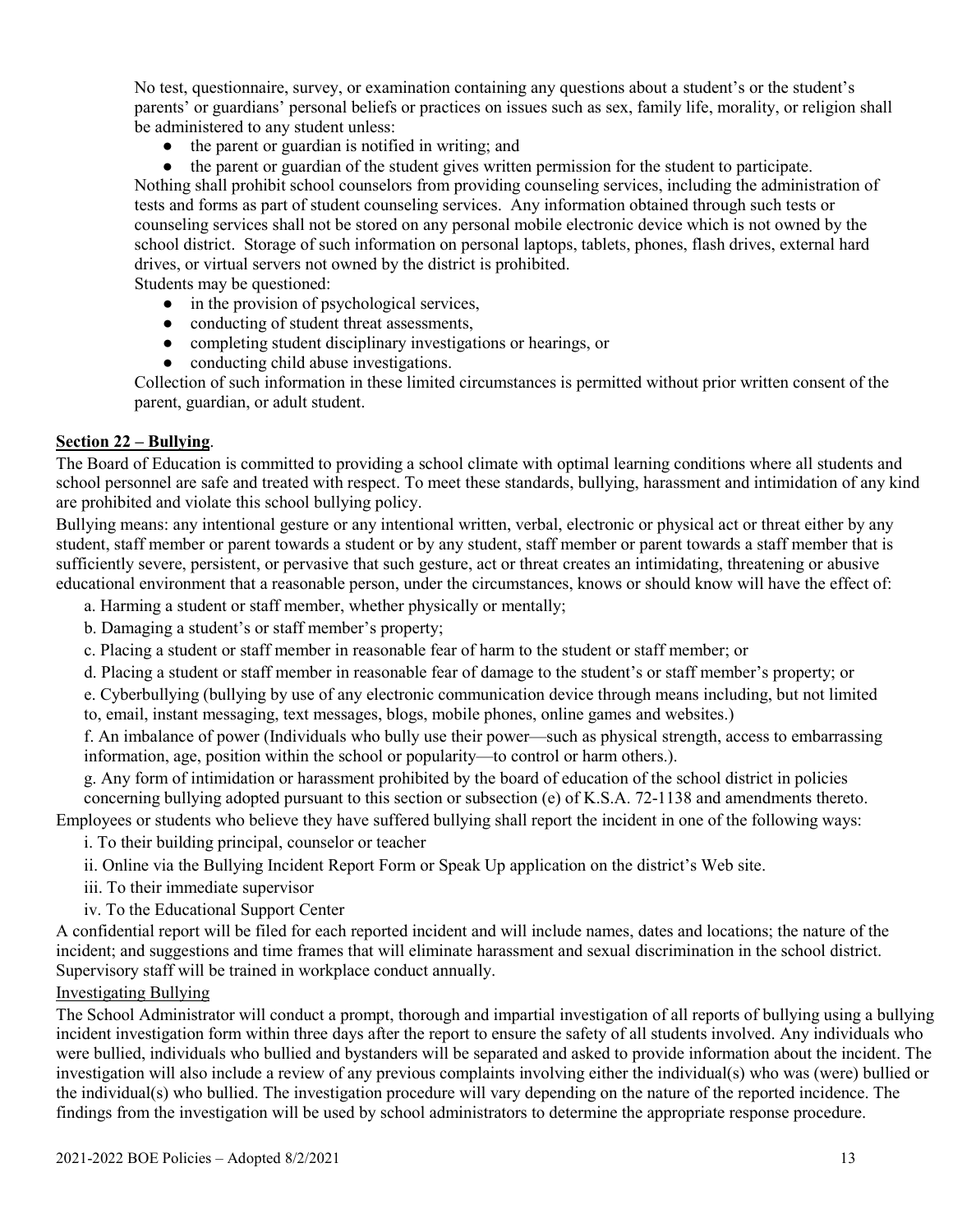No test, questionnaire, survey, or examination containing any questions about a student's or the student's parents' or guardians' personal beliefs or practices on issues such as sex, family life, morality, or religion shall be administered to any student unless:

- the parent or guardian is notified in writing; and
- the parent or guardian of the student gives written permission for the student to participate.

Nothing shall prohibit school counselors from providing counseling services, including the administration of tests and forms as part of student counseling services. Any information obtained through such tests or counseling services shall not be stored on any personal mobile electronic device which is not owned by the school district. Storage of such information on personal laptops, tablets, phones, flash drives, external hard drives, or virtual servers not owned by the district is prohibited.

Students may be questioned:

- in the provision of psychological services,
- conducting of student threat assessments,
- completing student disciplinary investigations or hearings, or
- conducting child abuse investigations.

Collection of such information in these limited circumstances is permitted without prior written consent of the parent, guardian, or adult student.

#### **Section 22 – Bullying**.

The Board of Education is committed to providing a school climate with optimal learning conditions where all students and school personnel are safe and treated with respect. To meet these standards, bullying, harassment and intimidation of any kind are prohibited and violate this school bullying policy.

Bullying means: any intentional gesture or any intentional written, verbal, electronic or physical act or threat either by any student, staff member or parent towards a student or by any student, staff member or parent towards a staff member that is sufficiently severe, persistent, or pervasive that such gesture, act or threat creates an intimidating, threatening or abusive educational environment that a reasonable person, under the circumstances, knows or should know will have the effect of:

a. Harming a student or staff member, whether physically or mentally;

- b. Damaging a student's or staff member's property;
- c. Placing a student or staff member in reasonable fear of harm to the student or staff member; or
- d. Placing a student or staff member in reasonable fear of damage to the student's or staff member's property; or

e. Cyberbullying (bullying by use of any electronic communication device through means including, but not limited to, email, instant messaging, text messages, blogs, mobile phones, online games and websites.)

f. An imbalance of power (Individuals who bully use their power—such as physical strength, access to embarrassing information, age, position within the school or popularity—to control or harm others.).

g. Any form of intimidation or harassment prohibited by the board of education of the school district in policies

concerning bullying adopted pursuant to this section or subsection (e) of K.S.A. 72-1138 and amendments thereto. Employees or students who believe they have suffered bullying shall report the incident in one of the following ways:

i. To their building principal, counselor or teacher

ii. Online via the Bullying Incident Report Form or Speak Up application on the district's Web site.

iii. To their immediate supervisor

iv. To the Educational Support Center

A confidential report will be filed for each reported incident and will include names, dates and locations; the nature of the incident; and suggestions and time frames that will eliminate harassment and sexual discrimination in the school district. Supervisory staff will be trained in workplace conduct annually.

#### Investigating Bullying

The School Administrator will conduct a prompt, thorough and impartial investigation of all reports of bullying using a bullying incident investigation form within three days after the report to ensure the safety of all students involved. Any individuals who were bullied, individuals who bullied and bystanders will be separated and asked to provide information about the incident. The investigation will also include a review of any previous complaints involving either the individual(s) who was (were) bullied or the individual(s) who bullied. The investigation procedure will vary depending on the nature of the reported incidence. The findings from the investigation will be used by school administrators to determine the appropriate response procedure.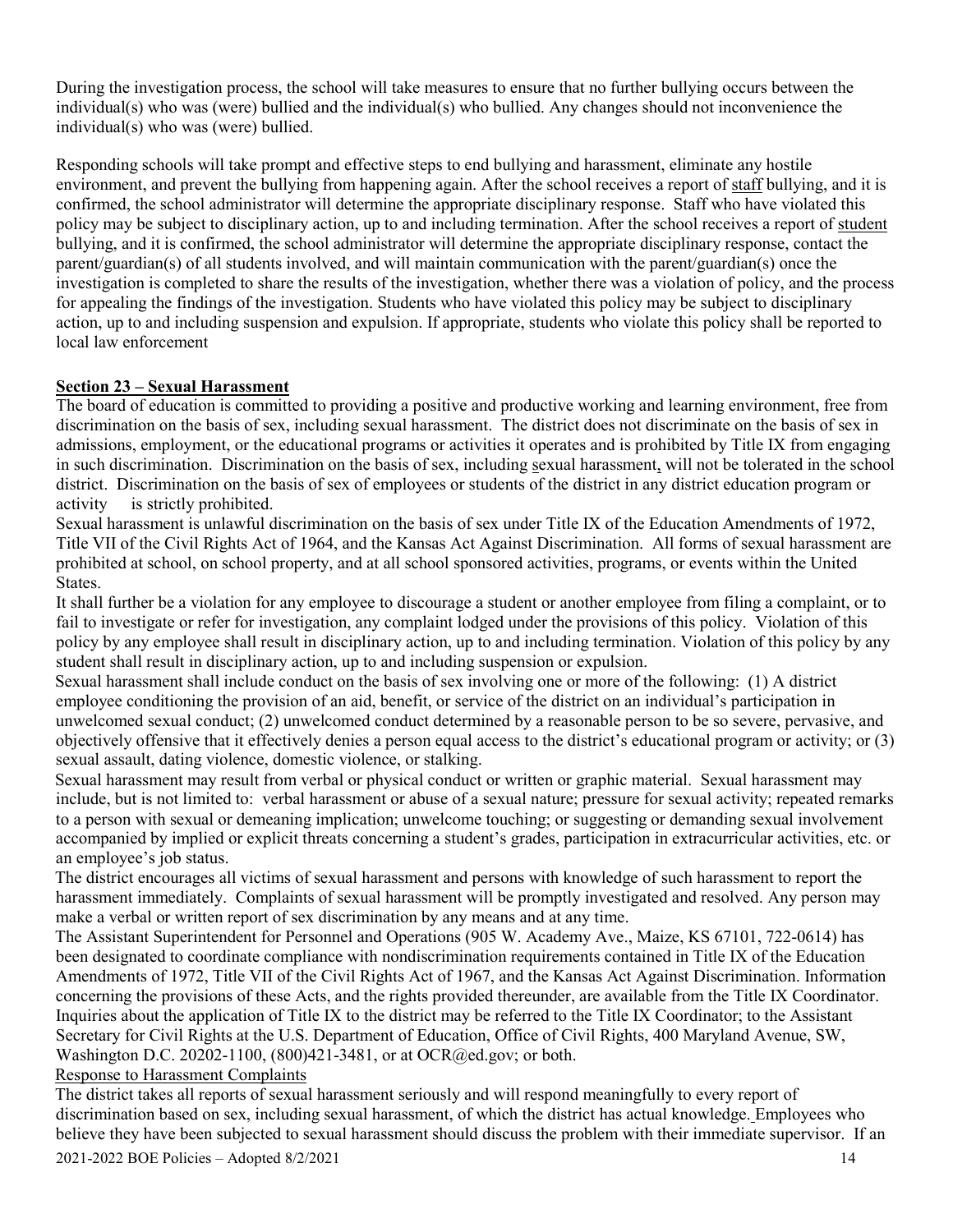During the investigation process, the school will take measures to ensure that no further bullying occurs between the individual(s) who was (were) bullied and the individual(s) who bullied. Any changes should not inconvenience the individual(s) who was (were) bullied.

Responding schools will take prompt and effective steps to end bullying and harassment, eliminate any hostile environment, and prevent the bullying from happening again. After the school receives a report of staff bullying, and it is confirmed, the school administrator will determine the appropriate disciplinary response. Staff who have violated this policy may be subject to disciplinary action, up to and including termination. After the school receives a report of student bullying, and it is confirmed, the school administrator will determine the appropriate disciplinary response, contact the parent/guardian(s) of all students involved, and will maintain communication with the parent/guardian(s) once the investigation is completed to share the results of the investigation, whether there was a violation of policy, and the process for appealing the findings of the investigation. Students who have violated this policy may be subject to disciplinary action, up to and including suspension and expulsion. If appropriate, students who violate this policy shall be reported to local law enforcement

#### **Section 23 – Sexual Harassment**

The board of education is committed to providing a positive and productive working and learning environment, free from discrimination on the basis of sex, including sexual harassment. The district does not discriminate on the basis of sex in admissions, employment, or the educational programs or activities it operates and is prohibited by Title IX from engaging in such discrimination. Discrimination on the basis of sex, including sexual harassment, will not be tolerated in the school district. Discrimination on the basis of sex of employees or students of the district in any district education program or activity is strictly prohibited.

Sexual harassment is unlawful discrimination on the basis of sex under Title IX of the Education Amendments of 1972, Title VII of the Civil Rights Act of 1964, and the Kansas Act Against Discrimination. All forms of sexual harassment are prohibited at school, on school property, and at all school sponsored activities, programs, or events within the United States.

It shall further be a violation for any employee to discourage a student or another employee from filing a complaint, or to fail to investigate or refer for investigation, any complaint lodged under the provisions of this policy. Violation of this policy by any employee shall result in disciplinary action, up to and including termination. Violation of this policy by any student shall result in disciplinary action, up to and including suspension or expulsion.

Sexual harassment shall include conduct on the basis of sex involving one or more of the following: (1) A district employee conditioning the provision of an aid, benefit, or service of the district on an individual's participation in unwelcomed sexual conduct; (2) unwelcomed conduct determined by a reasonable person to be so severe, pervasive, and objectively offensive that it effectively denies a person equal access to the district's educational program or activity; or (3) sexual assault, dating violence, domestic violence, or stalking.

Sexual harassment may result from verbal or physical conduct or written or graphic material. Sexual harassment may include, but is not limited to: verbal harassment or abuse of a sexual nature; pressure for sexual activity; repeated remarks to a person with sexual or demeaning implication; unwelcome touching; or suggesting or demanding sexual involvement accompanied by implied or explicit threats concerning a student's grades, participation in extracurricular activities, etc. or an employee's job status.

The district encourages all victims of sexual harassment and persons with knowledge of such harassment to report the harassment immediately. Complaints of sexual harassment will be promptly investigated and resolved. Any person may make a verbal or written report of sex discrimination by any means and at any time.

The Assistant Superintendent for Personnel and Operations (905 W. Academy Ave., Maize, KS 67101, 722-0614) has been designated to coordinate compliance with nondiscrimination requirements contained in Title IX of the Education Amendments of 1972, Title VII of the Civil Rights Act of 1967, and the Kansas Act Against Discrimination. Information concerning the provisions of these Acts, and the rights provided thereunder, are available from the Title IX Coordinator. Inquiries about the application of Title IX to the district may be referred to the Title IX Coordinator; to the Assistant Secretary for Civil Rights at the U.S. Department of Education, Office of Civil Rights, 400 Maryland Avenue, SW, Washington D.C. 20202-1100, (800)421-3481, or at OCR@ed.gov; or both.

#### Response to Harassment Complaints

 $2021-2022$  BOE Policies – Adopted  $8/2/2021$  14 The district takes all reports of sexual harassment seriously and will respond meaningfully to every report of discrimination based on sex, including sexual harassment, of which the district has actual knowledge. Employees who believe they have been subjected to sexual harassment should discuss the problem with their immediate supervisor. If an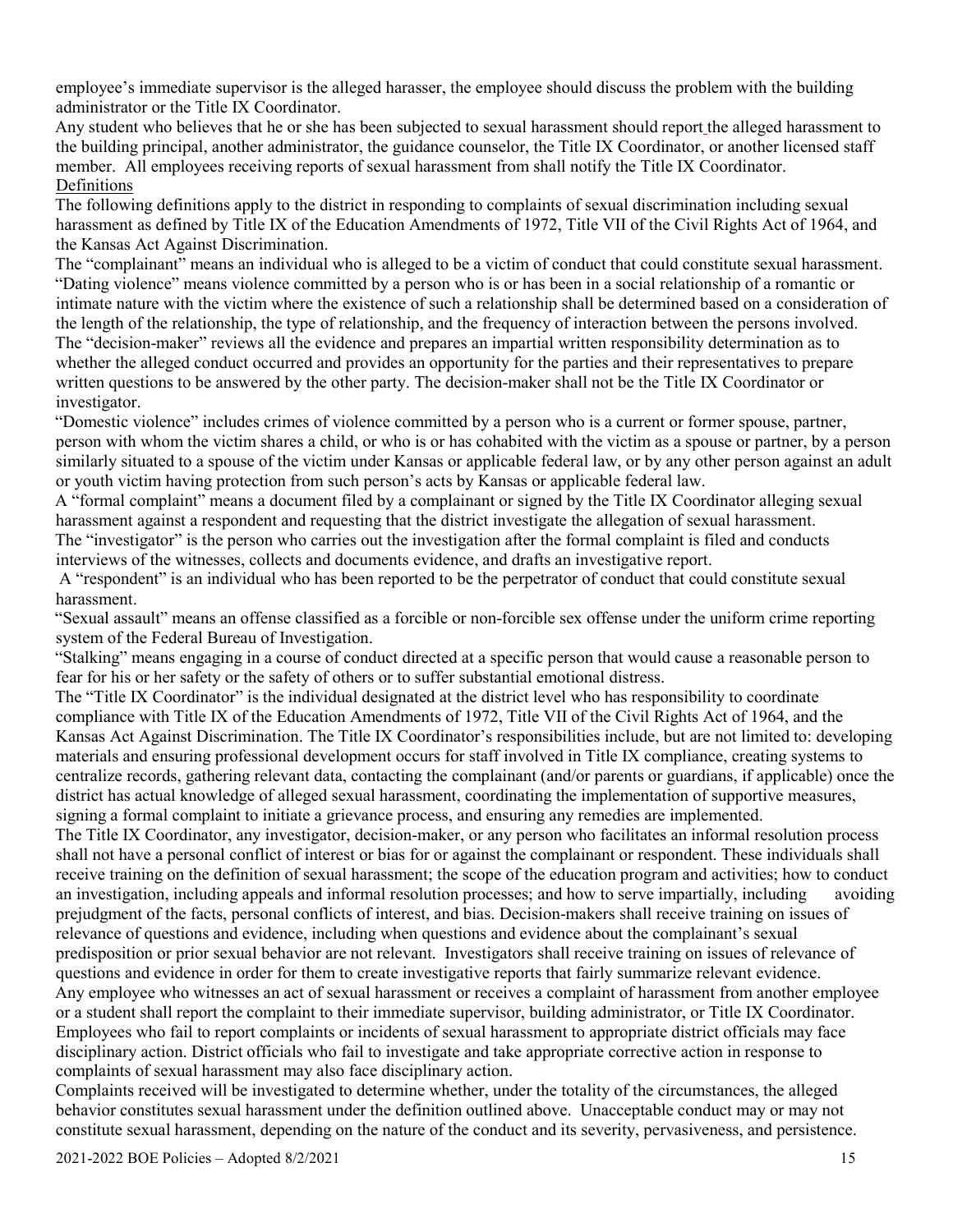employee's immediate supervisor is the alleged harasser, the employee should discuss the problem with the building administrator or the Title IX Coordinator.

Any student who believes that he or she has been subjected to sexual harassment should report the alleged harassment to the building principal, another administrator, the guidance counselor, the Title IX Coordinator, or another licensed staff member. All employees receiving reports of sexual harassment from shall notify the Title IX Coordinator. Definitions

The following definitions apply to the district in responding to complaints of sexual discrimination including sexual harassment as defined by Title IX of the Education Amendments of 1972, Title VII of the Civil Rights Act of 1964, and the Kansas Act Against Discrimination.

The "complainant" means an individual who is alleged to be a victim of conduct that could constitute sexual harassment. "Dating violence" means violence committed by a person who is or has been in a social relationship of a romantic or intimate nature with the victim where the existence of such a relationship shall be determined based on a consideration of the length of the relationship, the type of relationship, and the frequency of interaction between the persons involved. The "decision-maker" reviews all the evidence and prepares an impartial written responsibility determination as to whether the alleged conduct occurred and provides an opportunity for the parties and their representatives to prepare written questions to be answered by the other party. The decision-maker shall not be the Title IX Coordinator or investigator.

"Domestic violence" includes crimes of violence committed by a person who is a current or former spouse, partner, person with whom the victim shares a child, or who is or has cohabited with the victim as a spouse or partner, by a person similarly situated to a spouse of the victim under Kansas or applicable federal law, or by any other person against an adult or youth victim having protection from such person's acts by Kansas or applicable federal law.

A "formal complaint" means a document filed by a complainant or signed by the Title IX Coordinator alleging sexual harassment against a respondent and requesting that the district investigate the allegation of sexual harassment. The "investigator" is the person who carries out the investigation after the formal complaint is filed and conducts interviews of the witnesses, collects and documents evidence, and drafts an investigative report.

A "respondent" is an individual who has been reported to be the perpetrator of conduct that could constitute sexual harassment.

"Sexual assault" means an offense classified as a forcible or non-forcible sex offense under the uniform crime reporting system of the Federal Bureau of Investigation.

"Stalking" means engaging in a course of conduct directed at a specific person that would cause a reasonable person to fear for his or her safety or the safety of others or to suffer substantial emotional distress.

The "Title IX Coordinator" is the individual designated at the district level who has responsibility to coordinate compliance with Title IX of the Education Amendments of 1972, Title VII of the Civil Rights Act of 1964, and the Kansas Act Against Discrimination. The Title IX Coordinator's responsibilities include, but are not limited to: developing materials and ensuring professional development occurs for staff involved in Title IX compliance, creating systems to centralize records, gathering relevant data, contacting the complainant (and/or parents or guardians, if applicable) once the district has actual knowledge of alleged sexual harassment, coordinating the implementation of supportive measures, signing a formal complaint to initiate a grievance process, and ensuring any remedies are implemented.

The Title IX Coordinator, any investigator, decision-maker, or any person who facilitates an informal resolution process shall not have a personal conflict of interest or bias for or against the complainant or respondent. These individuals shall receive training on the definition of sexual harassment; the scope of the education program and activities; how to conduct an investigation, including appeals and informal resolution processes; and how to serve impartially, including avoiding prejudgment of the facts, personal conflicts of interest, and bias. Decision-makers shall receive training on issues of relevance of questions and evidence, including when questions and evidence about the complainant's sexual predisposition or prior sexual behavior are not relevant. Investigators shall receive training on issues of relevance of questions and evidence in order for them to create investigative reports that fairly summarize relevant evidence. Any employee who witnesses an act of sexual harassment or receives a complaint of harassment from another employee or a student shall report the complaint to their immediate supervisor, building administrator, or Title IX Coordinator. Employees who fail to report complaints or incidents of sexual harassment to appropriate district officials may face disciplinary action. District officials who fail to investigate and take appropriate corrective action in response to complaints of sexual harassment may also face disciplinary action.

Complaints received will be investigated to determine whether, under the totality of the circumstances, the alleged behavior constitutes sexual harassment under the definition outlined above. Unacceptable conduct may or may not constitute sexual harassment, depending on the nature of the conduct and its severity, pervasiveness, and persistence.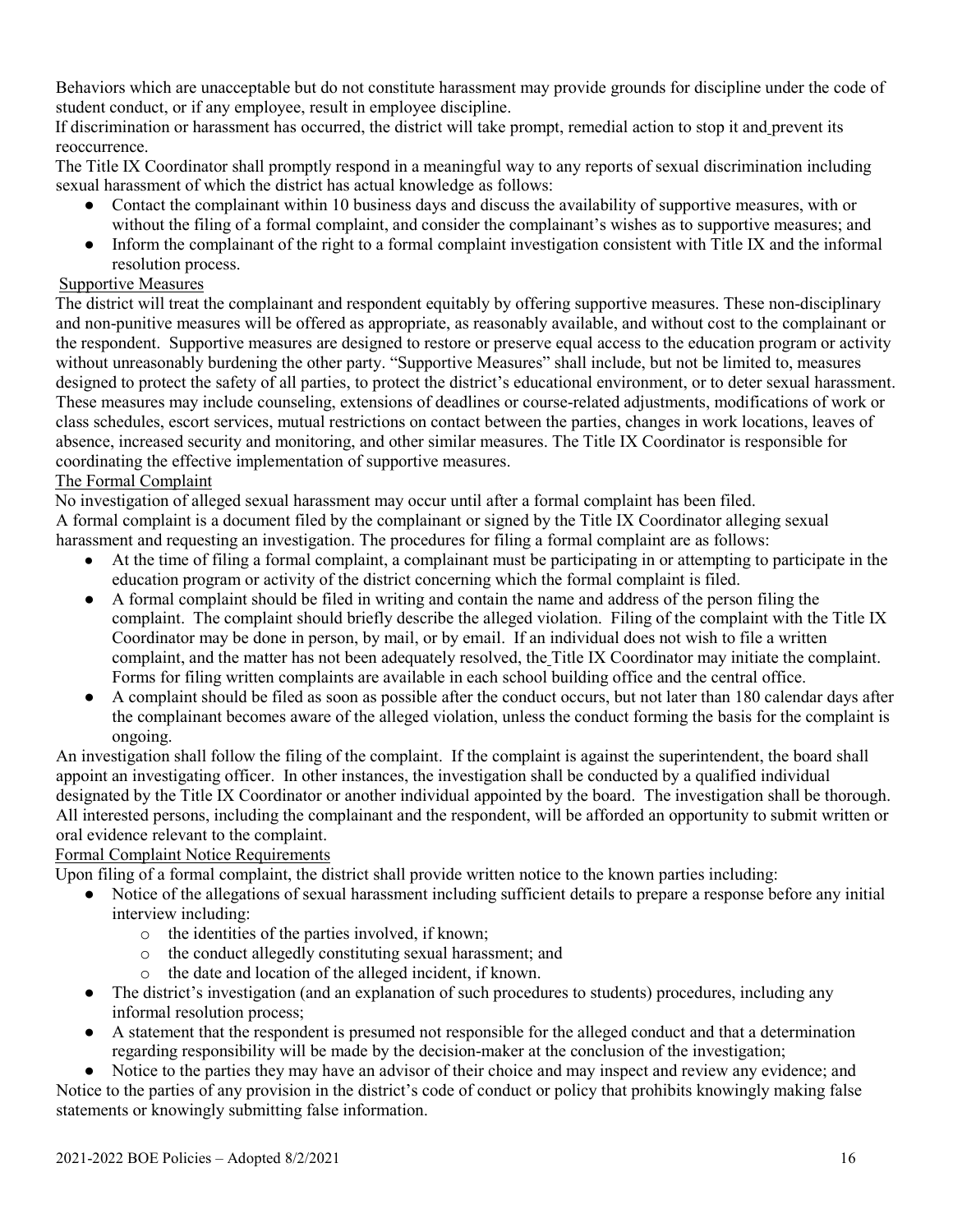Behaviors which are unacceptable but do not constitute harassment may provide grounds for discipline under the code of student conduct, or if any employee, result in employee discipline.

If discrimination or harassment has occurred, the district will take prompt, remedial action to stop it and prevent its reoccurrence.

The Title IX Coordinator shall promptly respond in a meaningful way to any reports of sexual discrimination including sexual harassment of which the district has actual knowledge as follows:

- Contact the complainant within 10 business days and discuss the availability of supportive measures, with or without the filing of a formal complaint, and consider the complainant's wishes as to supportive measures; and
- Inform the complainant of the right to a formal complaint investigation consistent with Title IX and the informal resolution process.

#### Supportive Measures

The district will treat the complainant and respondent equitably by offering supportive measures. These non-disciplinary and non-punitive measures will be offered as appropriate, as reasonably available, and without cost to the complainant or the respondent. Supportive measures are designed to restore or preserve equal access to the education program or activity without unreasonably burdening the other party. "Supportive Measures" shall include, but not be limited to, measures designed to protect the safety of all parties, to protect the district's educational environment, or to deter sexual harassment. These measures may include counseling, extensions of deadlines or course-related adjustments, modifications of work or class schedules, escort services, mutual restrictions on contact between the parties, changes in work locations, leaves of absence, increased security and monitoring, and other similar measures. The Title IX Coordinator is responsible for coordinating the effective implementation of supportive measures.

#### The Formal Complaint

No investigation of alleged sexual harassment may occur until after a formal complaint has been filed. A formal complaint is a document filed by the complainant or signed by the Title IX Coordinator alleging sexual harassment and requesting an investigation. The procedures for filing a formal complaint are as follows:

- At the time of filing a formal complaint, a complainant must be participating in or attempting to participate in the education program or activity of the district concerning which the formal complaint is filed.
- A formal complaint should be filed in writing and contain the name and address of the person filing the complaint. The complaint should briefly describe the alleged violation. Filing of the complaint with the Title IX Coordinator may be done in person, by mail, or by email. If an individual does not wish to file a written complaint, and the matter has not been adequately resolved, the Title IX Coordinator may initiate the complaint. Forms for filing written complaints are available in each school building office and the central office.
- A complaint should be filed as soon as possible after the conduct occurs, but not later than 180 calendar days after the complainant becomes aware of the alleged violation, unless the conduct forming the basis for the complaint is ongoing.

An investigation shall follow the filing of the complaint. If the complaint is against the superintendent, the board shall appoint an investigating officer. In other instances, the investigation shall be conducted by a qualified individual designated by the Title IX Coordinator or another individual appointed by the board. The investigation shall be thorough. All interested persons, including the complainant and the respondent, will be afforded an opportunity to submit written or oral evidence relevant to the complaint.

#### Formal Complaint Notice Requirements

Upon filing of a formal complaint, the district shall provide written notice to the known parties including:

- Notice of the allegations of sexual harassment including sufficient details to prepare a response before any initial interview including:
	- o the identities of the parties involved, if known;
	- o the conduct allegedly constituting sexual harassment; and
	- o the date and location of the alleged incident, if known.
- The district's investigation (and an explanation of such procedures to students) procedures, including any informal resolution process;
- A statement that the respondent is presumed not responsible for the alleged conduct and that a determination regarding responsibility will be made by the decision-maker at the conclusion of the investigation;

● Notice to the parties they may have an advisor of their choice and may inspect and review any evidence; and Notice to the parties of any provision in the district's code of conduct or policy that prohibits knowingly making false statements or knowingly submitting false information.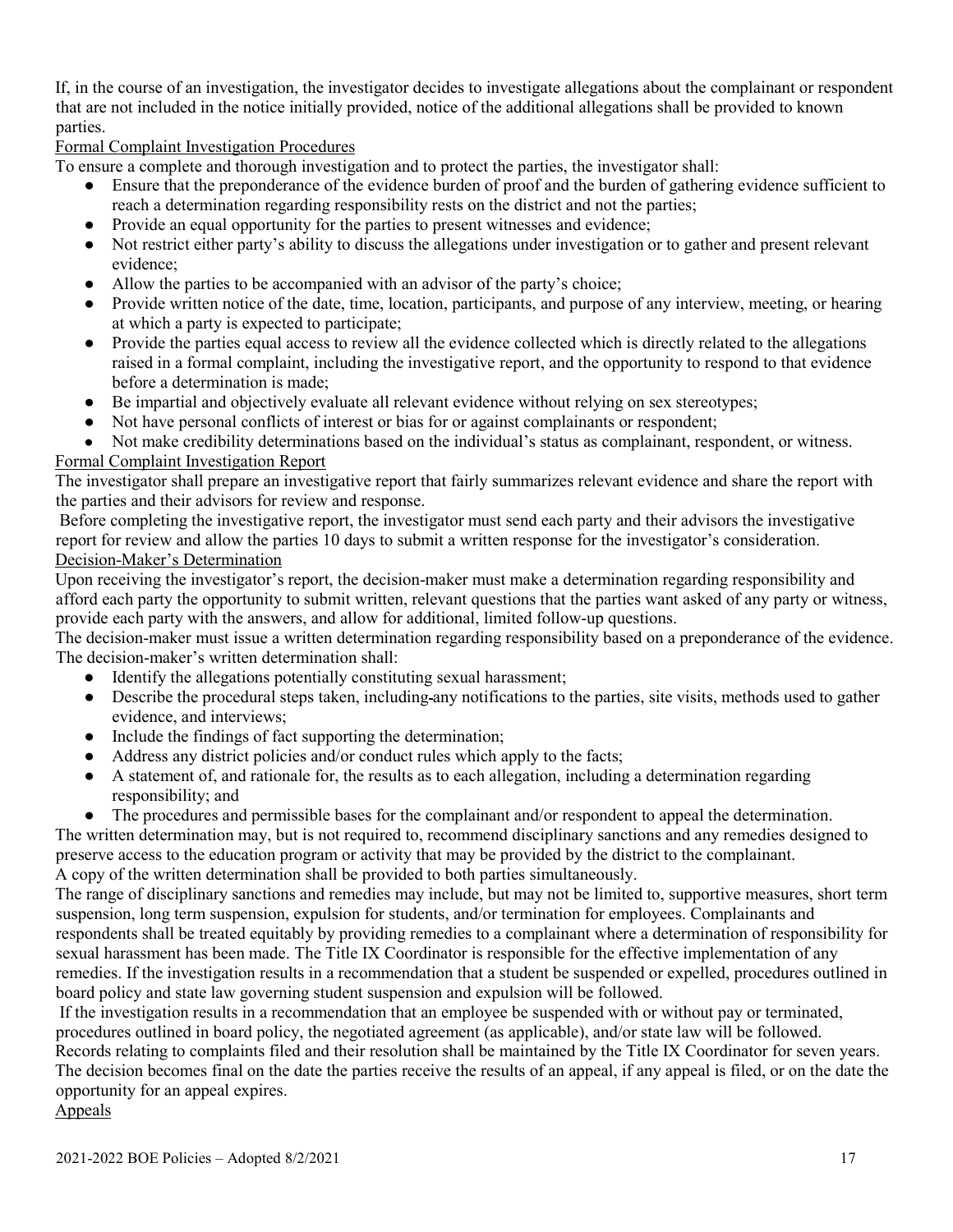If, in the course of an investigation, the investigator decides to investigate allegations about the complainant or respondent that are not included in the notice initially provided, notice of the additional allegations shall be provided to known parties.

## Formal Complaint Investigation Procedures

To ensure a complete and thorough investigation and to protect the parties, the investigator shall:

- Ensure that the preponderance of the evidence burden of proof and the burden of gathering evidence sufficient to reach a determination regarding responsibility rests on the district and not the parties;
- Provide an equal opportunity for the parties to present witnesses and evidence;
- Not restrict either party's ability to discuss the allegations under investigation or to gather and present relevant evidence;
- Allow the parties to be accompanied with an advisor of the party's choice;
- Provide written notice of the date, time, location, participants, and purpose of any interview, meeting, or hearing at which a party is expected to participate;
- Provide the parties equal access to review all the evidence collected which is directly related to the allegations raised in a formal complaint, including the investigative report, and the opportunity to respond to that evidence before a determination is made;
- Be impartial and objectively evaluate all relevant evidence without relying on sex stereotypes;
- Not have personal conflicts of interest or bias for or against complainants or respondent;
- Not make credibility determinations based on the individual's status as complainant, respondent, or witness.

#### Formal Complaint Investigation Report

The investigator shall prepare an investigative report that fairly summarizes relevant evidence and share the report with the parties and their advisors for review and response.

Before completing the investigative report, the investigator must send each party and their advisors the investigative report for review and allow the parties 10 days to submit a written response for the investigator's consideration. Decision-Maker's Determination

Upon receiving the investigator's report, the decision-maker must make a determination regarding responsibility and afford each party the opportunity to submit written, relevant questions that the parties want asked of any party or witness, provide each party with the answers, and allow for additional, limited follow-up questions.

The decision-maker must issue a written determination regarding responsibility based on a preponderance of the evidence. The decision-maker's written determination shall:

- Identify the allegations potentially constituting sexual harassment;
- Describe the procedural steps taken, including any notifications to the parties, site visits, methods used to gather evidence, and interviews;
- Include the findings of fact supporting the determination;
- Address any district policies and/or conduct rules which apply to the facts;
- A statement of, and rationale for, the results as to each allegation, including a determination regarding responsibility; and
- The procedures and permissible bases for the complainant and/or respondent to appeal the determination.

The written determination may, but is not required to, recommend disciplinary sanctions and any remedies designed to preserve access to the education program or activity that may be provided by the district to the complainant. A copy of the written determination shall be provided to both parties simultaneously.

The range of disciplinary sanctions and remedies may include, but may not be limited to, supportive measures, short term suspension, long term suspension, expulsion for students, and/or termination for employees. Complainants and respondents shall be treated equitably by providing remedies to a complainant where a determination of responsibility for sexual harassment has been made. The Title IX Coordinator is responsible for the effective implementation of any remedies. If the investigation results in a recommendation that a student be suspended or expelled, procedures outlined in board policy and state law governing student suspension and expulsion will be followed.

If the investigation results in a recommendation that an employee be suspended with or without pay or terminated, procedures outlined in board policy, the negotiated agreement (as applicable), and/or state law will be followed.

Records relating to complaints filed and their resolution shall be maintained by the Title IX Coordinator for seven years. The decision becomes final on the date the parties receive the results of an appeal, if any appeal is filed, or on the date the opportunity for an appeal expires.

#### Appeals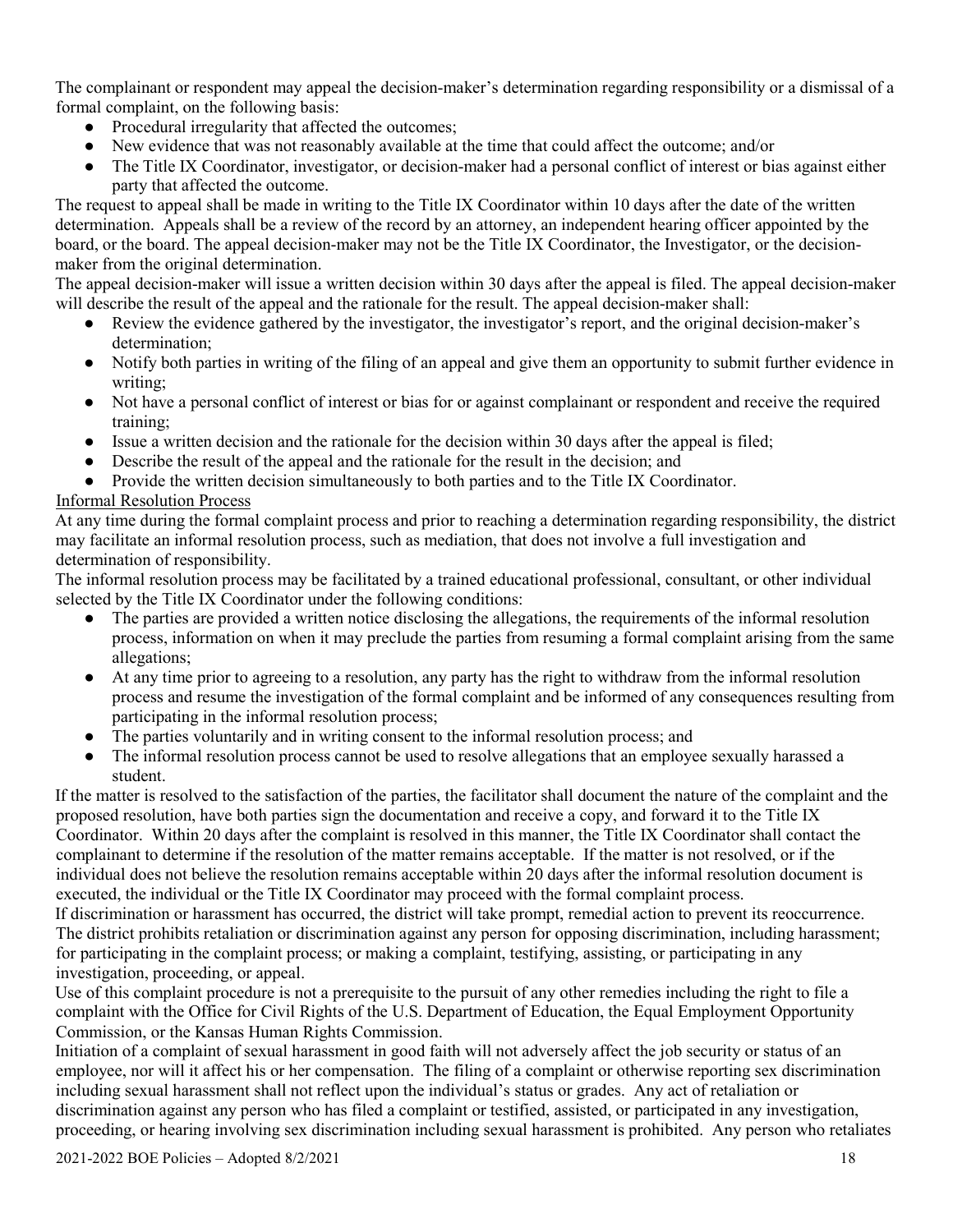The complainant or respondent may appeal the decision-maker's determination regarding responsibility or a dismissal of a formal complaint, on the following basis:

- Procedural irregularity that affected the outcomes;
- New evidence that was not reasonably available at the time that could affect the outcome; and/or
- The Title IX Coordinator, investigator, or decision-maker had a personal conflict of interest or bias against either party that affected the outcome.

The request to appeal shall be made in writing to the Title IX Coordinator within 10 days after the date of the written determination. Appeals shall be a review of the record by an attorney, an independent hearing officer appointed by the board, or the board. The appeal decision-maker may not be the Title IX Coordinator, the Investigator, or the decisionmaker from the original determination.

The appeal decision-maker will issue a written decision within 30 days after the appeal is filed. The appeal decision-maker will describe the result of the appeal and the rationale for the result. The appeal decision-maker shall:

- Review the evidence gathered by the investigator, the investigator's report, and the original decision-maker's determination;
- Notify both parties in writing of the filing of an appeal and give them an opportunity to submit further evidence in writing;
- Not have a personal conflict of interest or bias for or against complainant or respondent and receive the required training;
- Issue a written decision and the rationale for the decision within 30 days after the appeal is filed;
- Describe the result of the appeal and the rationale for the result in the decision; and
- Provide the written decision simultaneously to both parties and to the Title IX Coordinator.

# Informal Resolution Process

At any time during the formal complaint process and prior to reaching a determination regarding responsibility, the district may facilitate an informal resolution process, such as mediation, that does not involve a full investigation and determination of responsibility.

The informal resolution process may be facilitated by a trained educational professional, consultant, or other individual selected by the Title IX Coordinator under the following conditions:

- The parties are provided a written notice disclosing the allegations, the requirements of the informal resolution process, information on when it may preclude the parties from resuming a formal complaint arising from the same allegations;
- At any time prior to agreeing to a resolution, any party has the right to withdraw from the informal resolution process and resume the investigation of the formal complaint and be informed of any consequences resulting from participating in the informal resolution process;
- The parties voluntarily and in writing consent to the informal resolution process; and
- The informal resolution process cannot be used to resolve allegations that an employee sexually harassed a student.

If the matter is resolved to the satisfaction of the parties, the facilitator shall document the nature of the complaint and the proposed resolution, have both parties sign the documentation and receive a copy, and forward it to the Title IX Coordinator. Within 20 days after the complaint is resolved in this manner, the Title IX Coordinator shall contact the complainant to determine if the resolution of the matter remains acceptable. If the matter is not resolved, or if the individual does not believe the resolution remains acceptable within 20 days after the informal resolution document is executed, the individual or the Title IX Coordinator may proceed with the formal complaint process.

If discrimination or harassment has occurred, the district will take prompt, remedial action to prevent its reoccurrence. The district prohibits retaliation or discrimination against any person for opposing discrimination, including harassment; for participating in the complaint process; or making a complaint, testifying, assisting, or participating in any investigation, proceeding, or appeal.

Use of this complaint procedure is not a prerequisite to the pursuit of any other remedies including the right to file a complaint with the Office for Civil Rights of the U.S. Department of Education, the Equal Employment Opportunity Commission, or the Kansas Human Rights Commission.

Initiation of a complaint of sexual harassment in good faith will not adversely affect the job security or status of an employee, nor will it affect his or her compensation. The filing of a complaint or otherwise reporting sex discrimination including sexual harassment shall not reflect upon the individual's status or grades. Any act of retaliation or discrimination against any person who has filed a complaint or testified, assisted, or participated in any investigation, proceeding, or hearing involving sex discrimination including sexual harassment is prohibited. Any person who retaliates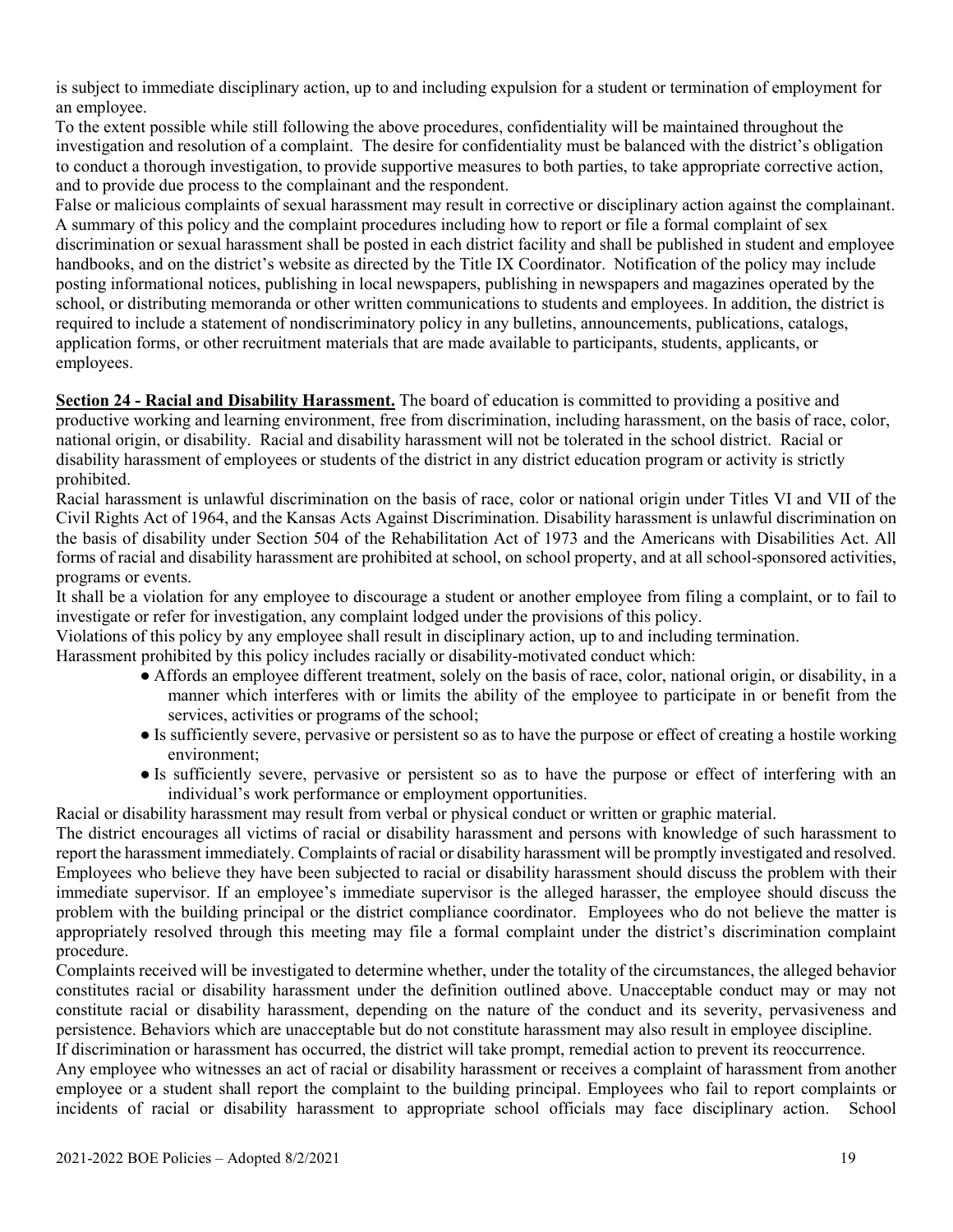is subject to immediate disciplinary action, up to and including expulsion for a student or termination of employment for an employee.

To the extent possible while still following the above procedures, confidentiality will be maintained throughout the investigation and resolution of a complaint. The desire for confidentiality must be balanced with the district's obligation to conduct a thorough investigation, to provide supportive measures to both parties, to take appropriate corrective action, and to provide due process to the complainant and the respondent.

False or malicious complaints of sexual harassment may result in corrective or disciplinary action against the complainant. A summary of this policy and the complaint procedures including how to report or file a formal complaint of sex discrimination or sexual harassment shall be posted in each district facility and shall be published in student and employee handbooks, and on the district's website as directed by the Title IX Coordinator. Notification of the policy may include posting informational notices, publishing in local newspapers, publishing in newspapers and magazines operated by the school, or distributing memoranda or other written communications to students and employees. In addition, the district is required to include a statement of nondiscriminatory policy in any bulletins, announcements, publications, catalogs, application forms, or other recruitment materials that are made available to participants, students, applicants, or employees.

**Section 24 - Racial and Disability Harassment.** The board of education is committed to providing a positive and productive working and learning environment, free from discrimination, including harassment, on the basis of race, color, national origin, or disability. Racial and disability harassment will not be tolerated in the school district. Racial or disability harassment of employees or students of the district in any district education program or activity is strictly prohibited.

Racial harassment is unlawful discrimination on the basis of race, color or national origin under Titles VI and VII of the Civil Rights Act of 1964, and the Kansas Acts Against Discrimination. Disability harassment is unlawful discrimination on the basis of disability under Section 504 of the Rehabilitation Act of 1973 and the Americans with Disabilities Act. All forms of racial and disability harassment are prohibited at school, on school property, and at all school-sponsored activities, programs or events.

It shall be a violation for any employee to discourage a student or another employee from filing a complaint, or to fail to investigate or refer for investigation, any complaint lodged under the provisions of this policy.

Violations of this policy by any employee shall result in disciplinary action, up to and including termination.

Harassment prohibited by this policy includes racially or disability-motivated conduct which:

- Affords an employee different treatment, solely on the basis of race, color, national origin, or disability, in a manner which interferes with or limits the ability of the employee to participate in or benefit from the services, activities or programs of the school;
- Is sufficiently severe, pervasive or persistent so as to have the purpose or effect of creating a hostile working environment;
- Is sufficiently severe, pervasive or persistent so as to have the purpose or effect of interfering with an individual's work performance or employment opportunities.

Racial or disability harassment may result from verbal or physical conduct or written or graphic material.

The district encourages all victims of racial or disability harassment and persons with knowledge of such harassment to report the harassment immediately. Complaints of racial or disability harassment will be promptly investigated and resolved. Employees who believe they have been subjected to racial or disability harassment should discuss the problem with their immediate supervisor. If an employee's immediate supervisor is the alleged harasser, the employee should discuss the problem with the building principal or the district compliance coordinator. Employees who do not believe the matter is appropriately resolved through this meeting may file a formal complaint under the district's discrimination complaint procedure.

Complaints received will be investigated to determine whether, under the totality of the circumstances, the alleged behavior constitutes racial or disability harassment under the definition outlined above. Unacceptable conduct may or may not constitute racial or disability harassment, depending on the nature of the conduct and its severity, pervasiveness and persistence. Behaviors which are unacceptable but do not constitute harassment may also result in employee discipline. If discrimination or harassment has occurred, the district will take prompt, remedial action to prevent its reoccurrence.

Any employee who witnesses an act of racial or disability harassment or receives a complaint of harassment from another employee or a student shall report the complaint to the building principal. Employees who fail to report complaints or incidents of racial or disability harassment to appropriate school officials may face disciplinary action. School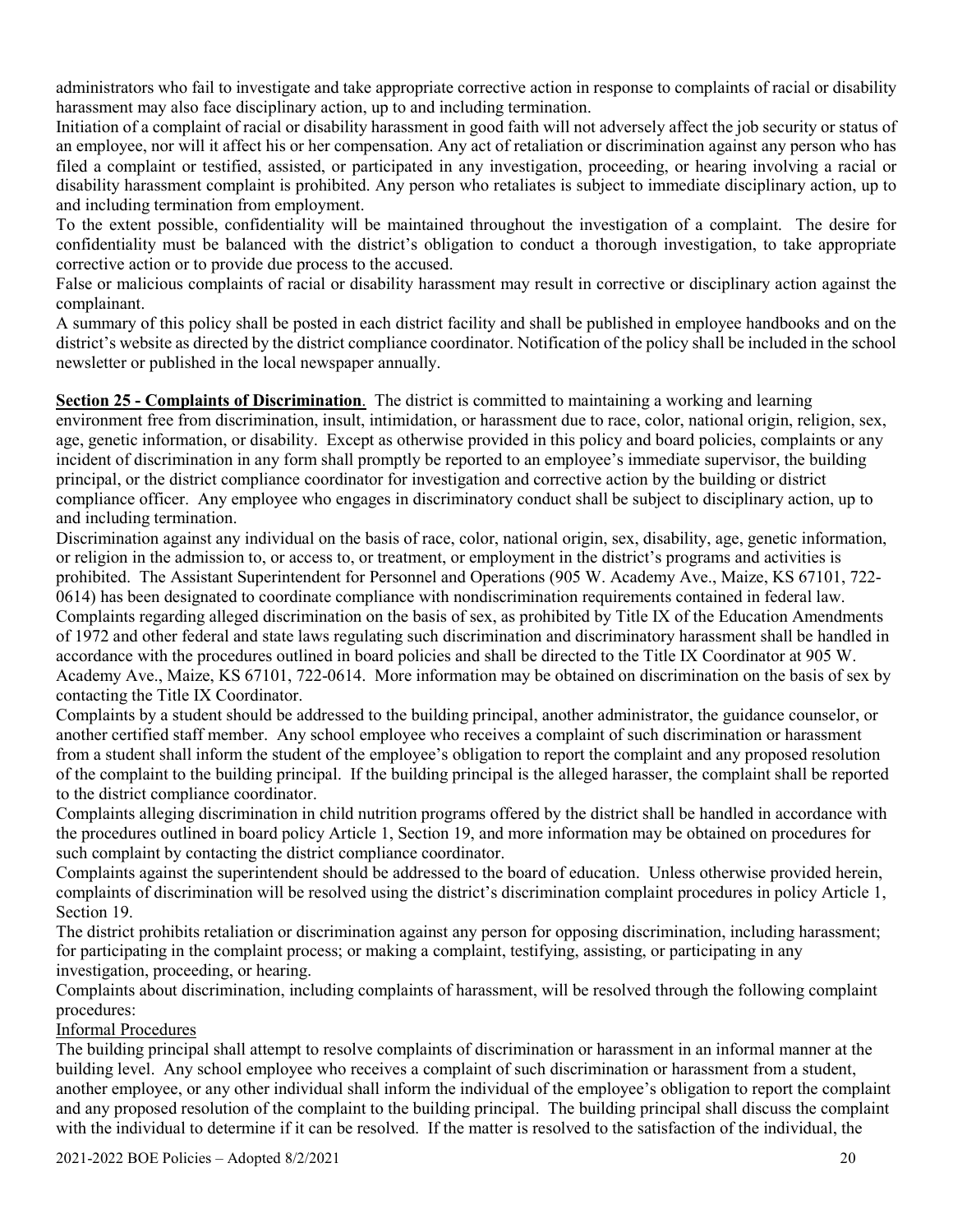administrators who fail to investigate and take appropriate corrective action in response to complaints of racial or disability harassment may also face disciplinary action, up to and including termination.

Initiation of a complaint of racial or disability harassment in good faith will not adversely affect the job security or status of an employee, nor will it affect his or her compensation. Any act of retaliation or discrimination against any person who has filed a complaint or testified, assisted, or participated in any investigation, proceeding, or hearing involving a racial or disability harassment complaint is prohibited. Any person who retaliates is subject to immediate disciplinary action, up to and including termination from employment.

To the extent possible, confidentiality will be maintained throughout the investigation of a complaint. The desire for confidentiality must be balanced with the district's obligation to conduct a thorough investigation, to take appropriate corrective action or to provide due process to the accused.

False or malicious complaints of racial or disability harassment may result in corrective or disciplinary action against the complainant.

A summary of this policy shall be posted in each district facility and shall be published in employee handbooks and on the district's website as directed by the district compliance coordinator. Notification of the policy shall be included in the school newsletter or published in the local newspaper annually.

**Section 25 - Complaints of Discrimination**. The district is committed to maintaining a working and learning environment free from discrimination, insult, intimidation, or harassment due to race, color, national origin, religion, sex, age, genetic information, or disability. Except as otherwise provided in this policy and board policies, complaints or any incident of discrimination in any form shall promptly be reported to an employee's immediate supervisor, the building principal, or the district compliance coordinator for investigation and corrective action by the building or district compliance officer. Any employee who engages in discriminatory conduct shall be subject to disciplinary action, up to and including termination.

Discrimination against any individual on the basis of race, color, national origin, sex, disability, age, genetic information, or religion in the admission to, or access to, or treatment, or employment in the district's programs and activities is prohibited. The Assistant Superintendent for Personnel and Operations (905 W. Academy Ave., Maize, KS 67101, 722- 0614) has been designated to coordinate compliance with nondiscrimination requirements contained in federal law. Complaints regarding alleged discrimination on the basis of sex, as prohibited by Title IX of the Education Amendments of 1972 and other federal and state laws regulating such discrimination and discriminatory harassment shall be handled in accordance with the procedures outlined in board policies and shall be directed to the Title IX Coordinator at 905 W. Academy Ave., Maize, KS 67101, 722-0614. More information may be obtained on discrimination on the basis of sex by contacting the Title IX Coordinator.

Complaints by a student should be addressed to the building principal, another administrator, the guidance counselor, or another certified staff member. Any school employee who receives a complaint of such discrimination or harassment from a student shall inform the student of the employee's obligation to report the complaint and any proposed resolution of the complaint to the building principal. If the building principal is the alleged harasser, the complaint shall be reported to the district compliance coordinator.

Complaints alleging discrimination in child nutrition programs offered by the district shall be handled in accordance with the procedures outlined in board policy Article 1, Section 19, and more information may be obtained on procedures for such complaint by contacting the district compliance coordinator.

Complaints against the superintendent should be addressed to the board of education. Unless otherwise provided herein, complaints of discrimination will be resolved using the district's discrimination complaint procedures in policy Article 1, Section 19.

The district prohibits retaliation or discrimination against any person for opposing discrimination, including harassment; for participating in the complaint process; or making a complaint, testifying, assisting, or participating in any investigation, proceeding, or hearing.

Complaints about discrimination, including complaints of harassment, will be resolved through the following complaint procedures:

#### Informal Procedures

The building principal shall attempt to resolve complaints of discrimination or harassment in an informal manner at the building level. Any school employee who receives a complaint of such discrimination or harassment from a student, another employee, or any other individual shall inform the individual of the employee's obligation to report the complaint and any proposed resolution of the complaint to the building principal. The building principal shall discuss the complaint with the individual to determine if it can be resolved. If the matter is resolved to the satisfaction of the individual, the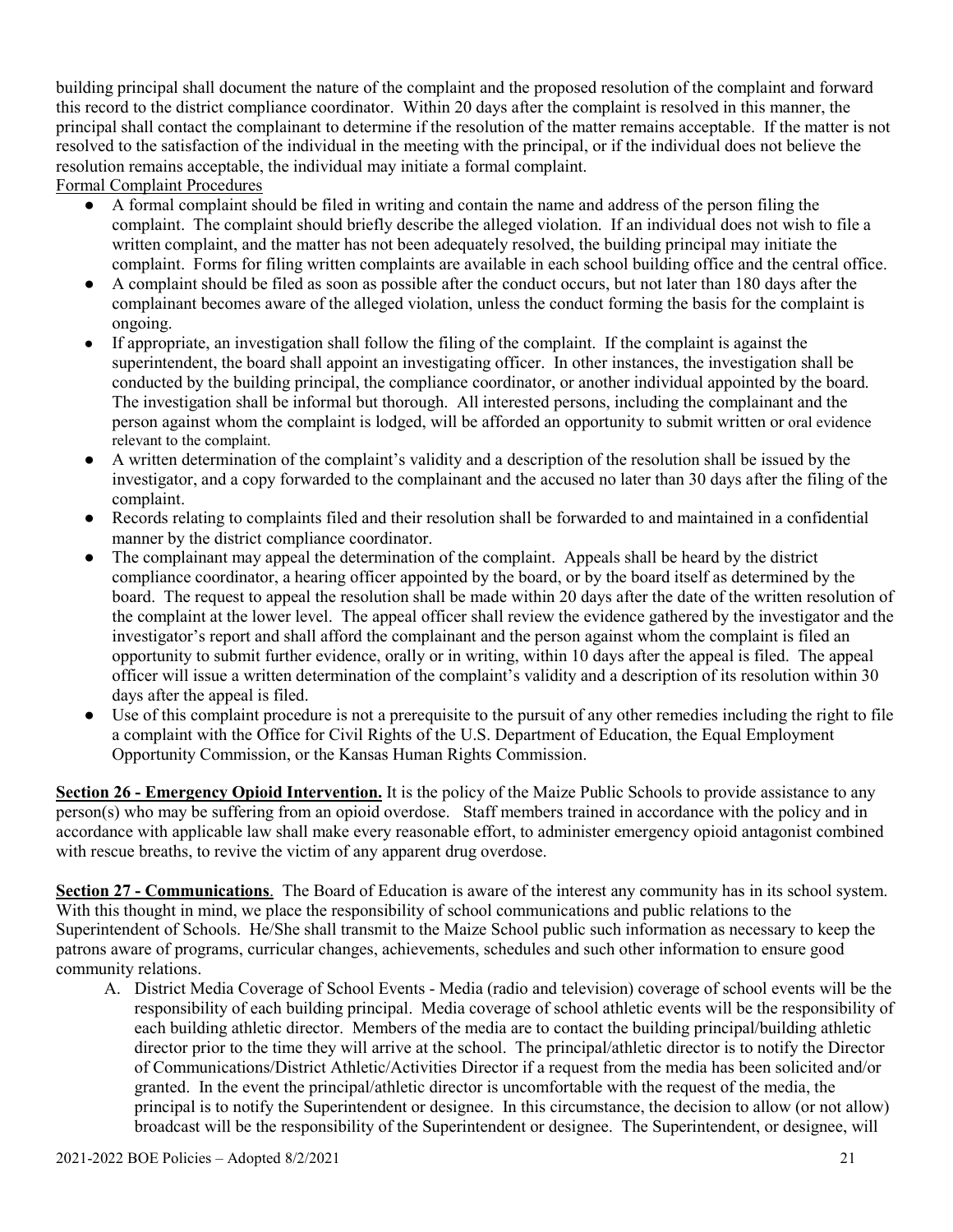building principal shall document the nature of the complaint and the proposed resolution of the complaint and forward this record to the district compliance coordinator. Within 20 days after the complaint is resolved in this manner, the principal shall contact the complainant to determine if the resolution of the matter remains acceptable. If the matter is not resolved to the satisfaction of the individual in the meeting with the principal, or if the individual does not believe the resolution remains acceptable, the individual may initiate a formal complaint.

Formal Complaint Procedures

- A formal complaint should be filed in writing and contain the name and address of the person filing the complaint. The complaint should briefly describe the alleged violation. If an individual does not wish to file a written complaint, and the matter has not been adequately resolved, the building principal may initiate the complaint. Forms for filing written complaints are available in each school building office and the central office.
- A complaint should be filed as soon as possible after the conduct occurs, but not later than 180 days after the complainant becomes aware of the alleged violation, unless the conduct forming the basis for the complaint is ongoing.
- If appropriate, an investigation shall follow the filing of the complaint. If the complaint is against the superintendent, the board shall appoint an investigating officer. In other instances, the investigation shall be conducted by the building principal, the compliance coordinator, or another individual appointed by the board. The investigation shall be informal but thorough. All interested persons, including the complainant and the person against whom the complaint is lodged, will be afforded an opportunity to submit written or oral evidence relevant to the complaint.
- A written determination of the complaint's validity and a description of the resolution shall be issued by the investigator, and a copy forwarded to the complainant and the accused no later than 30 days after the filing of the complaint.
- Records relating to complaints filed and their resolution shall be forwarded to and maintained in a confidential manner by the district compliance coordinator.
- The complainant may appeal the determination of the complaint. Appeals shall be heard by the district compliance coordinator, a hearing officer appointed by the board, or by the board itself as determined by the board. The request to appeal the resolution shall be made within 20 days after the date of the written resolution of the complaint at the lower level. The appeal officer shall review the evidence gathered by the investigator and the investigator's report and shall afford the complainant and the person against whom the complaint is filed an opportunity to submit further evidence, orally or in writing, within 10 days after the appeal is filed. The appeal officer will issue a written determination of the complaint's validity and a description of its resolution within 30 days after the appeal is filed.
- Use of this complaint procedure is not a prerequisite to the pursuit of any other remedies including the right to file a complaint with the Office for Civil Rights of the U.S. Department of Education, the Equal Employment Opportunity Commission, or the Kansas Human Rights Commission.

**Section 26 - Emergency Opioid Intervention.** It is the policy of the Maize Public Schools to provide assistance to any person(s) who may be suffering from an opioid overdose. Staff members trained in accordance with the policy and in accordance with applicable law shall make every reasonable effort, to administer emergency opioid antagonist combined with rescue breaths, to revive the victim of any apparent drug overdose.

**Section 27 - Communications**. The Board of Education is aware of the interest any community has in its school system. With this thought in mind, we place the responsibility of school communications and public relations to the Superintendent of Schools. He/She shall transmit to the Maize School public such information as necessary to keep the patrons aware of programs, curricular changes, achievements, schedules and such other information to ensure good community relations.

A. District Media Coverage of School Events - Media (radio and television) coverage of school events will be the responsibility of each building principal. Media coverage of school athletic events will be the responsibility of each building athletic director. Members of the media are to contact the building principal/building athletic director prior to the time they will arrive at the school. The principal/athletic director is to notify the Director of Communications/District Athletic/Activities Director if a request from the media has been solicited and/or granted. In the event the principal/athletic director is uncomfortable with the request of the media, the principal is to notify the Superintendent or designee. In this circumstance, the decision to allow (or not allow) broadcast will be the responsibility of the Superintendent or designee. The Superintendent, or designee, will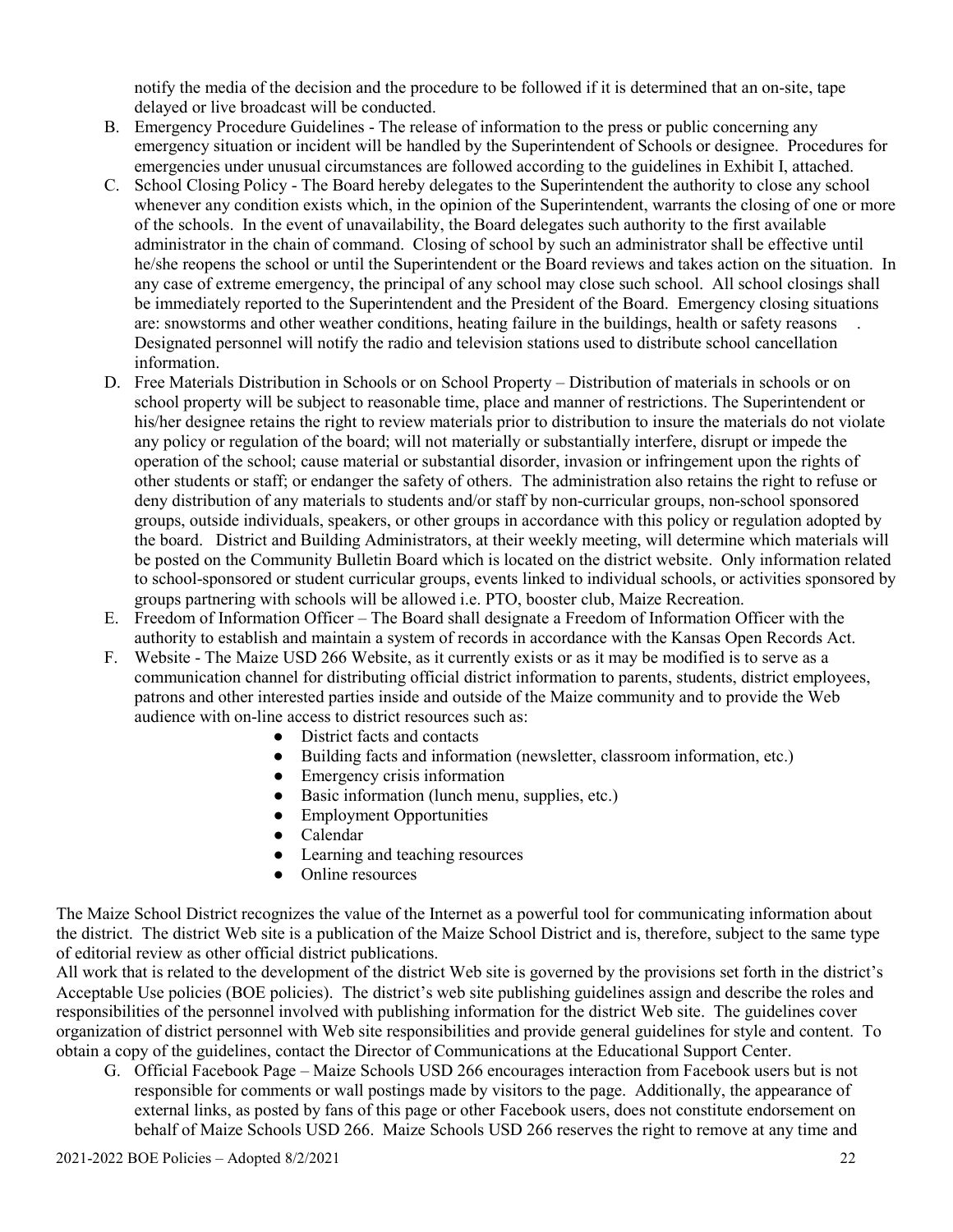notify the media of the decision and the procedure to be followed if it is determined that an on-site, tape delayed or live broadcast will be conducted.

- B. Emergency Procedure Guidelines The release of information to the press or public concerning any emergency situation or incident will be handled by the Superintendent of Schools or designee. Procedures for emergencies under unusual circumstances are followed according to the guidelines in Exhibit I, attached.
- C. School Closing Policy The Board hereby delegates to the Superintendent the authority to close any school whenever any condition exists which, in the opinion of the Superintendent, warrants the closing of one or more of the schools. In the event of unavailability, the Board delegates such authority to the first available administrator in the chain of command. Closing of school by such an administrator shall be effective until he/she reopens the school or until the Superintendent or the Board reviews and takes action on the situation. In any case of extreme emergency, the principal of any school may close such school. All school closings shall be immediately reported to the Superintendent and the President of the Board. Emergency closing situations are: snowstorms and other weather conditions, heating failure in the buildings, health or safety reasons Designated personnel will notify the radio and television stations used to distribute school cancellation information.
- D. Free Materials Distribution in Schools or on School Property Distribution of materials in schools or on school property will be subject to reasonable time, place and manner of restrictions. The Superintendent or his/her designee retains the right to review materials prior to distribution to insure the materials do not violate any policy or regulation of the board; will not materially or substantially interfere, disrupt or impede the operation of the school; cause material or substantial disorder, invasion or infringement upon the rights of other students or staff; or endanger the safety of others. The administration also retains the right to refuse or deny distribution of any materials to students and/or staff by non-curricular groups, non-school sponsored groups, outside individuals, speakers, or other groups in accordance with this policy or regulation adopted by the board. District and Building Administrators, at their weekly meeting, will determine which materials will be posted on the Community Bulletin Board which is located on the district website. Only information related to school-sponsored or student curricular groups, events linked to individual schools, or activities sponsored by groups partnering with schools will be allowed i.e. PTO, booster club, Maize Recreation.
- E. Freedom of Information Officer The Board shall designate a Freedom of Information Officer with the authority to establish and maintain a system of records in accordance with the Kansas Open Records Act.
- F. Website The Maize USD 266 Website, as it currently exists or as it may be modified is to serve as a communication channel for distributing official district information to parents, students, district employees, patrons and other interested parties inside and outside of the Maize community and to provide the Web audience with on-line access to district resources such as:
	- District facts and contacts
	- Building facts and information (newsletter, classroom information, etc.)
	- Emergency crisis information
	- Basic information (lunch menu, supplies, etc.)
	- Employment Opportunities
	- Calendar
	- Learning and teaching resources
	- Online resources

The Maize School District recognizes the value of the Internet as a powerful tool for communicating information about the district. The district Web site is a publication of the Maize School District and is, therefore, subject to the same type of editorial review as other official district publications.

All work that is related to the development of the district Web site is governed by the provisions set forth in the district's Acceptable Use policies (BOE policies). The district's web site publishing guidelines assign and describe the roles and responsibilities of the personnel involved with publishing information for the district Web site. The guidelines cover organization of district personnel with Web site responsibilities and provide general guidelines for style and content. To obtain a copy of the guidelines, contact the Director of Communications at the Educational Support Center.

G. Official Facebook Page – Maize Schools USD 266 encourages interaction from Facebook users but is not responsible for comments or wall postings made by visitors to the page. Additionally, the appearance of external links, as posted by fans of this page or other Facebook users, does not constitute endorsement on behalf of Maize Schools USD 266. Maize Schools USD 266 reserves the right to remove at any time and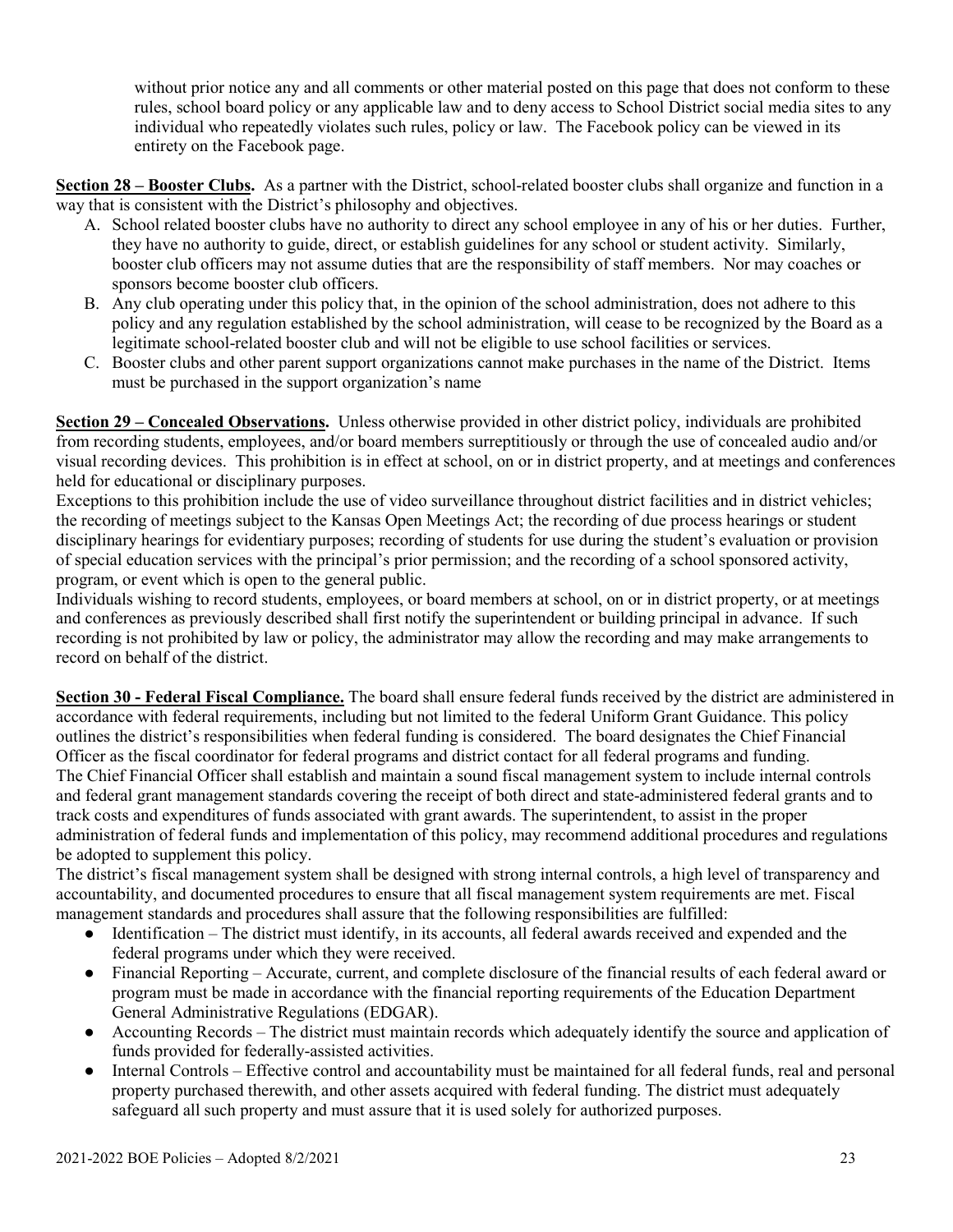without prior notice any and all comments or other material posted on this page that does not conform to these rules, school board policy or any applicable law and to deny access to School District social media sites to any individual who repeatedly violates such rules, policy or law. The Facebook policy can be viewed in its entirety on the Facebook page.

**Section 28 – Booster Clubs.** As a partner with the District, school-related booster clubs shall organize and function in a way that is consistent with the District's philosophy and objectives.

- A. School related booster clubs have no authority to direct any school employee in any of his or her duties. Further, they have no authority to guide, direct, or establish guidelines for any school or student activity. Similarly, booster club officers may not assume duties that are the responsibility of staff members. Nor may coaches or sponsors become booster club officers.
- B. Any club operating under this policy that, in the opinion of the school administration, does not adhere to this policy and any regulation established by the school administration, will cease to be recognized by the Board as a legitimate school-related booster club and will not be eligible to use school facilities or services.
- C. Booster clubs and other parent support organizations cannot make purchases in the name of the District. Items must be purchased in the support organization's name

**Section 29 – Concealed Observations.** Unless otherwise provided in other district policy, individuals are prohibited from recording students, employees, and/or board members surreptitiously or through the use of concealed audio and/or visual recording devices. This prohibition is in effect at school, on or in district property, and at meetings and conferences held for educational or disciplinary purposes.

Exceptions to this prohibition include the use of video surveillance throughout district facilities and in district vehicles; the recording of meetings subject to the Kansas Open Meetings Act; the recording of due process hearings or student disciplinary hearings for evidentiary purposes; recording of students for use during the student's evaluation or provision of special education services with the principal's prior permission; and the recording of a school sponsored activity, program, or event which is open to the general public.

Individuals wishing to record students, employees, or board members at school, on or in district property, or at meetings and conferences as previously described shall first notify the superintendent or building principal in advance. If such recording is not prohibited by law or policy, the administrator may allow the recording and may make arrangements to record on behalf of the district.

**Section 30 - Federal Fiscal Compliance.** The board shall ensure federal funds received by the district are administered in accordance with federal requirements, including but not limited to the federal Uniform Grant Guidance. This policy outlines the district's responsibilities when federal funding is considered. The board designates the Chief Financial Officer as the fiscal coordinator for federal programs and district contact for all federal programs and funding. The Chief Financial Officer shall establish and maintain a sound fiscal management system to include internal controls and federal grant management standards covering the receipt of both direct and state-administered federal grants and to track costs and expenditures of funds associated with grant awards. The superintendent, to assist in the proper administration of federal funds and implementation of this policy, may recommend additional procedures and regulations be adopted to supplement this policy.

The district's fiscal management system shall be designed with strong internal controls, a high level of transparency and accountability, and documented procedures to ensure that all fiscal management system requirements are met. Fiscal management standards and procedures shall assure that the following responsibilities are fulfilled:

- Identification The district must identify, in its accounts, all federal awards received and expended and the federal programs under which they were received.
- Financial Reporting Accurate, current, and complete disclosure of the financial results of each federal award or program must be made in accordance with the financial reporting requirements of the Education Department General Administrative Regulations (EDGAR).
- Accounting Records The district must maintain records which adequately identify the source and application of funds provided for federally-assisted activities.
- Internal Controls Effective control and accountability must be maintained for all federal funds, real and personal property purchased therewith, and other assets acquired with federal funding. The district must adequately safeguard all such property and must assure that it is used solely for authorized purposes.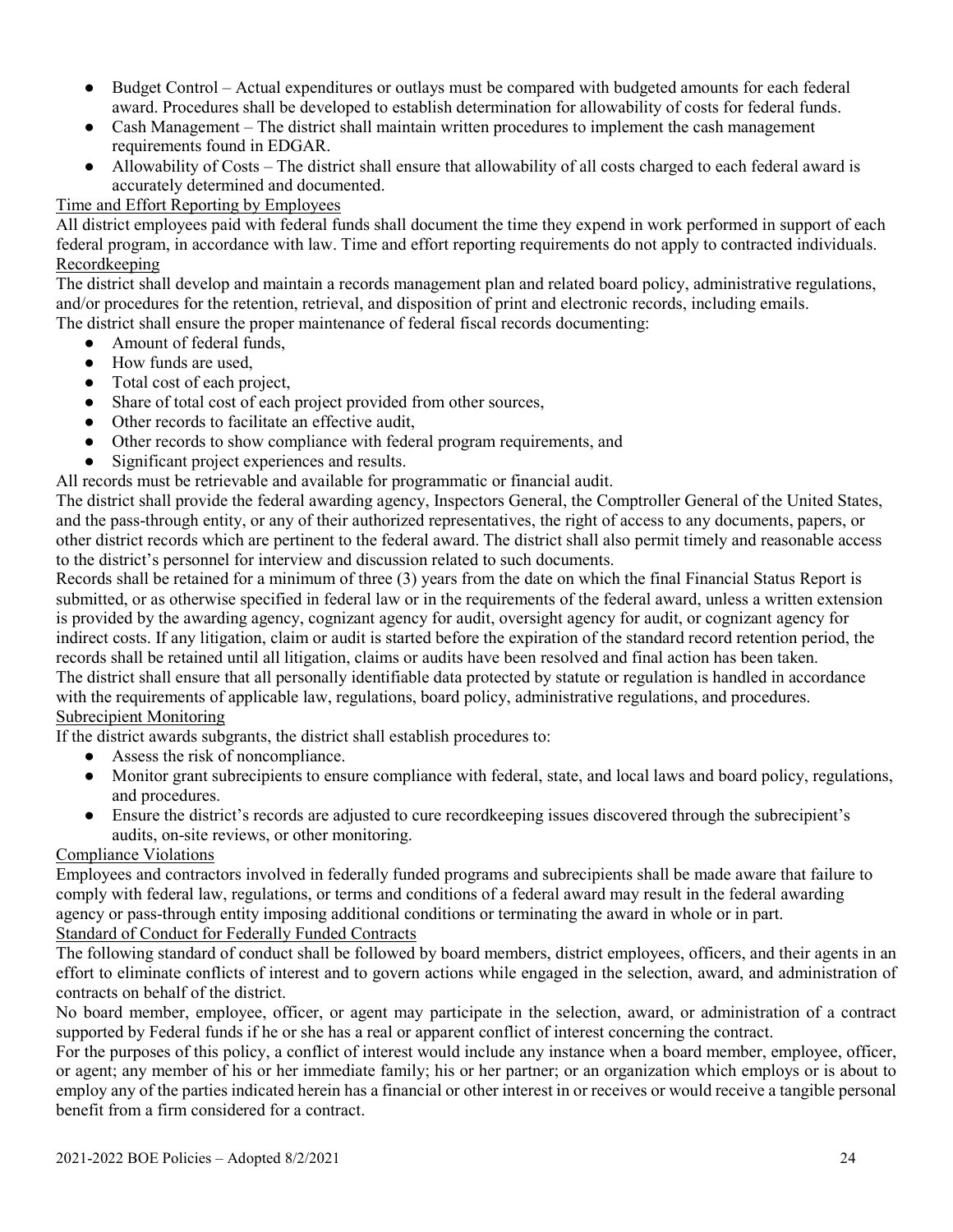- Budget Control Actual expenditures or outlays must be compared with budgeted amounts for each federal award. Procedures shall be developed to establish determination for allowability of costs for federal funds.
- Cash Management The district shall maintain written procedures to implement the cash management requirements found in EDGAR.
- Allowability of Costs The district shall ensure that allowability of all costs charged to each federal award is accurately determined and documented.

#### Time and Effort Reporting by Employees

All district employees paid with federal funds shall document the time they expend in work performed in support of each federal program, in accordance with law. Time and effort reporting requirements do not apply to contracted individuals. Recordkeeping

The district shall develop and maintain a records management plan and related board policy, administrative regulations, and/or procedures for the retention, retrieval, and disposition of print and electronic records, including emails. The district shall ensure the proper maintenance of federal fiscal records documenting:

- Amount of federal funds,
- How funds are used.
- Total cost of each project,
- Share of total cost of each project provided from other sources,
- Other records to facilitate an effective audit,
- Other records to show compliance with federal program requirements, and
- Significant project experiences and results.
- All records must be retrievable and available for programmatic or financial audit.

The district shall provide the federal awarding agency, Inspectors General, the Comptroller General of the United States, and the pass-through entity, or any of their authorized representatives, the right of access to any documents, papers, or other district records which are pertinent to the federal award. The district shall also permit timely and reasonable access to the district's personnel for interview and discussion related to such documents.

Records shall be retained for a minimum of three (3) years from the date on which the final Financial Status Report is submitted, or as otherwise specified in federal law or in the requirements of the federal award, unless a written extension is provided by the awarding agency, cognizant agency for audit, oversight agency for audit, or cognizant agency for indirect costs. If any litigation, claim or audit is started before the expiration of the standard record retention period, the records shall be retained until all litigation, claims or audits have been resolved and final action has been taken. The district shall ensure that all personally identifiable data protected by statute or regulation is handled in accordance with the requirements of applicable law, regulations, board policy, administrative regulations, and procedures. Subrecipient Monitoring

If the district awards subgrants, the district shall establish procedures to:

- Assess the risk of noncompliance.
- Monitor grant subrecipients to ensure compliance with federal, state, and local laws and board policy, regulations, and procedures.
- Ensure the district's records are adjusted to cure recordkeeping issues discovered through the subrecipient's audits, on-site reviews, or other monitoring.

#### Compliance Violations

Employees and contractors involved in federally funded programs and subrecipients shall be made aware that failure to comply with federal law, regulations, or terms and conditions of a federal award may result in the federal awarding agency or pass-through entity imposing additional conditions or terminating the award in whole or in part. Standard of Conduct for Federally Funded Contracts

The following standard of conduct shall be followed by board members, district employees, officers, and their agents in an effort to eliminate conflicts of interest and to govern actions while engaged in the selection, award, and administration of contracts on behalf of the district.

No board member, employee, officer, or agent may participate in the selection, award, or administration of a contract supported by Federal funds if he or she has a real or apparent conflict of interest concerning the contract.

For the purposes of this policy, a conflict of interest would include any instance when a board member, employee, officer, or agent; any member of his or her immediate family; his or her partner; or an organization which employs or is about to employ any of the parties indicated herein has a financial or other interest in or receives or would receive a tangible personal benefit from a firm considered for a contract.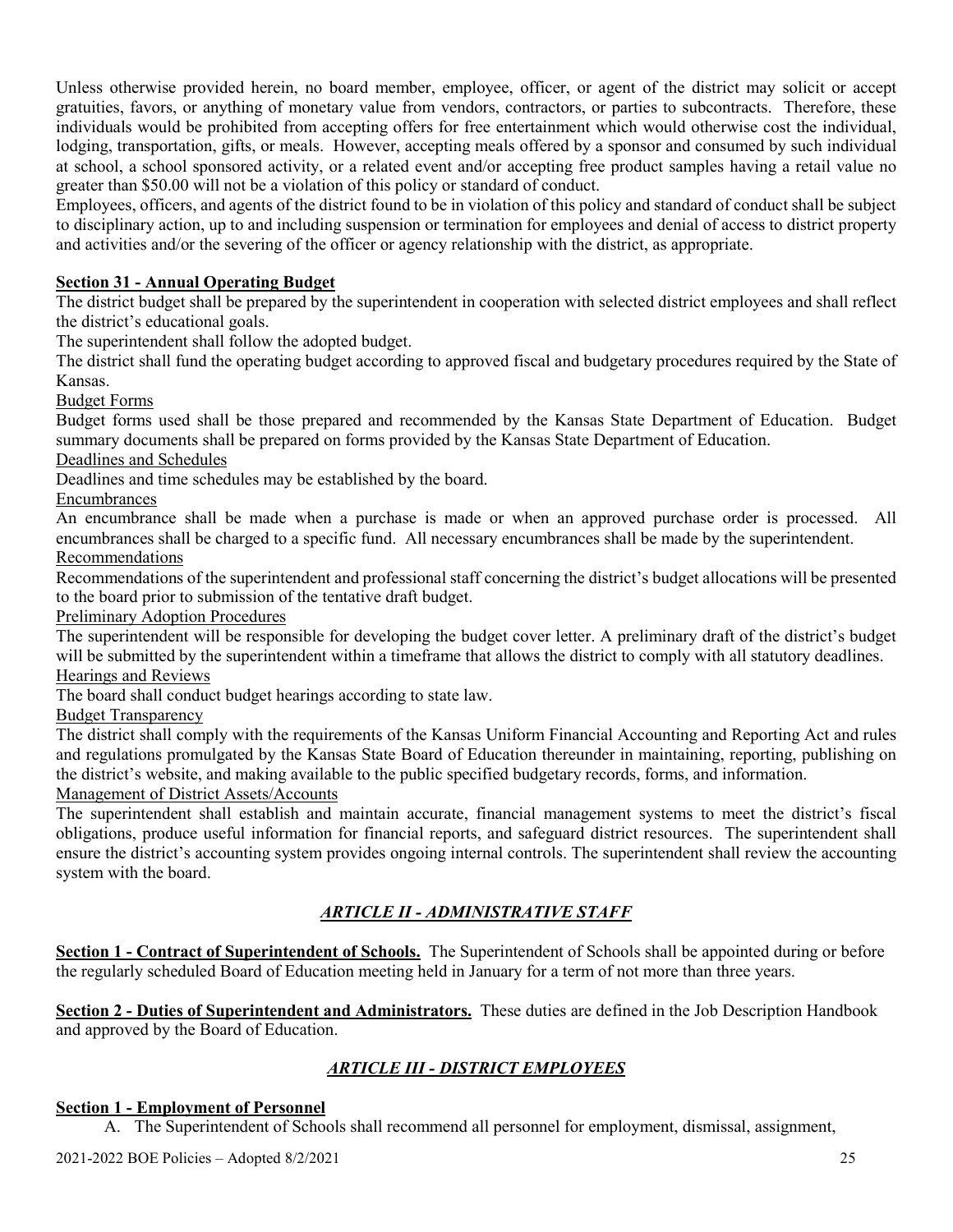Unless otherwise provided herein, no board member, employee, officer, or agent of the district may solicit or accept gratuities, favors, or anything of monetary value from vendors, contractors, or parties to subcontracts. Therefore, these individuals would be prohibited from accepting offers for free entertainment which would otherwise cost the individual, lodging, transportation, gifts, or meals. However, accepting meals offered by a sponsor and consumed by such individual at school, a school sponsored activity, or a related event and/or accepting free product samples having a retail value no greater than \$50.00 will not be a violation of this policy or standard of conduct.

Employees, officers, and agents of the district found to be in violation of this policy and standard of conduct shall be subject to disciplinary action, up to and including suspension or termination for employees and denial of access to district property and activities and/or the severing of the officer or agency relationship with the district, as appropriate.

## **Section 31 - Annual Operating Budget**

The district budget shall be prepared by the superintendent in cooperation with selected district employees and shall reflect the district's educational goals.

The superintendent shall follow the adopted budget.

The district shall fund the operating budget according to approved fiscal and budgetary procedures required by the State of Kansas.

Budget Forms

Budget forms used shall be those prepared and recommended by the Kansas State Department of Education. Budget summary documents shall be prepared on forms provided by the Kansas State Department of Education. Deadlines and Schedules

Deadlines and time schedules may be established by the board.

Encumbrances

An encumbrance shall be made when a purchase is made or when an approved purchase order is processed. All encumbrances shall be charged to a specific fund. All necessary encumbrances shall be made by the superintendent. Recommendations

Recommendations of the superintendent and professional staff concerning the district's budget allocations will be presented to the board prior to submission of the tentative draft budget.

Preliminary Adoption Procedures

The superintendent will be responsible for developing the budget cover letter. A preliminary draft of the district's budget will be submitted by the superintendent within a timeframe that allows the district to comply with all statutory deadlines. Hearings and Reviews

The board shall conduct budget hearings according to state law.

Budget Transparency

The district shall comply with the requirements of the Kansas Uniform Financial Accounting and Reporting Act and rules and regulations promulgated by the Kansas State Board of Education thereunder in maintaining, reporting, publishing on the district's website, and making available to the public specified budgetary records, forms, and information. Management of District Assets/Accounts

The superintendent shall establish and maintain accurate, financial management systems to meet the district's fiscal obligations, produce useful information for financial reports, and safeguard district resources. The superintendent shall ensure the district's accounting system provides ongoing internal controls. The superintendent shall review the accounting system with the board.

# *ARTICLE II - ADMINISTRATIVE STAFF*

**Section 1 - Contract of Superintendent of Schools.** The Superintendent of Schools shall be appointed during or before the regularly scheduled Board of Education meeting held in January for a term of not more than three years.

**Section 2 - Duties of Superintendent and Administrators.** These duties are defined in the Job Description Handbook and approved by the Board of Education.

# *ARTICLE III - DISTRICT EMPLOYEES*

#### **Section 1 - Employment of Personnel**

A. The Superintendent of Schools shall recommend all personnel for employment, dismissal, assignment,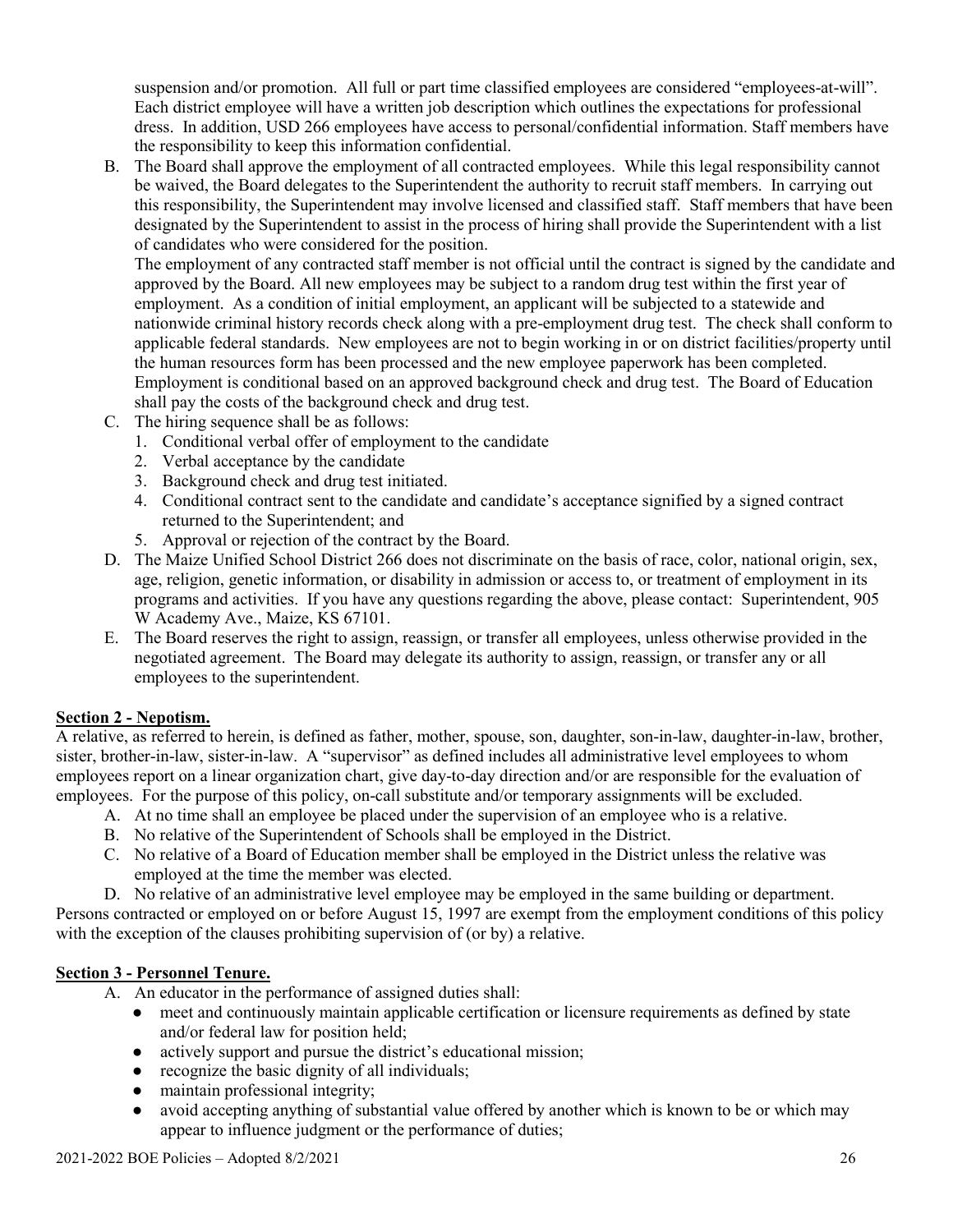suspension and/or promotion. All full or part time classified employees are considered "employees-at-will". Each district employee will have a written job description which outlines the expectations for professional dress. In addition, USD 266 employees have access to personal/confidential information. Staff members have the responsibility to keep this information confidential.

B. The Board shall approve the employment of all contracted employees. While this legal responsibility cannot be waived, the Board delegates to the Superintendent the authority to recruit staff members. In carrying out this responsibility, the Superintendent may involve licensed and classified staff. Staff members that have been designated by the Superintendent to assist in the process of hiring shall provide the Superintendent with a list of candidates who were considered for the position.

The employment of any contracted staff member is not official until the contract is signed by the candidate and approved by the Board. All new employees may be subject to a random drug test within the first year of employment. As a condition of initial employment, an applicant will be subjected to a statewide and nationwide criminal history records check along with a pre-employment drug test. The check shall conform to applicable federal standards. New employees are not to begin working in or on district facilities/property until the human resources form has been processed and the new employee paperwork has been completed. Employment is conditional based on an approved background check and drug test. The Board of Education shall pay the costs of the background check and drug test.

- C. The hiring sequence shall be as follows:
	- 1. Conditional verbal offer of employment to the candidate
	- 2. Verbal acceptance by the candidate
	- 3. Background check and drug test initiated.
	- 4. Conditional contract sent to the candidate and candidate's acceptance signified by a signed contract returned to the Superintendent; and
	- 5. Approval or rejection of the contract by the Board.
- D. The Maize Unified School District 266 does not discriminate on the basis of race, color, national origin, sex, age, religion, genetic information, or disability in admission or access to, or treatment of employment in its programs and activities. If you have any questions regarding the above, please contact: Superintendent, 905 W Academy Ave., Maize, KS 67101.
- E. The Board reserves the right to assign, reassign, or transfer all employees, unless otherwise provided in the negotiated agreement. The Board may delegate its authority to assign, reassign, or transfer any or all employees to the superintendent.

#### **Section 2 - Nepotism.**

A relative, as referred to herein, is defined as father, mother, spouse, son, daughter, son-in-law, daughter-in-law, brother, sister, brother-in-law, sister-in-law. A "supervisor" as defined includes all administrative level employees to whom employees report on a linear organization chart, give day-to-day direction and/or are responsible for the evaluation of employees. For the purpose of this policy, on-call substitute and/or temporary assignments will be excluded.

- A. At no time shall an employee be placed under the supervision of an employee who is a relative.
- B. No relative of the Superintendent of Schools shall be employed in the District.
- C. No relative of a Board of Education member shall be employed in the District unless the relative was employed at the time the member was elected.
- D. No relative of an administrative level employee may be employed in the same building or department.

Persons contracted or employed on or before August 15, 1997 are exempt from the employment conditions of this policy with the exception of the clauses prohibiting supervision of (or by) a relative.

#### **Section 3 - Personnel Tenure.**

- A. An educator in the performance of assigned duties shall:
	- meet and continuously maintain applicable certification or licensure requirements as defined by state and/or federal law for position held;
	- actively support and pursue the district's educational mission;
	- recognize the basic dignity of all individuals;
	- maintain professional integrity;
	- avoid accepting anything of substantial value offered by another which is known to be or which may appear to influence judgment or the performance of duties;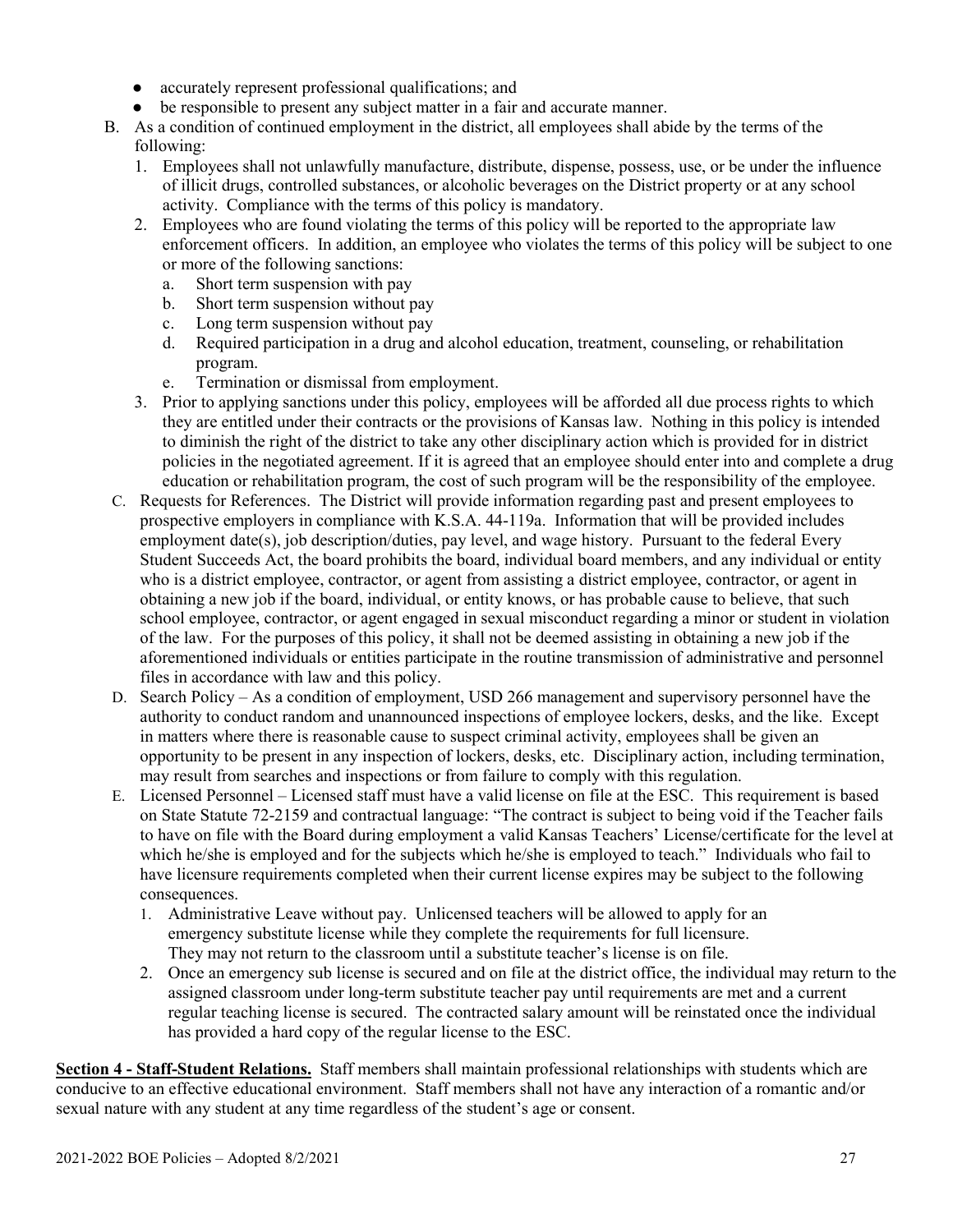- accurately represent professional qualifications; and
- be responsible to present any subject matter in a fair and accurate manner.
- B. As a condition of continued employment in the district, all employees shall abide by the terms of the following:
	- 1. Employees shall not unlawfully manufacture, distribute, dispense, possess, use, or be under the influence of illicit drugs, controlled substances, or alcoholic beverages on the District property or at any school activity. Compliance with the terms of this policy is mandatory.
	- 2. Employees who are found violating the terms of this policy will be reported to the appropriate law enforcement officers. In addition, an employee who violates the terms of this policy will be subject to one or more of the following sanctions:
		- a. Short term suspension with pay
		- b. Short term suspension without pay
		- c. Long term suspension without pay
		- d. Required participation in a drug and alcohol education, treatment, counseling, or rehabilitation program.
		- e. Termination or dismissal from employment.
	- 3. Prior to applying sanctions under this policy, employees will be afforded all due process rights to which they are entitled under their contracts or the provisions of Kansas law. Nothing in this policy is intended to diminish the right of the district to take any other disciplinary action which is provided for in district policies in the negotiated agreement. If it is agreed that an employee should enter into and complete a drug education or rehabilitation program, the cost of such program will be the responsibility of the employee.
- C. Requests for References. The District will provide information regarding past and present employees to prospective employers in compliance with K.S.A. 44-119a. Information that will be provided includes employment date(s), job description/duties, pay level, and wage history. Pursuant to the federal Every Student Succeeds Act, the board prohibits the board, individual board members, and any individual or entity who is a district employee, contractor, or agent from assisting a district employee, contractor, or agent in obtaining a new job if the board, individual, or entity knows, or has probable cause to believe, that such school employee, contractor, or agent engaged in sexual misconduct regarding a minor or student in violation of the law. For the purposes of this policy, it shall not be deemed assisting in obtaining a new job if the aforementioned individuals or entities participate in the routine transmission of administrative and personnel files in accordance with law and this policy.
- D. Search Policy As a condition of employment, USD 266 management and supervisory personnel have the authority to conduct random and unannounced inspections of employee lockers, desks, and the like. Except in matters where there is reasonable cause to suspect criminal activity, employees shall be given an opportunity to be present in any inspection of lockers, desks, etc. Disciplinary action, including termination, may result from searches and inspections or from failure to comply with this regulation.
- E. Licensed Personnel Licensed staff must have a valid license on file at the ESC. This requirement is based on State Statute 72-2159 and contractual language: "The contract is subject to being void if the Teacher fails to have on file with the Board during employment a valid Kansas Teachers' License/certificate for the level at which he/she is employed and for the subjects which he/she is employed to teach." Individuals who fail to have licensure requirements completed when their current license expires may be subject to the following consequences.
	- 1. Administrative Leave without pay. Unlicensed teachers will be allowed to apply for an emergency substitute license while they complete the requirements for full licensure. They may not return to the classroom until a substitute teacher's license is on file.
	- 2. Once an emergency sub license is secured and on file at the district office, the individual may return to the assigned classroom under long-term substitute teacher pay until requirements are met and a current regular teaching license is secured. The contracted salary amount will be reinstated once the individual has provided a hard copy of the regular license to the ESC.

**Section 4 - Staff-Student Relations.** Staff members shall maintain professional relationships with students which are conducive to an effective educational environment. Staff members shall not have any interaction of a romantic and/or sexual nature with any student at any time regardless of the student's age or consent.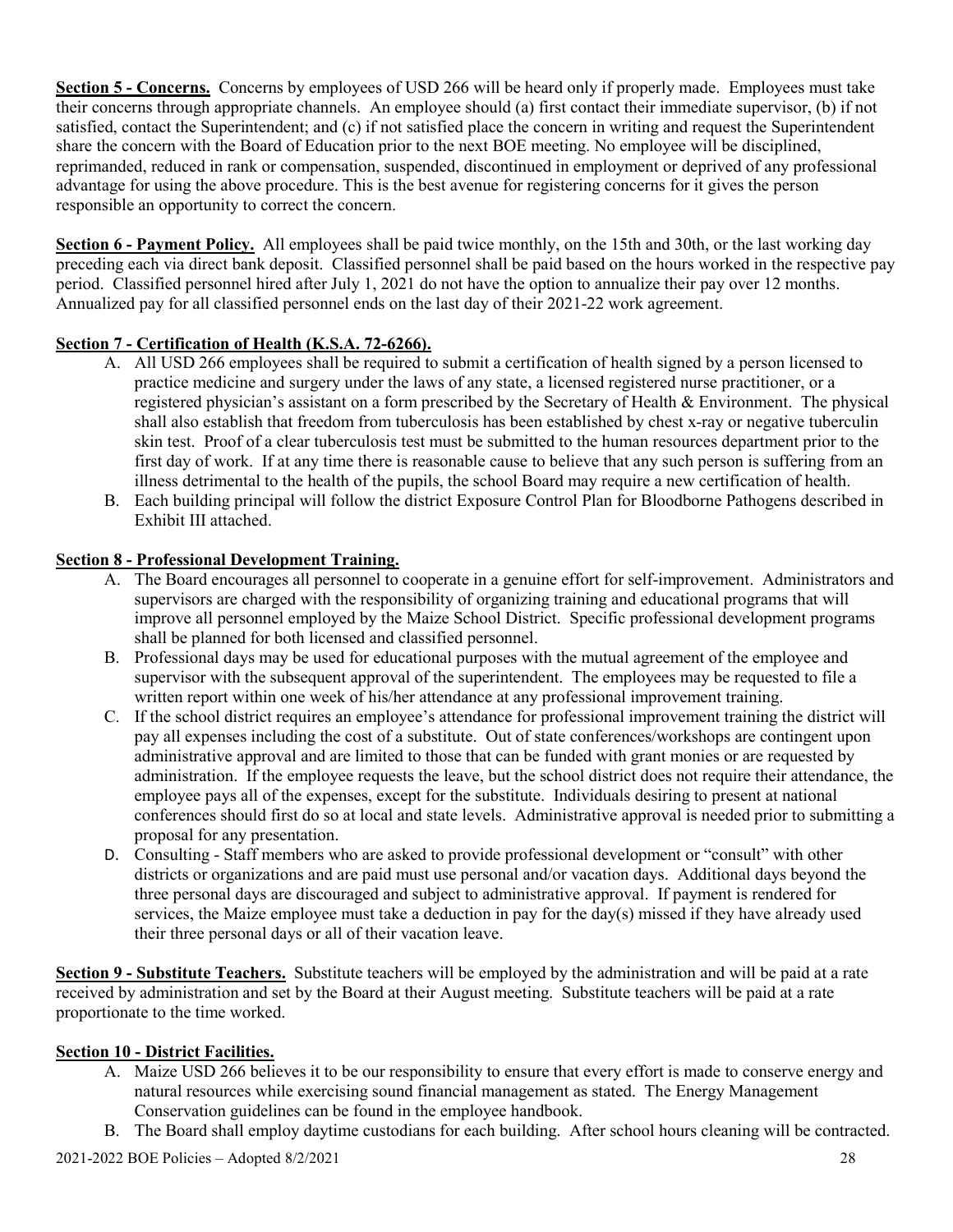**Section 5 - Concerns.** Concerns by employees of USD 266 will be heard only if properly made. Employees must take their concerns through appropriate channels. An employee should (a) first contact their immediate supervisor, (b) if not satisfied, contact the Superintendent; and (c) if not satisfied place the concern in writing and request the Superintendent share the concern with the Board of Education prior to the next BOE meeting. No employee will be disciplined, reprimanded, reduced in rank or compensation, suspended, discontinued in employment or deprived of any professional advantage for using the above procedure. This is the best avenue for registering concerns for it gives the person responsible an opportunity to correct the concern.

**Section 6 - Payment Policy.** All employees shall be paid twice monthly, on the 15th and 30th, or the last working day preceding each via direct bank deposit. Classified personnel shall be paid based on the hours worked in the respective pay period. Classified personnel hired after July 1, 2021 do not have the option to annualize their pay over 12 months. Annualized pay for all classified personnel ends on the last day of their 2021-22 work agreement.

## **Section 7 - Certification of Health (K.S.A. 72-6266).**

- A. All USD 266 employees shall be required to submit a certification of health signed by a person licensed to practice medicine and surgery under the laws of any state, a licensed registered nurse practitioner, or a registered physician's assistant on a form prescribed by the Secretary of Health & Environment. The physical shall also establish that freedom from tuberculosis has been established by chest x-ray or negative tuberculin skin test. Proof of a clear tuberculosis test must be submitted to the human resources department prior to the first day of work. If at any time there is reasonable cause to believe that any such person is suffering from an illness detrimental to the health of the pupils, the school Board may require a new certification of health.
- B. Each building principal will follow the district Exposure Control Plan for Bloodborne Pathogens described in Exhibit III attached.

#### **Section 8 - Professional Development Training.**

- A. The Board encourages all personnel to cooperate in a genuine effort for self-improvement. Administrators and supervisors are charged with the responsibility of organizing training and educational programs that will improve all personnel employed by the Maize School District. Specific professional development programs shall be planned for both licensed and classified personnel.
- B. Professional days may be used for educational purposes with the mutual agreement of the employee and supervisor with the subsequent approval of the superintendent. The employees may be requested to file a written report within one week of his/her attendance at any professional improvement training.
- C. If the school district requires an employee's attendance for professional improvement training the district will pay all expenses including the cost of a substitute. Out of state conferences/workshops are contingent upon administrative approval and are limited to those that can be funded with grant monies or are requested by administration. If the employee requests the leave, but the school district does not require their attendance, the employee pays all of the expenses, except for the substitute. Individuals desiring to present at national conferences should first do so at local and state levels. Administrative approval is needed prior to submitting a proposal for any presentation.
- D. Consulting Staff members who are asked to provide professional development or "consult" with other districts or organizations and are paid must use personal and/or vacation days. Additional days beyond the three personal days are discouraged and subject to administrative approval. If payment is rendered for services, the Maize employee must take a deduction in pay for the day(s) missed if they have already used their three personal days or all of their vacation leave.

**Section 9 - Substitute Teachers.** Substitute teachers will be employed by the administration and will be paid at a rate received by administration and set by the Board at their August meeting. Substitute teachers will be paid at a rate proportionate to the time worked.

#### **Section 10 - District Facilities.**

- A. Maize USD 266 believes it to be our responsibility to ensure that every effort is made to conserve energy and natural resources while exercising sound financial management as stated. The Energy Management Conservation guidelines can be found in the employee handbook.
- B. The Board shall employ daytime custodians for each building. After school hours cleaning will be contracted.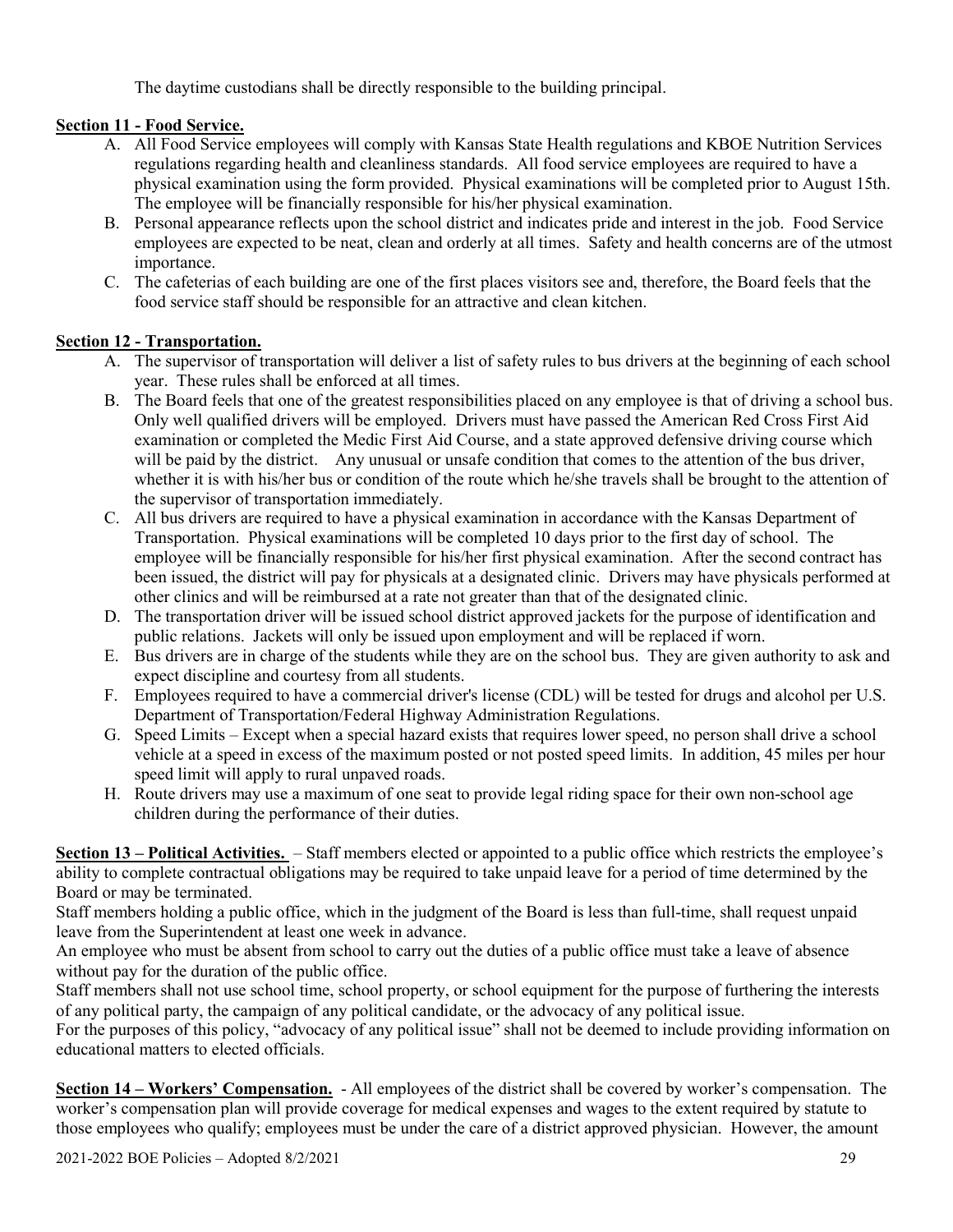The daytime custodians shall be directly responsible to the building principal.

# **Section 11 - Food Service.**

- A. All Food Service employees will comply with Kansas State Health regulations and KBOE Nutrition Services regulations regarding health and cleanliness standards. All food service employees are required to have a physical examination using the form provided. Physical examinations will be completed prior to August 15th. The employee will be financially responsible for his/her physical examination.
- B. Personal appearance reflects upon the school district and indicates pride and interest in the job. Food Service employees are expected to be neat, clean and orderly at all times. Safety and health concerns are of the utmost importance.
- C. The cafeterias of each building are one of the first places visitors see and, therefore, the Board feels that the food service staff should be responsible for an attractive and clean kitchen.

# **Section 12 - Transportation.**

- A. The supervisor of transportation will deliver a list of safety rules to bus drivers at the beginning of each school year. These rules shall be enforced at all times.
- B. The Board feels that one of the greatest responsibilities placed on any employee is that of driving a school bus. Only well qualified drivers will be employed. Drivers must have passed the American Red Cross First Aid examination or completed the Medic First Aid Course, and a state approved defensive driving course which will be paid by the district. Any unusual or unsafe condition that comes to the attention of the bus driver, whether it is with his/her bus or condition of the route which he/she travels shall be brought to the attention of the supervisor of transportation immediately.
- C. All bus drivers are required to have a physical examination in accordance with the Kansas Department of Transportation. Physical examinations will be completed 10 days prior to the first day of school. The employee will be financially responsible for his/her first physical examination. After the second contract has been issued, the district will pay for physicals at a designated clinic. Drivers may have physicals performed at other clinics and will be reimbursed at a rate not greater than that of the designated clinic.
- D. The transportation driver will be issued school district approved jackets for the purpose of identification and public relations. Jackets will only be issued upon employment and will be replaced if worn.
- E. Bus drivers are in charge of the students while they are on the school bus. They are given authority to ask and expect discipline and courtesy from all students.
- F. Employees required to have a commercial driver's license (CDL) will be tested for drugs and alcohol per U.S. Department of Transportation/Federal Highway Administration Regulations.
- G. Speed Limits Except when a special hazard exists that requires lower speed, no person shall drive a school vehicle at a speed in excess of the maximum posted or not posted speed limits. In addition, 45 miles per hour speed limit will apply to rural unpaved roads.
- H. Route drivers may use a maximum of one seat to provide legal riding space for their own non-school age children during the performance of their duties.

**Section 13 – Political Activities.** – Staff members elected or appointed to a public office which restricts the employee's ability to complete contractual obligations may be required to take unpaid leave for a period of time determined by the Board or may be terminated.

Staff members holding a public office, which in the judgment of the Board is less than full-time, shall request unpaid leave from the Superintendent at least one week in advance.

An employee who must be absent from school to carry out the duties of a public office must take a leave of absence without pay for the duration of the public office.

Staff members shall not use school time, school property, or school equipment for the purpose of furthering the interests of any political party, the campaign of any political candidate, or the advocacy of any political issue.

For the purposes of this policy, "advocacy of any political issue" shall not be deemed to include providing information on educational matters to elected officials.

**Section 14 – Workers' Compensation.** - All employees of the district shall be covered by worker's compensation. The worker's compensation plan will provide coverage for medical expenses and wages to the extent required by statute to those employees who qualify; employees must be under the care of a district approved physician. However, the amount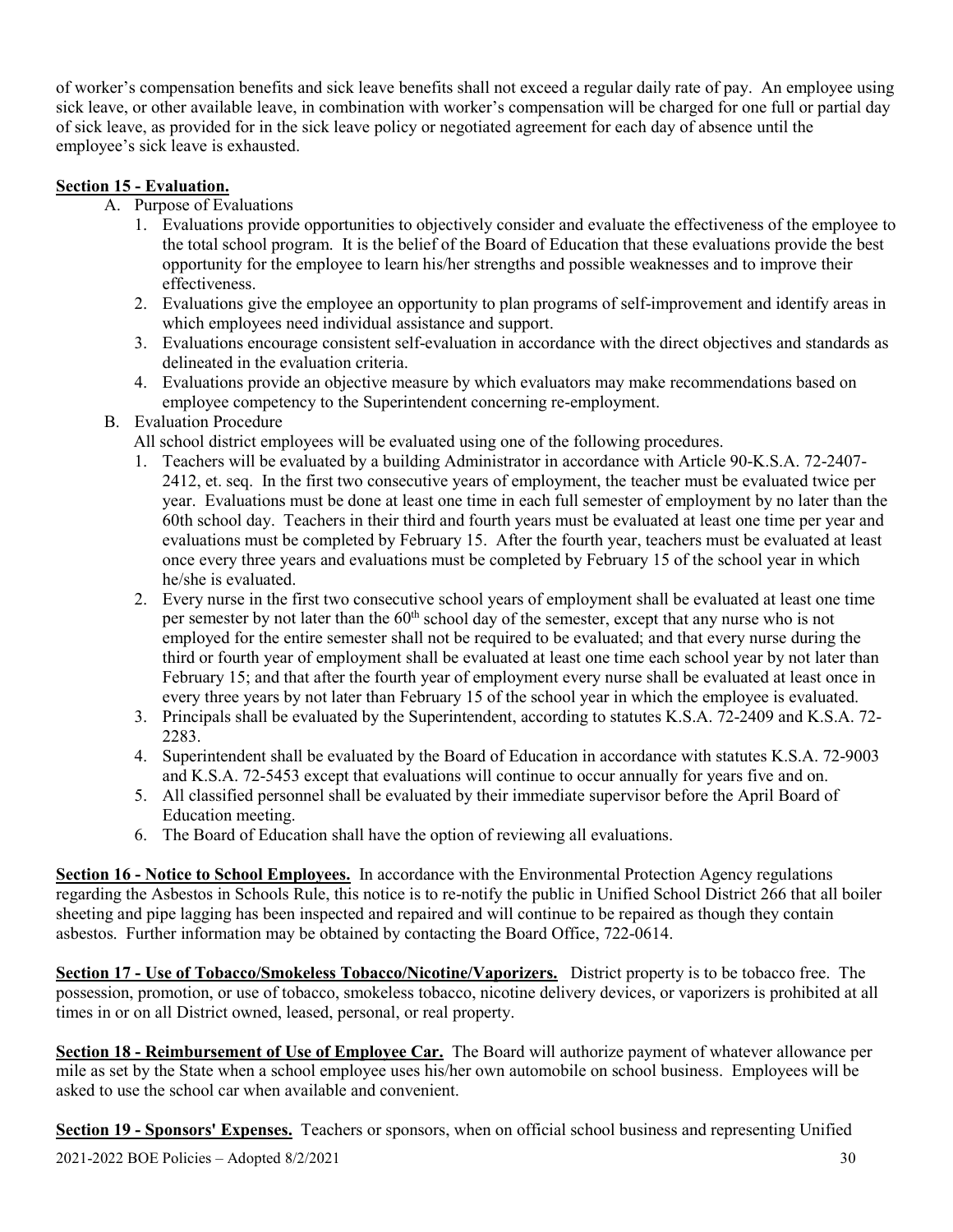of worker's compensation benefits and sick leave benefits shall not exceed a regular daily rate of pay. An employee using sick leave, or other available leave, in combination with worker's compensation will be charged for one full or partial day of sick leave, as provided for in the sick leave policy or negotiated agreement for each day of absence until the employee's sick leave is exhausted.

#### **Section 15 - Evaluation.**

- A. Purpose of Evaluations
	- 1. Evaluations provide opportunities to objectively consider and evaluate the effectiveness of the employee to the total school program. It is the belief of the Board of Education that these evaluations provide the best opportunity for the employee to learn his/her strengths and possible weaknesses and to improve their effectiveness.
	- 2. Evaluations give the employee an opportunity to plan programs of self-improvement and identify areas in which employees need individual assistance and support.
	- 3. Evaluations encourage consistent self-evaluation in accordance with the direct objectives and standards as delineated in the evaluation criteria.
	- 4. Evaluations provide an objective measure by which evaluators may make recommendations based on employee competency to the Superintendent concerning re-employment.
- B. Evaluation Procedure

All school district employees will be evaluated using one of the following procedures.

- 1. Teachers will be evaluated by a building Administrator in accordance with Article 90-K.S.A. 72-2407- 2412, et. seq. In the first two consecutive years of employment, the teacher must be evaluated twice per year. Evaluations must be done at least one time in each full semester of employment by no later than the 60th school day. Teachers in their third and fourth years must be evaluated at least one time per year and evaluations must be completed by February 15. After the fourth year, teachers must be evaluated at least once every three years and evaluations must be completed by February 15 of the school year in which he/she is evaluated.
- 2. Every nurse in the first two consecutive school years of employment shall be evaluated at least one time per semester by not later than the  $60<sup>th</sup>$  school day of the semester, except that any nurse who is not employed for the entire semester shall not be required to be evaluated; and that every nurse during the third or fourth year of employment shall be evaluated at least one time each school year by not later than February 15; and that after the fourth year of employment every nurse shall be evaluated at least once in every three years by not later than February 15 of the school year in which the employee is evaluated.
- 3. Principals shall be evaluated by the Superintendent, according to statutes K.S.A. 72-2409 and K.S.A. 72- 2283.
- 4. Superintendent shall be evaluated by the Board of Education in accordance with statutes K.S.A. 72-9003 and K.S.A. 72-5453 except that evaluations will continue to occur annually for years five and on.
- 5. All classified personnel shall be evaluated by their immediate supervisor before the April Board of Education meeting.
- 6. The Board of Education shall have the option of reviewing all evaluations.

**Section 16 - Notice to School Employees.** In accordance with the Environmental Protection Agency regulations regarding the Asbestos in Schools Rule, this notice is to re-notify the public in Unified School District 266 that all boiler sheeting and pipe lagging has been inspected and repaired and will continue to be repaired as though they contain asbestos. Further information may be obtained by contacting the Board Office, 722-0614.

**Section 17 - Use of Tobacco/Smokeless Tobacco/Nicotine/Vaporizers.** District property is to be tobacco free. The possession, promotion, or use of tobacco, smokeless tobacco, nicotine delivery devices, or vaporizers is prohibited at all times in or on all District owned, leased, personal, or real property.

**Section 18 - Reimbursement of Use of Employee Car.** The Board will authorize payment of whatever allowance per mile as set by the State when a school employee uses his/her own automobile on school business. Employees will be asked to use the school car when available and convenient.

**Section 19 - Sponsors' Expenses.** Teachers or sponsors, when on official school business and representing Unified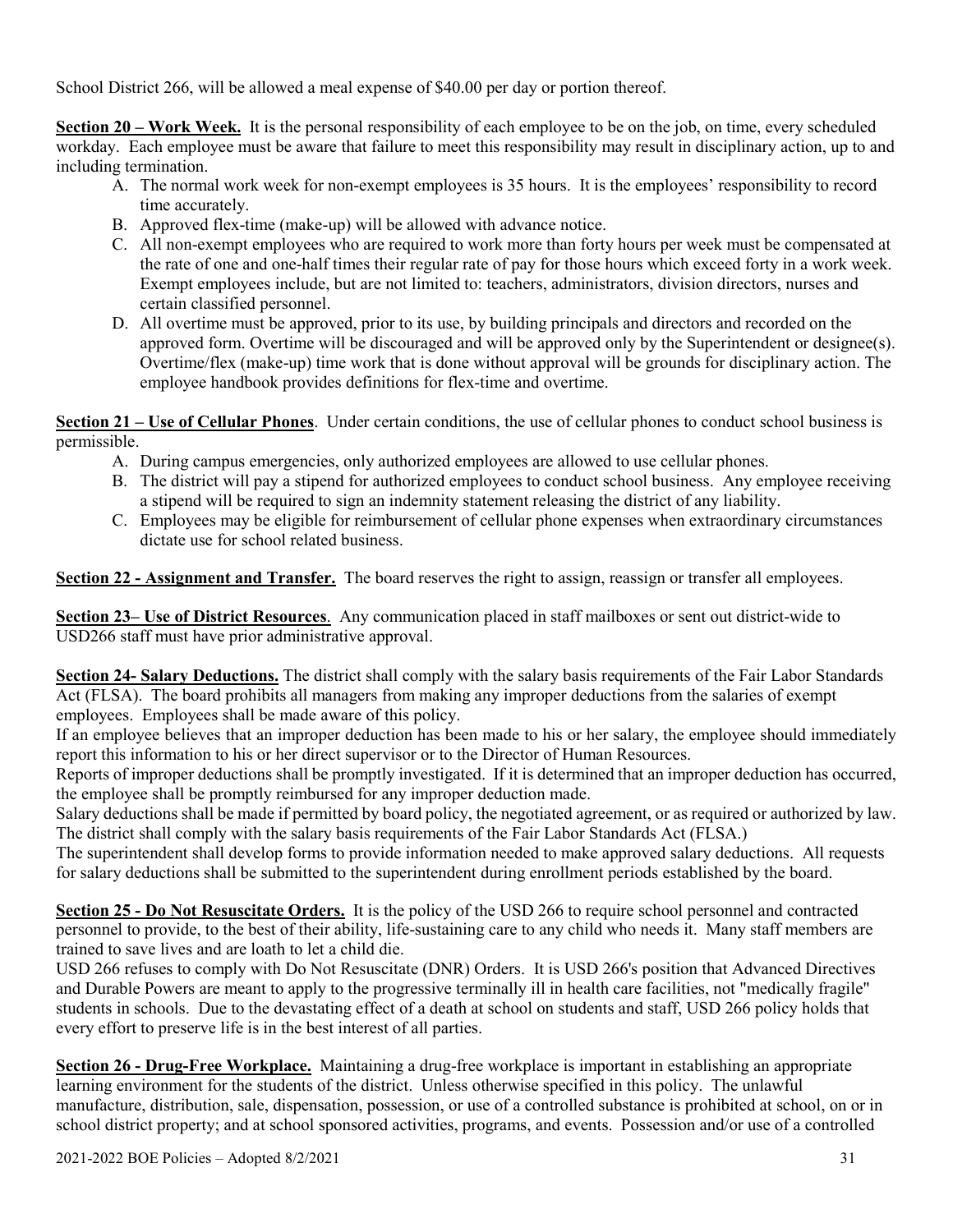School District 266, will be allowed a meal expense of \$40.00 per day or portion thereof.

**Section 20 – Work Week.** It is the personal responsibility of each employee to be on the job, on time, every scheduled workday. Each employee must be aware that failure to meet this responsibility may result in disciplinary action, up to and including termination.

- A. The normal work week for non-exempt employees is 35 hours. It is the employees' responsibility to record time accurately.
- B. Approved flex-time (make-up) will be allowed with advance notice.
- C. All non-exempt employees who are required to work more than forty hours per week must be compensated at the rate of one and one-half times their regular rate of pay for those hours which exceed forty in a work week. Exempt employees include, but are not limited to: teachers, administrators, division directors, nurses and certain classified personnel.
- D. All overtime must be approved, prior to its use, by building principals and directors and recorded on the approved form. Overtime will be discouraged and will be approved only by the Superintendent or designee(s). Overtime/flex (make-up) time work that is done without approval will be grounds for disciplinary action. The employee handbook provides definitions for flex-time and overtime.

**Section 21 – Use of Cellular Phones**. Under certain conditions, the use of cellular phones to conduct school business is permissible.

- A. During campus emergencies, only authorized employees are allowed to use cellular phones.
- B. The district will pay a stipend for authorized employees to conduct school business. Any employee receiving a stipend will be required to sign an indemnity statement releasing the district of any liability.
- C. Employees may be eligible for reimbursement of cellular phone expenses when extraordinary circumstances dictate use for school related business.

**Section 22 - Assignment and Transfer.** The board reserves the right to assign, reassign or transfer all employees.

**Section 23– Use of District Resources**. Any communication placed in staff mailboxes or sent out district-wide to USD266 staff must have prior administrative approval.

**Section 24- Salary Deductions.** The district shall comply with the salary basis requirements of the Fair Labor Standards Act (FLSA). The board prohibits all managers from making any improper deductions from the salaries of exempt employees. Employees shall be made aware of this policy.

If an employee believes that an improper deduction has been made to his or her salary, the employee should immediately report this information to his or her direct supervisor or to the Director of Human Resources.

Reports of improper deductions shall be promptly investigated. If it is determined that an improper deduction has occurred, the employee shall be promptly reimbursed for any improper deduction made.

Salary deductions shall be made if permitted by board policy, the negotiated agreement, or as required or authorized by law. The district shall comply with the salary basis requirements of the Fair Labor Standards Act (FLSA.)

The superintendent shall develop forms to provide information needed to make approved salary deductions. All requests for salary deductions shall be submitted to the superintendent during enrollment periods established by the board.

**Section 25 - Do Not Resuscitate Orders.** It is the policy of the USD 266 to require school personnel and contracted personnel to provide, to the best of their ability, life-sustaining care to any child who needs it. Many staff members are trained to save lives and are loath to let a child die.

USD 266 refuses to comply with Do Not Resuscitate (DNR) Orders. It is USD 266's position that Advanced Directives and Durable Powers are meant to apply to the progressive terminally ill in health care facilities, not "medically fragile" students in schools. Due to the devastating effect of a death at school on students and staff, USD 266 policy holds that every effort to preserve life is in the best interest of all parties.

**Section 26 - Drug-Free Workplace.** Maintaining a drug-free workplace is important in establishing an appropriate learning environment for the students of the district. Unless otherwise specified in this policy. The unlawful manufacture, distribution, sale, dispensation, possession, or use of a controlled substance is prohibited at school, on or in school district property; and at school sponsored activities, programs, and events. Possession and/or use of a controlled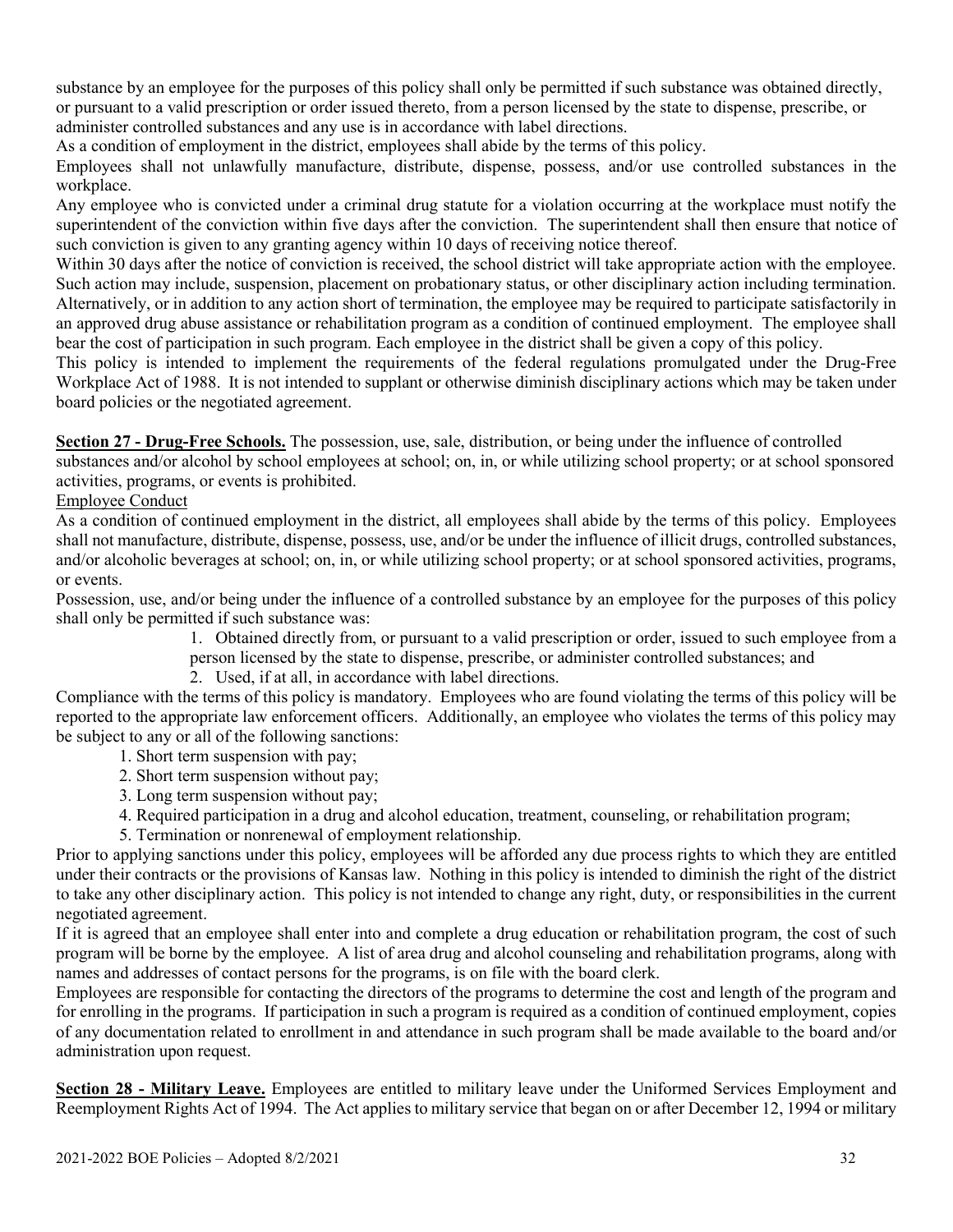substance by an employee for the purposes of this policy shall only be permitted if such substance was obtained directly, or pursuant to a valid prescription or order issued thereto, from a person licensed by the state to dispense, prescribe, or administer controlled substances and any use is in accordance with label directions.

As a condition of employment in the district, employees shall abide by the terms of this policy.

Employees shall not unlawfully manufacture, distribute, dispense, possess, and/or use controlled substances in the workplace.

Any employee who is convicted under a criminal drug statute for a violation occurring at the workplace must notify the superintendent of the conviction within five days after the conviction. The superintendent shall then ensure that notice of such conviction is given to any granting agency within 10 days of receiving notice thereof.

Within 30 days after the notice of conviction is received, the school district will take appropriate action with the employee. Such action may include, suspension, placement on probationary status, or other disciplinary action including termination. Alternatively, or in addition to any action short of termination, the employee may be required to participate satisfactorily in an approved drug abuse assistance or rehabilitation program as a condition of continued employment. The employee shall bear the cost of participation in such program. Each employee in the district shall be given a copy of this policy.

This policy is intended to implement the requirements of the federal regulations promulgated under the Drug-Free Workplace Act of 1988. It is not intended to supplant or otherwise diminish disciplinary actions which may be taken under board policies or the negotiated agreement.

**Section 27 - Drug-Free Schools.** The possession, use, sale, distribution, or being under the influence of controlled

substances and/or alcohol by school employees at school; on, in, or while utilizing school property; or at school sponsored activities, programs, or events is prohibited.

Employee Conduct

As a condition of continued employment in the district, all employees shall abide by the terms of this policy. Employees shall not manufacture, distribute, dispense, possess, use, and/or be under the influence of illicit drugs, controlled substances, and/or alcoholic beverages at school; on, in, or while utilizing school property; or at school sponsored activities, programs, or events.

Possession, use, and/or being under the influence of a controlled substance by an employee for the purposes of this policy shall only be permitted if such substance was:

1. Obtained directly from, or pursuant to a valid prescription or order, issued to such employee from a person licensed by the state to dispense, prescribe, or administer controlled substances; and

2. Used, if at all, in accordance with label directions.

Compliance with the terms of this policy is mandatory. Employees who are found violating the terms of this policy will be reported to the appropriate law enforcement officers. Additionally, an employee who violates the terms of this policy may be subject to any or all of the following sanctions:

- 1. Short term suspension with pay;
- 2. Short term suspension without pay;
- 3. Long term suspension without pay;
- 4. Required participation in a drug and alcohol education, treatment, counseling, or rehabilitation program;
- 5. Termination or nonrenewal of employment relationship.

Prior to applying sanctions under this policy, employees will be afforded any due process rights to which they are entitled under their contracts or the provisions of Kansas law. Nothing in this policy is intended to diminish the right of the district to take any other disciplinary action. This policy is not intended to change any right, duty, or responsibilities in the current negotiated agreement.

If it is agreed that an employee shall enter into and complete a drug education or rehabilitation program, the cost of such program will be borne by the employee. A list of area drug and alcohol counseling and rehabilitation programs, along with names and addresses of contact persons for the programs, is on file with the board clerk.

Employees are responsible for contacting the directors of the programs to determine the cost and length of the program and for enrolling in the programs. If participation in such a program is required as a condition of continued employment, copies of any documentation related to enrollment in and attendance in such program shall be made available to the board and/or administration upon request.

**Section 28 - Military Leave.** Employees are entitled to military leave under the Uniformed Services Employment and Reemployment Rights Act of 1994. The Act applies to military service that began on or after December 12, 1994 or military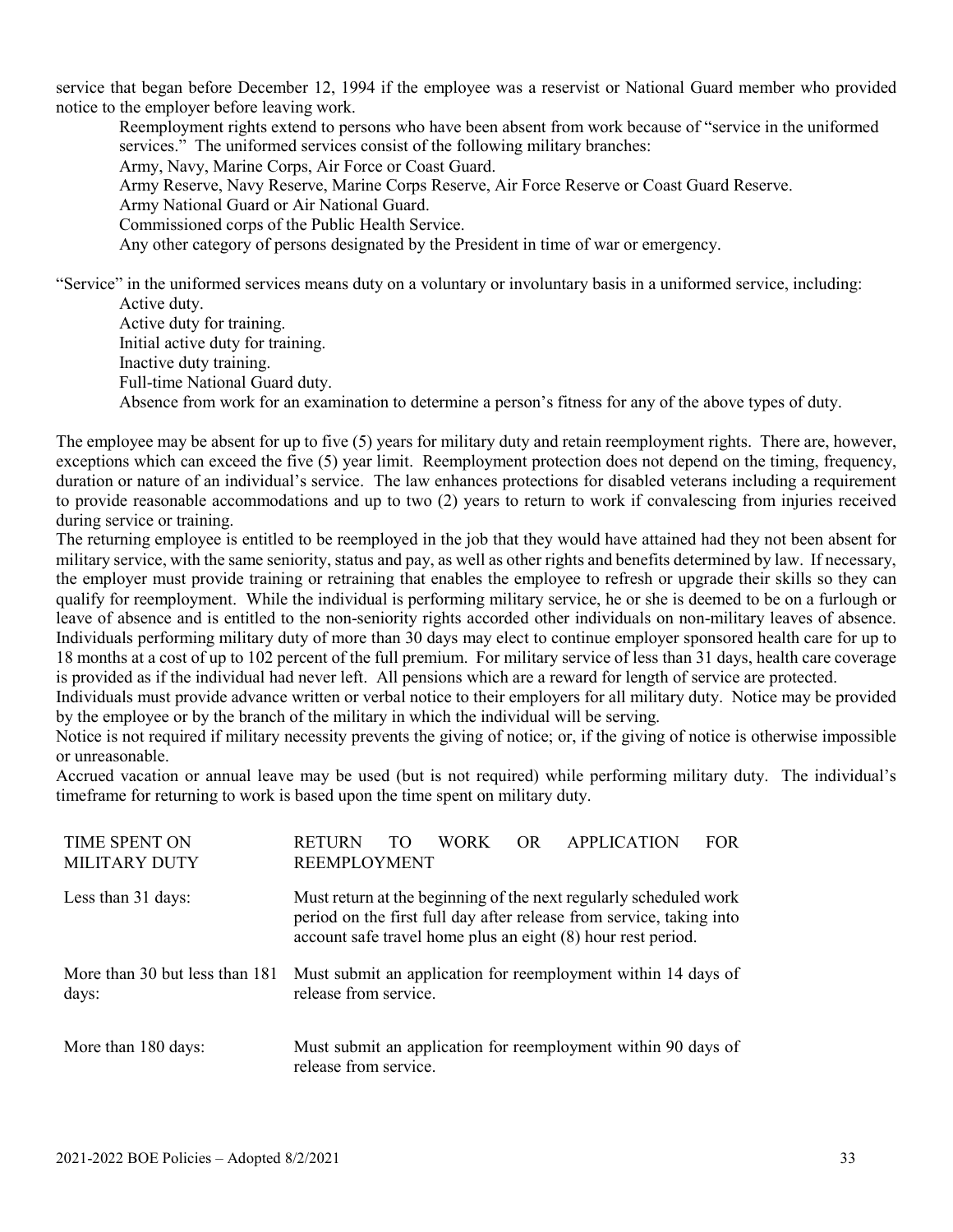service that began before December 12, 1994 if the employee was a reservist or National Guard member who provided notice to the employer before leaving work.

 Reemployment rights extend to persons who have been absent from work because of "service in the uniformed services." The uniformed services consist of the following military branches: Army, Navy, Marine Corps, Air Force or Coast Guard. Army Reserve, Navy Reserve, Marine Corps Reserve, Air Force Reserve or Coast Guard Reserve. Army National Guard or Air National Guard. Commissioned corps of the Public Health Service. Any other category of persons designated by the President in time of war or emergency.

"Service" in the uniformed services means duty on a voluntary or involuntary basis in a uniformed service, including: Active duty.

 Active duty for training. Initial active duty for training. Inactive duty training. Full-time National Guard duty. Absence from work for an examination to determine a person's fitness for any of the above types of duty.

The employee may be absent for up to five (5) years for military duty and retain reemployment rights. There are, however, exceptions which can exceed the five (5) year limit. Reemployment protection does not depend on the timing, frequency, duration or nature of an individual's service. The law enhances protections for disabled veterans including a requirement to provide reasonable accommodations and up to two (2) years to return to work if convalescing from injuries received during service or training.

The returning employee is entitled to be reemployed in the job that they would have attained had they not been absent for military service, with the same seniority, status and pay, as well as other rights and benefits determined by law. If necessary, the employer must provide training or retraining that enables the employee to refresh or upgrade their skills so they can qualify for reemployment. While the individual is performing military service, he or she is deemed to be on a furlough or leave of absence and is entitled to the non-seniority rights accorded other individuals on non-military leaves of absence. Individuals performing military duty of more than 30 days may elect to continue employer sponsored health care for up to 18 months at a cost of up to 102 percent of the full premium. For military service of less than 31 days, health care coverage is provided as if the individual had never left. All pensions which are a reward for length of service are protected.

Individuals must provide advance written or verbal notice to their employers for all military duty. Notice may be provided by the employee or by the branch of the military in which the individual will be serving.

Notice is not required if military necessity prevents the giving of notice; or, if the giving of notice is otherwise impossible or unreasonable.

Accrued vacation or annual leave may be used (but is not required) while performing military duty. The individual's timeframe for returning to work is based upon the time spent on military duty.

| <b>TIME SPENT ON</b>                    | <b>FOR</b><br><b>RETURN</b><br>OR<br><b>APPLICATION</b><br>WORK                                                                                                                                           |  |
|-----------------------------------------|-----------------------------------------------------------------------------------------------------------------------------------------------------------------------------------------------------------|--|
| <b>MILITARY DUTY</b>                    | <b>REEMPLOYMENT</b>                                                                                                                                                                                       |  |
| Less than 31 days:                      | Must return at the beginning of the next regularly scheduled work<br>period on the first full day after release from service, taking into<br>account safe travel home plus an eight (8) hour rest period. |  |
| More than 30 but less than 181<br>days: | Must submit an application for reemployment within 14 days of<br>release from service.                                                                                                                    |  |
| More than 180 days:                     | Must submit an application for reemployment within 90 days of<br>release from service.                                                                                                                    |  |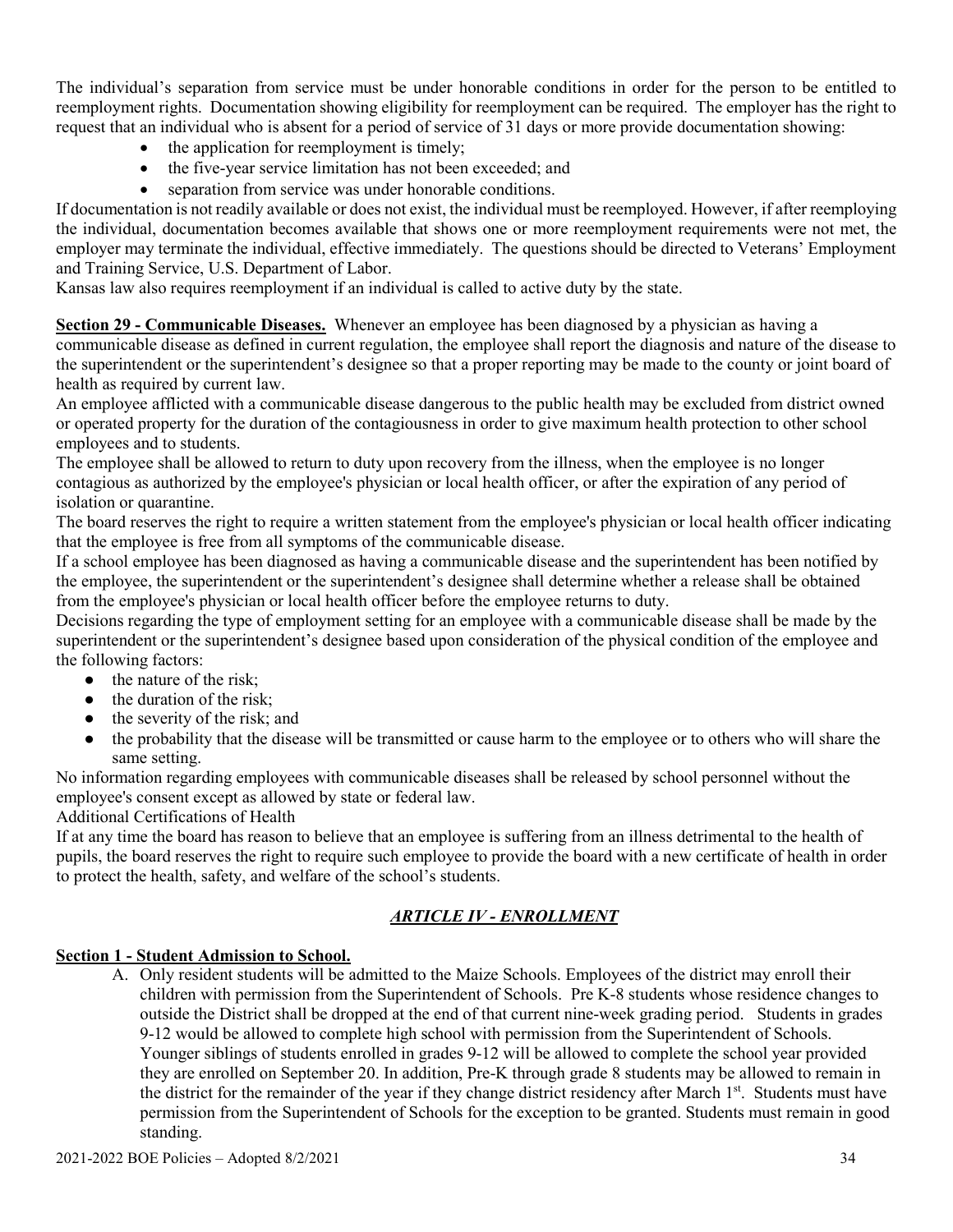The individual's separation from service must be under honorable conditions in order for the person to be entitled to reemployment rights. Documentation showing eligibility for reemployment can be required. The employer has the right to request that an individual who is absent for a period of service of 31 days or more provide documentation showing:

- the application for reemployment is timely;
- the five-year service limitation has not been exceeded; and
- separation from service was under honorable conditions.

If documentation is not readily available or does not exist, the individual must be reemployed. However, if after reemploying the individual, documentation becomes available that shows one or more reemployment requirements were not met, the employer may terminate the individual, effective immediately. The questions should be directed to Veterans' Employment and Training Service, U.S. Department of Labor.

Kansas law also requires reemployment if an individual is called to active duty by the state.

**Section 29 - Communicable Diseases.** Whenever an employee has been diagnosed by a physician as having a communicable disease as defined in current regulation, the employee shall report the diagnosis and nature of the disease to the superintendent or the superintendent's designee so that a proper reporting may be made to the county or joint board of health as required by current law.

An employee afflicted with a communicable disease dangerous to the public health may be excluded from district owned or operated property for the duration of the contagiousness in order to give maximum health protection to other school employees and to students.

The employee shall be allowed to return to duty upon recovery from the illness, when the employee is no longer contagious as authorized by the employee's physician or local health officer, or after the expiration of any period of isolation or quarantine.

The board reserves the right to require a written statement from the employee's physician or local health officer indicating that the employee is free from all symptoms of the communicable disease.

If a school employee has been diagnosed as having a communicable disease and the superintendent has been notified by the employee, the superintendent or the superintendent's designee shall determine whether a release shall be obtained from the employee's physician or local health officer before the employee returns to duty.

Decisions regarding the type of employment setting for an employee with a communicable disease shall be made by the superintendent or the superintendent's designee based upon consideration of the physical condition of the employee and the following factors:

- $\bullet$  the nature of the risk:
- $\bullet$  the duration of the risk:
- the severity of the risk; and
- the probability that the disease will be transmitted or cause harm to the employee or to others who will share the same setting.

No information regarding employees with communicable diseases shall be released by school personnel without the employee's consent except as allowed by state or federal law.

Additional Certifications of Health

If at any time the board has reason to believe that an employee is suffering from an illness detrimental to the health of pupils, the board reserves the right to require such employee to provide the board with a new certificate of health in order to protect the health, safety, and welfare of the school's students.

# *ARTICLE IV - ENROLLMENT*

# **Section 1 - Student Admission to School.**

A. Only resident students will be admitted to the Maize Schools. Employees of the district may enroll their children with permission from the Superintendent of Schools. Pre K-8 students whose residence changes to outside the District shall be dropped at the end of that current nine-week grading period. Students in grades 9-12 would be allowed to complete high school with permission from the Superintendent of Schools. Younger siblings of students enrolled in grades 9-12 will be allowed to complete the school year provided they are enrolled on September 20. In addition, Pre-K through grade 8 students may be allowed to remain in the district for the remainder of the year if they change district residency after March 1<sup>st</sup>. Students must have permission from the Superintendent of Schools for the exception to be granted. Students must remain in good standing.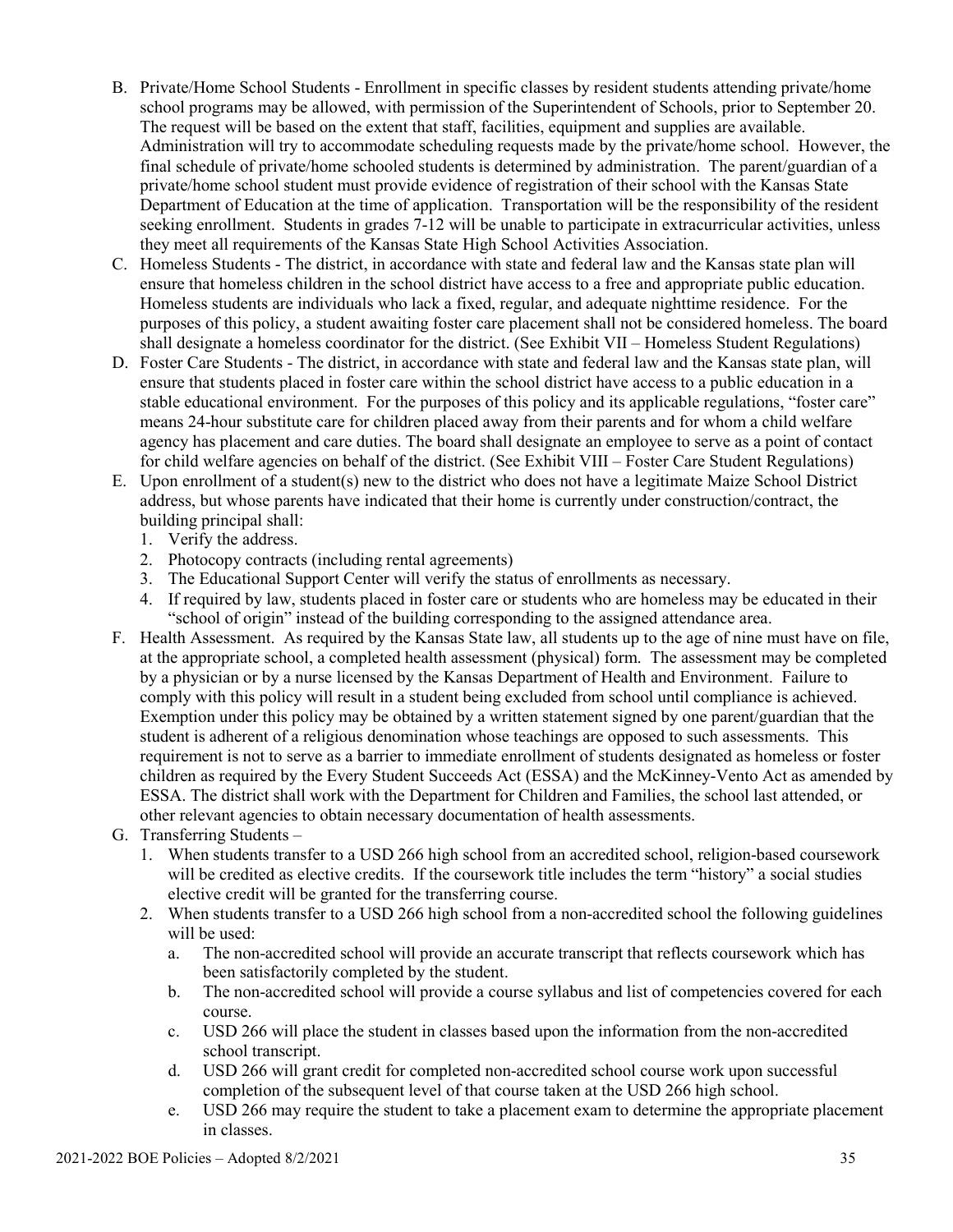- B. Private/Home School Students Enrollment in specific classes by resident students attending private/home school programs may be allowed, with permission of the Superintendent of Schools, prior to September 20. The request will be based on the extent that staff, facilities, equipment and supplies are available. Administration will try to accommodate scheduling requests made by the private/home school. However, the final schedule of private/home schooled students is determined by administration. The parent/guardian of a private/home school student must provide evidence of registration of their school with the Kansas State Department of Education at the time of application. Transportation will be the responsibility of the resident seeking enrollment. Students in grades 7-12 will be unable to participate in extracurricular activities, unless they meet all requirements of the Kansas State High School Activities Association.
- C. Homeless Students The district, in accordance with state and federal law and the Kansas state plan will ensure that homeless children in the school district have access to a free and appropriate public education. Homeless students are individuals who lack a fixed, regular, and adequate nighttime residence. For the purposes of this policy, a student awaiting foster care placement shall not be considered homeless. The board shall designate a homeless coordinator for the district. (See Exhibit VII – Homeless Student Regulations)
- D. Foster Care Students The district, in accordance with state and federal law and the Kansas state plan, will ensure that students placed in foster care within the school district have access to a public education in a stable educational environment. For the purposes of this policy and its applicable regulations, "foster care" means 24-hour substitute care for children placed away from their parents and for whom a child welfare agency has placement and care duties. The board shall designate an employee to serve as a point of contact for child welfare agencies on behalf of the district. (See Exhibit VIII – Foster Care Student Regulations)
- E. Upon enrollment of a student(s) new to the district who does not have a legitimate Maize School District address, but whose parents have indicated that their home is currently under construction/contract, the building principal shall:
	- 1. Verify the address.
	- 2. Photocopy contracts (including rental agreements)
	- 3. The Educational Support Center will verify the status of enrollments as necessary.
	- 4. If required by law, students placed in foster care or students who are homeless may be educated in their "school of origin" instead of the building corresponding to the assigned attendance area.
- F. Health Assessment. As required by the Kansas State law, all students up to the age of nine must have on file, at the appropriate school, a completed health assessment (physical) form. The assessment may be completed by a physician or by a nurse licensed by the Kansas Department of Health and Environment. Failure to comply with this policy will result in a student being excluded from school until compliance is achieved. Exemption under this policy may be obtained by a written statement signed by one parent/guardian that the student is adherent of a religious denomination whose teachings are opposed to such assessments. This requirement is not to serve as a barrier to immediate enrollment of students designated as homeless or foster children as required by the Every Student Succeeds Act (ESSA) and the McKinney-Vento Act as amended by ESSA. The district shall work with the Department for Children and Families, the school last attended, or other relevant agencies to obtain necessary documentation of health assessments.
- G. Transferring Students
	- 1. When students transfer to a USD 266 high school from an accredited school, religion-based coursework will be credited as elective credits. If the coursework title includes the term "history" a social studies elective credit will be granted for the transferring course.
	- 2. When students transfer to a USD 266 high school from a non-accredited school the following guidelines will be used:
		- a. The non-accredited school will provide an accurate transcript that reflects coursework which has been satisfactorily completed by the student.
		- b. The non-accredited school will provide a course syllabus and list of competencies covered for each course.
		- c. USD 266 will place the student in classes based upon the information from the non-accredited school transcript.
		- d. USD 266 will grant credit for completed non-accredited school course work upon successful completion of the subsequent level of that course taken at the USD 266 high school.
		- e. USD 266 may require the student to take a placement exam to determine the appropriate placement in classes.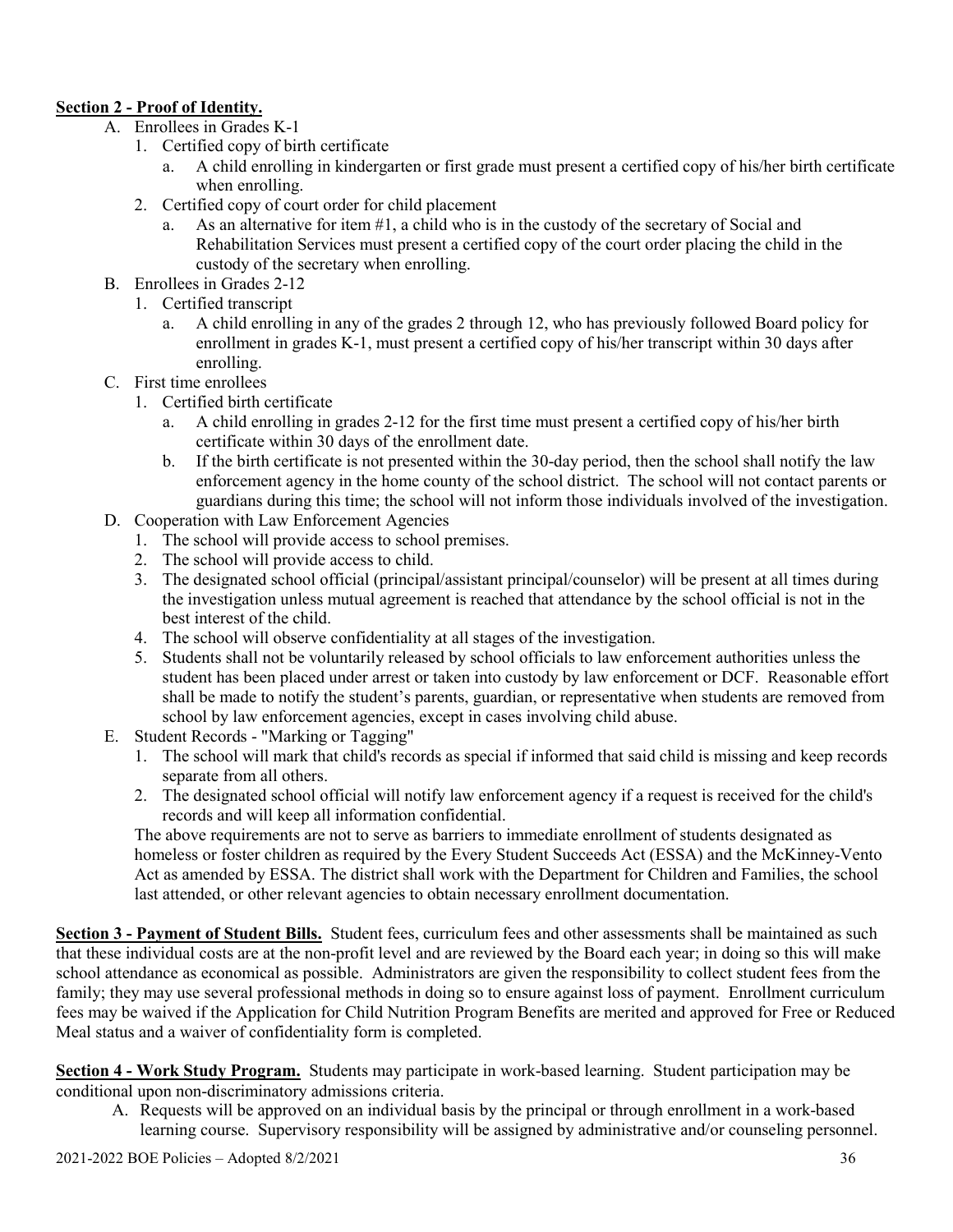# **Section 2 - Proof of Identity.**

- A. Enrollees in Grades K-1
	- 1. Certified copy of birth certificate
		- a. A child enrolling in kindergarten or first grade must present a certified copy of his/her birth certificate when enrolling.
	- 2. Certified copy of court order for child placement
		- a. As an alternative for item #1, a child who is in the custody of the secretary of Social and Rehabilitation Services must present a certified copy of the court order placing the child in the custody of the secretary when enrolling.
- B. Enrollees in Grades 2-12
	- 1. Certified transcript
		- a. A child enrolling in any of the grades 2 through 12, who has previously followed Board policy for enrollment in grades K-1, must present a certified copy of his/her transcript within 30 days after enrolling.
- C. First time enrollees
	- 1. Certified birth certificate
		- a. A child enrolling in grades 2-12 for the first time must present a certified copy of his/her birth certificate within 30 days of the enrollment date.
		- b. If the birth certificate is not presented within the 30-day period, then the school shall notify the law enforcement agency in the home county of the school district. The school will not contact parents or guardians during this time; the school will not inform those individuals involved of the investigation.
- D. Cooperation with Law Enforcement Agencies
	- 1. The school will provide access to school premises.
	- 2. The school will provide access to child.
	- 3. The designated school official (principal/assistant principal/counselor) will be present at all times during the investigation unless mutual agreement is reached that attendance by the school official is not in the best interest of the child.
	- 4. The school will observe confidentiality at all stages of the investigation.
	- 5. Students shall not be voluntarily released by school officials to law enforcement authorities unless the student has been placed under arrest or taken into custody by law enforcement or DCF. Reasonable effort shall be made to notify the student's parents, guardian, or representative when students are removed from school by law enforcement agencies, except in cases involving child abuse.
- E. Student Records "Marking or Tagging"
	- 1. The school will mark that child's records as special if informed that said child is missing and keep records separate from all others.
	- 2. The designated school official will notify law enforcement agency if a request is received for the child's records and will keep all information confidential.

The above requirements are not to serve as barriers to immediate enrollment of students designated as homeless or foster children as required by the Every Student Succeeds Act (ESSA) and the McKinney-Vento Act as amended by ESSA. The district shall work with the Department for Children and Families, the school last attended, or other relevant agencies to obtain necessary enrollment documentation.

**Section 3 - Payment of Student Bills.** Student fees, curriculum fees and other assessments shall be maintained as such that these individual costs are at the non-profit level and are reviewed by the Board each year; in doing so this will make school attendance as economical as possible. Administrators are given the responsibility to collect student fees from the family; they may use several professional methods in doing so to ensure against loss of payment. Enrollment curriculum fees may be waived if the Application for Child Nutrition Program Benefits are merited and approved for Free or Reduced Meal status and a waiver of confidentiality form is completed.

**Section 4 - Work Study Program.** Students may participate in work-based learning. Student participation may be conditional upon non-discriminatory admissions criteria.

A. Requests will be approved on an individual basis by the principal or through enrollment in a work-based learning course. Supervisory responsibility will be assigned by administrative and/or counseling personnel.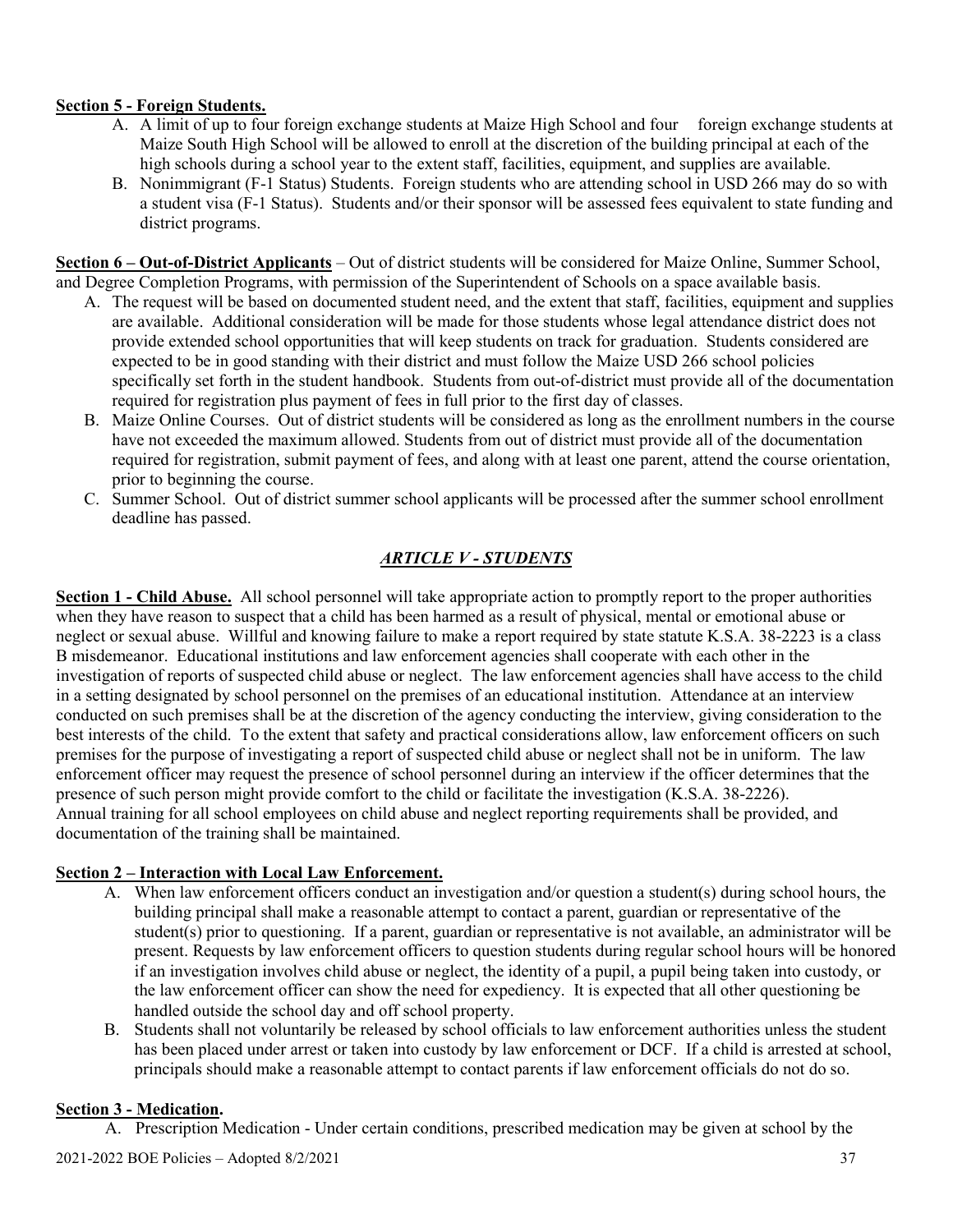### **Section 5 - Foreign Students.**

- A. A limit of up to four foreign exchange students at Maize High School and four foreign exchange students at Maize South High School will be allowed to enroll at the discretion of the building principal at each of the high schools during a school year to the extent staff, facilities, equipment, and supplies are available.
- B. Nonimmigrant (F-1 Status) Students. Foreign students who are attending school in USD 266 may do so with a student visa (F-1 Status). Students and/or their sponsor will be assessed fees equivalent to state funding and district programs.

**Section 6 – Out-of-District Applicants** – Out of district students will be considered for Maize Online, Summer School, and Degree Completion Programs, with permission of the Superintendent of Schools on a space available basis.

- A. The request will be based on documented student need, and the extent that staff, facilities, equipment and supplies are available. Additional consideration will be made for those students whose legal attendance district does not provide extended school opportunities that will keep students on track for graduation. Students considered are expected to be in good standing with their district and must follow the Maize USD 266 school policies specifically set forth in the student handbook. Students from out-of-district must provide all of the documentation required for registration plus payment of fees in full prior to the first day of classes.
- B. Maize Online Courses. Out of district students will be considered as long as the enrollment numbers in the course have not exceeded the maximum allowed. Students from out of district must provide all of the documentation required for registration, submit payment of fees, and along with at least one parent, attend the course orientation, prior to beginning the course.
- C. Summer School. Out of district summer school applicants will be processed after the summer school enrollment deadline has passed.

# *ARTICLE V - STUDENTS*

**Section 1 - Child Abuse.** All school personnel will take appropriate action to promptly report to the proper authorities when they have reason to suspect that a child has been harmed as a result of physical, mental or emotional abuse or neglect or sexual abuse. Willful and knowing failure to make a report required by state statute K.S.A. 38-2223 is a class B misdemeanor. Educational institutions and law enforcement agencies shall cooperate with each other in the investigation of reports of suspected child abuse or neglect. The law enforcement agencies shall have access to the child in a setting designated by school personnel on the premises of an educational institution. Attendance at an interview conducted on such premises shall be at the discretion of the agency conducting the interview, giving consideration to the best interests of the child. To the extent that safety and practical considerations allow, law enforcement officers on such premises for the purpose of investigating a report of suspected child abuse or neglect shall not be in uniform. The law enforcement officer may request the presence of school personnel during an interview if the officer determines that the presence of such person might provide comfort to the child or facilitate the investigation (K.S.A. 38-2226). Annual training for all school employees on child abuse and neglect reporting requirements shall be provided, and documentation of the training shall be maintained.

#### **Section 2 – Interaction with Local Law Enforcement.**

- A. When law enforcement officers conduct an investigation and/or question a student(s) during school hours, the building principal shall make a reasonable attempt to contact a parent, guardian or representative of the student(s) prior to questioning. If a parent, guardian or representative is not available, an administrator will be present. Requests by law enforcement officers to question students during regular school hours will be honored if an investigation involves child abuse or neglect, the identity of a pupil, a pupil being taken into custody, or the law enforcement officer can show the need for expediency. It is expected that all other questioning be handled outside the school day and off school property.
- B. Students shall not voluntarily be released by school officials to law enforcement authorities unless the student has been placed under arrest or taken into custody by law enforcement or DCF. If a child is arrested at school, principals should make a reasonable attempt to contact parents if law enforcement officials do not do so.

#### **Section 3 - Medication.**

A. Prescription Medication - Under certain conditions, prescribed medication may be given at school by the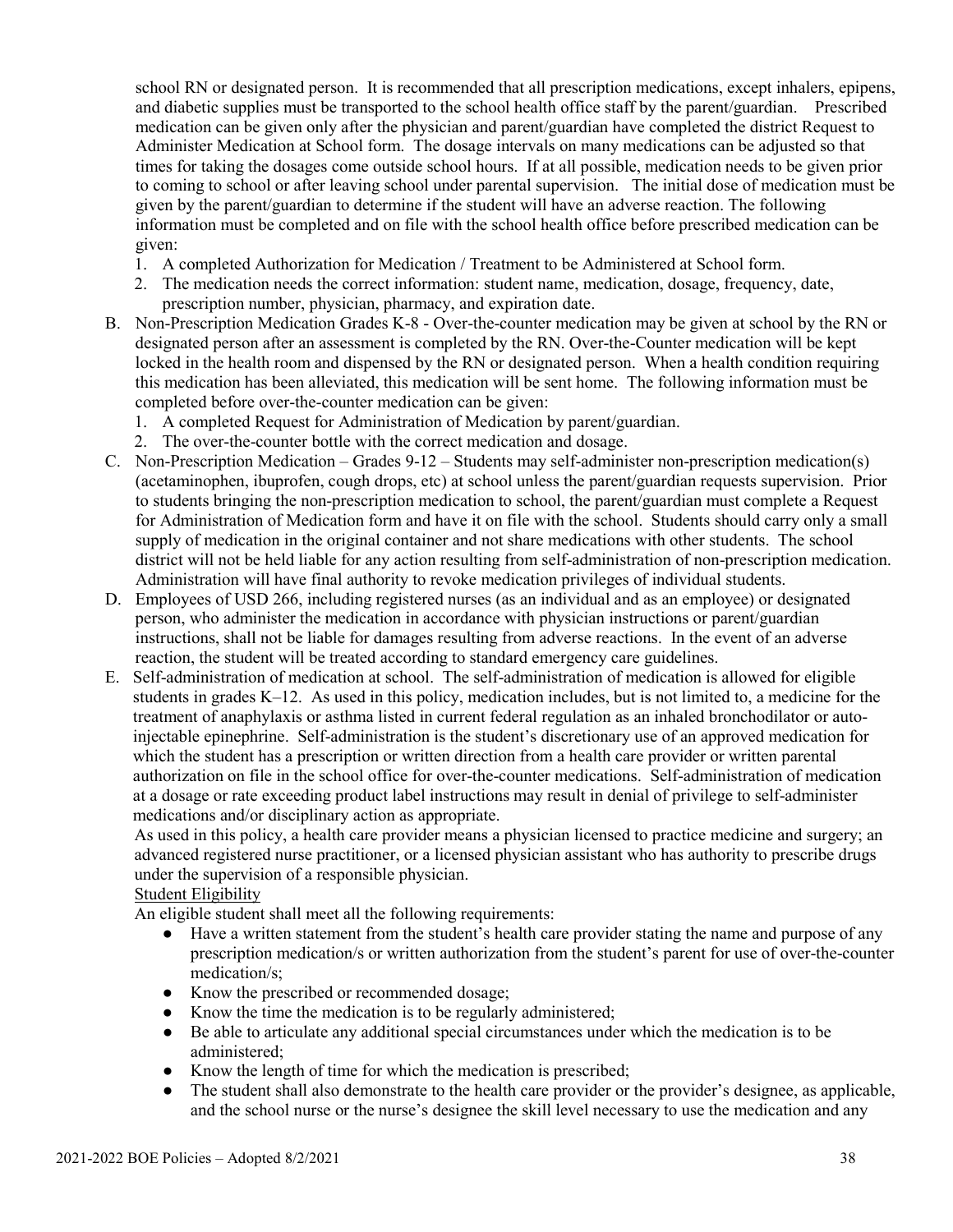school RN or designated person. It is recommended that all prescription medications, except inhalers, epipens, and diabetic supplies must be transported to the school health office staff by the parent/guardian. Prescribed medication can be given only after the physician and parent/guardian have completed the district Request to Administer Medication at School form. The dosage intervals on many medications can be adjusted so that times for taking the dosages come outside school hours. If at all possible, medication needs to be given prior to coming to school or after leaving school under parental supervision. The initial dose of medication must be given by the parent/guardian to determine if the student will have an adverse reaction. The following information must be completed and on file with the school health office before prescribed medication can be given:

- 1. A completed Authorization for Medication / Treatment to be Administered at School form.
- 2. The medication needs the correct information: student name, medication, dosage, frequency, date, prescription number, physician, pharmacy, and expiration date.
- B. Non-Prescription Medication Grades K-8 Over-the-counter medication may be given at school by the RN or designated person after an assessment is completed by the RN. Over-the-Counter medication will be kept locked in the health room and dispensed by the RN or designated person. When a health condition requiring this medication has been alleviated, this medication will be sent home. The following information must be completed before over-the-counter medication can be given:
	- 1. A completed Request for Administration of Medication by parent/guardian.
	- 2. The over-the-counter bottle with the correct medication and dosage.
- C. Non-Prescription Medication Grades 9-12 Students may self-administer non-prescription medication(s) (acetaminophen, ibuprofen, cough drops, etc) at school unless the parent/guardian requests supervision. Prior to students bringing the non-prescription medication to school, the parent/guardian must complete a Request for Administration of Medication form and have it on file with the school. Students should carry only a small supply of medication in the original container and not share medications with other students. The school district will not be held liable for any action resulting from self-administration of non-prescription medication. Administration will have final authority to revoke medication privileges of individual students.
- D. Employees of USD 266, including registered nurses (as an individual and as an employee) or designated person, who administer the medication in accordance with physician instructions or parent/guardian instructions, shall not be liable for damages resulting from adverse reactions. In the event of an adverse reaction, the student will be treated according to standard emergency care guidelines.
- E. Self-administration of medication at school. The self-administration of medication is allowed for eligible students in grades K–12. As used in this policy, medication includes, but is not limited to, a medicine for the treatment of anaphylaxis or asthma listed in current federal regulation as an inhaled bronchodilator or autoinjectable epinephrine. Self-administration is the student's discretionary use of an approved medication for which the student has a prescription or written direction from a health care provider or written parental authorization on file in the school office for over-the-counter medications. Self-administration of medication at a dosage or rate exceeding product label instructions may result in denial of privilege to self-administer medications and/or disciplinary action as appropriate.

As used in this policy, a health care provider means a physician licensed to practice medicine and surgery; an advanced registered nurse practitioner, or a licensed physician assistant who has authority to prescribe drugs under the supervision of a responsible physician.

# Student Eligibility

An eligible student shall meet all the following requirements:

- Have a written statement from the student's health care provider stating the name and purpose of any prescription medication/s or written authorization from the student's parent for use of over-the-counter medication/s;
- Know the prescribed or recommended dosage;
- Know the time the medication is to be regularly administered;
- Be able to articulate any additional special circumstances under which the medication is to be administered;
- Know the length of time for which the medication is prescribed;
- The student shall also demonstrate to the health care provider or the provider's designee, as applicable, and the school nurse or the nurse's designee the skill level necessary to use the medication and any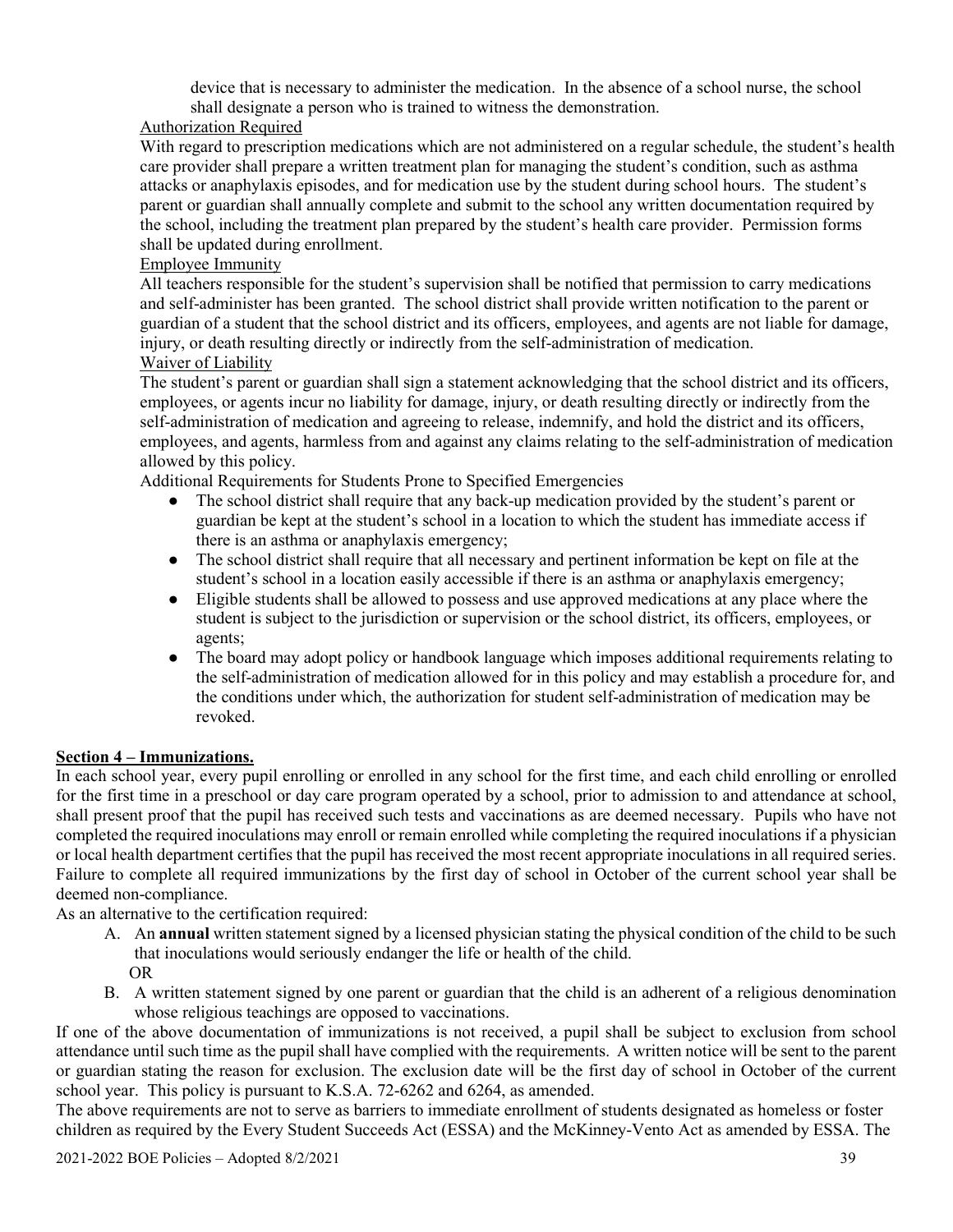device that is necessary to administer the medication. In the absence of a school nurse, the school shall designate a person who is trained to witness the demonstration.

# Authorization Required

With regard to prescription medications which are not administered on a regular schedule, the student's health care provider shall prepare a written treatment plan for managing the student's condition, such as asthma attacks or anaphylaxis episodes, and for medication use by the student during school hours. The student's parent or guardian shall annually complete and submit to the school any written documentation required by the school, including the treatment plan prepared by the student's health care provider. Permission forms shall be updated during enrollment.

# Employee Immunity

All teachers responsible for the student's supervision shall be notified that permission to carry medications and self-administer has been granted. The school district shall provide written notification to the parent or guardian of a student that the school district and its officers, employees, and agents are not liable for damage, injury, or death resulting directly or indirectly from the self-administration of medication. Waiver of Liability

The student's parent or guardian shall sign a statement acknowledging that the school district and its officers, employees, or agents incur no liability for damage, injury, or death resulting directly or indirectly from the self-administration of medication and agreeing to release, indemnify, and hold the district and its officers, employees, and agents, harmless from and against any claims relating to the self-administration of medication allowed by this policy.

Additional Requirements for Students Prone to Specified Emergencies

- The school district shall require that any back-up medication provided by the student's parent or guardian be kept at the student's school in a location to which the student has immediate access if there is an asthma or anaphylaxis emergency;
- The school district shall require that all necessary and pertinent information be kept on file at the student's school in a location easily accessible if there is an asthma or anaphylaxis emergency;
- Eligible students shall be allowed to possess and use approved medications at any place where the student is subject to the jurisdiction or supervision or the school district, its officers, employees, or agents;
- The board may adopt policy or handbook language which imposes additional requirements relating to the self-administration of medication allowed for in this policy and may establish a procedure for, and the conditions under which, the authorization for student self-administration of medication may be revoked.

# **Section 4 – Immunizations.**

In each school year, every pupil enrolling or enrolled in any school for the first time, and each child enrolling or enrolled for the first time in a preschool or day care program operated by a school, prior to admission to and attendance at school, shall present proof that the pupil has received such tests and vaccinations as are deemed necessary. Pupils who have not completed the required inoculations may enroll or remain enrolled while completing the required inoculations if a physician or local health department certifies that the pupil has received the most recent appropriate inoculations in all required series. Failure to complete all required immunizations by the first day of school in October of the current school year shall be deemed non-compliance.

As an alternative to the certification required:

- A. An **annual** written statement signed by a licensed physician stating the physical condition of the child to be such that inoculations would seriously endanger the life or health of the child. OR
- B. A written statement signed by one parent or guardian that the child is an adherent of a religious denomination whose religious teachings are opposed to vaccinations.

If one of the above documentation of immunizations is not received, a pupil shall be subject to exclusion from school attendance until such time as the pupil shall have complied with the requirements. A written notice will be sent to the parent or guardian stating the reason for exclusion. The exclusion date will be the first day of school in October of the current school year. This policy is pursuant to K.S.A. 72-6262 and 6264, as amended.

The above requirements are not to serve as barriers to immediate enrollment of students designated as homeless or foster children as required by the Every Student Succeeds Act (ESSA) and the McKinney-Vento Act as amended by ESSA. The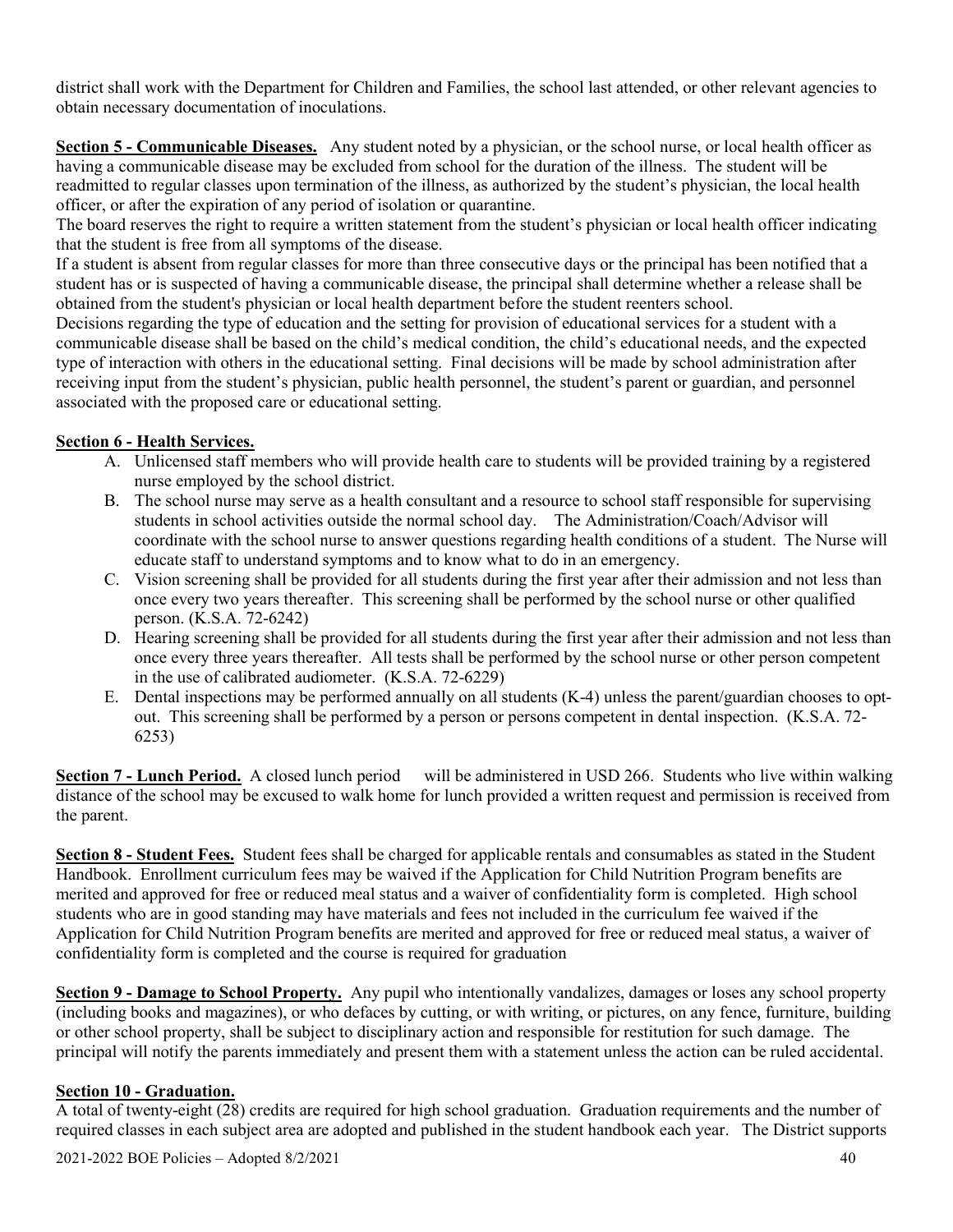district shall work with the Department for Children and Families, the school last attended, or other relevant agencies to obtain necessary documentation of inoculations.

**Section 5 - Communicable Diseases.** Any student noted by a physician, or the school nurse, or local health officer as having a communicable disease may be excluded from school for the duration of the illness. The student will be readmitted to regular classes upon termination of the illness, as authorized by the student's physician, the local health officer, or after the expiration of any period of isolation or quarantine.

The board reserves the right to require a written statement from the student's physician or local health officer indicating that the student is free from all symptoms of the disease.

If a student is absent from regular classes for more than three consecutive days or the principal has been notified that a student has or is suspected of having a communicable disease, the principal shall determine whether a release shall be obtained from the student's physician or local health department before the student reenters school.

Decisions regarding the type of education and the setting for provision of educational services for a student with a communicable disease shall be based on the child's medical condition, the child's educational needs, and the expected type of interaction with others in the educational setting. Final decisions will be made by school administration after receiving input from the student's physician, public health personnel, the student's parent or guardian, and personnel associated with the proposed care or educational setting.

### **Section 6 - Health Services.**

- A. Unlicensed staff members who will provide health care to students will be provided training by a registered nurse employed by the school district.
- B. The school nurse may serve as a health consultant and a resource to school staff responsible for supervising students in school activities outside the normal school day. The Administration/Coach/Advisor will coordinate with the school nurse to answer questions regarding health conditions of a student. The Nurse will educate staff to understand symptoms and to know what to do in an emergency.
- C. Vision screening shall be provided for all students during the first year after their admission and not less than once every two years thereafter. This screening shall be performed by the school nurse or other qualified person. (K.S.A. 72-6242)
- D. Hearing screening shall be provided for all students during the first year after their admission and not less than once every three years thereafter. All tests shall be performed by the school nurse or other person competent in the use of calibrated audiometer. (K.S.A. 72-6229)
- E. Dental inspections may be performed annually on all students (K-4) unless the parent/guardian chooses to optout. This screening shall be performed by a person or persons competent in dental inspection. (K.S.A. 72- 6253)

**Section 7 - Lunch Period.** A closed lunch period will be administered in USD 266. Students who live within walking distance of the school may be excused to walk home for lunch provided a written request and permission is received from the parent.

**Section 8 - Student Fees.** Student fees shall be charged for applicable rentals and consumables as stated in the Student Handbook. Enrollment curriculum fees may be waived if the Application for Child Nutrition Program benefits are merited and approved for free or reduced meal status and a waiver of confidentiality form is completed. High school students who are in good standing may have materials and fees not included in the curriculum fee waived if the Application for Child Nutrition Program benefits are merited and approved for free or reduced meal status, a waiver of confidentiality form is completed and the course is required for graduation

**Section 9 - Damage to School Property.** Any pupil who intentionally vandalizes, damages or loses any school property (including books and magazines), or who defaces by cutting, or with writing, or pictures, on any fence, furniture, building or other school property, shall be subject to disciplinary action and responsible for restitution for such damage. The principal will notify the parents immediately and present them with a statement unless the action can be ruled accidental.

#### **Section 10 - Graduation.**

A total of twenty-eight (28) credits are required for high school graduation. Graduation requirements and the number of required classes in each subject area are adopted and published in the student handbook each year. The District supports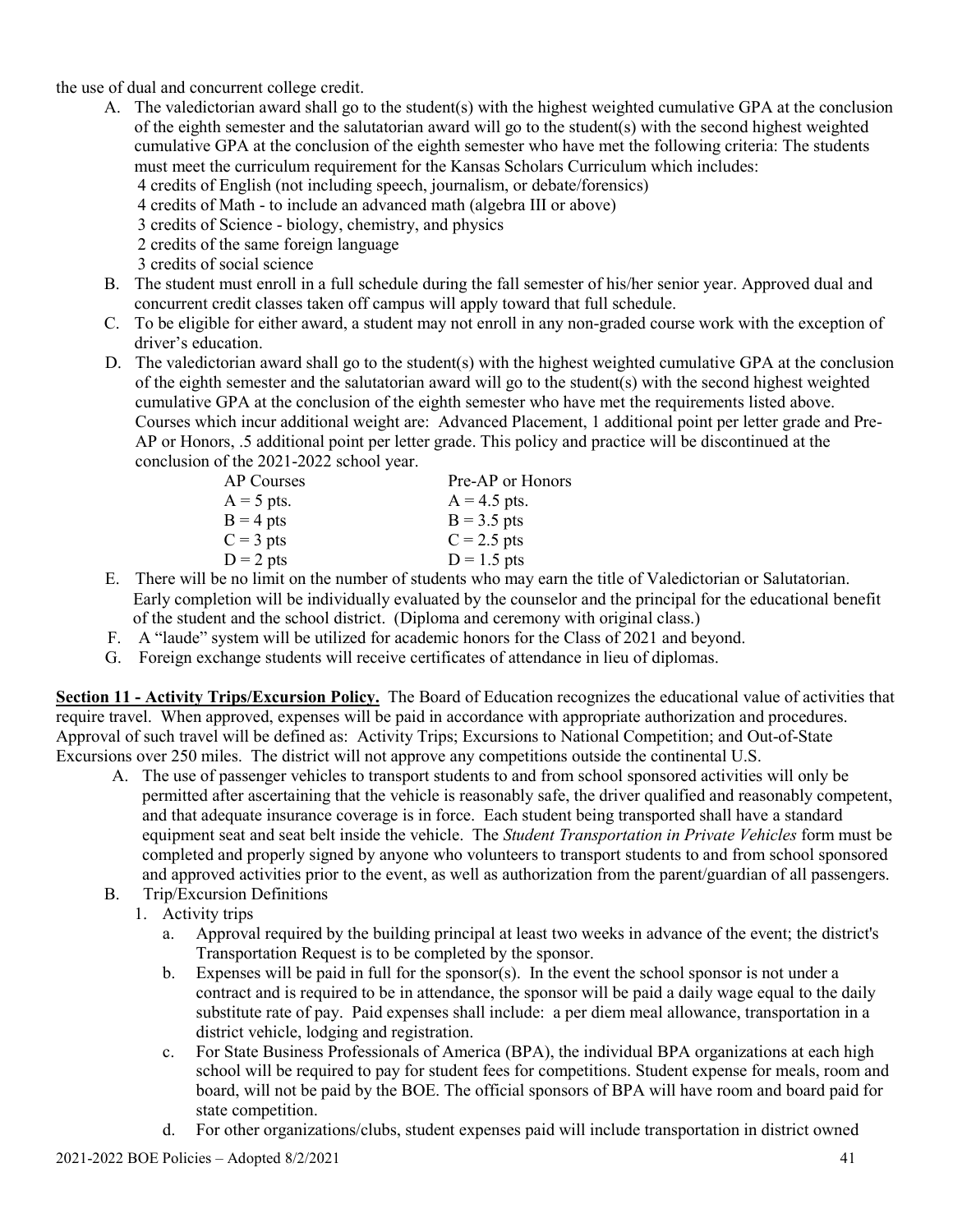the use of dual and concurrent college credit.

- A. The valedictorian award shall go to the student(s) with the highest weighted cumulative GPA at the conclusion of the eighth semester and the salutatorian award will go to the student(s) with the second highest weighted cumulative GPA at the conclusion of the eighth semester who have met the following criteria: The students must meet the curriculum requirement for the Kansas Scholars Curriculum which includes: 4 credits of English (not including speech, journalism, or debate/forensics) 4 credits of Math - to include an advanced math (algebra III or above) 3 credits of Science - biology, chemistry, and physics 2 credits of the same foreign language 3 credits of social science
- B. The student must enroll in a full schedule during the fall semester of his/her senior year. Approved dual and concurrent credit classes taken off campus will apply toward that full schedule.
- C. To be eligible for either award, a student may not enroll in any non-graded course work with the exception of driver's education.
- D. The valedictorian award shall go to the student(s) with the highest weighted cumulative GPA at the conclusion of the eighth semester and the salutatorian award will go to the student(s) with the second highest weighted cumulative GPA at the conclusion of the eighth semester who have met the requirements listed above. Courses which incur additional weight are: Advanced Placement, 1 additional point per letter grade and Pre-AP or Honors, .5 additional point per letter grade. This policy and practice will be discontinued at the conclusion of the 2021-2022 school year.

| AP Courses   | Pre-AP or Honors |
|--------------|------------------|
| $A = 5$ pts. | $A = 4.5$ pts.   |
| $B = 4$ pts  | $B = 3.5$ pts    |
| $C = 3$ pts  | $C = 2.5$ pts    |
| $D = 2$ pts  | $D = 1.5$ pts    |

- E. There will be no limit on the number of students who may earn the title of Valedictorian or Salutatorian. Early completion will be individually evaluated by the counselor and the principal for the educational benefit of the student and the school district. (Diploma and ceremony with original class.)
- F. A "laude" system will be utilized for academic honors for the Class of 2021 and beyond.
- G. Foreign exchange students will receive certificates of attendance in lieu of diplomas.

**Section 11 - Activity Trips/Excursion Policy.** The Board of Education recognizes the educational value of activities that require travel. When approved, expenses will be paid in accordance with appropriate authorization and procedures. Approval of such travel will be defined as: Activity Trips; Excursions to National Competition; and Out-of-State Excursions over 250 miles. The district will not approve any competitions outside the continental U.S.

- A. The use of passenger vehicles to transport students to and from school sponsored activities will only be permitted after ascertaining that the vehicle is reasonably safe, the driver qualified and reasonably competent, and that adequate insurance coverage is in force. Each student being transported shall have a standard equipment seat and seat belt inside the vehicle. The *Student Transportation in Private Vehicles* form must be completed and properly signed by anyone who volunteers to transport students to and from school sponsored and approved activities prior to the event, as well as authorization from the parent/guardian of all passengers.
- B. Trip/Excursion Definitions
	- 1. Activity trips
		- a. Approval required by the building principal at least two weeks in advance of the event; the district's Transportation Request is to be completed by the sponsor.
		- b. Expenses will be paid in full for the sponsor(s). In the event the school sponsor is not under a contract and is required to be in attendance, the sponsor will be paid a daily wage equal to the daily substitute rate of pay. Paid expenses shall include: a per diem meal allowance, transportation in a district vehicle, lodging and registration.
		- c. For State Business Professionals of America (BPA), the individual BPA organizations at each high school will be required to pay for student fees for competitions. Student expense for meals, room and board, will not be paid by the BOE. The official sponsors of BPA will have room and board paid for state competition.
		- d. For other organizations/clubs, student expenses paid will include transportation in district owned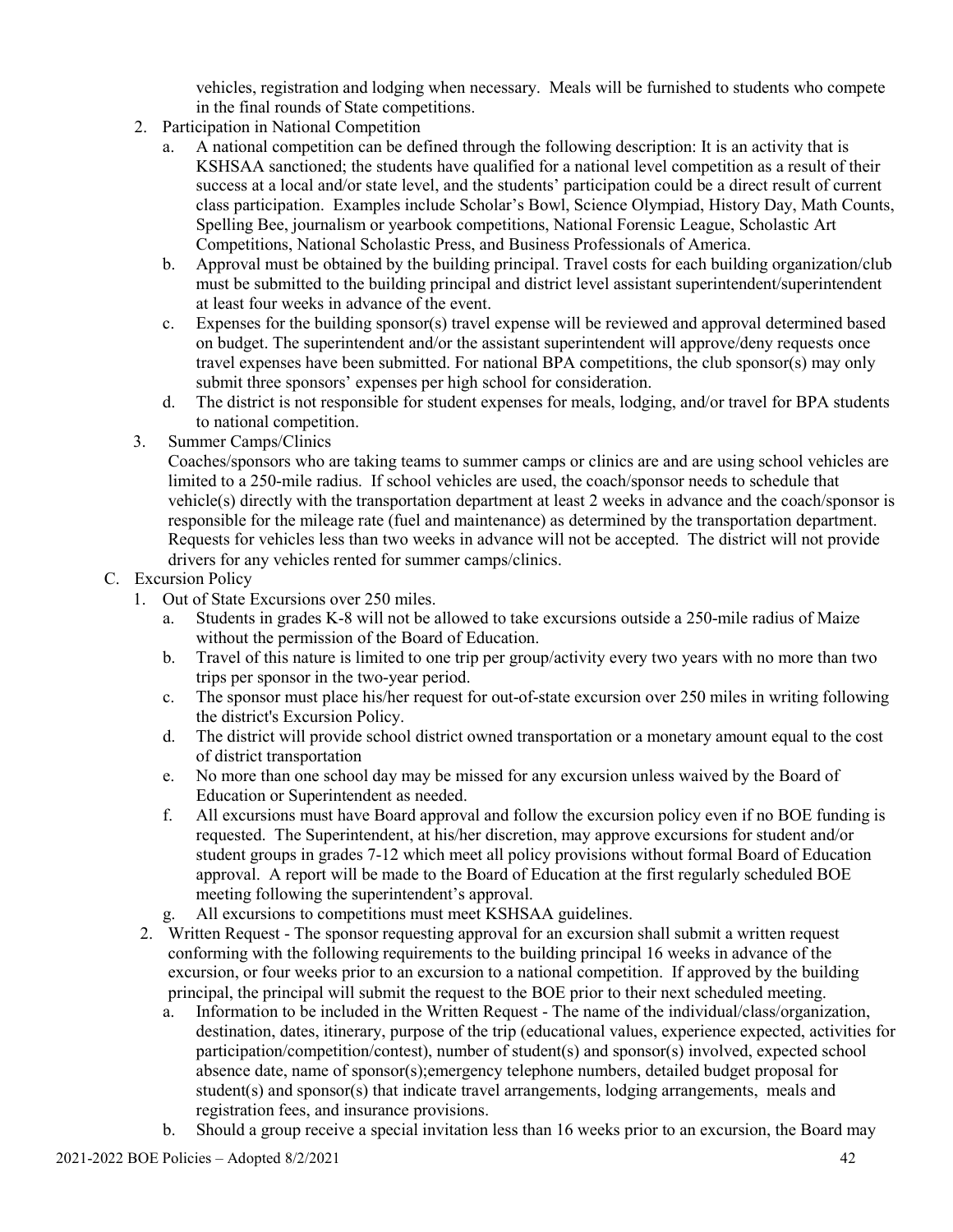vehicles, registration and lodging when necessary. Meals will be furnished to students who compete in the final rounds of State competitions.

- 2. Participation in National Competition
	- a. A national competition can be defined through the following description: It is an activity that is KSHSAA sanctioned; the students have qualified for a national level competition as a result of their success at a local and/or state level, and the students' participation could be a direct result of current class participation. Examples include Scholar's Bowl, Science Olympiad, History Day, Math Counts, Spelling Bee, journalism or yearbook competitions, National Forensic League, Scholastic Art Competitions, National Scholastic Press, and Business Professionals of America.
	- b. Approval must be obtained by the building principal. Travel costs for each building organization/club must be submitted to the building principal and district level assistant superintendent/superintendent at least four weeks in advance of the event.
	- c. Expenses for the building sponsor(s) travel expense will be reviewed and approval determined based on budget. The superintendent and/or the assistant superintendent will approve/deny requests once travel expenses have been submitted. For national BPA competitions, the club sponsor(s) may only submit three sponsors' expenses per high school for consideration.
	- d. The district is not responsible for student expenses for meals, lodging, and/or travel for BPA students to national competition.
- 3. Summer Camps/Clinics

Coaches/sponsors who are taking teams to summer camps or clinics are and are using school vehicles are limited to a 250-mile radius. If school vehicles are used, the coach/sponsor needs to schedule that vehicle(s) directly with the transportation department at least 2 weeks in advance and the coach/sponsor is responsible for the mileage rate (fuel and maintenance) as determined by the transportation department. Requests for vehicles less than two weeks in advance will not be accepted. The district will not provide drivers for any vehicles rented for summer camps/clinics.

### C. Excursion Policy

- 1. Out of State Excursions over 250 miles.
	- a. Students in grades K-8 will not be allowed to take excursions outside a 250-mile radius of Maize without the permission of the Board of Education.
	- b. Travel of this nature is limited to one trip per group/activity every two years with no more than two trips per sponsor in the two-year period.
	- c. The sponsor must place his/her request for out-of-state excursion over 250 miles in writing following the district's Excursion Policy.
	- d. The district will provide school district owned transportation or a monetary amount equal to the cost of district transportation
	- e. No more than one school day may be missed for any excursion unless waived by the Board of Education or Superintendent as needed.
	- f. All excursions must have Board approval and follow the excursion policy even if no BOE funding is requested. The Superintendent, at his/her discretion, may approve excursions for student and/or student groups in grades 7-12 which meet all policy provisions without formal Board of Education approval. A report will be made to the Board of Education at the first regularly scheduled BOE meeting following the superintendent's approval.
	- g. All excursions to competitions must meet KSHSAA guidelines.
- 2. Written Request The sponsor requesting approval for an excursion shall submit a written request conforming with the following requirements to the building principal 16 weeks in advance of the excursion, or four weeks prior to an excursion to a national competition. If approved by the building principal, the principal will submit the request to the BOE prior to their next scheduled meeting.
	- a. Information to be included in the Written Request The name of the individual/class/organization, destination, dates, itinerary, purpose of the trip (educational values, experience expected, activities for participation/competition/contest), number of student(s) and sponsor(s) involved, expected school absence date, name of sponsor(s);emergency telephone numbers, detailed budget proposal for student(s) and sponsor(s) that indicate travel arrangements, lodging arrangements, meals and registration fees, and insurance provisions.
	- b. Should a group receive a special invitation less than 16 weeks prior to an excursion, the Board may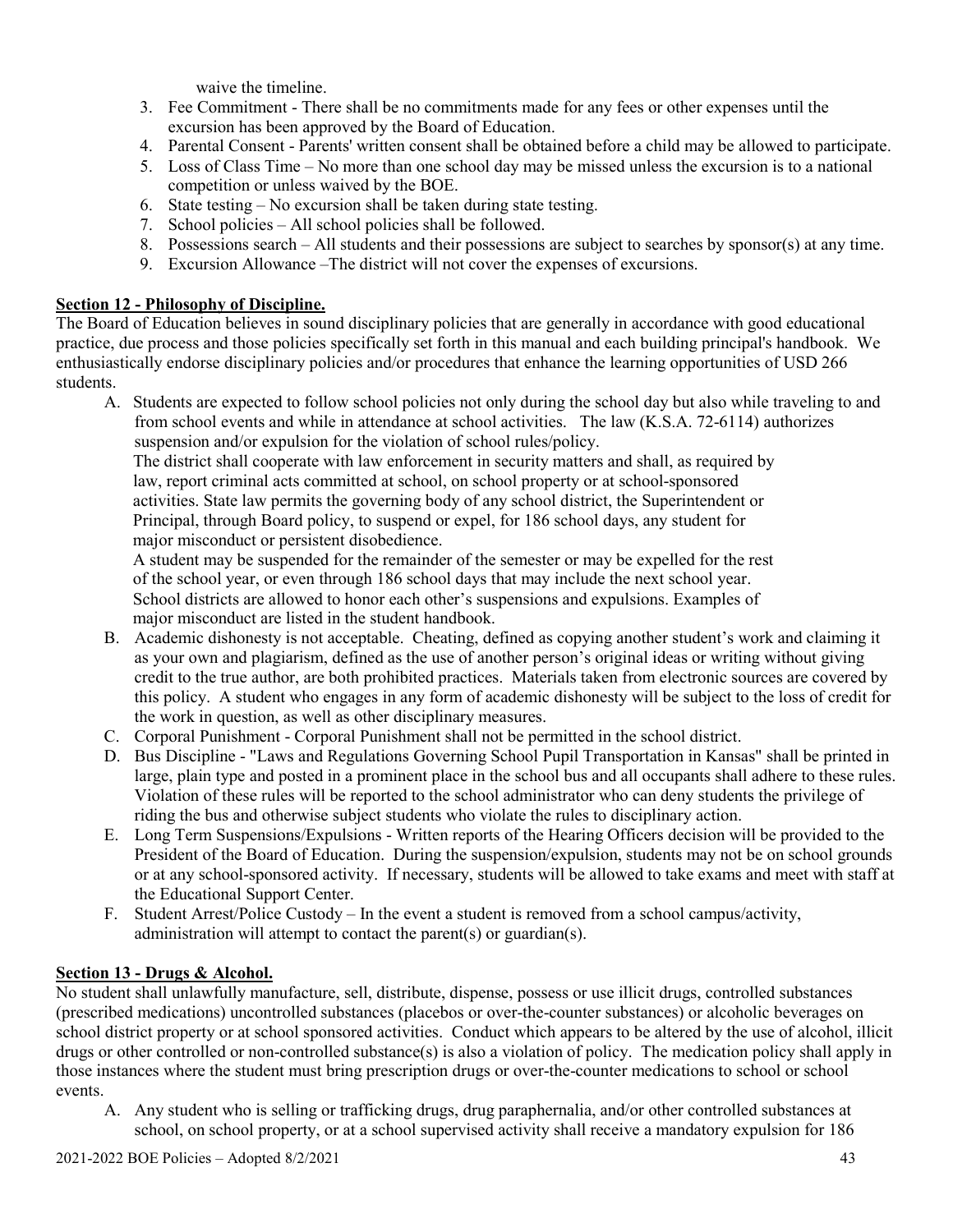waive the timeline.

- 3. Fee Commitment There shall be no commitments made for any fees or other expenses until the excursion has been approved by the Board of Education.
- 4. Parental Consent Parents' written consent shall be obtained before a child may be allowed to participate.
- 5. Loss of Class Time No more than one school day may be missed unless the excursion is to a national competition or unless waived by the BOE.
- 6. State testing No excursion shall be taken during state testing.
- 7. School policies All school policies shall be followed.
- 8. Possessions search All students and their possessions are subject to searches by sponsor(s) at any time.
- 9. Excursion Allowance –The district will not cover the expenses of excursions.

# **Section 12 - Philosophy of Discipline.**

The Board of Education believes in sound disciplinary policies that are generally in accordance with good educational practice, due process and those policies specifically set forth in this manual and each building principal's handbook. We enthusiastically endorse disciplinary policies and/or procedures that enhance the learning opportunities of USD 266 students.

A. Students are expected to follow school policies not only during the school day but also while traveling to and from school events and while in attendance at school activities. The law (K.S.A. 72-6114) authorizes suspension and/or expulsion for the violation of school rules/policy.

The district shall cooperate with law enforcement in security matters and shall, as required by law, report criminal acts committed at school, on school property or at school-sponsored activities. State law permits the governing body of any school district, the Superintendent or Principal, through Board policy, to suspend or expel, for 186 school days, any student for major misconduct or persistent disobedience.

A student may be suspended for the remainder of the semester or may be expelled for the rest of the school year, or even through 186 school days that may include the next school year. School districts are allowed to honor each other's suspensions and expulsions. Examples of major misconduct are listed in the student handbook.

- B. Academic dishonesty is not acceptable. Cheating, defined as copying another student's work and claiming it as your own and plagiarism, defined as the use of another person's original ideas or writing without giving credit to the true author, are both prohibited practices. Materials taken from electronic sources are covered by this policy. A student who engages in any form of academic dishonesty will be subject to the loss of credit for the work in question, as well as other disciplinary measures.
- C. Corporal Punishment Corporal Punishment shall not be permitted in the school district.
- D. Bus Discipline "Laws and Regulations Governing School Pupil Transportation in Kansas" shall be printed in large, plain type and posted in a prominent place in the school bus and all occupants shall adhere to these rules. Violation of these rules will be reported to the school administrator who can deny students the privilege of riding the bus and otherwise subject students who violate the rules to disciplinary action.
- E. Long Term Suspensions/Expulsions Written reports of the Hearing Officers decision will be provided to the President of the Board of Education. During the suspension/expulsion, students may not be on school grounds or at any school-sponsored activity. If necessary, students will be allowed to take exams and meet with staff at the Educational Support Center.
- F. Student Arrest/Police Custody In the event a student is removed from a school campus/activity, administration will attempt to contact the parent(s) or guardian(s).

# **Section 13 - Drugs & Alcohol.**

No student shall unlawfully manufacture, sell, distribute, dispense, possess or use illicit drugs, controlled substances (prescribed medications) uncontrolled substances (placebos or over-the-counter substances) or alcoholic beverages on school district property or at school sponsored activities. Conduct which appears to be altered by the use of alcohol, illicit drugs or other controlled or non-controlled substance(s) is also a violation of policy. The medication policy shall apply in those instances where the student must bring prescription drugs or over-the-counter medications to school or school events.

A. Any student who is selling or trafficking drugs, drug paraphernalia, and/or other controlled substances at school, on school property, or at a school supervised activity shall receive a mandatory expulsion for 186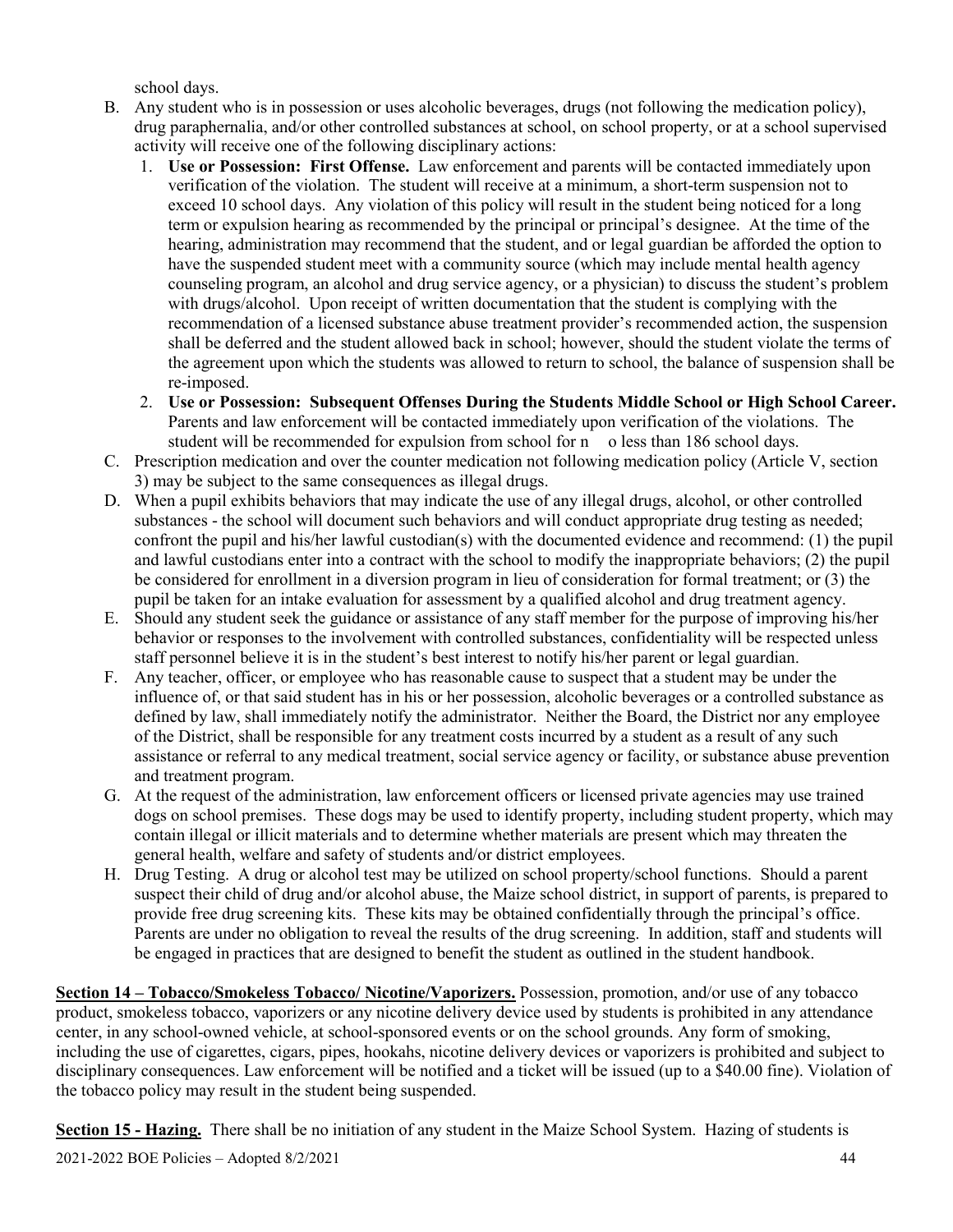school days.

- B. Any student who is in possession or uses alcoholic beverages, drugs (not following the medication policy), drug paraphernalia, and/or other controlled substances at school, on school property, or at a school supervised activity will receive one of the following disciplinary actions:
	- 1. **Use or Possession: First Offense.** Law enforcement and parents will be contacted immediately upon verification of the violation. The student will receive at a minimum, a short-term suspension not to exceed 10 school days. Any violation of this policy will result in the student being noticed for a long term or expulsion hearing as recommended by the principal or principal's designee. At the time of the hearing, administration may recommend that the student, and or legal guardian be afforded the option to have the suspended student meet with a community source (which may include mental health agency counseling program, an alcohol and drug service agency, or a physician) to discuss the student's problem with drugs/alcohol. Upon receipt of written documentation that the student is complying with the recommendation of a licensed substance abuse treatment provider's recommended action, the suspension shall be deferred and the student allowed back in school; however, should the student violate the terms of the agreement upon which the students was allowed to return to school, the balance of suspension shall be re-imposed.
	- 2. **Use or Possession: Subsequent Offenses During the Students Middle School or High School Career.** Parents and law enforcement will be contacted immediately upon verification of the violations. The student will be recommended for expulsion from school for n o less than 186 school days.
- C. Prescription medication and over the counter medication not following medication policy (Article V, section 3) may be subject to the same consequences as illegal drugs.
- D. When a pupil exhibits behaviors that may indicate the use of any illegal drugs, alcohol, or other controlled substances - the school will document such behaviors and will conduct appropriate drug testing as needed; confront the pupil and his/her lawful custodian(s) with the documented evidence and recommend: (1) the pupil and lawful custodians enter into a contract with the school to modify the inappropriate behaviors; (2) the pupil be considered for enrollment in a diversion program in lieu of consideration for formal treatment; or (3) the pupil be taken for an intake evaluation for assessment by a qualified alcohol and drug treatment agency.
- E. Should any student seek the guidance or assistance of any staff member for the purpose of improving his/her behavior or responses to the involvement with controlled substances, confidentiality will be respected unless staff personnel believe it is in the student's best interest to notify his/her parent or legal guardian.
- F. Any teacher, officer, or employee who has reasonable cause to suspect that a student may be under the influence of, or that said student has in his or her possession, alcoholic beverages or a controlled substance as defined by law, shall immediately notify the administrator. Neither the Board, the District nor any employee of the District, shall be responsible for any treatment costs incurred by a student as a result of any such assistance or referral to any medical treatment, social service agency or facility, or substance abuse prevention and treatment program.
- G. At the request of the administration, law enforcement officers or licensed private agencies may use trained dogs on school premises. These dogs may be used to identify property, including student property, which may contain illegal or illicit materials and to determine whether materials are present which may threaten the general health, welfare and safety of students and/or district employees.
- H. Drug Testing. A drug or alcohol test may be utilized on school property/school functions. Should a parent suspect their child of drug and/or alcohol abuse, the Maize school district, in support of parents, is prepared to provide free drug screening kits. These kits may be obtained confidentially through the principal's office. Parents are under no obligation to reveal the results of the drug screening. In addition, staff and students will be engaged in practices that are designed to benefit the student as outlined in the student handbook.

**Section 14 – Tobacco/Smokeless Tobacco/ Nicotine/Vaporizers.** Possession, promotion, and/or use of any tobacco product, smokeless tobacco, vaporizers or any nicotine delivery device used by students is prohibited in any attendance center, in any school-owned vehicle, at school-sponsored events or on the school grounds. Any form of smoking, including the use of cigarettes, cigars, pipes, hookahs, nicotine delivery devices or vaporizers is prohibited and subject to disciplinary consequences. Law enforcement will be notified and a ticket will be issued (up to a \$40.00 fine). Violation of the tobacco policy may result in the student being suspended.

**Section 15 - Hazing.** There shall be no initiation of any student in the Maize School System. Hazing of students is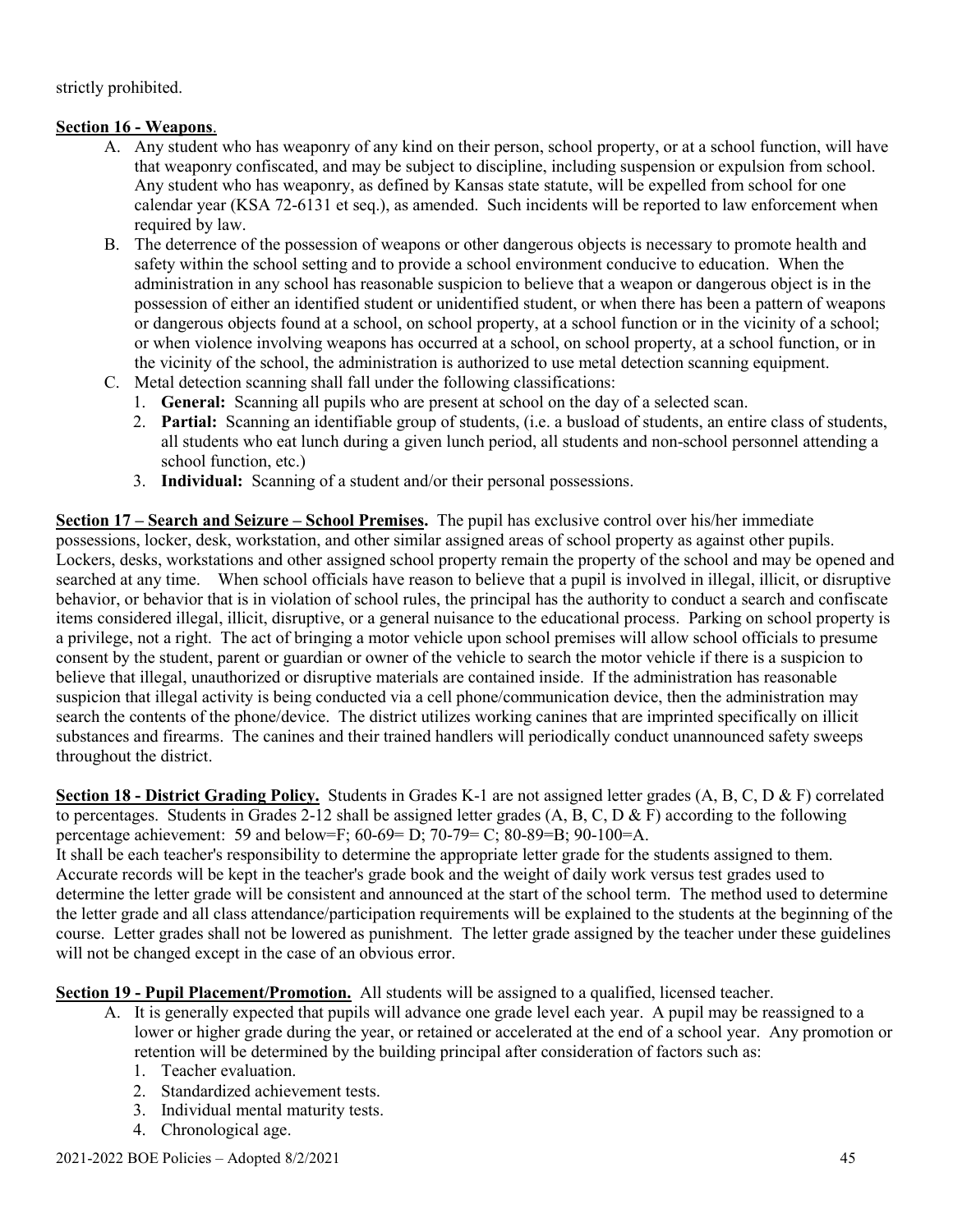strictly prohibited.

# **Section 16 - Weapons**.

- A. Any student who has weaponry of any kind on their person, school property, or at a school function, will have that weaponry confiscated, and may be subject to discipline, including suspension or expulsion from school. Any student who has weaponry, as defined by Kansas state statute, will be expelled from school for one calendar year (KSA 72-6131 et seq.), as amended. Such incidents will be reported to law enforcement when required by law.
- B. The deterrence of the possession of weapons or other dangerous objects is necessary to promote health and safety within the school setting and to provide a school environment conducive to education. When the administration in any school has reasonable suspicion to believe that a weapon or dangerous object is in the possession of either an identified student or unidentified student, or when there has been a pattern of weapons or dangerous objects found at a school, on school property, at a school function or in the vicinity of a school; or when violence involving weapons has occurred at a school, on school property, at a school function, or in the vicinity of the school, the administration is authorized to use metal detection scanning equipment.
- C. Metal detection scanning shall fall under the following classifications:
	- 1. **General:** Scanning all pupils who are present at school on the day of a selected scan.
	- 2. **Partial:** Scanning an identifiable group of students, (i.e. a busload of students, an entire class of students, all students who eat lunch during a given lunch period, all students and non-school personnel attending a school function, etc.)
	- 3. **Individual:** Scanning of a student and/or their personal possessions.

**Section 17 – Search and Seizure – School Premises.** The pupil has exclusive control over his/her immediate possessions, locker, desk, workstation, and other similar assigned areas of school property as against other pupils. Lockers, desks, workstations and other assigned school property remain the property of the school and may be opened and searched at any time. When school officials have reason to believe that a pupil is involved in illegal, illicit, or disruptive behavior, or behavior that is in violation of school rules, the principal has the authority to conduct a search and confiscate items considered illegal, illicit, disruptive, or a general nuisance to the educational process. Parking on school property is a privilege, not a right. The act of bringing a motor vehicle upon school premises will allow school officials to presume consent by the student, parent or guardian or owner of the vehicle to search the motor vehicle if there is a suspicion to believe that illegal, unauthorized or disruptive materials are contained inside. If the administration has reasonable suspicion that illegal activity is being conducted via a cell phone/communication device, then the administration may search the contents of the phone/device. The district utilizes working canines that are imprinted specifically on illicit substances and firearms. The canines and their trained handlers will periodically conduct unannounced safety sweeps throughout the district.

**Section 18 - District Grading Policy.** Students in Grades K-1 are not assigned letter grades (A, B, C, D & F) correlated to percentages. Students in Grades 2-12 shall be assigned letter grades (A, B, C, D & F) according to the following percentage achievement: 59 and below=F; 60-69= D; 70-79= C; 80-89=B; 90-100=A.

It shall be each teacher's responsibility to determine the appropriate letter grade for the students assigned to them. Accurate records will be kept in the teacher's grade book and the weight of daily work versus test grades used to determine the letter grade will be consistent and announced at the start of the school term. The method used to determine the letter grade and all class attendance/participation requirements will be explained to the students at the beginning of the course. Letter grades shall not be lowered as punishment. The letter grade assigned by the teacher under these guidelines will not be changed except in the case of an obvious error.

**Section 19 - Pupil Placement/Promotion.** All students will be assigned to a qualified, licensed teacher.

- A. It is generally expected that pupils will advance one grade level each year. A pupil may be reassigned to a lower or higher grade during the year, or retained or accelerated at the end of a school year. Any promotion or retention will be determined by the building principal after consideration of factors such as:
	- 1. Teacher evaluation.
	- 2. Standardized achievement tests.
	- 3. Individual mental maturity tests.
	- 4. Chronological age.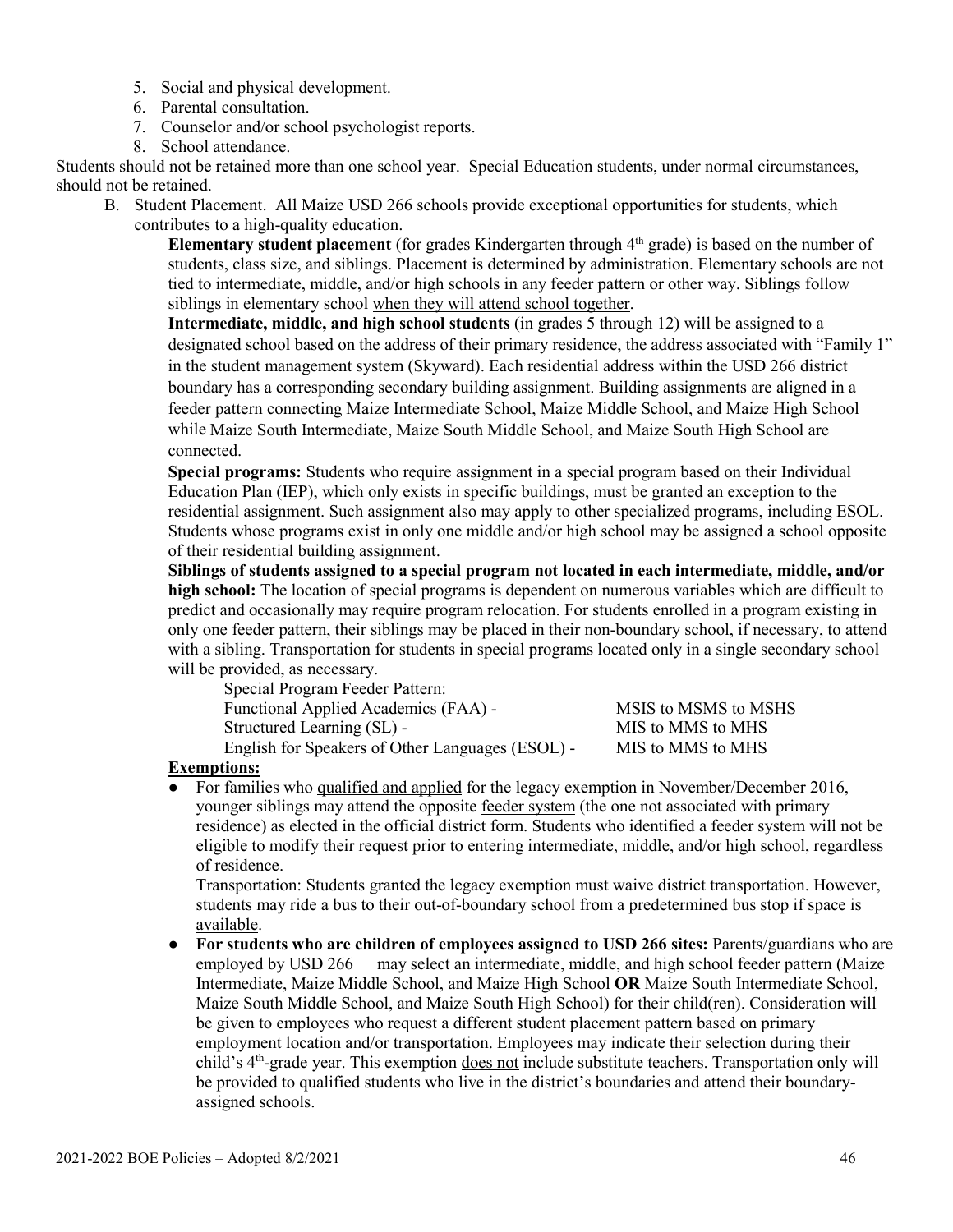- 5. Social and physical development.
- 6. Parental consultation.
- 7. Counselor and/or school psychologist reports.
- 8. School attendance.

Students should not be retained more than one school year. Special Education students, under normal circumstances, should not be retained.

- B. Student Placement. All Maize USD 266 schools provide exceptional opportunities for students, which
	- contributes to a high-quality education.

**Elementary student placement** (for grades Kindergarten through 4th grade) is based on the number of students, class size, and siblings. Placement is determined by administration. Elementary schools are not tied to intermediate, middle, and/or high schools in any feeder pattern or other way. Siblings follow siblings in elementary school when they will attend school together.

**Intermediate, middle, and high school students** (in grades 5 through 12) will be assigned to a designated school based on the address of their primary residence, the address associated with "Family 1" in the student management system (Skyward). Each residential address within the USD 266 district boundary has a corresponding secondary building assignment. Building assignments are aligned in a feeder pattern connecting Maize Intermediate School, Maize Middle School, and Maize High School while Maize South Intermediate, Maize South Middle School, and Maize South High School are connected.

**Special programs:** Students who require assignment in a special program based on their Individual Education Plan (IEP), which only exists in specific buildings, must be granted an exception to the residential assignment. Such assignment also may apply to other specialized programs, including ESOL. Students whose programs exist in only one middle and/or high school may be assigned a school opposite of their residential building assignment.

**Siblings of students assigned to a special program not located in each intermediate, middle, and/or high school:** The location of special programs is dependent on numerous variables which are difficult to predict and occasionally may require program relocation. For students enrolled in a program existing in only one feeder pattern, their siblings may be placed in their non-boundary school, if necessary, to attend with a sibling. Transportation for students in special programs located only in a single secondary school will be provided, as necessary.

| Special Program Feeder Pattern:                  |                      |
|--------------------------------------------------|----------------------|
| Functional Applied Academics (FAA) -             | MSIS to MSMS to MSHS |
| Structured Learning (SL) -                       | MIS to MMS to MHS    |
| English for Speakers of Other Languages (ESOL) - | MIS to MMS to MHS    |

# **Exemptions:**

For families who qualified and applied for the legacy exemption in November/December 2016, younger siblings may attend the opposite feeder system (the one not associated with primary residence) as elected in the official district form. Students who identified a feeder system will not be eligible to modify their request prior to entering intermediate, middle, and/or high school, regardless of residence.

Transportation: Students granted the legacy exemption must waive district transportation. However, students may ride a bus to their out-of-boundary school from a predetermined bus stop if space is available.

● **For students who are children of employees assigned to USD 266 sites:** Parents/guardians who are employed by USD 266 may select an intermediate, middle, and high school feeder pattern (Maize Intermediate, Maize Middle School, and Maize High School **OR** Maize South Intermediate School, Maize South Middle School, and Maize South High School) for their child(ren). Consideration will be given to employees who request a different student placement pattern based on primary employment location and/or transportation. Employees may indicate their selection during their child's 4<sup>th</sup>-grade year. This exemption does not include substitute teachers. Transportation only will be provided to qualified students who live in the district's boundaries and attend their boundaryassigned schools.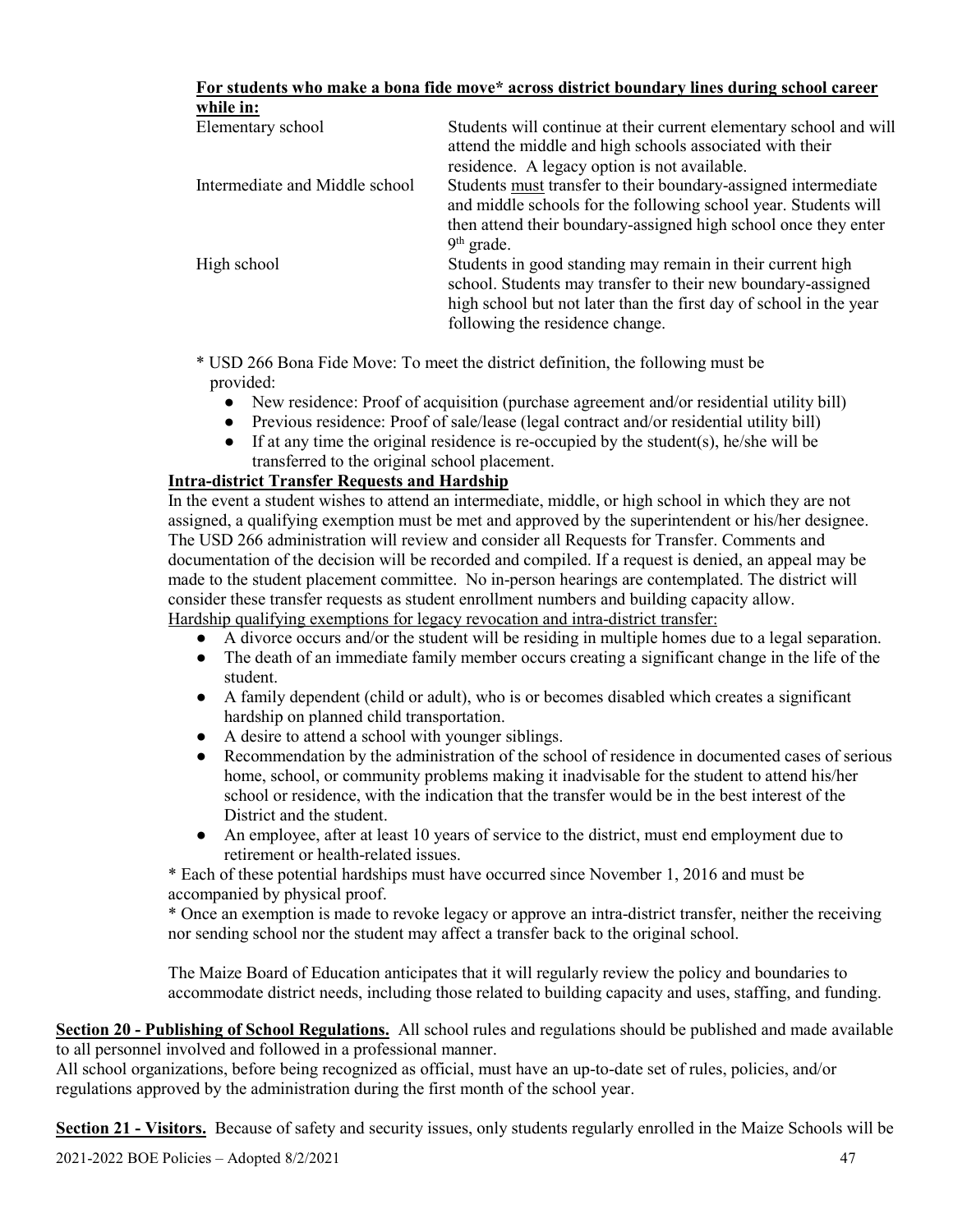| For students who make a bona fide move* across district boundary lines during school career |  |  |  |
|---------------------------------------------------------------------------------------------|--|--|--|
| while in:                                                                                   |  |  |  |

| while in:                      |                                                                                                                                                                                                                                     |
|--------------------------------|-------------------------------------------------------------------------------------------------------------------------------------------------------------------------------------------------------------------------------------|
| Elementary school              | Students will continue at their current elementary school and will<br>attend the middle and high schools associated with their<br>residence. A legacy option is not available.                                                      |
| Intermediate and Middle school | Students must transfer to their boundary-assigned intermediate<br>and middle schools for the following school year. Students will<br>then attend their boundary-assigned high school once they enter<br>$9th$ grade.                |
| High school                    | Students in good standing may remain in their current high<br>school. Students may transfer to their new boundary-assigned<br>high school but not later than the first day of school in the year<br>following the residence change. |

\* USD 266 Bona Fide Move: To meet the district definition, the following must be provided:

- New residence: Proof of acquisition (purchase agreement and/or residential utility bill)
- Previous residence: Proof of sale/lease (legal contract and/or residential utility bill)
- $\bullet$  If at any time the original residence is re-occupied by the student(s), he/she will be transferred to the original school placement.

# **Intra-district Transfer Requests and Hardship**

In the event a student wishes to attend an intermediate, middle, or high school in which they are not assigned, a qualifying exemption must be met and approved by the superintendent or his/her designee. The USD 266 administration will review and consider all Requests for Transfer. Comments and documentation of the decision will be recorded and compiled. If a request is denied, an appeal may be made to the student placement committee. No in-person hearings are contemplated. The district will consider these transfer requests as student enrollment numbers and building capacity allow. Hardship qualifying exemptions for legacy revocation and intra-district transfer:

- A divorce occurs and/or the student will be residing in multiple homes due to a legal separation.
- The death of an immediate family member occurs creating a significant change in the life of the student.
- A family dependent (child or adult), who is or becomes disabled which creates a significant hardship on planned child transportation.
- A desire to attend a school with younger siblings.
- Recommendation by the administration of the school of residence in documented cases of serious home, school, or community problems making it inadvisable for the student to attend his/her school or residence, with the indication that the transfer would be in the best interest of the District and the student.
- An employee, after at least 10 years of service to the district, must end employment due to retirement or health-related issues.

\* Each of these potential hardships must have occurred since November 1, 2016 and must be accompanied by physical proof.

\* Once an exemption is made to revoke legacy or approve an intra-district transfer, neither the receiving nor sending school nor the student may affect a transfer back to the original school.

The Maize Board of Education anticipates that it will regularly review the policy and boundaries to accommodate district needs, including those related to building capacity and uses, staffing, and funding.

**Section 20 - Publishing of School Regulations.** All school rules and regulations should be published and made available to all personnel involved and followed in a professional manner.

All school organizations, before being recognized as official, must have an up-to-date set of rules, policies, and/or regulations approved by the administration during the first month of the school year.

**Section 21 - Visitors.** Because of safety and security issues, only students regularly enrolled in the Maize Schools will be

2021-2022 BOE Policies – Adopted 8/2/2021 47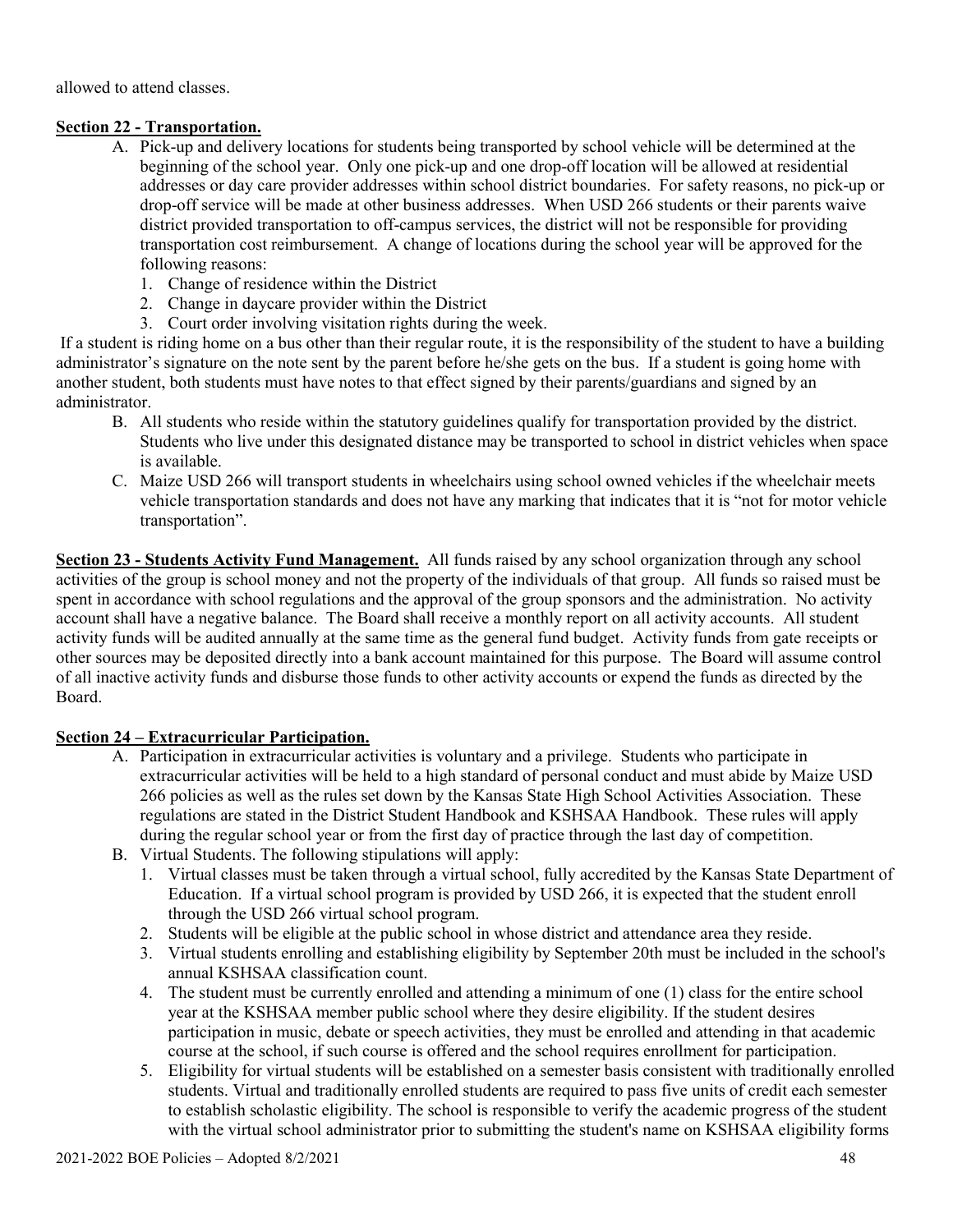allowed to attend classes.

# **Section 22 - Transportation.**

- A. Pick-up and delivery locations for students being transported by school vehicle will be determined at the beginning of the school year. Only one pick-up and one drop-off location will be allowed at residential addresses or day care provider addresses within school district boundaries. For safety reasons, no pick-up or drop-off service will be made at other business addresses. When USD 266 students or their parents waive district provided transportation to off-campus services, the district will not be responsible for providing transportation cost reimbursement. A change of locations during the school year will be approved for the following reasons:
	- 1. Change of residence within the District
	- 2. Change in daycare provider within the District
	- 3. Court order involving visitation rights during the week.

If a student is riding home on a bus other than their regular route, it is the responsibility of the student to have a building administrator's signature on the note sent by the parent before he/she gets on the bus. If a student is going home with another student, both students must have notes to that effect signed by their parents/guardians and signed by an administrator.

- B. All students who reside within the statutory guidelines qualify for transportation provided by the district. Students who live under this designated distance may be transported to school in district vehicles when space is available.
- C. Maize USD 266 will transport students in wheelchairs using school owned vehicles if the wheelchair meets vehicle transportation standards and does not have any marking that indicates that it is "not for motor vehicle transportation".

**Section 23 - Students Activity Fund Management.** All funds raised by any school organization through any school activities of the group is school money and not the property of the individuals of that group. All funds so raised must be spent in accordance with school regulations and the approval of the group sponsors and the administration. No activity account shall have a negative balance. The Board shall receive a monthly report on all activity accounts. All student activity funds will be audited annually at the same time as the general fund budget. Activity funds from gate receipts or other sources may be deposited directly into a bank account maintained for this purpose. The Board will assume control of all inactive activity funds and disburse those funds to other activity accounts or expend the funds as directed by the Board.

# **Section 24 – Extracurricular Participation.**

- A. Participation in extracurricular activities is voluntary and a privilege. Students who participate in extracurricular activities will be held to a high standard of personal conduct and must abide by Maize USD 266 policies as well as the rules set down by the Kansas State High School Activities Association. These regulations are stated in the District Student Handbook and KSHSAA Handbook. These rules will apply during the regular school year or from the first day of practice through the last day of competition.
- B. Virtual Students. The following stipulations will apply:
	- 1. Virtual classes must be taken through a virtual school, fully accredited by the Kansas State Department of Education. If a virtual school program is provided by USD 266, it is expected that the student enroll through the USD 266 virtual school program.
	- 2. Students will be eligible at the public school in whose district and attendance area they reside.
	- 3. Virtual students enrolling and establishing eligibility by September 20th must be included in the school's annual KSHSAA classification count.
	- 4. The student must be currently enrolled and attending a minimum of one (1) class for the entire school year at the KSHSAA member public school where they desire eligibility. If the student desires participation in music, debate or speech activities, they must be enrolled and attending in that academic course at the school, if such course is offered and the school requires enrollment for participation.
	- 5. Eligibility for virtual students will be established on a semester basis consistent with traditionally enrolled students. Virtual and traditionally enrolled students are required to pass five units of credit each semester to establish scholastic eligibility. The school is responsible to verify the academic progress of the student with the virtual school administrator prior to submitting the student's name on KSHSAA eligibility forms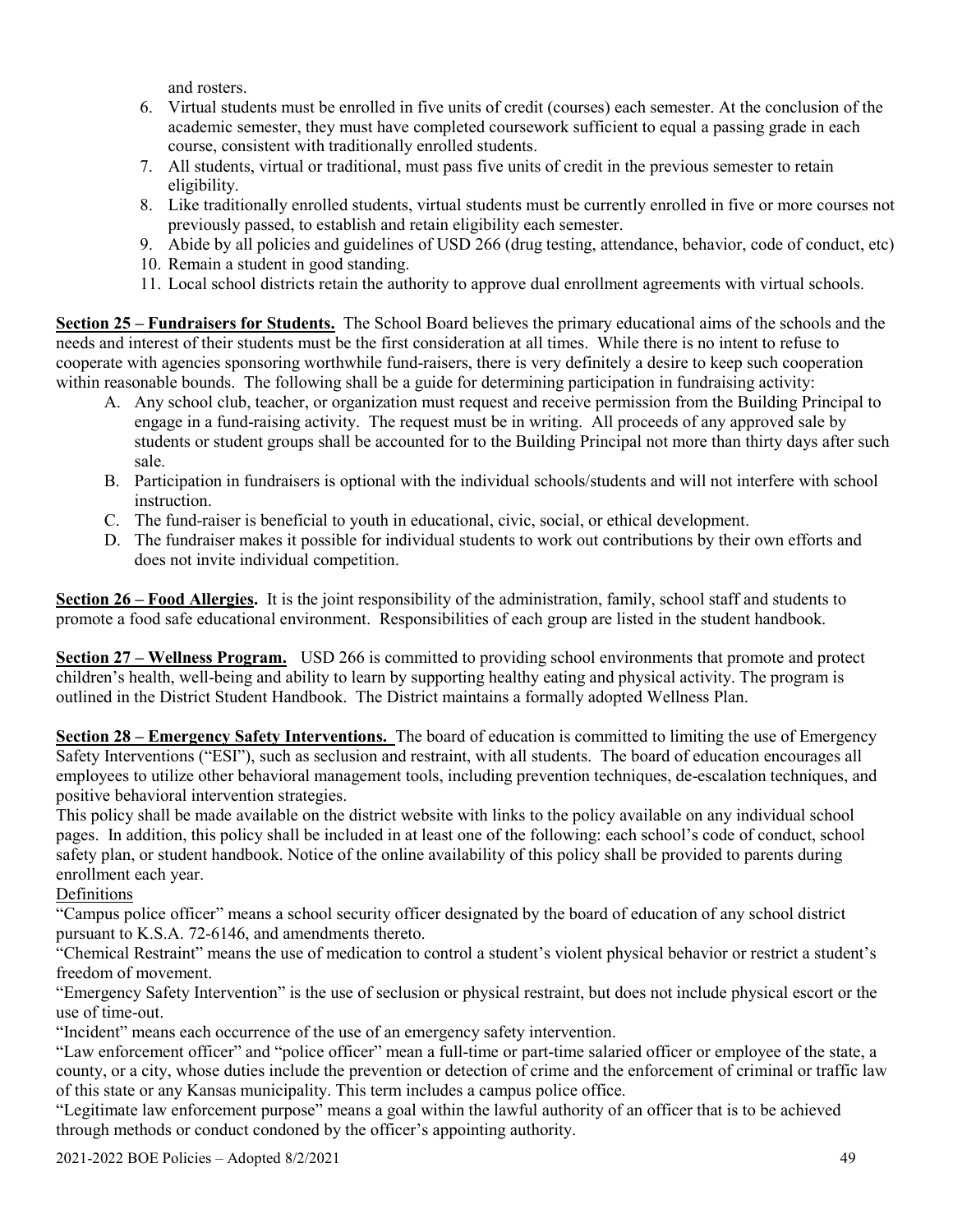and rosters.

- 6. Virtual students must be enrolled in five units of credit (courses) each semester. At the conclusion of the academic semester, they must have completed coursework sufficient to equal a passing grade in each course, consistent with traditionally enrolled students.
- 7. All students, virtual or traditional, must pass five units of credit in the previous semester to retain eligibility.
- 8. Like traditionally enrolled students, virtual students must be currently enrolled in five or more courses not previously passed, to establish and retain eligibility each semester.
- 9. Abide by all policies and guidelines of USD 266 (drug testing, attendance, behavior, code of conduct, etc)
- 10. Remain a student in good standing.
- 11. Local school districts retain the authority to approve dual enrollment agreements with virtual schools.

**Section 25 – Fundraisers for Students.** The School Board believes the primary educational aims of the schools and the needs and interest of their students must be the first consideration at all times. While there is no intent to refuse to cooperate with agencies sponsoring worthwhile fund-raisers, there is very definitely a desire to keep such cooperation within reasonable bounds. The following shall be a guide for determining participation in fundraising activity:

- A. Any school club, teacher, or organization must request and receive permission from the Building Principal to engage in a fund-raising activity. The request must be in writing. All proceeds of any approved sale by students or student groups shall be accounted for to the Building Principal not more than thirty days after such sale.
- B. Participation in fundraisers is optional with the individual schools/students and will not interfere with school instruction.
- C. The fund-raiser is beneficial to youth in educational, civic, social, or ethical development.
- D. The fundraiser makes it possible for individual students to work out contributions by their own efforts and does not invite individual competition.

**Section 26 – Food Allergies.** It is the joint responsibility of the administration, family, school staff and students to promote a food safe educational environment. Responsibilities of each group are listed in the student handbook.

**Section 27 – Wellness Program.** USD 266 is committed to providing school environments that promote and protect children's health, well-being and ability to learn by supporting healthy eating and physical activity. The program is outlined in the District Student Handbook. The District maintains a formally adopted Wellness Plan.

**Section 28 – Emergency Safety Interventions.** The board of education is committed to limiting the use of Emergency Safety Interventions ("ESI"), such as seclusion and restraint, with all students. The board of education encourages all employees to utilize other behavioral management tools, including prevention techniques, de-escalation techniques, and positive behavioral intervention strategies.

This policy shall be made available on the district website with links to the policy available on any individual school pages. In addition, this policy shall be included in at least one of the following: each school's code of conduct, school safety plan, or student handbook. Notice of the online availability of this policy shall be provided to parents during enrollment each year.

# Definitions

"Campus police officer" means a school security officer designated by the board of education of any school district pursuant to K.S.A. 72-6146, and amendments thereto.

"Chemical Restraint" means the use of medication to control a student's violent physical behavior or restrict a student's freedom of movement.

"Emergency Safety Intervention" is the use of seclusion or physical restraint, but does not include physical escort or the use of time-out.

"Incident" means each occurrence of the use of an emergency safety intervention.

"Law enforcement officer" and "police officer" mean a full-time or part-time salaried officer or employee of the state, a county, or a city, whose duties include the prevention or detection of crime and the enforcement of criminal or traffic law of this state or any Kansas municipality. This term includes a campus police office.

"Legitimate law enforcement purpose" means a goal within the lawful authority of an officer that is to be achieved through methods or conduct condoned by the officer's appointing authority.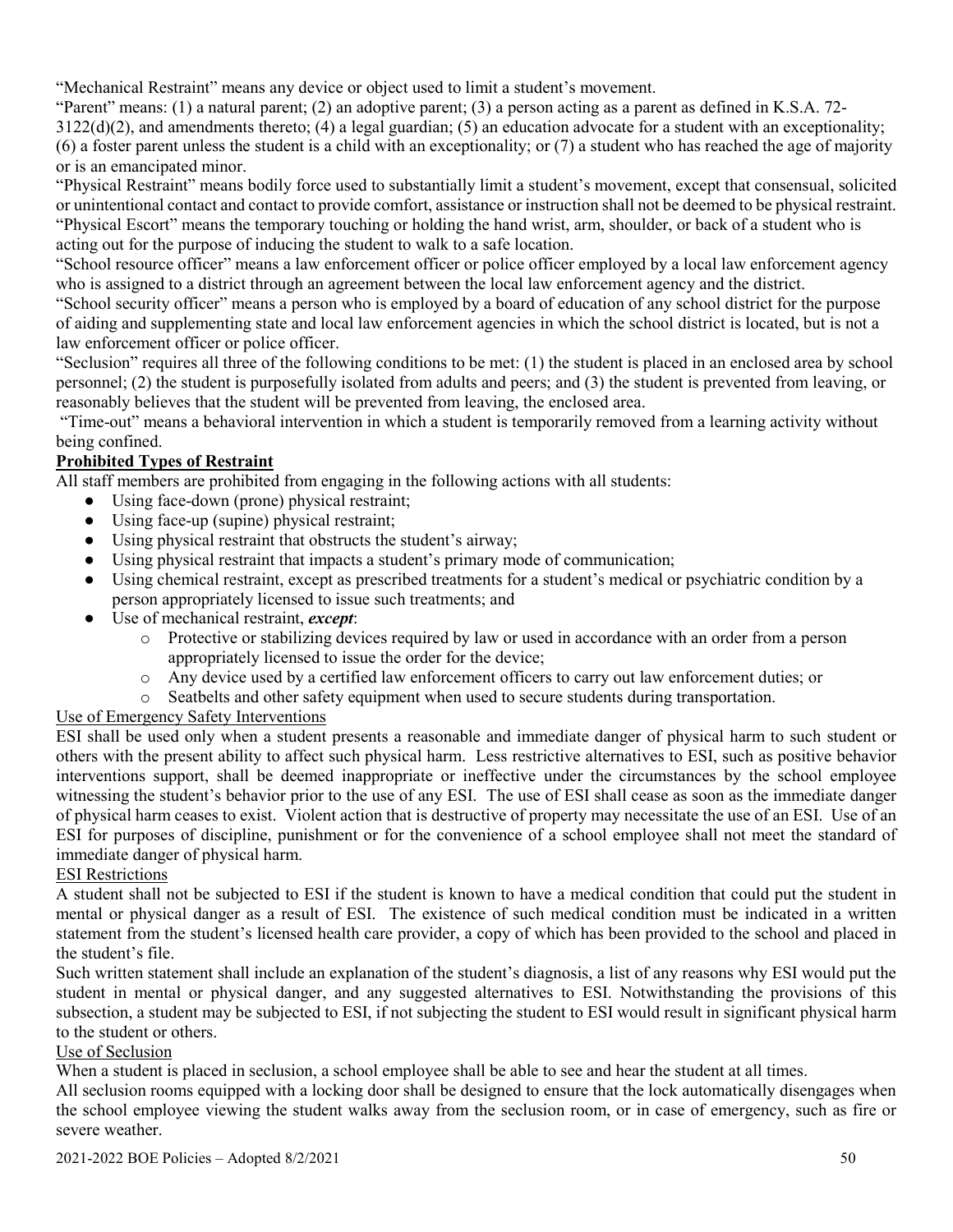"Mechanical Restraint" means any device or object used to limit a student's movement.

"Parent" means: (1) a natural parent; (2) an adoptive parent; (3) a person acting as a parent as defined in K.S.A. 72-  $3122(d)(2)$ , and amendments thereto; (4) a legal guardian; (5) an education advocate for a student with an exceptionality; (6) a foster parent unless the student is a child with an exceptionality; or (7) a student who has reached the age of majority or is an emancipated minor.

"Physical Restraint" means bodily force used to substantially limit a student's movement, except that consensual, solicited or unintentional contact and contact to provide comfort, assistance or instruction shall not be deemed to be physical restraint. "Physical Escort" means the temporary touching or holding the hand wrist, arm, shoulder, or back of a student who is acting out for the purpose of inducing the student to walk to a safe location.

"School resource officer" means a law enforcement officer or police officer employed by a local law enforcement agency who is assigned to a district through an agreement between the local law enforcement agency and the district.

"School security officer" means a person who is employed by a board of education of any school district for the purpose of aiding and supplementing state and local law enforcement agencies in which the school district is located, but is not a law enforcement officer or police officer.

"Seclusion" requires all three of the following conditions to be met: (1) the student is placed in an enclosed area by school personnel; (2) the student is purposefully isolated from adults and peers; and (3) the student is prevented from leaving, or reasonably believes that the student will be prevented from leaving, the enclosed area.

"Time-out" means a behavioral intervention in which a student is temporarily removed from a learning activity without being confined.

# **Prohibited Types of Restraint**

All staff members are prohibited from engaging in the following actions with all students:

- Using face-down (prone) physical restraint;
- Using face-up (supine) physical restraint;
- Using physical restraint that obstructs the student's airway;
- Using physical restraint that impacts a student's primary mode of communication;
- Using chemical restraint, except as prescribed treatments for a student's medical or psychiatric condition by a person appropriately licensed to issue such treatments; and
- Use of mechanical restraint, *except*:
	- o Protective or stabilizing devices required by law or used in accordance with an order from a person appropriately licensed to issue the order for the device;
	- o Any device used by a certified law enforcement officers to carry out law enforcement duties; or
	- o Seatbelts and other safety equipment when used to secure students during transportation.

# Use of Emergency Safety Interventions

ESI shall be used only when a student presents a reasonable and immediate danger of physical harm to such student or others with the present ability to affect such physical harm. Less restrictive alternatives to ESI, such as positive behavior interventions support, shall be deemed inappropriate or ineffective under the circumstances by the school employee witnessing the student's behavior prior to the use of any ESI. The use of ESI shall cease as soon as the immediate danger of physical harm ceases to exist. Violent action that is destructive of property may necessitate the use of an ESI. Use of an ESI for purposes of discipline, punishment or for the convenience of a school employee shall not meet the standard of immediate danger of physical harm.

# ESI Restrictions

A student shall not be subjected to ESI if the student is known to have a medical condition that could put the student in mental or physical danger as a result of ESI. The existence of such medical condition must be indicated in a written statement from the student's licensed health care provider, a copy of which has been provided to the school and placed in the student's file.

Such written statement shall include an explanation of the student's diagnosis, a list of any reasons why ESI would put the student in mental or physical danger, and any suggested alternatives to ESI. Notwithstanding the provisions of this subsection, a student may be subjected to ESI, if not subjecting the student to ESI would result in significant physical harm to the student or others.

# Use of Seclusion

When a student is placed in seclusion, a school employee shall be able to see and hear the student at all times.

All seclusion rooms equipped with a locking door shall be designed to ensure that the lock automatically disengages when the school employee viewing the student walks away from the seclusion room, or in case of emergency, such as fire or severe weather.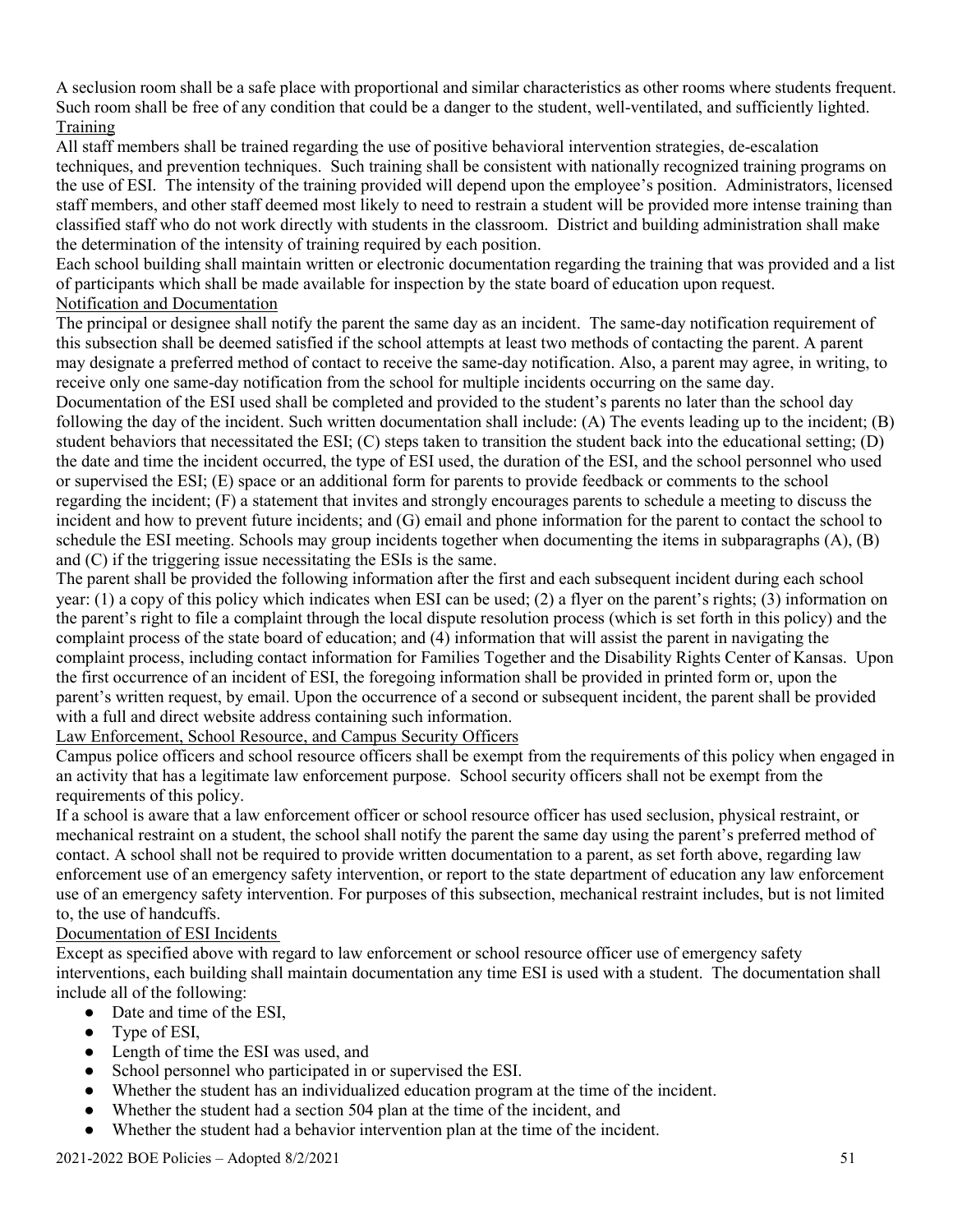A seclusion room shall be a safe place with proportional and similar characteristics as other rooms where students frequent. Such room shall be free of any condition that could be a danger to the student, well-ventilated, and sufficiently lighted. Training

All staff members shall be trained regarding the use of positive behavioral intervention strategies, de-escalation techniques, and prevention techniques. Such training shall be consistent with nationally recognized training programs on the use of ESI. The intensity of the training provided will depend upon the employee's position. Administrators, licensed staff members, and other staff deemed most likely to need to restrain a student will be provided more intense training than classified staff who do not work directly with students in the classroom. District and building administration shall make the determination of the intensity of training required by each position.

Each school building shall maintain written or electronic documentation regarding the training that was provided and a list of participants which shall be made available for inspection by the state board of education upon request. Notification and Documentation

The principal or designee shall notify the parent the same day as an incident. The same-day notification requirement of this subsection shall be deemed satisfied if the school attempts at least two methods of contacting the parent. A parent may designate a preferred method of contact to receive the same-day notification. Also, a parent may agree, in writing, to receive only one same-day notification from the school for multiple incidents occurring on the same day.

Documentation of the ESI used shall be completed and provided to the student's parents no later than the school day following the day of the incident. Such written documentation shall include: (A) The events leading up to the incident; (B) student behaviors that necessitated the ESI; (C) steps taken to transition the student back into the educational setting; (D) the date and time the incident occurred, the type of ESI used, the duration of the ESI, and the school personnel who used or supervised the ESI; (E) space or an additional form for parents to provide feedback or comments to the school regarding the incident; (F) a statement that invites and strongly encourages parents to schedule a meeting to discuss the incident and how to prevent future incidents; and (G) email and phone information for the parent to contact the school to schedule the ESI meeting. Schools may group incidents together when documenting the items in subparagraphs (A), (B) and (C) if the triggering issue necessitating the ESIs is the same.

The parent shall be provided the following information after the first and each subsequent incident during each school year: (1) a copy of this policy which indicates when ESI can be used; (2) a flyer on the parent's rights; (3) information on the parent's right to file a complaint through the local dispute resolution process (which is set forth in this policy) and the complaint process of the state board of education; and (4) information that will assist the parent in navigating the complaint process, including contact information for Families Together and the Disability Rights Center of Kansas. Upon the first occurrence of an incident of ESI, the foregoing information shall be provided in printed form or, upon the parent's written request, by email. Upon the occurrence of a second or subsequent incident, the parent shall be provided with a full and direct website address containing such information.

Law Enforcement, School Resource, and Campus Security Officers

Campus police officers and school resource officers shall be exempt from the requirements of this policy when engaged in an activity that has a legitimate law enforcement purpose. School security officers shall not be exempt from the requirements of this policy.

If a school is aware that a law enforcement officer or school resource officer has used seclusion, physical restraint, or mechanical restraint on a student, the school shall notify the parent the same day using the parent's preferred method of contact. A school shall not be required to provide written documentation to a parent, as set forth above, regarding law enforcement use of an emergency safety intervention, or report to the state department of education any law enforcement use of an emergency safety intervention. For purposes of this subsection, mechanical restraint includes, but is not limited to, the use of handcuffs.

# Documentation of ESI Incidents

Except as specified above with regard to law enforcement or school resource officer use of emergency safety interventions, each building shall maintain documentation any time ESI is used with a student. The documentation shall include all of the following:

- Date and time of the ESI,
- Type of ESI,
- Length of time the ESI was used, and
- School personnel who participated in or supervised the ESI.
- Whether the student has an individualized education program at the time of the incident.
- Whether the student had a section 504 plan at the time of the incident, and
- Whether the student had a behavior intervention plan at the time of the incident.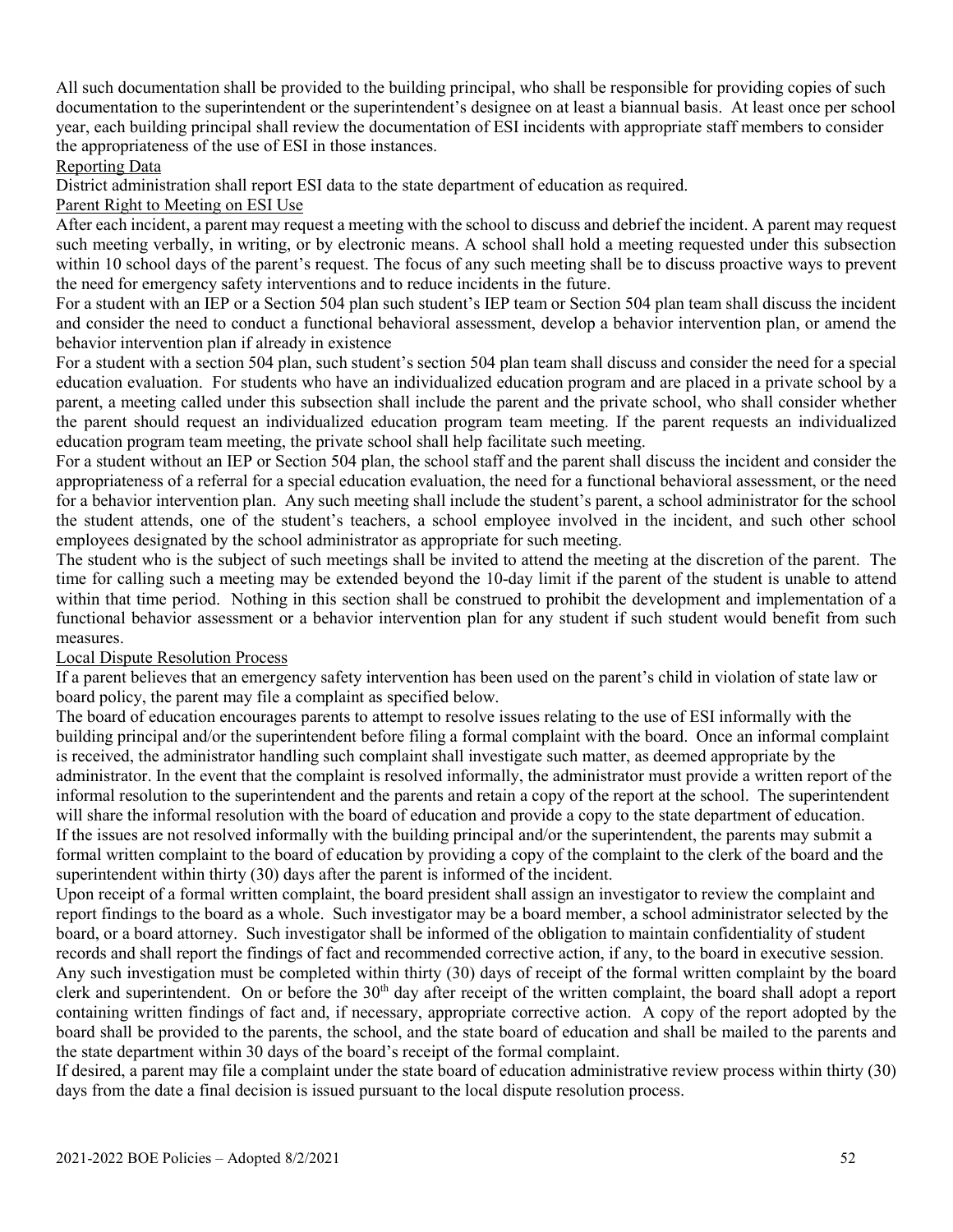All such documentation shall be provided to the building principal, who shall be responsible for providing copies of such documentation to the superintendent or the superintendent's designee on at least a biannual basis. At least once per school year, each building principal shall review the documentation of ESI incidents with appropriate staff members to consider the appropriateness of the use of ESI in those instances.

### Reporting Data

District administration shall report ESI data to the state department of education as required.

### Parent Right to Meeting on ESI Use

After each incident, a parent may request a meeting with the school to discuss and debrief the incident. A parent may request such meeting verbally, in writing, or by electronic means. A school shall hold a meeting requested under this subsection within 10 school days of the parent's request. The focus of any such meeting shall be to discuss proactive ways to prevent the need for emergency safety interventions and to reduce incidents in the future.

For a student with an IEP or a Section 504 plan such student's IEP team or Section 504 plan team shall discuss the incident and consider the need to conduct a functional behavioral assessment, develop a behavior intervention plan, or amend the behavior intervention plan if already in existence

For a student with a section 504 plan, such student's section 504 plan team shall discuss and consider the need for a special education evaluation. For students who have an individualized education program and are placed in a private school by a parent, a meeting called under this subsection shall include the parent and the private school, who shall consider whether the parent should request an individualized education program team meeting. If the parent requests an individualized education program team meeting, the private school shall help facilitate such meeting.

For a student without an IEP or Section 504 plan, the school staff and the parent shall discuss the incident and consider the appropriateness of a referral for a special education evaluation, the need for a functional behavioral assessment, or the need for a behavior intervention plan. Any such meeting shall include the student's parent, a school administrator for the school the student attends, one of the student's teachers, a school employee involved in the incident, and such other school employees designated by the school administrator as appropriate for such meeting.

The student who is the subject of such meetings shall be invited to attend the meeting at the discretion of the parent. The time for calling such a meeting may be extended beyond the 10-day limit if the parent of the student is unable to attend within that time period. Nothing in this section shall be construed to prohibit the development and implementation of a functional behavior assessment or a behavior intervention plan for any student if such student would benefit from such measures.

# Local Dispute Resolution Process

If a parent believes that an emergency safety intervention has been used on the parent's child in violation of state law or board policy, the parent may file a complaint as specified below.

The board of education encourages parents to attempt to resolve issues relating to the use of ESI informally with the building principal and/or the superintendent before filing a formal complaint with the board. Once an informal complaint is received, the administrator handling such complaint shall investigate such matter, as deemed appropriate by the administrator. In the event that the complaint is resolved informally, the administrator must provide a written report of the informal resolution to the superintendent and the parents and retain a copy of the report at the school. The superintendent will share the informal resolution with the board of education and provide a copy to the state department of education. If the issues are not resolved informally with the building principal and/or the superintendent, the parents may submit a formal written complaint to the board of education by providing a copy of the complaint to the clerk of the board and the superintendent within thirty (30) days after the parent is informed of the incident.

Upon receipt of a formal written complaint, the board president shall assign an investigator to review the complaint and report findings to the board as a whole. Such investigator may be a board member, a school administrator selected by the board, or a board attorney. Such investigator shall be informed of the obligation to maintain confidentiality of student records and shall report the findings of fact and recommended corrective action, if any, to the board in executive session. Any such investigation must be completed within thirty (30) days of receipt of the formal written complaint by the board clerk and superintendent. On or before the 30<sup>th</sup> day after receipt of the written complaint, the board shall adopt a report containing written findings of fact and, if necessary, appropriate corrective action. A copy of the report adopted by the board shall be provided to the parents, the school, and the state board of education and shall be mailed to the parents and the state department within 30 days of the board's receipt of the formal complaint.

If desired, a parent may file a complaint under the state board of education administrative review process within thirty (30) days from the date a final decision is issued pursuant to the local dispute resolution process.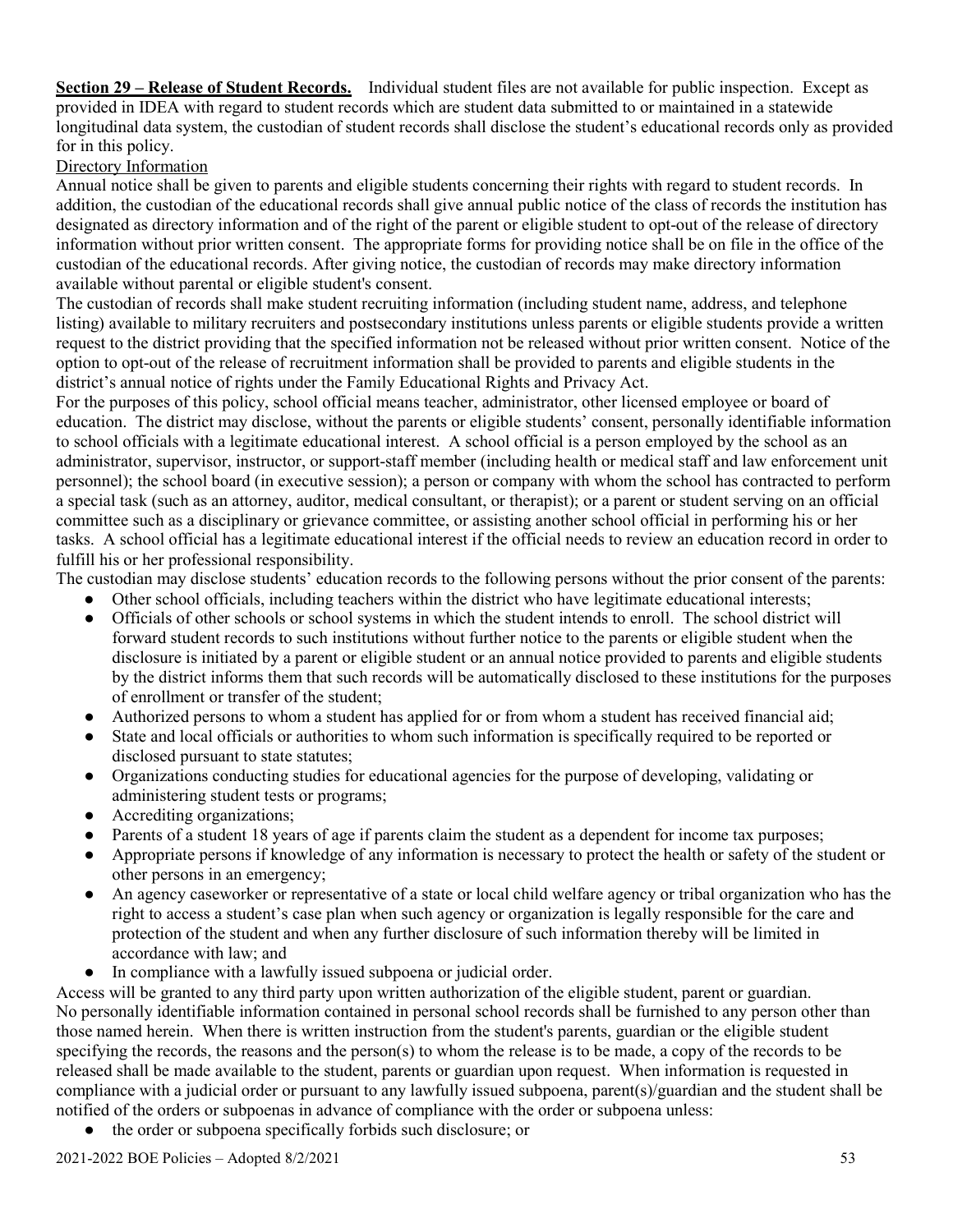**Section 29 – Release of Student Records.** Individual student files are not available for public inspection. Except as provided in IDEA with regard to student records which are student data submitted to or maintained in a statewide longitudinal data system, the custodian of student records shall disclose the student's educational records only as provided for in this policy.

### Directory Information

Annual notice shall be given to parents and eligible students concerning their rights with regard to student records. In addition, the custodian of the educational records shall give annual public notice of the class of records the institution has designated as directory information and of the right of the parent or eligible student to opt-out of the release of directory information without prior written consent. The appropriate forms for providing notice shall be on file in the office of the custodian of the educational records. After giving notice, the custodian of records may make directory information available without parental or eligible student's consent.

The custodian of records shall make student recruiting information (including student name, address, and telephone listing) available to military recruiters and postsecondary institutions unless parents or eligible students provide a written request to the district providing that the specified information not be released without prior written consent. Notice of the option to opt-out of the release of recruitment information shall be provided to parents and eligible students in the district's annual notice of rights under the Family Educational Rights and Privacy Act.

For the purposes of this policy, school official means teacher, administrator, other licensed employee or board of education. The district may disclose, without the parents or eligible students' consent, personally identifiable information to school officials with a legitimate educational interest. A school official is a person employed by the school as an administrator, supervisor, instructor, or support-staff member (including health or medical staff and law enforcement unit personnel); the school board (in executive session); a person or company with whom the school has contracted to perform a special task (such as an attorney, auditor, medical consultant, or therapist); or a parent or student serving on an official committee such as a disciplinary or grievance committee, or assisting another school official in performing his or her tasks. A school official has a legitimate educational interest if the official needs to review an education record in order to fulfill his or her professional responsibility.

The custodian may disclose students' education records to the following persons without the prior consent of the parents:

- Other school officials, including teachers within the district who have legitimate educational interests;
- Officials of other schools or school systems in which the student intends to enroll. The school district will forward student records to such institutions without further notice to the parents or eligible student when the disclosure is initiated by a parent or eligible student or an annual notice provided to parents and eligible students by the district informs them that such records will be automatically disclosed to these institutions for the purposes of enrollment or transfer of the student;
- Authorized persons to whom a student has applied for or from whom a student has received financial aid;
- State and local officials or authorities to whom such information is specifically required to be reported or disclosed pursuant to state statutes;
- Organizations conducting studies for educational agencies for the purpose of developing, validating or administering student tests or programs;
- Accrediting organizations;
- Parents of a student 18 years of age if parents claim the student as a dependent for income tax purposes;
- Appropriate persons if knowledge of any information is necessary to protect the health or safety of the student or other persons in an emergency;
- An agency caseworker or representative of a state or local child welfare agency or tribal organization who has the right to access a student's case plan when such agency or organization is legally responsible for the care and protection of the student and when any further disclosure of such information thereby will be limited in accordance with law; and
- In compliance with a lawfully issued subpoena or judicial order.

Access will be granted to any third party upon written authorization of the eligible student, parent or guardian. No personally identifiable information contained in personal school records shall be furnished to any person other than those named herein. When there is written instruction from the student's parents, guardian or the eligible student specifying the records, the reasons and the person(s) to whom the release is to be made, a copy of the records to be released shall be made available to the student, parents or guardian upon request. When information is requested in compliance with a judicial order or pursuant to any lawfully issued subpoena, parent(s)/guardian and the student shall be notified of the orders or subpoenas in advance of compliance with the order or subpoena unless:

the order or subpoena specifically forbids such disclosure; or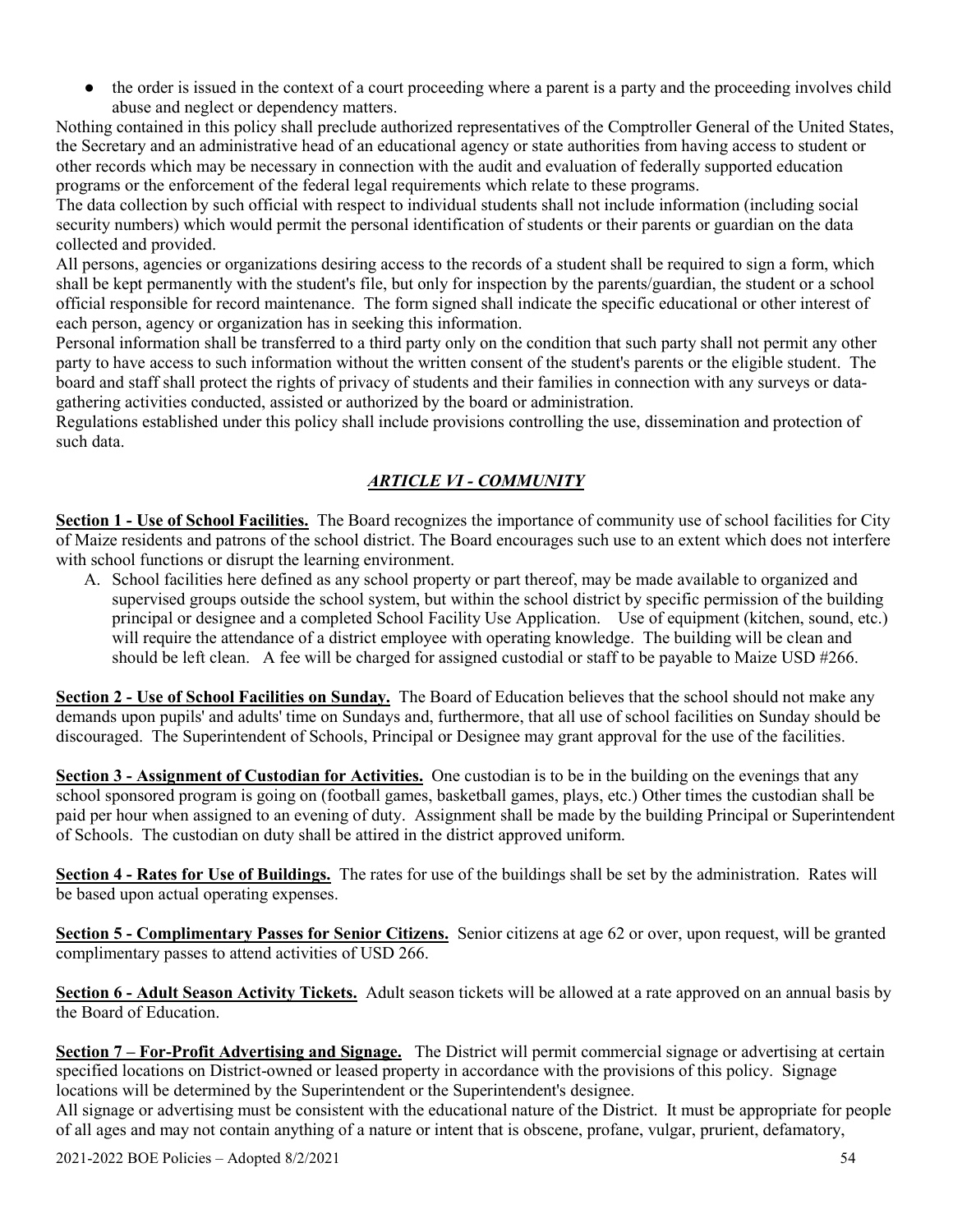the order is issued in the context of a court proceeding where a parent is a party and the proceeding involves child abuse and neglect or dependency matters.

Nothing contained in this policy shall preclude authorized representatives of the Comptroller General of the United States, the Secretary and an administrative head of an educational agency or state authorities from having access to student or other records which may be necessary in connection with the audit and evaluation of federally supported education programs or the enforcement of the federal legal requirements which relate to these programs.

The data collection by such official with respect to individual students shall not include information (including social security numbers) which would permit the personal identification of students or their parents or guardian on the data collected and provided.

All persons, agencies or organizations desiring access to the records of a student shall be required to sign a form, which shall be kept permanently with the student's file, but only for inspection by the parents/guardian, the student or a school official responsible for record maintenance. The form signed shall indicate the specific educational or other interest of each person, agency or organization has in seeking this information.

Personal information shall be transferred to a third party only on the condition that such party shall not permit any other party to have access to such information without the written consent of the student's parents or the eligible student. The board and staff shall protect the rights of privacy of students and their families in connection with any surveys or datagathering activities conducted, assisted or authorized by the board or administration.

Regulations established under this policy shall include provisions controlling the use, dissemination and protection of such data.

# *ARTICLE VI - COMMUNITY*

**Section 1 - Use of School Facilities.** The Board recognizes the importance of community use of school facilities for City of Maize residents and patrons of the school district. The Board encourages such use to an extent which does not interfere with school functions or disrupt the learning environment.

A. School facilities here defined as any school property or part thereof, may be made available to organized and supervised groups outside the school system, but within the school district by specific permission of the building principal or designee and a completed School Facility Use Application. Use of equipment (kitchen, sound, etc.) will require the attendance of a district employee with operating knowledge. The building will be clean and should be left clean. A fee will be charged for assigned custodial or staff to be payable to Maize USD #266.

**Section 2 - Use of School Facilities on Sunday.** The Board of Education believes that the school should not make any demands upon pupils' and adults' time on Sundays and, furthermore, that all use of school facilities on Sunday should be discouraged. The Superintendent of Schools, Principal or Designee may grant approval for the use of the facilities.

**Section 3 - Assignment of Custodian for Activities.** One custodian is to be in the building on the evenings that any school sponsored program is going on (football games, basketball games, plays, etc.) Other times the custodian shall be paid per hour when assigned to an evening of duty. Assignment shall be made by the building Principal or Superintendent of Schools. The custodian on duty shall be attired in the district approved uniform.

**Section 4 - Rates for Use of Buildings.** The rates for use of the buildings shall be set by the administration. Rates will be based upon actual operating expenses.

**Section 5 - Complimentary Passes for Senior Citizens.** Senior citizens at age 62 or over, upon request, will be granted complimentary passes to attend activities of USD 266.

**Section 6 - Adult Season Activity Tickets.** Adult season tickets will be allowed at a rate approved on an annual basis by the Board of Education.

**Section 7 – For-Profit Advertising and Signage.** The District will permit commercial signage or advertising at certain specified locations on District-owned or leased property in accordance with the provisions of this policy. Signage locations will be determined by the Superintendent or the Superintendent's designee.

All signage or advertising must be consistent with the educational nature of the District. It must be appropriate for people of all ages and may not contain anything of a nature or intent that is obscene, profane, vulgar, prurient, defamatory,

2021-2022 BOE Policies – Adopted 8/2/2021 54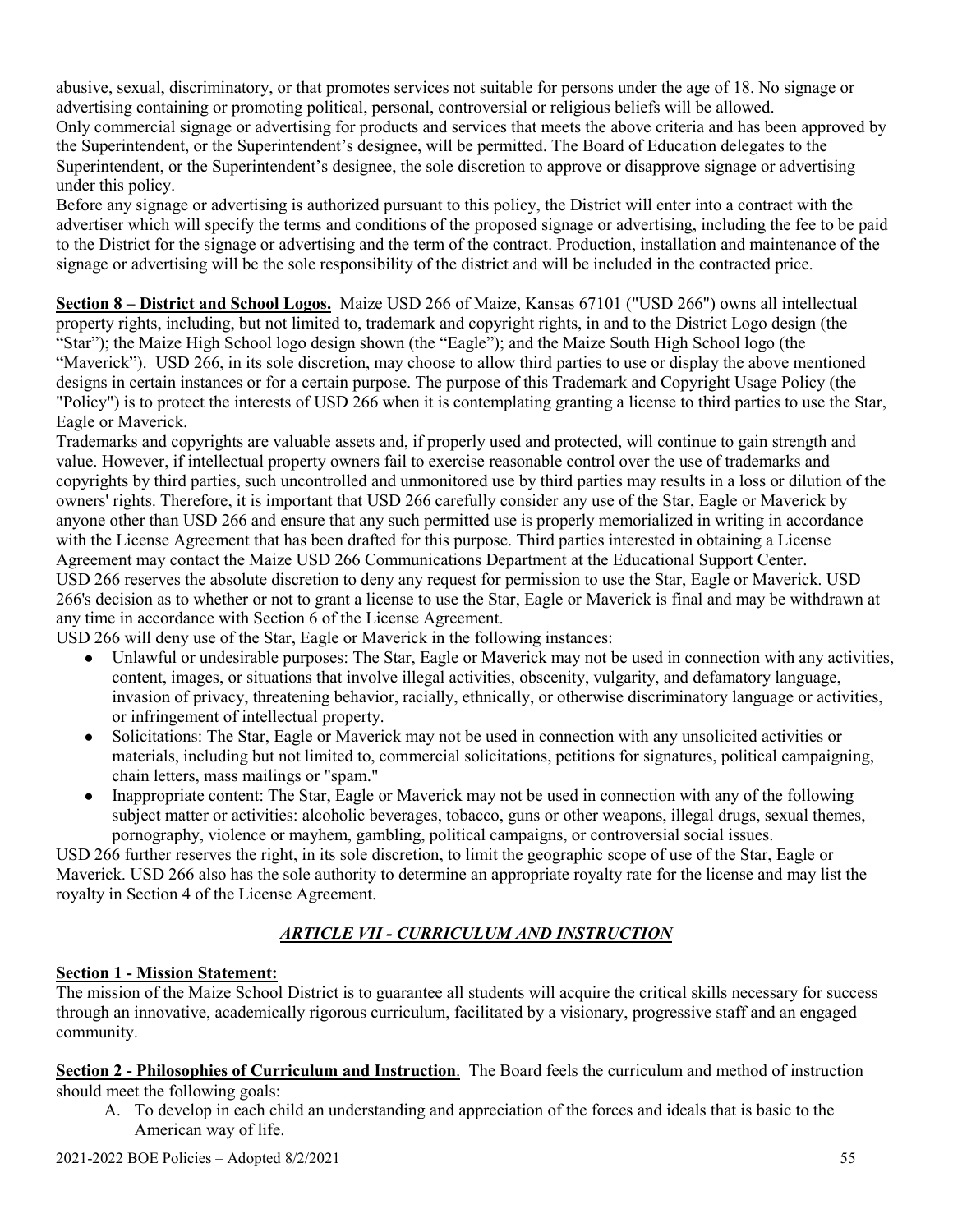abusive, sexual, discriminatory, or that promotes services not suitable for persons under the age of 18. No signage or advertising containing or promoting political, personal, controversial or religious beliefs will be allowed. Only commercial signage or advertising for products and services that meets the above criteria and has been approved by the Superintendent, or the Superintendent's designee, will be permitted. The Board of Education delegates to the Superintendent, or the Superintendent's designee, the sole discretion to approve or disapprove signage or advertising under this policy.

Before any signage or advertising is authorized pursuant to this policy, the District will enter into a contract with the advertiser which will specify the terms and conditions of the proposed signage or advertising, including the fee to be paid to the District for the signage or advertising and the term of the contract. Production, installation and maintenance of the signage or advertising will be the sole responsibility of the district and will be included in the contracted price.

**Section 8 – District and School Logos.** Maize USD 266 of Maize, Kansas 67101 ("USD 266") owns all intellectual property rights, including, but not limited to, trademark and copyright rights, in and to the District Logo design (the "Star"); the Maize High School logo design shown (the "Eagle"); and the Maize South High School logo (the "Maverick"). USD 266, in its sole discretion, may choose to allow third parties to use or display the above mentioned designs in certain instances or for a certain purpose. The purpose of this Trademark and Copyright Usage Policy (the "Policy") is to protect the interests of USD 266 when it is contemplating granting a license to third parties to use the Star, Eagle or Maverick.

Trademarks and copyrights are valuable assets and, if properly used and protected, will continue to gain strength and value. However, if intellectual property owners fail to exercise reasonable control over the use of trademarks and copyrights by third parties, such uncontrolled and unmonitored use by third parties may results in a loss or dilution of the owners' rights. Therefore, it is important that USD 266 carefully consider any use of the Star, Eagle or Maverick by anyone other than USD 266 and ensure that any such permitted use is properly memorialized in writing in accordance with the License Agreement that has been drafted for this purpose. Third parties interested in obtaining a License Agreement may contact the Maize USD 266 Communications Department at the Educational Support Center. USD 266 reserves the absolute discretion to deny any request for permission to use the Star, Eagle or Maverick. USD 266's decision as to whether or not to grant a license to use the Star, Eagle or Maverick is final and may be withdrawn at any time in accordance with Section 6 of the License Agreement.

USD 266 will deny use of the Star, Eagle or Maverick in the following instances:

- Unlawful or undesirable purposes: The Star, Eagle or Maverick may not be used in connection with any activities, content, images, or situations that involve illegal activities, obscenity, vulgarity, and defamatory language, invasion of privacy, threatening behavior, racially, ethnically, or otherwise discriminatory language or activities, or infringement of intellectual property.
- Solicitations: The Star, Eagle or Maverick may not be used in connection with any unsolicited activities or materials, including but not limited to, commercial solicitations, petitions for signatures, political campaigning, chain letters, mass mailings or "spam."
- Inappropriate content: The Star, Eagle or Maverick may not be used in connection with any of the following subject matter or activities: alcoholic beverages, tobacco, guns or other weapons, illegal drugs, sexual themes, pornography, violence or mayhem, gambling, political campaigns, or controversial social issues.

USD 266 further reserves the right, in its sole discretion, to limit the geographic scope of use of the Star, Eagle or Maverick. USD 266 also has the sole authority to determine an appropriate royalty rate for the license and may list the royalty in Section 4 of the License Agreement.

# *ARTICLE VII - CURRICULUM AND INSTRUCTION*

# **Section 1 - Mission Statement:**

The mission of the Maize School District is to guarantee all students will acquire the critical skills necessary for success through an innovative, academically rigorous curriculum, facilitated by a visionary, progressive staff and an engaged community.

**Section 2 - Philosophies of Curriculum and Instruction**. The Board feels the curriculum and method of instruction should meet the following goals:

A. To develop in each child an understanding and appreciation of the forces and ideals that is basic to the American way of life.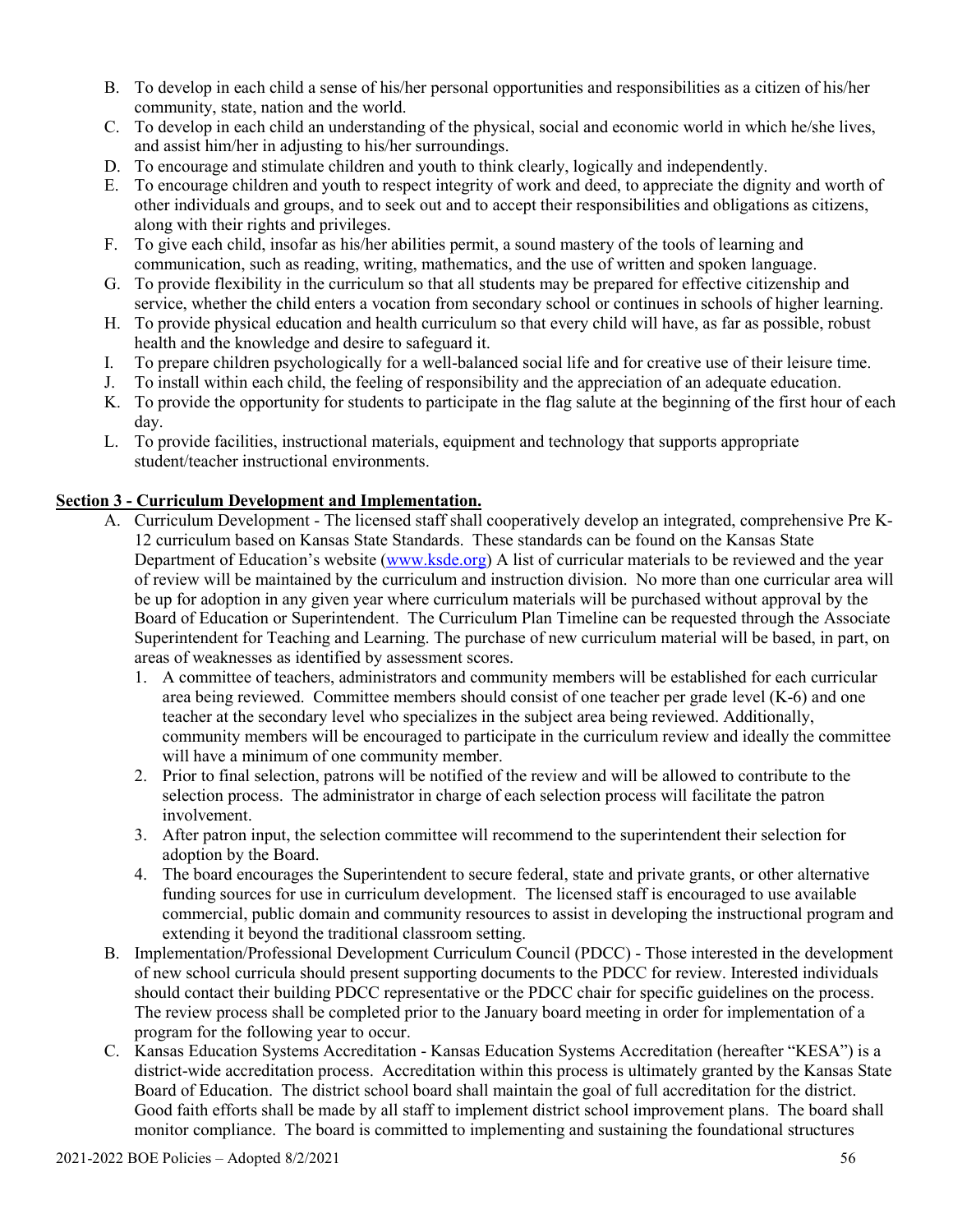- B. To develop in each child a sense of his/her personal opportunities and responsibilities as a citizen of his/her community, state, nation and the world.
- C. To develop in each child an understanding of the physical, social and economic world in which he/she lives, and assist him/her in adjusting to his/her surroundings.
- D. To encourage and stimulate children and youth to think clearly, logically and independently.
- E. To encourage children and youth to respect integrity of work and deed, to appreciate the dignity and worth of other individuals and groups, and to seek out and to accept their responsibilities and obligations as citizens, along with their rights and privileges.
- F. To give each child, insofar as his/her abilities permit, a sound mastery of the tools of learning and communication, such as reading, writing, mathematics, and the use of written and spoken language.
- G. To provide flexibility in the curriculum so that all students may be prepared for effective citizenship and service, whether the child enters a vocation from secondary school or continues in schools of higher learning.
- H. To provide physical education and health curriculum so that every child will have, as far as possible, robust health and the knowledge and desire to safeguard it.
- I. To prepare children psychologically for a well-balanced social life and for creative use of their leisure time.
- J. To install within each child, the feeling of responsibility and the appreciation of an adequate education.
- K. To provide the opportunity for students to participate in the flag salute at the beginning of the first hour of each day.
- L. To provide facilities, instructional materials, equipment and technology that supports appropriate student/teacher instructional environments.

### **Section 3 - Curriculum Development and Implementation.**

- A. Curriculum Development The licensed staff shall cooperatively develop an integrated, comprehensive Pre K-12 curriculum based on Kansas State Standards. These standards can be found on the Kansas State Department of Education's website [\(www.ksde.org\)](http://www.ksde.org/) A list of curricular materials to be reviewed and the year of review will be maintained by the curriculum and instruction division. No more than one curricular area will be up for adoption in any given year where curriculum materials will be purchased without approval by the Board of Education or Superintendent. The Curriculum Plan Timeline can be requested through the Associate Superintendent for Teaching and Learning. The purchase of new curriculum material will be based, in part, on areas of weaknesses as identified by assessment scores.
	- 1. A committee of teachers, administrators and community members will be established for each curricular area being reviewed. Committee members should consist of one teacher per grade level (K-6) and one teacher at the secondary level who specializes in the subject area being reviewed. Additionally, community members will be encouraged to participate in the curriculum review and ideally the committee will have a minimum of one community member.
	- 2. Prior to final selection, patrons will be notified of the review and will be allowed to contribute to the selection process. The administrator in charge of each selection process will facilitate the patron involvement.
	- 3. After patron input, the selection committee will recommend to the superintendent their selection for adoption by the Board.
	- 4. The board encourages the Superintendent to secure federal, state and private grants, or other alternative funding sources for use in curriculum development. The licensed staff is encouraged to use available commercial, public domain and community resources to assist in developing the instructional program and extending it beyond the traditional classroom setting.
- B. Implementation/Professional Development Curriculum Council (PDCC) Those interested in the development of new school curricula should present supporting documents to the PDCC for review. Interested individuals should contact their building PDCC representative or the PDCC chair for specific guidelines on the process. The review process shall be completed prior to the January board meeting in order for implementation of a program for the following year to occur.
- C. Kansas Education Systems Accreditation Kansas Education Systems Accreditation (hereafter "KESA") is a district-wide accreditation process. Accreditation within this process is ultimately granted by the Kansas State Board of Education. The district school board shall maintain the goal of full accreditation for the district. Good faith efforts shall be made by all staff to implement district school improvement plans. The board shall monitor compliance. The board is committed to implementing and sustaining the foundational structures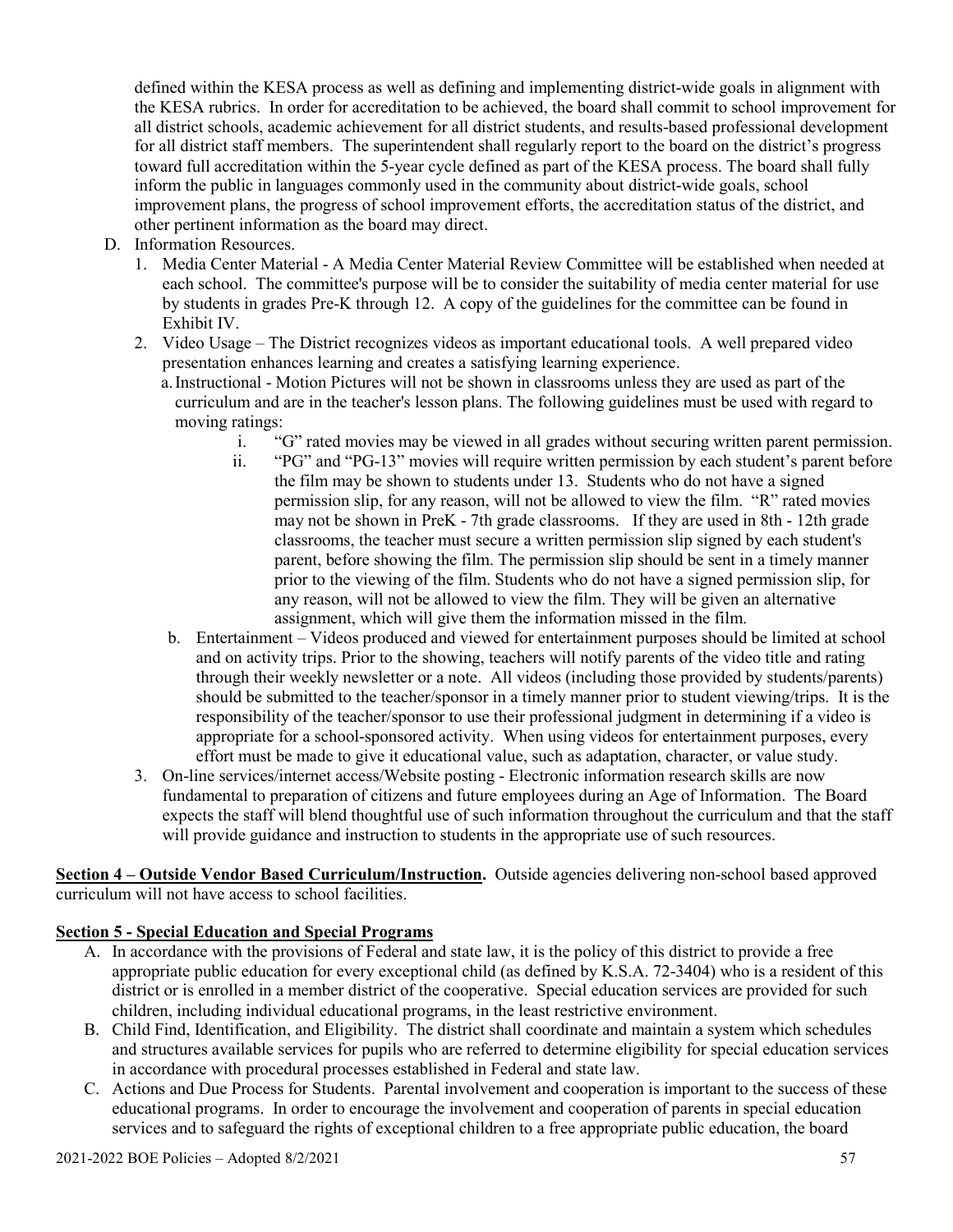defined within the KESA process as well as defining and implementing district-wide goals in alignment with the KESA rubrics. In order for accreditation to be achieved, the board shall commit to school improvement for all district schools, academic achievement for all district students, and results-based professional development for all district staff members. The superintendent shall regularly report to the board on the district's progress toward full accreditation within the 5-year cycle defined as part of the KESA process. The board shall fully inform the public in languages commonly used in the community about district-wide goals, school improvement plans, the progress of school improvement efforts, the accreditation status of the district, and other pertinent information as the board may direct.

- D. Information Resources.
	- 1. Media Center Material A Media Center Material Review Committee will be established when needed at each school. The committee's purpose will be to consider the suitability of media center material for use by students in grades Pre-K through 12. A copy of the guidelines for the committee can be found in Exhibit IV.
	- 2. Video Usage The District recognizes videos as important educational tools. A well prepared video presentation enhances learning and creates a satisfying learning experience.
		- a.Instructional Motion Pictures will not be shown in classrooms unless they are used as part of the curriculum and are in the teacher's lesson plans. The following guidelines must be used with regard to moving ratings:
			- i. "G" rated movies may be viewed in all grades without securing written parent permission.
			- ii. "PG" and "PG-13" movies will require written permission by each student's parent before the film may be shown to students under 13. Students who do not have a signed permission slip, for any reason, will not be allowed to view the film. "R" rated movies may not be shown in PreK - 7th grade classrooms. If they are used in 8th - 12th grade classrooms, the teacher must secure a written permission slip signed by each student's parent, before showing the film. The permission slip should be sent in a timely manner prior to the viewing of the film. Students who do not have a signed permission slip, for any reason, will not be allowed to view the film. They will be given an alternative assignment, which will give them the information missed in the film.
		- b. Entertainment Videos produced and viewed for entertainment purposes should be limited at school and on activity trips. Prior to the showing, teachers will notify parents of the video title and rating through their weekly newsletter or a note. All videos (including those provided by students/parents) should be submitted to the teacher/sponsor in a timely manner prior to student viewing/trips. It is the responsibility of the teacher/sponsor to use their professional judgment in determining if a video is appropriate for a school-sponsored activity. When using videos for entertainment purposes, every effort must be made to give it educational value, such as adaptation, character, or value study.
	- 3. On-line services/internet access/Website posting Electronic information research skills are now fundamental to preparation of citizens and future employees during an Age of Information. The Board expects the staff will blend thoughtful use of such information throughout the curriculum and that the staff will provide guidance and instruction to students in the appropriate use of such resources.

**Section 4 – Outside Vendor Based Curriculum/Instruction.** Outside agencies delivering non-school based approved curriculum will not have access to school facilities.

# **Section 5 - Special Education and Special Programs**

- A. In accordance with the provisions of Federal and state law, it is the policy of this district to provide a free appropriate public education for every exceptional child (as defined by K.S.A. 72-3404) who is a resident of this district or is enrolled in a member district of the cooperative. Special education services are provided for such children, including individual educational programs, in the least restrictive environment.
- B. Child Find, Identification, and Eligibility. The district shall coordinate and maintain a system which schedules and structures available services for pupils who are referred to determine eligibility for special education services in accordance with procedural processes established in Federal and state law.
- C. Actions and Due Process for Students. Parental involvement and cooperation is important to the success of these educational programs. In order to encourage the involvement and cooperation of parents in special education services and to safeguard the rights of exceptional children to a free appropriate public education, the board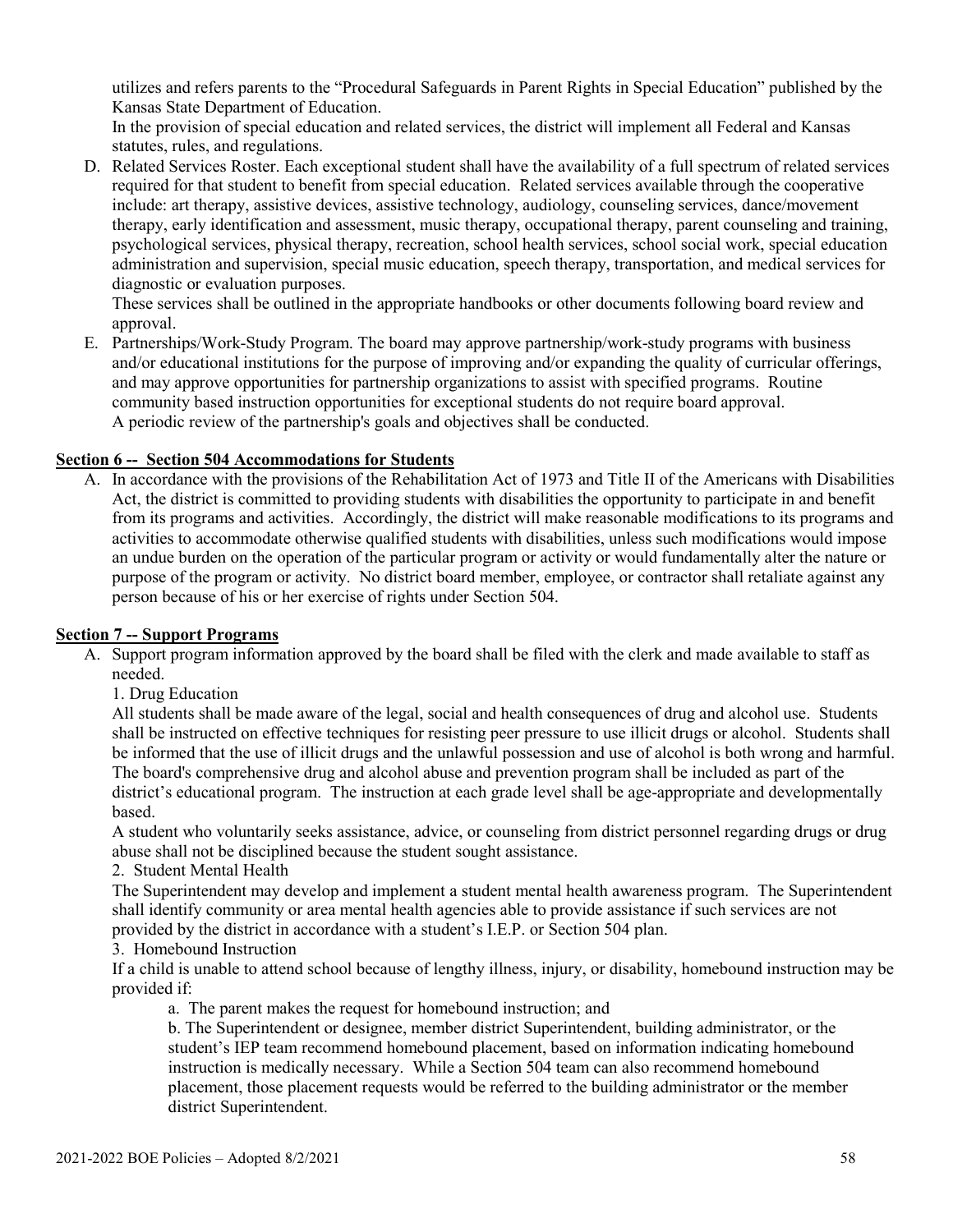utilizes and refers parents to the "Procedural Safeguards in Parent Rights in Special Education" published by the Kansas State Department of Education.

In the provision of special education and related services, the district will implement all Federal and Kansas statutes, rules, and regulations.

D. Related Services Roster. Each exceptional student shall have the availability of a full spectrum of related services required for that student to benefit from special education. Related services available through the cooperative include: art therapy, assistive devices, assistive technology, audiology, counseling services, dance/movement therapy, early identification and assessment, music therapy, occupational therapy, parent counseling and training, psychological services, physical therapy, recreation, school health services, school social work, special education administration and supervision, special music education, speech therapy, transportation, and medical services for diagnostic or evaluation purposes.

These services shall be outlined in the appropriate handbooks or other documents following board review and approval.

E. Partnerships/Work-Study Program. The board may approve partnership/work-study programs with business and/or educational institutions for the purpose of improving and/or expanding the quality of curricular offerings, and may approve opportunities for partnership organizations to assist with specified programs. Routine community based instruction opportunities for exceptional students do not require board approval. A periodic review of the partnership's goals and objectives shall be conducted.

#### **Section 6 -- Section 504 Accommodations for Students**

A. In accordance with the provisions of the Rehabilitation Act of 1973 and Title II of the Americans with Disabilities Act, the district is committed to providing students with disabilities the opportunity to participate in and benefit from its programs and activities. Accordingly, the district will make reasonable modifications to its programs and activities to accommodate otherwise qualified students with disabilities, unless such modifications would impose an undue burden on the operation of the particular program or activity or would fundamentally alter the nature or purpose of the program or activity. No district board member, employee, or contractor shall retaliate against any person because of his or her exercise of rights under Section 504.

#### **Section 7 -- Support Programs**

A. Support program information approved by the board shall be filed with the clerk and made available to staff as needed.

1. Drug Education

All students shall be made aware of the legal, social and health consequences of drug and alcohol use. Students shall be instructed on effective techniques for resisting peer pressure to use illicit drugs or alcohol. Students shall be informed that the use of illicit drugs and the unlawful possession and use of alcohol is both wrong and harmful. The board's comprehensive drug and alcohol abuse and prevention program shall be included as part of the district's educational program. The instruction at each grade level shall be age-appropriate and developmentally based.

A student who voluntarily seeks assistance, advice, or counseling from district personnel regarding drugs or drug abuse shall not be disciplined because the student sought assistance.

2. Student Mental Health

The Superintendent may develop and implement a student mental health awareness program. The Superintendent shall identify community or area mental health agencies able to provide assistance if such services are not provided by the district in accordance with a student's I.E.P. or Section 504 plan.

3. Homebound Instruction

If a child is unable to attend school because of lengthy illness, injury, or disability, homebound instruction may be provided if:

a. The parent makes the request for homebound instruction; and

b. The Superintendent or designee, member district Superintendent, building administrator, or the student's IEP team recommend homebound placement, based on information indicating homebound instruction is medically necessary. While a Section 504 team can also recommend homebound placement, those placement requests would be referred to the building administrator or the member district Superintendent.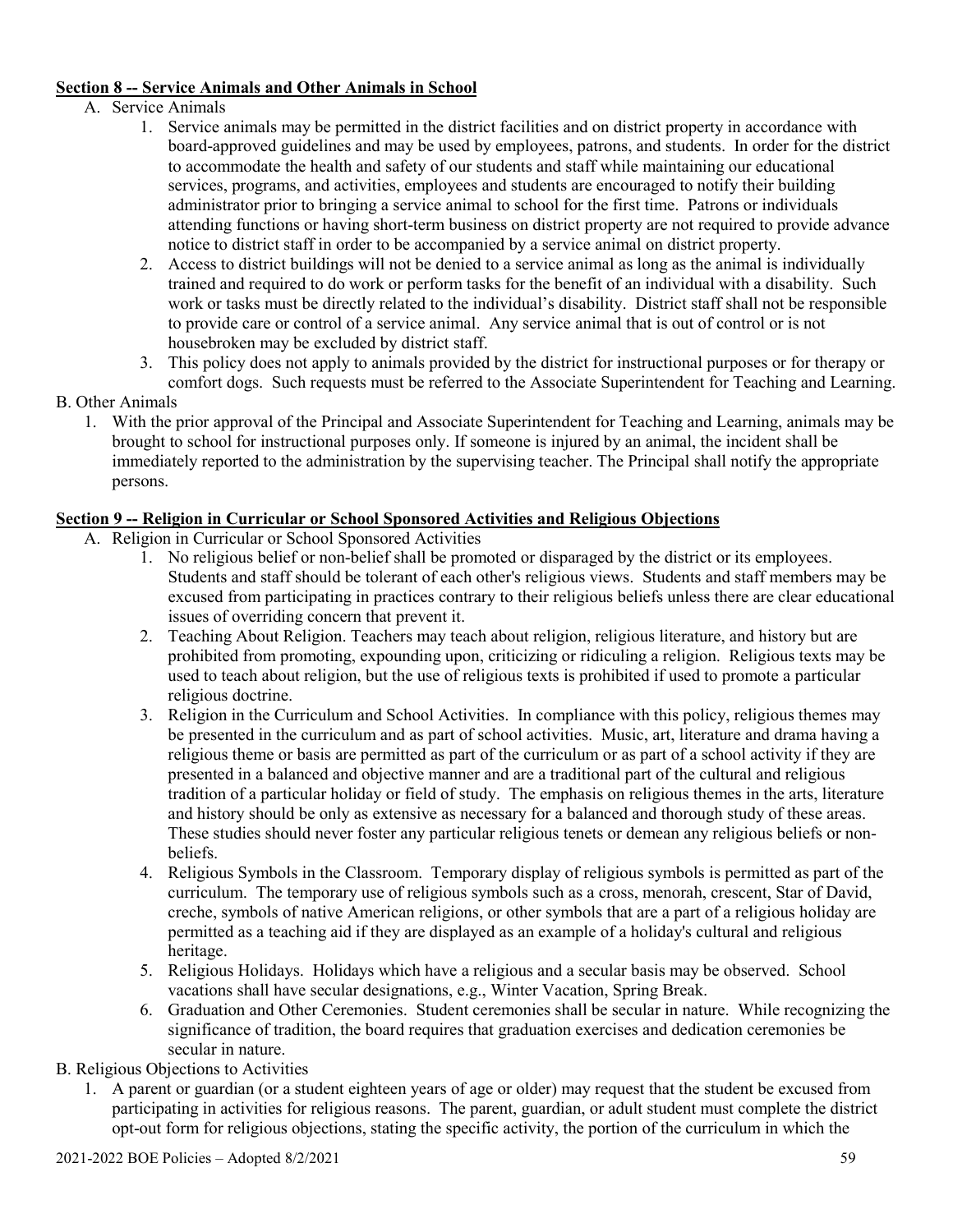### **Section 8 -- Service Animals and Other Animals in School**

- A. Service Animals
	- 1. Service animals may be permitted in the district facilities and on district property in accordance with board-approved guidelines and may be used by employees, patrons, and students. In order for the district to accommodate the health and safety of our students and staff while maintaining our educational services, programs, and activities, employees and students are encouraged to notify their building administrator prior to bringing a service animal to school for the first time. Patrons or individuals attending functions or having short-term business on district property are not required to provide advance notice to district staff in order to be accompanied by a service animal on district property.
	- 2. Access to district buildings will not be denied to a service animal as long as the animal is individually trained and required to do work or perform tasks for the benefit of an individual with a disability. Such work or tasks must be directly related to the individual's disability. District staff shall not be responsible to provide care or control of a service animal. Any service animal that is out of control or is not housebroken may be excluded by district staff.
	- 3. This policy does not apply to animals provided by the district for instructional purposes or for therapy or comfort dogs. Such requests must be referred to the Associate Superintendent for Teaching and Learning.

### B. Other Animals

1. With the prior approval of the Principal and Associate Superintendent for Teaching and Learning, animals may be brought to school for instructional purposes only. If someone is injured by an animal, the incident shall be immediately reported to the administration by the supervising teacher. The Principal shall notify the appropriate persons.

# **Section 9 -- Religion in Curricular or School Sponsored Activities and Religious Objections**

- A. Religion in Curricular or School Sponsored Activities
	- 1. No religious belief or non-belief shall be promoted or disparaged by the district or its employees. Students and staff should be tolerant of each other's religious views. Students and staff members may be excused from participating in practices contrary to their religious beliefs unless there are clear educational issues of overriding concern that prevent it.
	- 2. Teaching About Religion. Teachers may teach about religion, religious literature, and history but are prohibited from promoting, expounding upon, criticizing or ridiculing a religion. Religious texts may be used to teach about religion, but the use of religious texts is prohibited if used to promote a particular religious doctrine.
	- 3. Religion in the Curriculum and School Activities. In compliance with this policy, religious themes may be presented in the curriculum and as part of school activities. Music, art, literature and drama having a religious theme or basis are permitted as part of the curriculum or as part of a school activity if they are presented in a balanced and objective manner and are a traditional part of the cultural and religious tradition of a particular holiday or field of study. The emphasis on religious themes in the arts, literature and history should be only as extensive as necessary for a balanced and thorough study of these areas. These studies should never foster any particular religious tenets or demean any religious beliefs or nonbeliefs.
	- 4. Religious Symbols in the Classroom. Temporary display of religious symbols is permitted as part of the curriculum. The temporary use of religious symbols such as a cross, menorah, crescent, Star of David, creche, symbols of native American religions, or other symbols that are a part of a religious holiday are permitted as a teaching aid if they are displayed as an example of a holiday's cultural and religious heritage.
	- 5. Religious Holidays. Holidays which have a religious and a secular basis may be observed. School vacations shall have secular designations, e.g., Winter Vacation, Spring Break.
	- 6. Graduation and Other Ceremonies. Student ceremonies shall be secular in nature. While recognizing the significance of tradition, the board requires that graduation exercises and dedication ceremonies be secular in nature.

B. Religious Objections to Activities

1. A parent or guardian (or a student eighteen years of age or older) may request that the student be excused from participating in activities for religious reasons. The parent, guardian, or adult student must complete the district opt-out form for religious objections, stating the specific activity, the portion of the curriculum in which the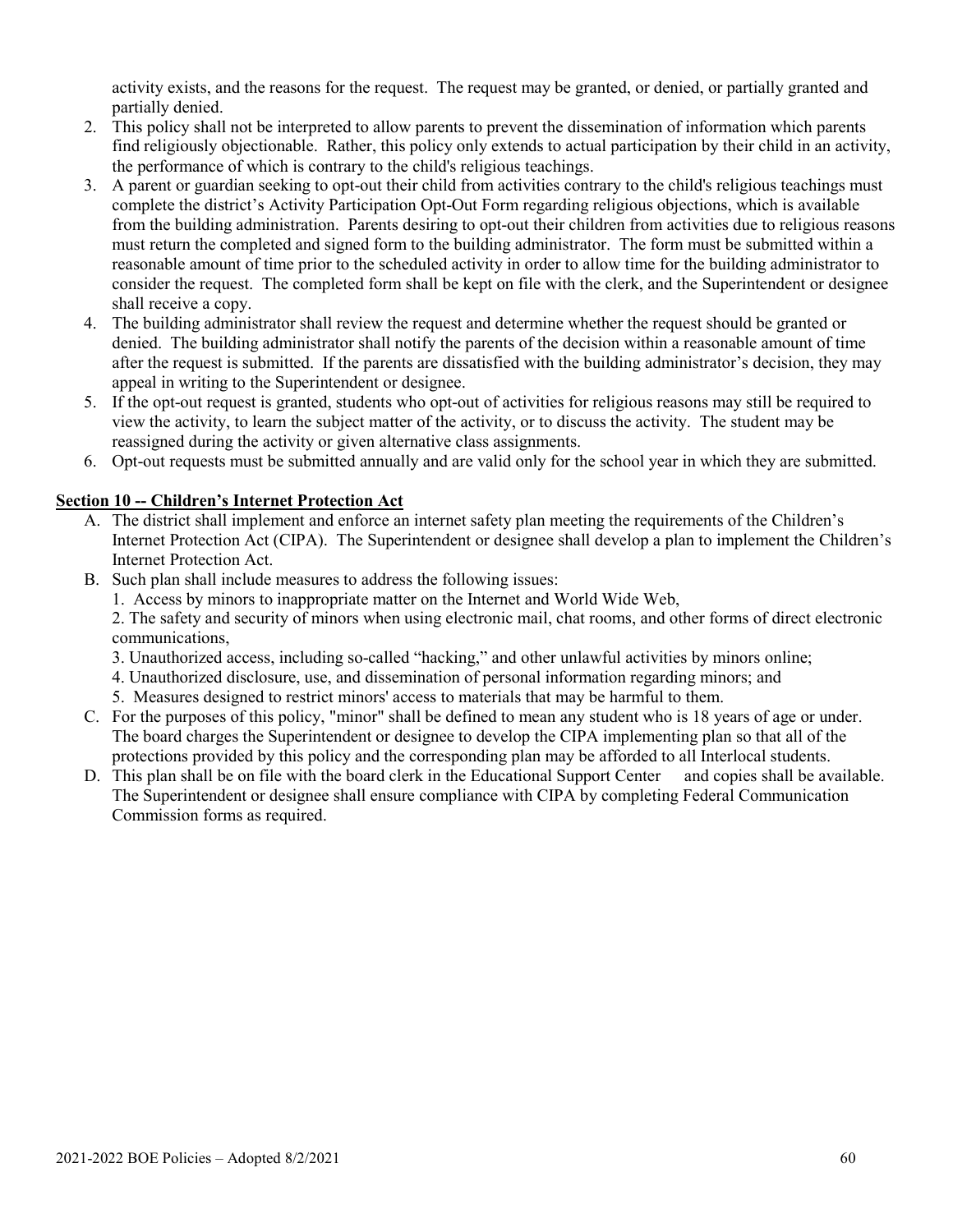activity exists, and the reasons for the request. The request may be granted, or denied, or partially granted and partially denied.

- 2. This policy shall not be interpreted to allow parents to prevent the dissemination of information which parents find religiously objectionable. Rather, this policy only extends to actual participation by their child in an activity, the performance of which is contrary to the child's religious teachings.
- 3. A parent or guardian seeking to opt-out their child from activities contrary to the child's religious teachings must complete the district's Activity Participation Opt-Out Form regarding religious objections, which is available from the building administration. Parents desiring to opt-out their children from activities due to religious reasons must return the completed and signed form to the building administrator. The form must be submitted within a reasonable amount of time prior to the scheduled activity in order to allow time for the building administrator to consider the request. The completed form shall be kept on file with the clerk, and the Superintendent or designee shall receive a copy.
- 4. The building administrator shall review the request and determine whether the request should be granted or denied. The building administrator shall notify the parents of the decision within a reasonable amount of time after the request is submitted. If the parents are dissatisfied with the building administrator's decision, they may appeal in writing to the Superintendent or designee.
- 5. If the opt-out request is granted, students who opt-out of activities for religious reasons may still be required to view the activity, to learn the subject matter of the activity, or to discuss the activity. The student may be reassigned during the activity or given alternative class assignments.
- 6. Opt-out requests must be submitted annually and are valid only for the school year in which they are submitted.

### **Section 10 -- Children's Internet Protection Act**

- A. The district shall implement and enforce an internet safety plan meeting the requirements of the Children's Internet Protection Act (CIPA). The Superintendent or designee shall develop a plan to implement the Children's Internet Protection Act.
- B. Such plan shall include measures to address the following issues:
	- 1. Access by minors to inappropriate matter on the Internet and World Wide Web,

2. The safety and security of minors when using electronic mail, chat rooms, and other forms of direct electronic communications,

- 3. Unauthorized access, including so-called "hacking," and other unlawful activities by minors online;
- 4. Unauthorized disclosure, use, and dissemination of personal information regarding minors; and
- 5. Measures designed to restrict minors' access to materials that may be harmful to them.
- C. For the purposes of this policy, "minor" shall be defined to mean any student who is 18 years of age or under. The board charges the Superintendent or designee to develop the CIPA implementing plan so that all of the protections provided by this policy and the corresponding plan may be afforded to all Interlocal students.
- D. This plan shall be on file with the board clerk in the Educational Support Center and copies shall be available. The Superintendent or designee shall ensure compliance with CIPA by completing Federal Communication Commission forms as required.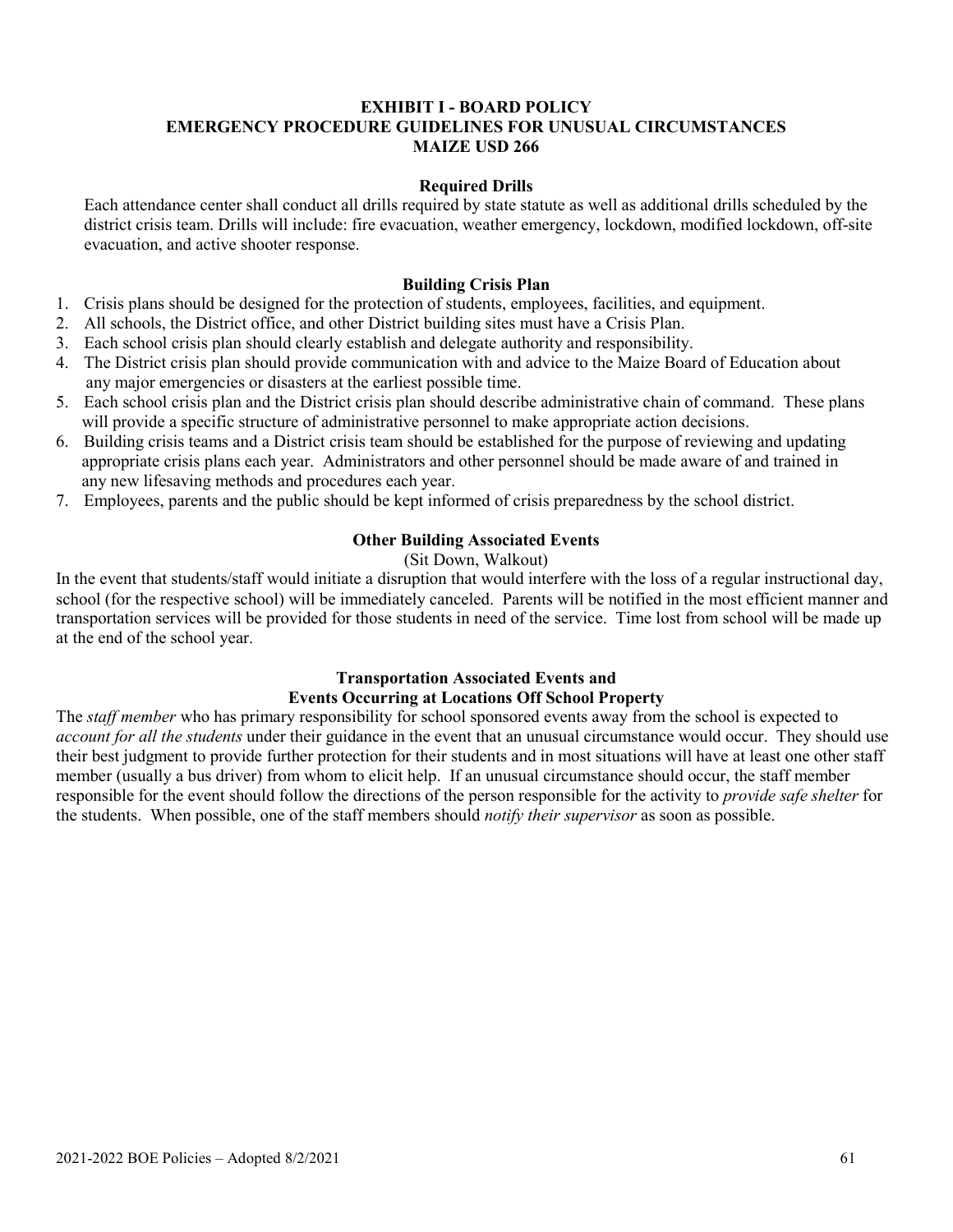#### **EXHIBIT I - BOARD POLICY EMERGENCY PROCEDURE GUIDELINES FOR UNUSUAL CIRCUMSTANCES MAIZE USD 266**

#### **Required Drills**

Each attendance center shall conduct all drills required by state statute as well as additional drills scheduled by the district crisis team. Drills will include: fire evacuation, weather emergency, lockdown, modified lockdown, off-site evacuation, and active shooter response.

#### **Building Crisis Plan**

- 1. Crisis plans should be designed for the protection of students, employees, facilities, and equipment.
- 2. All schools, the District office, and other District building sites must have a Crisis Plan.
- 3. Each school crisis plan should clearly establish and delegate authority and responsibility.
- 4. The District crisis plan should provide communication with and advice to the Maize Board of Education about any major emergencies or disasters at the earliest possible time.
- 5. Each school crisis plan and the District crisis plan should describe administrative chain of command. These plans will provide a specific structure of administrative personnel to make appropriate action decisions.
- 6. Building crisis teams and a District crisis team should be established for the purpose of reviewing and updating appropriate crisis plans each year. Administrators and other personnel should be made aware of and trained in any new lifesaving methods and procedures each year.
- 7. Employees, parents and the public should be kept informed of crisis preparedness by the school district.

#### **Other Building Associated Events**

#### (Sit Down, Walkout)

In the event that students/staff would initiate a disruption that would interfere with the loss of a regular instructional day, school (for the respective school) will be immediately canceled. Parents will be notified in the most efficient manner and transportation services will be provided for those students in need of the service. Time lost from school will be made up at the end of the school year.

#### **Transportation Associated Events and Events Occurring at Locations Off School Property**

The *staff member* who has primary responsibility for school sponsored events away from the school is expected to *account for all the students* under their guidance in the event that an unusual circumstance would occur. They should use their best judgment to provide further protection for their students and in most situations will have at least one other staff member (usually a bus driver) from whom to elicit help. If an unusual circumstance should occur, the staff member responsible for the event should follow the directions of the person responsible for the activity to *provide safe shelter* for the students. When possible, one of the staff members should *notify their supervisor* as soon as possible.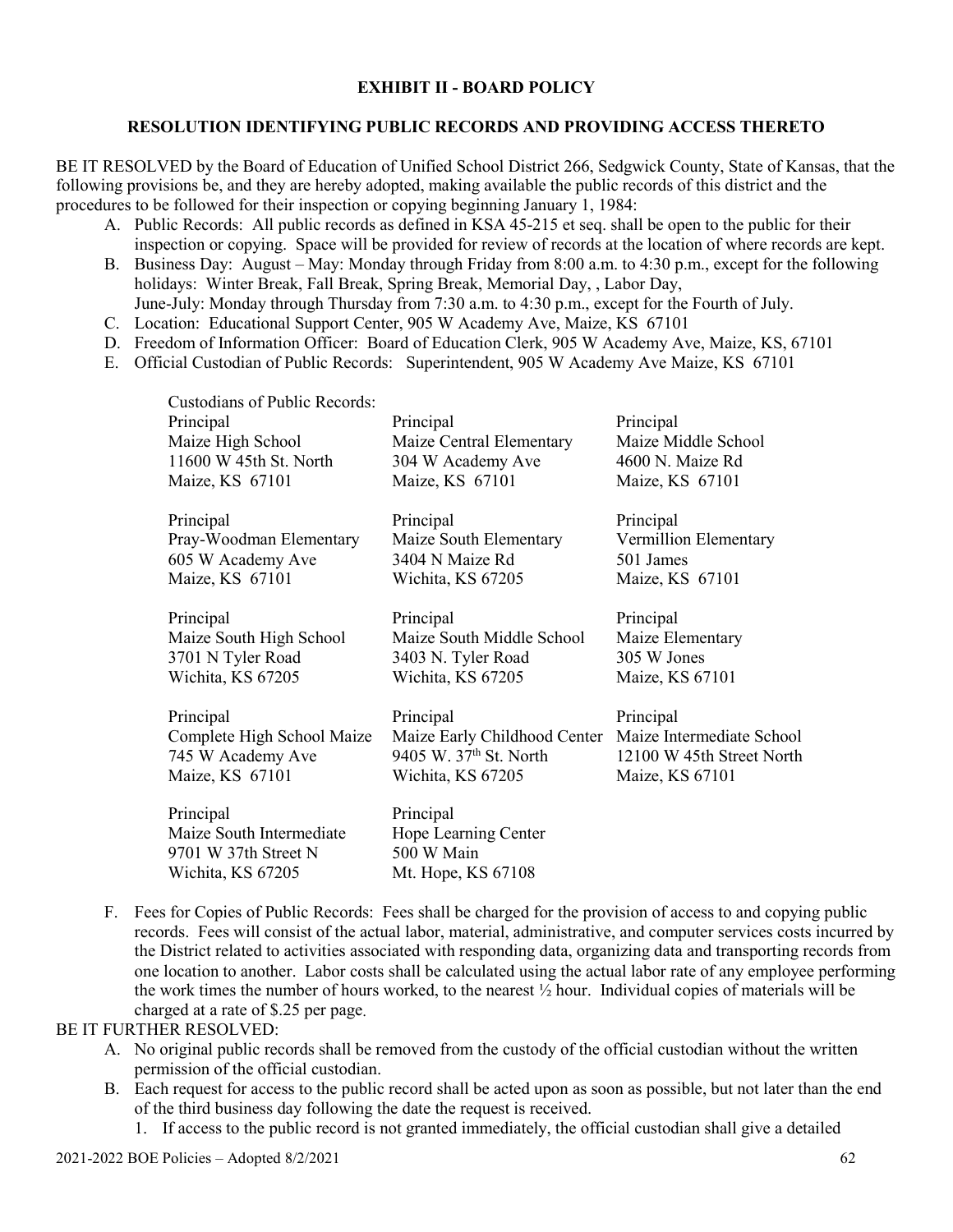### **EXHIBIT II - BOARD POLICY**

#### **RESOLUTION IDENTIFYING PUBLIC RECORDS AND PROVIDING ACCESS THERETO**

BE IT RESOLVED by the Board of Education of Unified School District 266, Sedgwick County, State of Kansas, that the following provisions be, and they are hereby adopted, making available the public records of this district and the procedures to be followed for their inspection or copying beginning January 1, 1984:

- A. Public Records: All public records as defined in KSA 45-215 et seq. shall be open to the public for their inspection or copying. Space will be provided for review of records at the location of where records are kept.
- B. Business Day: August May: Monday through Friday from 8:00 a.m. to 4:30 p.m., except for the following holidays: Winter Break, Fall Break, Spring Break, Memorial Day, , Labor Day, June-July: Monday through Thursday from 7:30 a.m. to 4:30 p.m., except for the Fourth of July.
- C. Location: Educational Support Center, 905 W Academy Ave, Maize, KS 67101

Wichita, KS 67205 Mt. Hope, KS 67108

- D. Freedom of Information Officer: Board of Education Clerk, 905 W Academy Ave, Maize, KS, 67101
- E. Official Custodian of Public Records: Superintendent, 905 W Academy Ave Maize, KS 67101

| <b>Custodians of Public Records:</b><br>Principal<br>Maize High School<br>11600 W 45th St. North<br>Maize, KS 67101 | Principal<br>Maize Central Elementary<br>304 W Academy Ave<br>Maize, KS 67101                                      | Principal<br>Maize Middle School<br>4600 N. Maize Rd<br>Maize, KS 67101 |
|---------------------------------------------------------------------------------------------------------------------|--------------------------------------------------------------------------------------------------------------------|-------------------------------------------------------------------------|
| Principal<br>Pray-Woodman Elementary<br>605 W Academy Ave<br>Maize, KS 67101                                        | Principal<br>Maize South Elementary<br>3404 N Maize Rd<br>Wichita, KS 67205                                        | Principal<br>Vermillion Elementary<br>501 James<br>Maize, KS 67101      |
| Principal<br>Maize South High School<br>3701 N Tyler Road<br>Wichita, KS 67205                                      | Principal<br>Maize South Middle School<br>3403 N. Tyler Road<br>Wichita, KS 67205                                  | Principal<br>Maize Elementary<br>305 W Jones<br>Maize, KS 67101         |
| Principal<br>Complete High School Maize<br>745 W Academy Ave<br>Maize, KS 67101                                     | Principal<br>Maize Early Childhood Center Maize Intermediate School<br>9405 W. 37th St. North<br>Wichita, KS 67205 | Principal<br>12100 W 45th Street North<br>Maize, KS 67101               |
| Principal<br>Maize South Intermediate<br>9701 W 37th Street N                                                       | Principal<br>Hope Learning Center<br>500 W Main                                                                    |                                                                         |

F. Fees for Copies of Public Records: Fees shall be charged for the provision of access to and copying public records. Fees will consist of the actual labor, material, administrative, and computer services costs incurred by the District related to activities associated with responding data, organizing data and transporting records from one location to another. Labor costs shall be calculated using the actual labor rate of any employee performing the work times the number of hours worked, to the nearest ½ hour. Individual copies of materials will be charged at a rate of \$.25 per page.

#### BE IT FURTHER RESOLVED:

- A. No original public records shall be removed from the custody of the official custodian without the written permission of the official custodian.
- B. Each request for access to the public record shall be acted upon as soon as possible, but not later than the end of the third business day following the date the request is received.
	- 1. If access to the public record is not granted immediately, the official custodian shall give a detailed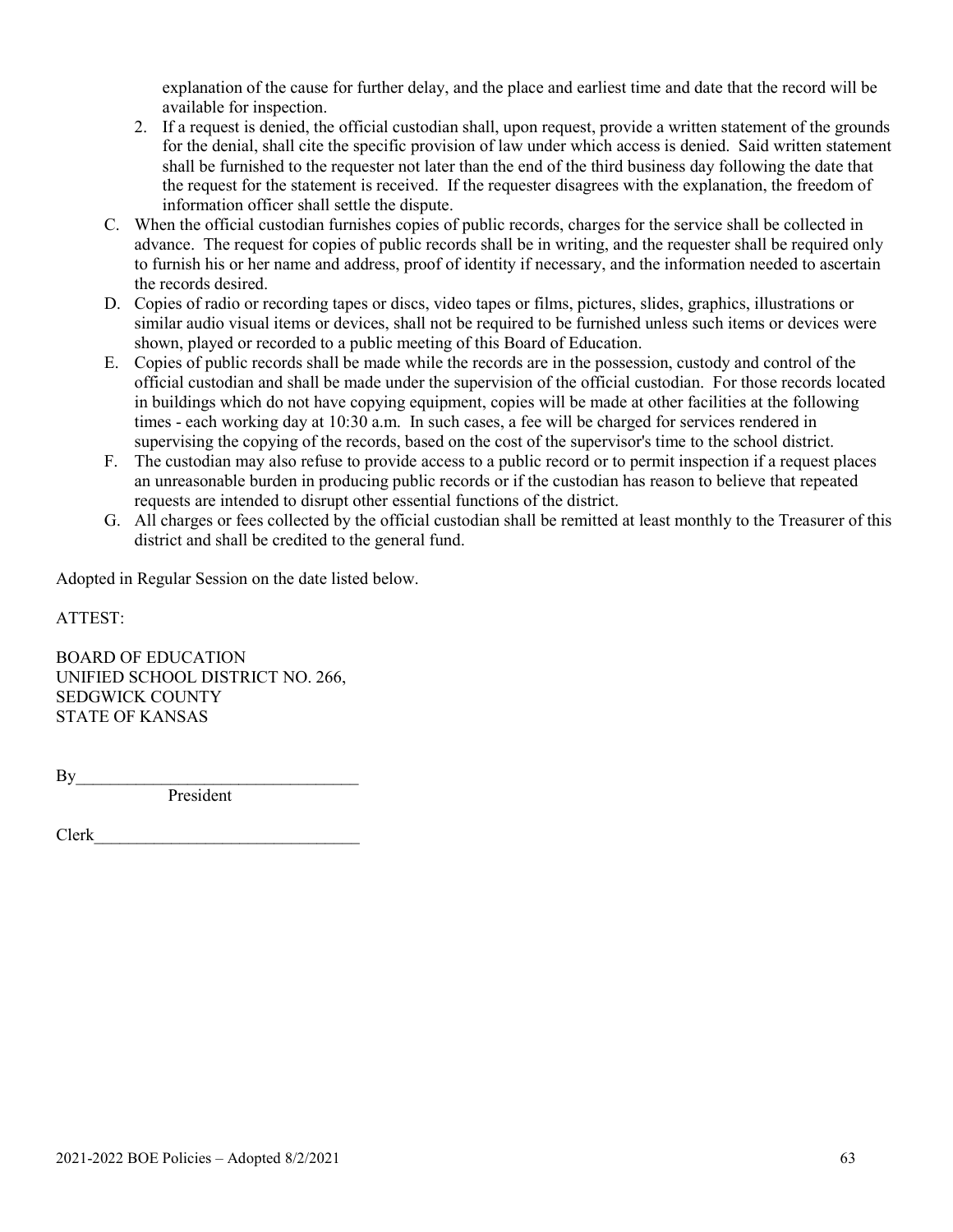explanation of the cause for further delay, and the place and earliest time and date that the record will be available for inspection.

- 2. If a request is denied, the official custodian shall, upon request, provide a written statement of the grounds for the denial, shall cite the specific provision of law under which access is denied. Said written statement shall be furnished to the requester not later than the end of the third business day following the date that the request for the statement is received. If the requester disagrees with the explanation, the freedom of information officer shall settle the dispute.
- C. When the official custodian furnishes copies of public records, charges for the service shall be collected in advance. The request for copies of public records shall be in writing, and the requester shall be required only to furnish his or her name and address, proof of identity if necessary, and the information needed to ascertain the records desired.
- D. Copies of radio or recording tapes or discs, video tapes or films, pictures, slides, graphics, illustrations or similar audio visual items or devices, shall not be required to be furnished unless such items or devices were shown, played or recorded to a public meeting of this Board of Education.
- E. Copies of public records shall be made while the records are in the possession, custody and control of the official custodian and shall be made under the supervision of the official custodian. For those records located in buildings which do not have copying equipment, copies will be made at other facilities at the following times - each working day at 10:30 a.m. In such cases, a fee will be charged for services rendered in supervising the copying of the records, based on the cost of the supervisor's time to the school district.
- F. The custodian may also refuse to provide access to a public record or to permit inspection if a request places an unreasonable burden in producing public records or if the custodian has reason to believe that repeated requests are intended to disrupt other essential functions of the district.
- G. All charges or fees collected by the official custodian shall be remitted at least monthly to the Treasurer of this district and shall be credited to the general fund.

Adopted in Regular Session on the date listed below.

ATTEST:

BOARD OF EDUCATION UNIFIED SCHOOL DISTRICT NO. 266, SEDGWICK COUNTY STATE OF KANSAS

 $By$ 

President

Clerk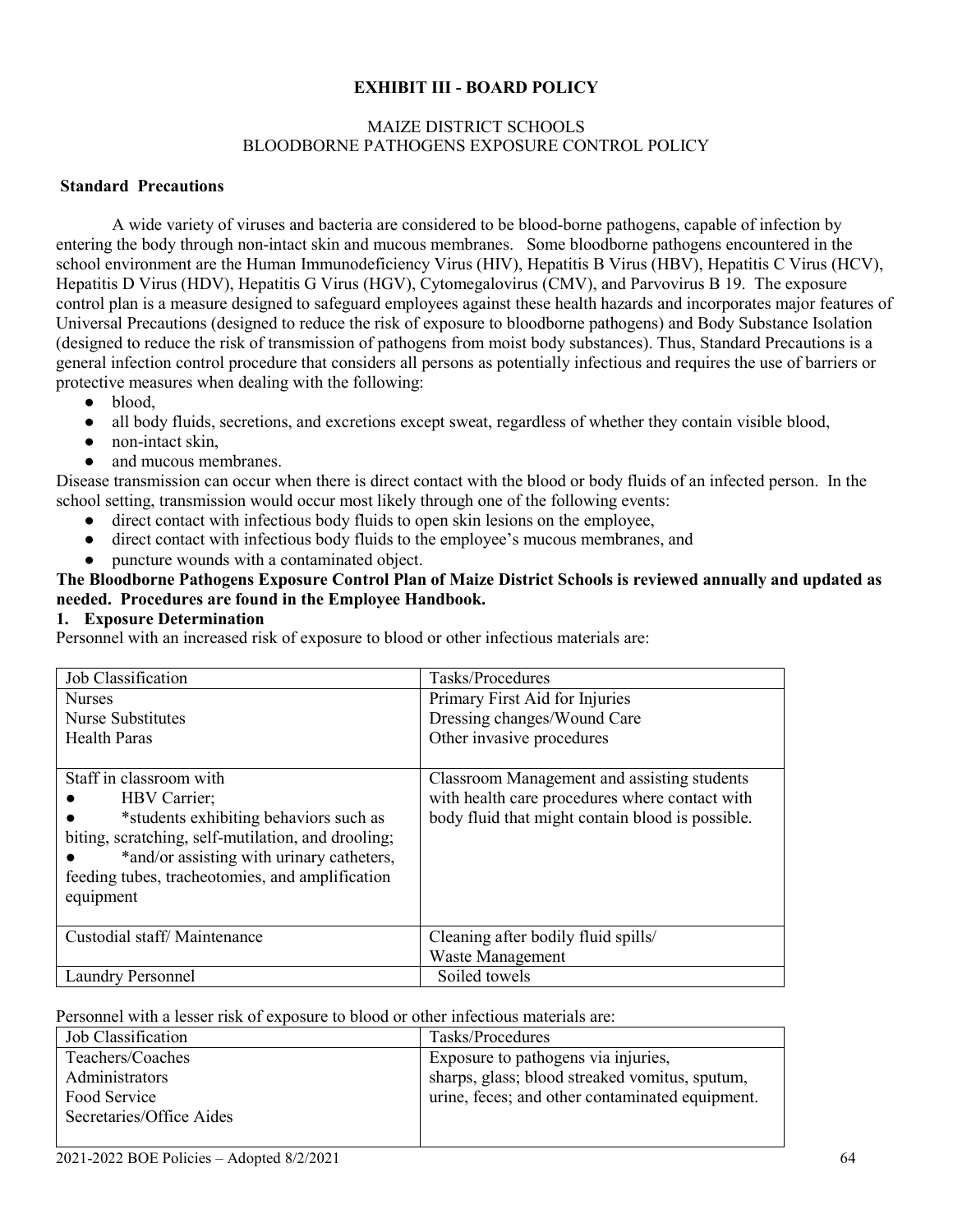### **EXHIBIT III - BOARD POLICY**

#### MAIZE DISTRICT SCHOOLS BLOODBORNE PATHOGENS EXPOSURE CONTROL POLICY

#### **Standard Precautions**

A wide variety of viruses and bacteria are considered to be blood-borne pathogens, capable of infection by entering the body through non-intact skin and mucous membranes. Some bloodborne pathogens encountered in the school environment are the Human Immunodeficiency Virus (HIV), Hepatitis B Virus (HBV), Hepatitis C Virus (HCV), Hepatitis D Virus (HDV), Hepatitis G Virus (HGV), Cytomegalovirus (CMV), and Parvovirus B 19. The exposure control plan is a measure designed to safeguard employees against these health hazards and incorporates major features of Universal Precautions (designed to reduce the risk of exposure to bloodborne pathogens) and Body Substance Isolation (designed to reduce the risk of transmission of pathogens from moist body substances). Thus, Standard Precautions is a general infection control procedure that considers all persons as potentially infectious and requires the use of barriers or protective measures when dealing with the following:

- blood,
- all body fluids, secretions, and excretions except sweat, regardless of whether they contain visible blood,
- non-intact skin,
- and mucous membranes.

Disease transmission can occur when there is direct contact with the blood or body fluids of an infected person. In the school setting, transmission would occur most likely through one of the following events:

- direct contact with infectious body fluids to open skin lesions on the employee,
- direct contact with infectious body fluids to the employee's mucous membranes, and
- puncture wounds with a contaminated object.

#### **The Bloodborne Pathogens Exposure Control Plan of Maize District Schools is reviewed annually and updated as needed. Procedures are found in the Employee Handbook.**

#### **1. Exposure Determination**

Personnel with an increased risk of exposure to blood or other infectious materials are:

| Job Classification                                 | Tasks/Procedures                                 |
|----------------------------------------------------|--------------------------------------------------|
| <b>Nurses</b>                                      | Primary First Aid for Injuries                   |
| Nurse Substitutes                                  | Dressing changes/Wound Care                      |
| <b>Health Paras</b>                                | Other invasive procedures                        |
|                                                    |                                                  |
| Staff in classroom with                            | Classroom Management and assisting students      |
| HBV Carrier;                                       | with health care procedures where contact with   |
| *students exhibiting behaviors such as             | body fluid that might contain blood is possible. |
| biting, scratching, self-mutilation, and drooling; |                                                  |
| *and/or assisting with urinary catheters,          |                                                  |
| feeding tubes, tracheotomies, and amplification    |                                                  |
| equipment                                          |                                                  |
|                                                    |                                                  |
| Custodial staff/Maintenance                        | Cleaning after bodily fluid spills/              |
|                                                    | Waste Management                                 |
| <b>Laundry Personnel</b>                           | Soiled towels                                    |

Personnel with a lesser risk of exposure to blood or other infectious materials are:

| Job Classification       | Tasks/Procedures                                |
|--------------------------|-------------------------------------------------|
| Teachers/Coaches         | Exposure to pathogens via injuries,             |
| Administrators           | sharps, glass; blood streaked vomitus, sputum,  |
| Food Service             | urine, feces; and other contaminated equipment. |
| Secretaries/Office Aides |                                                 |
|                          |                                                 |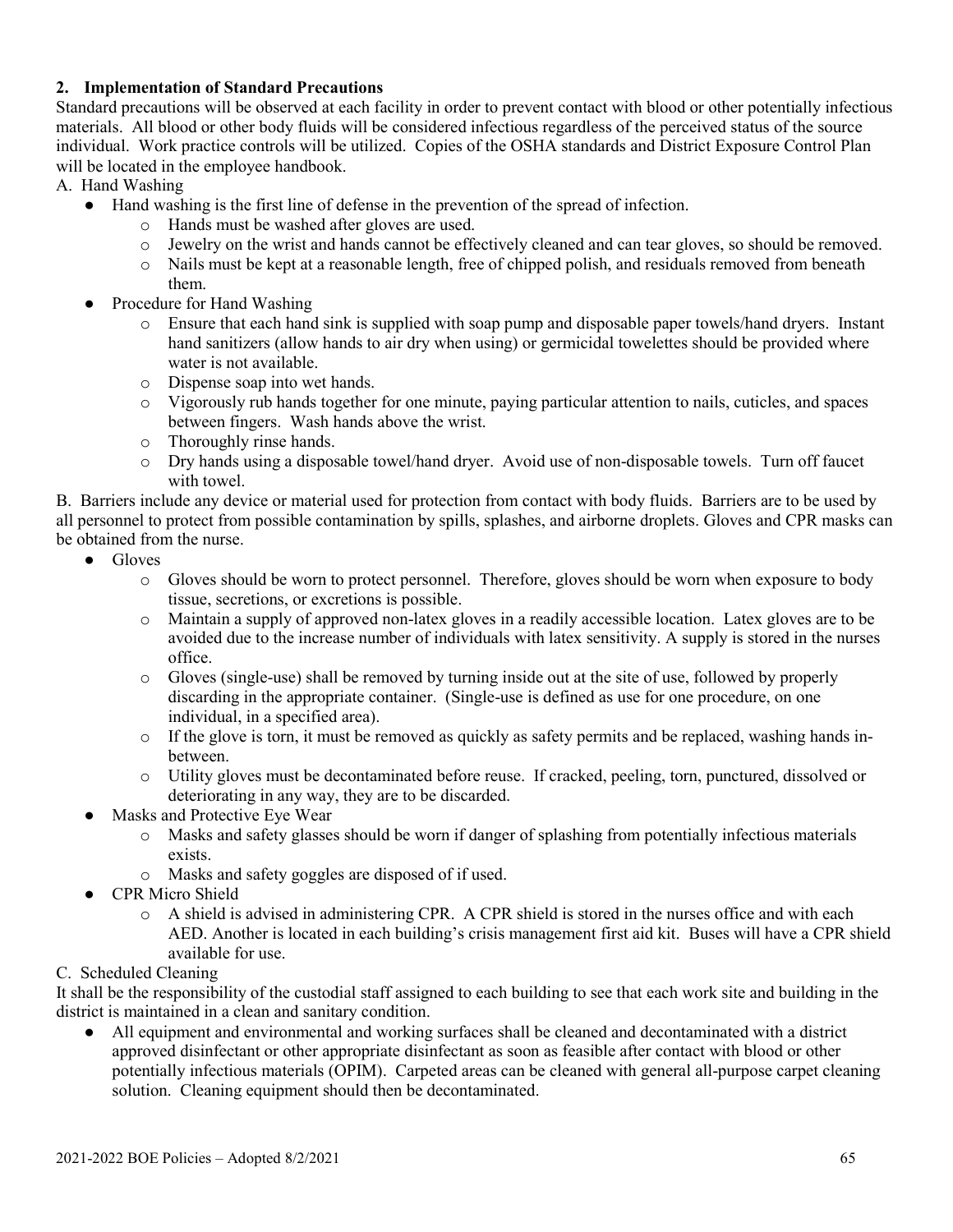### **2. Implementation of Standard Precautions**

Standard precautions will be observed at each facility in order to prevent contact with blood or other potentially infectious materials. All blood or other body fluids will be considered infectious regardless of the perceived status of the source individual. Work practice controls will be utilized. Copies of the OSHA standards and District Exposure Control Plan will be located in the employee handbook.

A. Hand Washing

- Hand washing is the first line of defense in the prevention of the spread of infection.
	- o Hands must be washed after gloves are used.
	- o Jewelry on the wrist and hands cannot be effectively cleaned and can tear gloves, so should be removed.
	- o Nails must be kept at a reasonable length, free of chipped polish, and residuals removed from beneath them.
- Procedure for Hand Washing
	- o Ensure that each hand sink is supplied with soap pump and disposable paper towels/hand dryers. Instant hand sanitizers (allow hands to air dry when using) or germicidal towelettes should be provided where water is not available.
	- o Dispense soap into wet hands.
	- o Vigorously rub hands together for one minute, paying particular attention to nails, cuticles, and spaces between fingers. Wash hands above the wrist.
	- o Thoroughly rinse hands.
	- o Dry hands using a disposable towel/hand dryer. Avoid use of non-disposable towels. Turn off faucet with towel.

B. Barriers include any device or material used for protection from contact with body fluids. Barriers are to be used by all personnel to protect from possible contamination by spills, splashes, and airborne droplets. Gloves and CPR masks can be obtained from the nurse.

- Gloves
	- o Gloves should be worn to protect personnel. Therefore, gloves should be worn when exposure to body tissue, secretions, or excretions is possible.
	- o Maintain a supply of approved non-latex gloves in a readily accessible location. Latex gloves are to be avoided due to the increase number of individuals with latex sensitivity. A supply is stored in the nurses office.
	- o Gloves (single-use) shall be removed by turning inside out at the site of use, followed by properly discarding in the appropriate container. (Single-use is defined as use for one procedure, on one individual, in a specified area).
	- o If the glove is torn, it must be removed as quickly as safety permits and be replaced, washing hands inbetween.
	- o Utility gloves must be decontaminated before reuse. If cracked, peeling, torn, punctured, dissolved or deteriorating in any way, they are to be discarded.
- Masks and Protective Eye Wear
	- o Masks and safety glasses should be worn if danger of splashing from potentially infectious materials exists.
	- o Masks and safety goggles are disposed of if used.
- **CPR Micro Shield** 
	- o A shield is advised in administering CPR. A CPR shield is stored in the nurses office and with each AED. Another is located in each building's crisis management first aid kit. Buses will have a CPR shield available for use.

# C. Scheduled Cleaning

It shall be the responsibility of the custodial staff assigned to each building to see that each work site and building in the district is maintained in a clean and sanitary condition.

All equipment and environmental and working surfaces shall be cleaned and decontaminated with a district approved disinfectant or other appropriate disinfectant as soon as feasible after contact with blood or other potentially infectious materials (OPIM). Carpeted areas can be cleaned with general all-purpose carpet cleaning solution. Cleaning equipment should then be decontaminated.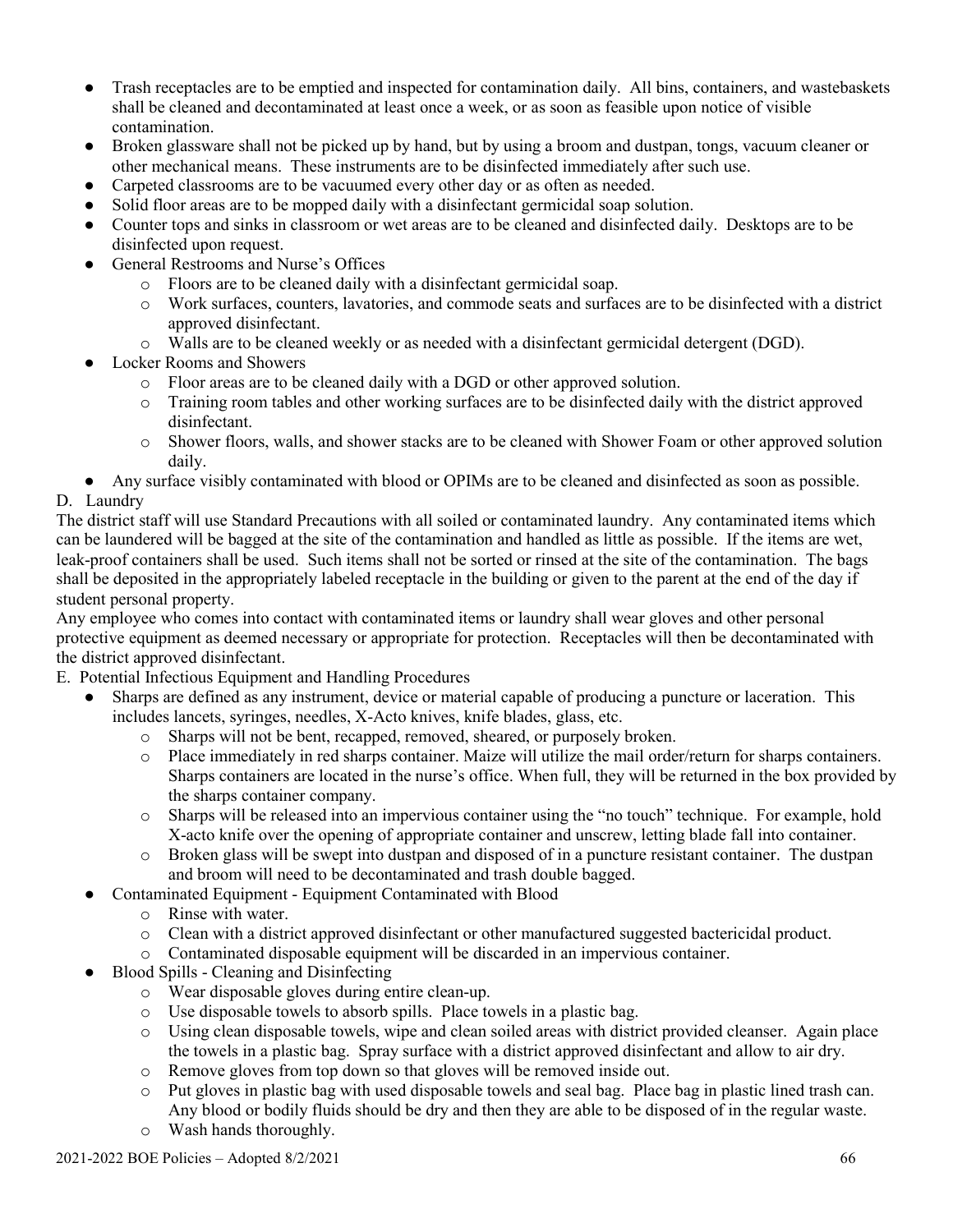- Trash receptacles are to be emptied and inspected for contamination daily. All bins, containers, and wastebaskets shall be cleaned and decontaminated at least once a week, or as soon as feasible upon notice of visible contamination.
- Broken glassware shall not be picked up by hand, but by using a broom and dustpan, tongs, vacuum cleaner or other mechanical means. These instruments are to be disinfected immediately after such use.
- Carpeted classrooms are to be vacuumed every other day or as often as needed.
- Solid floor areas are to be mopped daily with a disinfectant germicidal soap solution.
- Counter tops and sinks in classroom or wet areas are to be cleaned and disinfected daily. Desktops are to be disinfected upon request.
- General Restrooms and Nurse's Offices
	- o Floors are to be cleaned daily with a disinfectant germicidal soap.
	- o Work surfaces, counters, lavatories, and commode seats and surfaces are to be disinfected with a district approved disinfectant.
	- o Walls are to be cleaned weekly or as needed with a disinfectant germicidal detergent (DGD).
- Locker Rooms and Showers
	- o Floor areas are to be cleaned daily with a DGD or other approved solution.
	- o Training room tables and other working surfaces are to be disinfected daily with the district approved disinfectant.
	- o Shower floors, walls, and shower stacks are to be cleaned with Shower Foam or other approved solution daily.
- Any surface visibly contaminated with blood or OPIMs are to be cleaned and disinfected as soon as possible.

# D. Laundry

The district staff will use Standard Precautions with all soiled or contaminated laundry. Any contaminated items which can be laundered will be bagged at the site of the contamination and handled as little as possible. If the items are wet, leak-proof containers shall be used. Such items shall not be sorted or rinsed at the site of the contamination. The bags shall be deposited in the appropriately labeled receptacle in the building or given to the parent at the end of the day if student personal property.

Any employee who comes into contact with contaminated items or laundry shall wear gloves and other personal protective equipment as deemed necessary or appropriate for protection. Receptacles will then be decontaminated with the district approved disinfectant.

- E. Potential Infectious Equipment and Handling Procedures
	- Sharps are defined as any instrument, device or material capable of producing a puncture or laceration. This includes lancets, syringes, needles, X-Acto knives, knife blades, glass, etc.
		- o Sharps will not be bent, recapped, removed, sheared, or purposely broken.
		- o Place immediately in red sharps container. Maize will utilize the mail order/return for sharps containers. Sharps containers are located in the nurse's office. When full, they will be returned in the box provided by the sharps container company.
		- o Sharps will be released into an impervious container using the "no touch" technique. For example, hold X-acto knife over the opening of appropriate container and unscrew, letting blade fall into container.
		- o Broken glass will be swept into dustpan and disposed of in a puncture resistant container. The dustpan and broom will need to be decontaminated and trash double bagged.
		- Contaminated Equipment Equipment Contaminated with Blood
			- o Rinse with water.
			- o Clean with a district approved disinfectant or other manufactured suggested bactericidal product.
			- o Contaminated disposable equipment will be discarded in an impervious container.
	- Blood Spills Cleaning and Disinfecting
		- o Wear disposable gloves during entire clean-up.
		- o Use disposable towels to absorb spills. Place towels in a plastic bag.
		- o Using clean disposable towels, wipe and clean soiled areas with district provided cleanser. Again place the towels in a plastic bag. Spray surface with a district approved disinfectant and allow to air dry.
		- o Remove gloves from top down so that gloves will be removed inside out.
		- o Put gloves in plastic bag with used disposable towels and seal bag. Place bag in plastic lined trash can. Any blood or bodily fluids should be dry and then they are able to be disposed of in the regular waste.
		- o Wash hands thoroughly.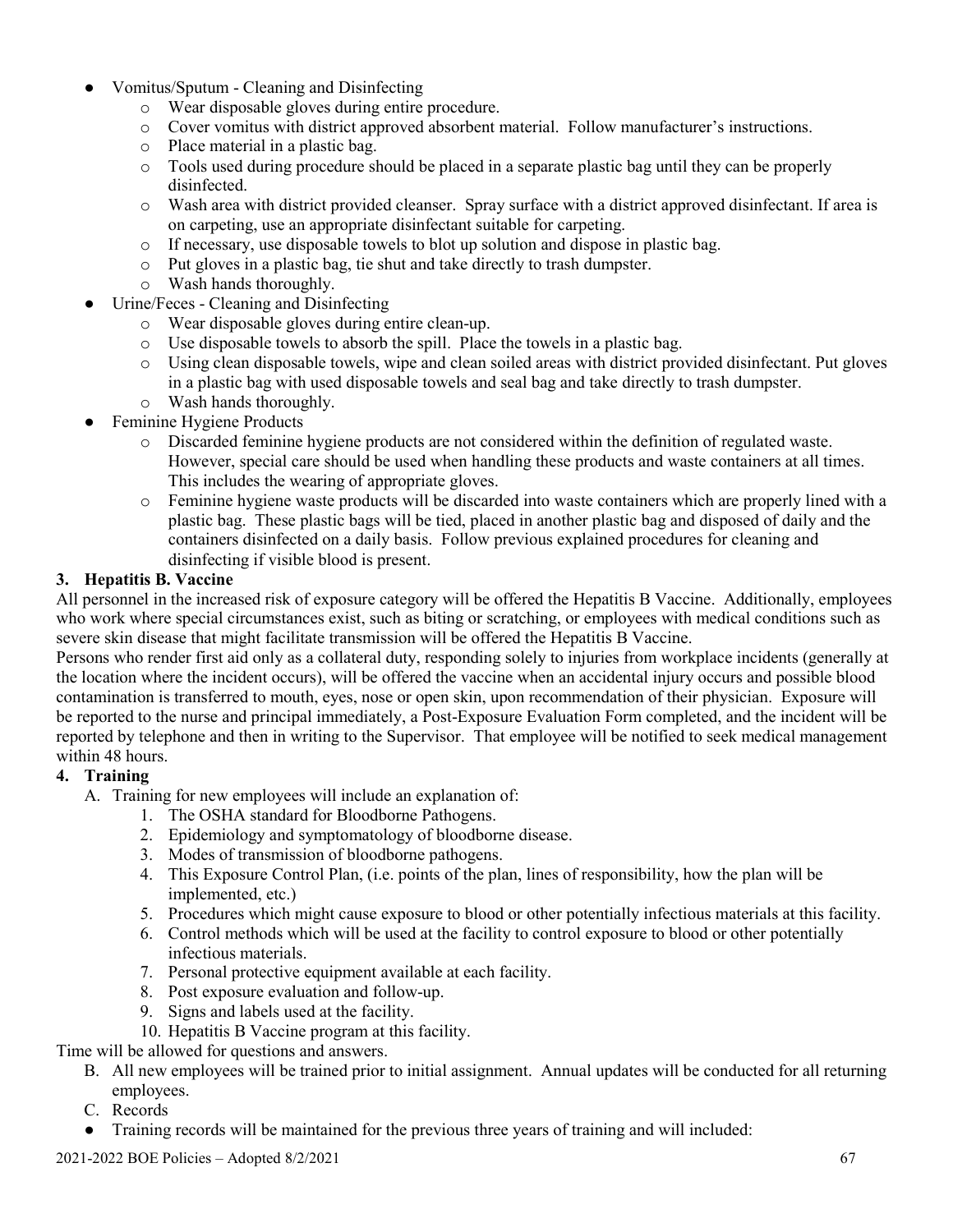- Vomitus/Sputum Cleaning and Disinfecting
	- o Wear disposable gloves during entire procedure.
	- o Cover vomitus with district approved absorbent material. Follow manufacturer's instructions.
	- o Place material in a plastic bag.
	- o Tools used during procedure should be placed in a separate plastic bag until they can be properly disinfected.
	- o Wash area with district provided cleanser. Spray surface with a district approved disinfectant. If area is on carpeting, use an appropriate disinfectant suitable for carpeting.
	- o If necessary, use disposable towels to blot up solution and dispose in plastic bag.
	- o Put gloves in a plastic bag, tie shut and take directly to trash dumpster.
	- o Wash hands thoroughly.
- Urine/Feces Cleaning and Disinfecting
	- o Wear disposable gloves during entire clean-up.
	- o Use disposable towels to absorb the spill. Place the towels in a plastic bag.
	- o Using clean disposable towels, wipe and clean soiled areas with district provided disinfectant. Put gloves in a plastic bag with used disposable towels and seal bag and take directly to trash dumpster.
	- o Wash hands thoroughly.
- **Feminine Hygiene Products** 
	- o Discarded feminine hygiene products are not considered within the definition of regulated waste. However, special care should be used when handling these products and waste containers at all times. This includes the wearing of appropriate gloves.
	- o Feminine hygiene waste products will be discarded into waste containers which are properly lined with a plastic bag. These plastic bags will be tied, placed in another plastic bag and disposed of daily and the containers disinfected on a daily basis. Follow previous explained procedures for cleaning and disinfecting if visible blood is present.

#### **3. Hepatitis B. Vaccine**

All personnel in the increased risk of exposure category will be offered the Hepatitis B Vaccine. Additionally, employees who work where special circumstances exist, such as biting or scratching, or employees with medical conditions such as severe skin disease that might facilitate transmission will be offered the Hepatitis B Vaccine.

Persons who render first aid only as a collateral duty, responding solely to injuries from workplace incidents (generally at the location where the incident occurs), will be offered the vaccine when an accidental injury occurs and possible blood contamination is transferred to mouth, eyes, nose or open skin, upon recommendation of their physician. Exposure will be reported to the nurse and principal immediately, a Post-Exposure Evaluation Form completed, and the incident will be reported by telephone and then in writing to the Supervisor. That employee will be notified to seek medical management within 48 hours.

#### **4. Training**

- A. Training for new employees will include an explanation of:
	- 1. The OSHA standard for Bloodborne Pathogens.
	- 2. Epidemiology and symptomatology of bloodborne disease.
	- 3. Modes of transmission of bloodborne pathogens.
	- 4. This Exposure Control Plan, (i.e. points of the plan, lines of responsibility, how the plan will be implemented, etc.)
	- 5. Procedures which might cause exposure to blood or other potentially infectious materials at this facility.
	- 6. Control methods which will be used at the facility to control exposure to blood or other potentially infectious materials.
	- 7. Personal protective equipment available at each facility.
	- 8. Post exposure evaluation and follow-up.
	- 9. Signs and labels used at the facility.
	- 10. Hepatitis B Vaccine program at this facility.

Time will be allowed for questions and answers.

- B. All new employees will be trained prior to initial assignment. Annual updates will be conducted for all returning employees.
- C. Records
- Training records will be maintained for the previous three years of training and will included:

 $2021-2022$  BOE Policies – Adopted  $8/2/2021$  67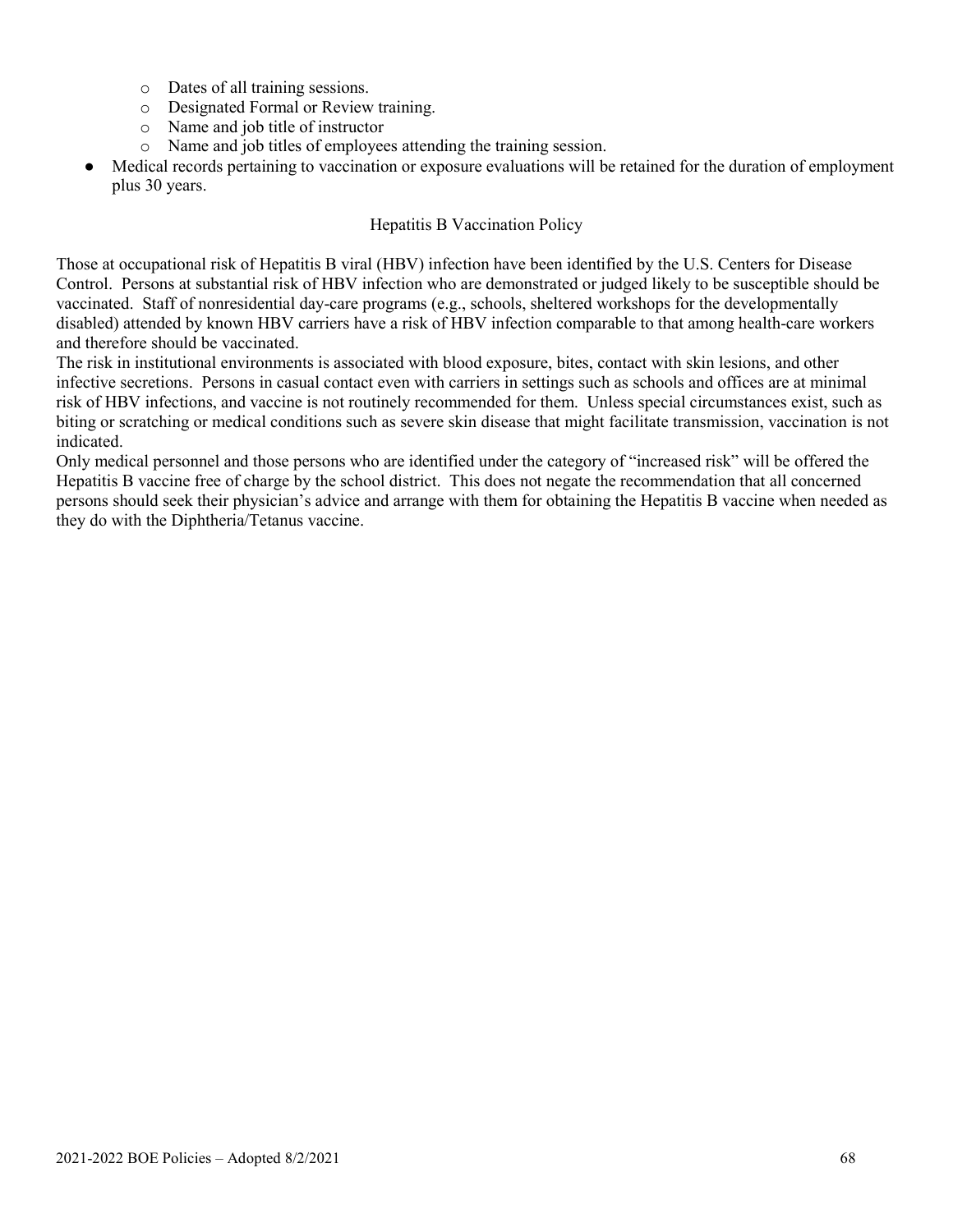- o Dates of all training sessions.
- o Designated Formal or Review training.
- o Name and job title of instructor
- o Name and job titles of employees attending the training session.
- Medical records pertaining to vaccination or exposure evaluations will be retained for the duration of employment plus 30 years.

### Hepatitis B Vaccination Policy

Those at occupational risk of Hepatitis B viral (HBV) infection have been identified by the U.S. Centers for Disease Control. Persons at substantial risk of HBV infection who are demonstrated or judged likely to be susceptible should be vaccinated. Staff of nonresidential day-care programs (e.g., schools, sheltered workshops for the developmentally disabled) attended by known HBV carriers have a risk of HBV infection comparable to that among health-care workers and therefore should be vaccinated.

The risk in institutional environments is associated with blood exposure, bites, contact with skin lesions, and other infective secretions. Persons in casual contact even with carriers in settings such as schools and offices are at minimal risk of HBV infections, and vaccine is not routinely recommended for them. Unless special circumstances exist, such as biting or scratching or medical conditions such as severe skin disease that might facilitate transmission, vaccination is not indicated.

Only medical personnel and those persons who are identified under the category of "increased risk" will be offered the Hepatitis B vaccine free of charge by the school district. This does not negate the recommendation that all concerned persons should seek their physician's advice and arrange with them for obtaining the Hepatitis B vaccine when needed as they do with the Diphtheria/Tetanus vaccine.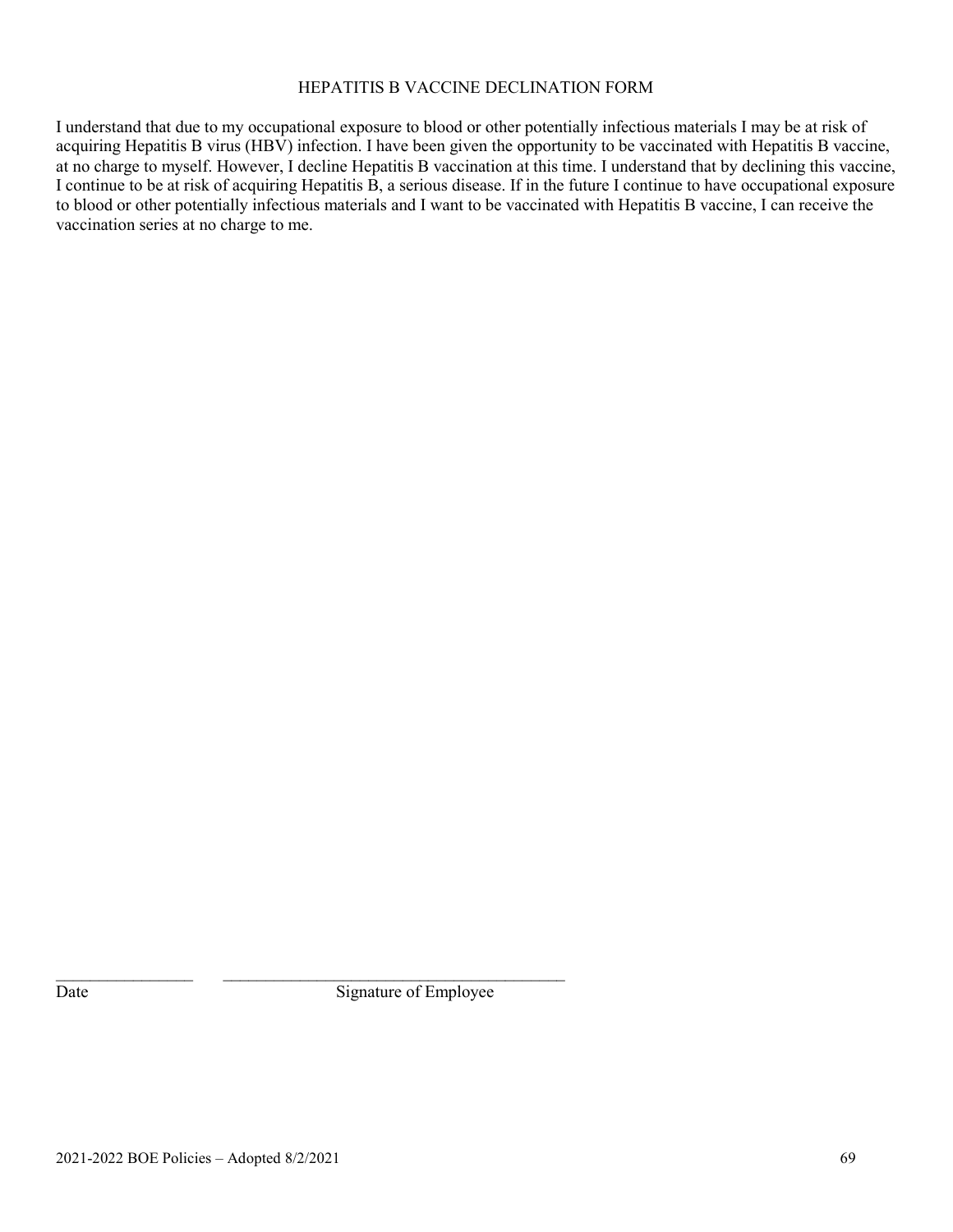#### HEPATITIS B VACCINE DECLINATION FORM

I understand that due to my occupational exposure to blood or other potentially infectious materials I may be at risk of acquiring Hepatitis B virus (HBV) infection. I have been given the opportunity to be vaccinated with Hepatitis B vaccine, at no charge to myself. However, I decline Hepatitis B vaccination at this time. I understand that by declining this vaccine, I continue to be at risk of acquiring Hepatitis B, a serious disease. If in the future I continue to have occupational exposure to blood or other potentially infectious materials and I want to be vaccinated with Hepatitis B vaccine, I can receive the vaccination series at no charge to me.

Date Signature of Employee

 $\_$  , and the set of the set of the set of the set of the set of the set of the set of the set of the set of the set of the set of the set of the set of the set of the set of the set of the set of the set of the set of th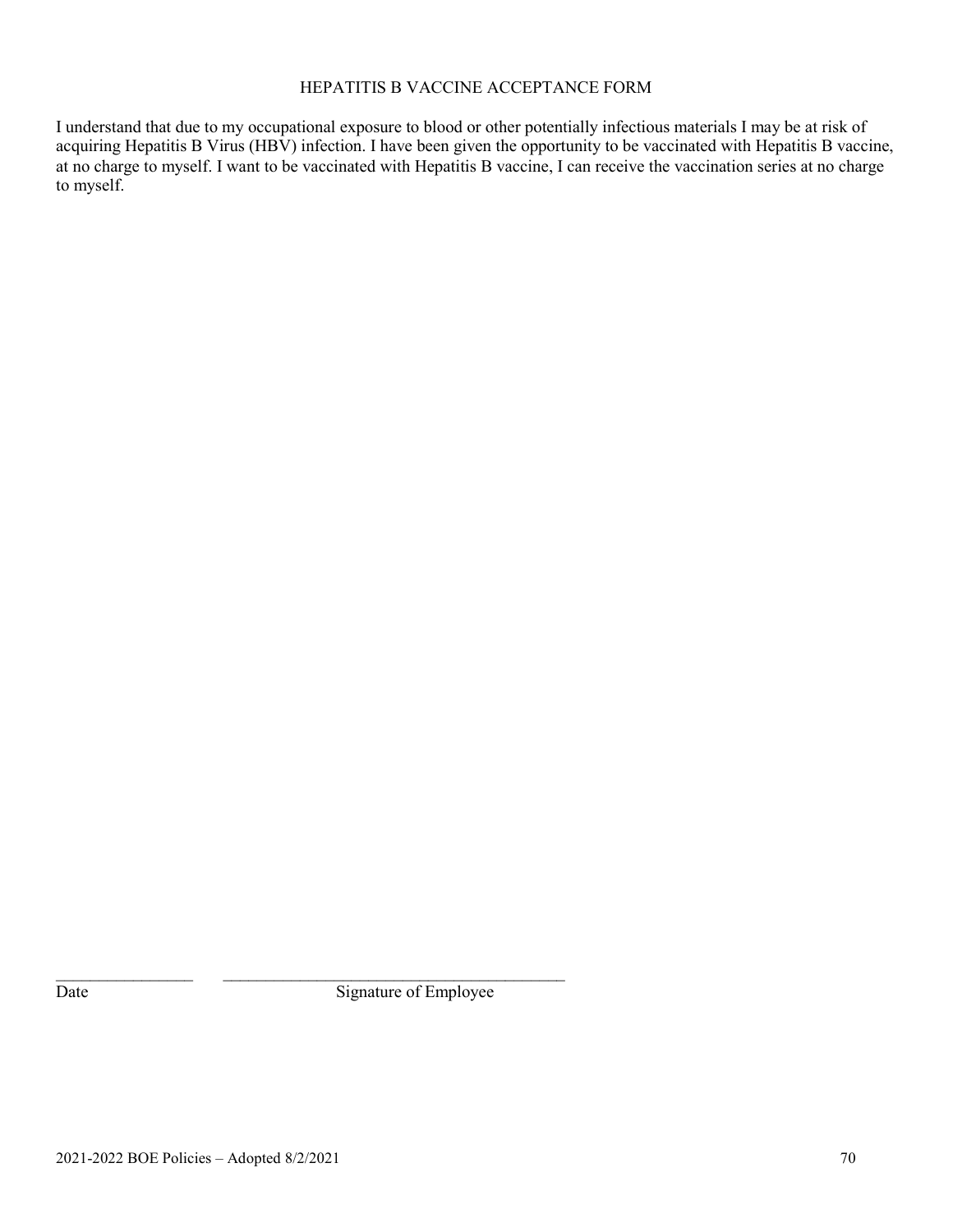### HEPATITIS B VACCINE ACCEPTANCE FORM

I understand that due to my occupational exposure to blood or other potentially infectious materials I may be at risk of acquiring Hepatitis B Virus (HBV) infection. I have been given the opportunity to be vaccinated with Hepatitis B vaccine, at no charge to myself. I want to be vaccinated with Hepatitis B vaccine, I can receive the vaccination series at no charge to myself.

Date Signature of Employee

 $\_$  , and the set of the set of the set of the set of the set of the set of the set of the set of the set of the set of the set of the set of the set of the set of the set of the set of the set of the set of the set of th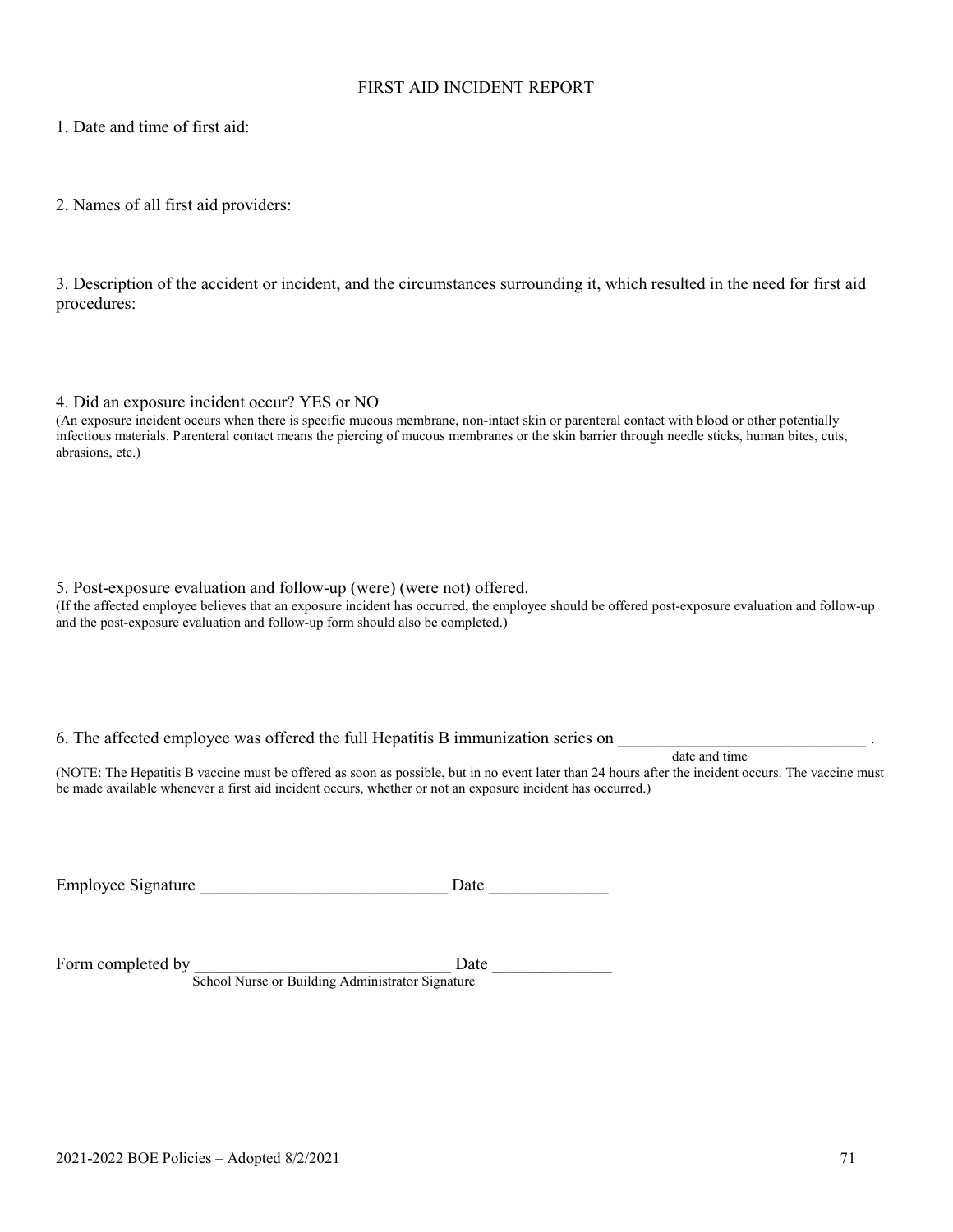#### FIRST AID INCIDENT REPORT

1. Date and time of first aid:

2. Names of all first aid providers:

3. Description of the accident or incident, and the circumstances surrounding it, which resulted in the need for first aid procedures:

4. Did an exposure incident occur? YES or NO

(An exposure incident occurs when there is specific mucous membrane, non-intact skin or parenteral contact with blood or other potentially infectious materials. Parenteral contact means the piercing of mucous membranes or the skin barrier through needle sticks, human bites, cuts, abrasions, etc.)

#### 5. Post-exposure evaluation and follow-up (were) (were not) offered.

(If the affected employee believes that an exposure incident has occurred, the employee should be offered post-exposure evaluation and follow-up and the post-exposure evaluation and follow-up form should also be completed.)

#### 6. The affected employee was offered the full Hepatitis B immunization series on

date and time

(NOTE: The Hepatitis B vaccine must be offered as soon as possible, but in no event later than 24 hours after the incident occurs. The vaccine must be made available whenever a first aid incident occurs, whether or not an exposure incident has occurred.)

Employee Signature \_\_\_\_\_\_\_\_\_\_\_\_\_\_\_\_\_\_\_\_\_\_\_\_\_\_\_\_\_ Date \_\_\_\_\_\_\_\_\_\_\_\_\_\_

Form completed by \_\_\_\_\_\_\_\_\_\_\_\_\_\_\_\_\_\_\_\_\_\_\_\_\_\_\_\_\_\_ Date \_\_\_\_\_\_\_\_\_\_\_\_\_\_ School Nurse or Building Administrator Signature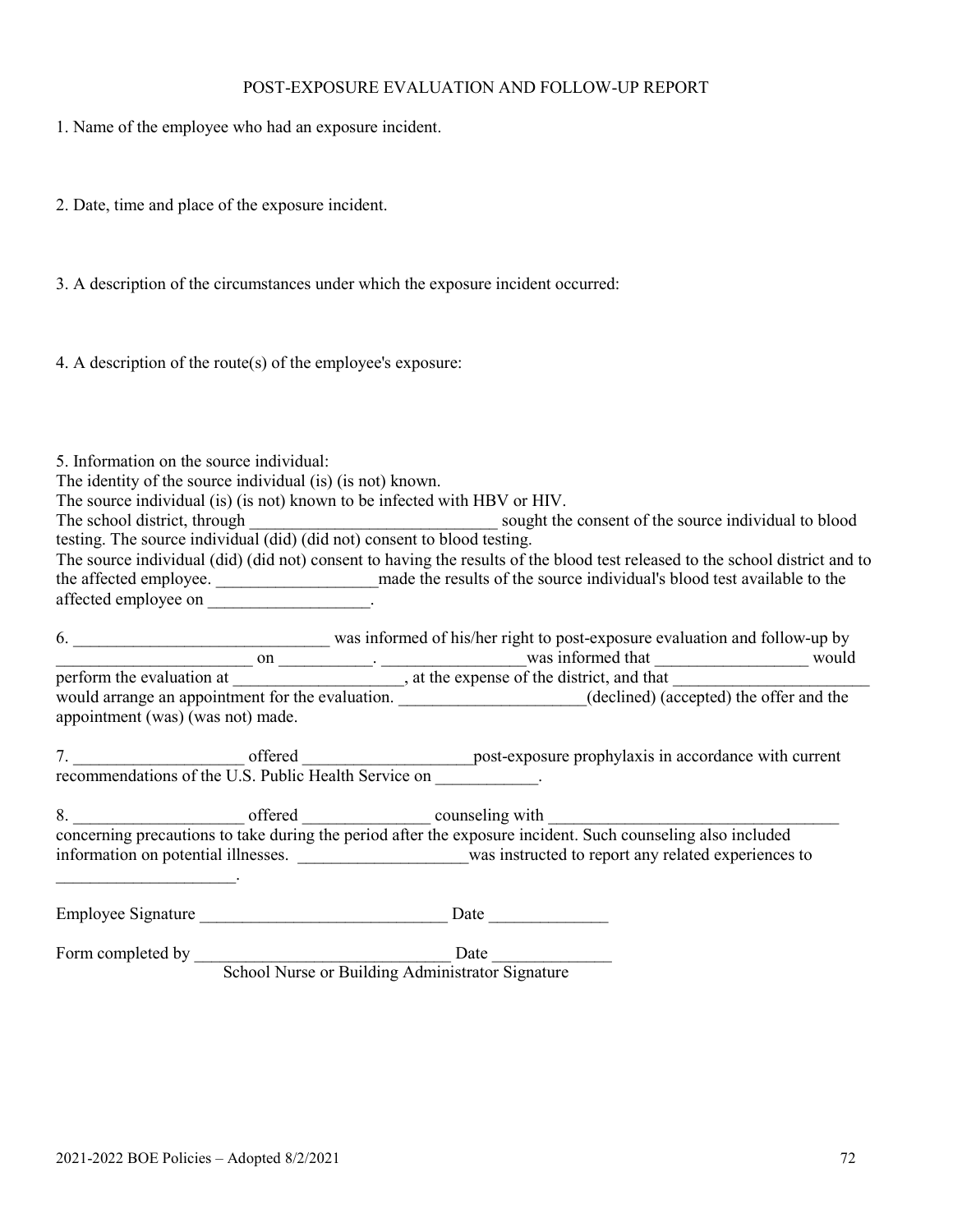#### POST-EXPOSURE EVALUATION AND FOLLOW-UP REPORT

- 1. Name of the employee who had an exposure incident.
- 2. Date, time and place of the exposure incident.
- 3. A description of the circumstances under which the exposure incident occurred:
- 4. A description of the route(s) of the employee's exposure:

5. Information on the source individual:

| The identity of the source individual (is) (is not) known. |  |  |  |  |
|------------------------------------------------------------|--|--|--|--|
|------------------------------------------------------------|--|--|--|--|

The source individual (is) (is not) known to be infected with HBV or HIV.

The school district, through the sought the sought the source individual to blood testing. The source individual (did) (did not) consent to blood testing. The source individual (did) (did not) consent to having the results of the blood test released to the school district and to

the affected employee. \_\_\_\_\_\_\_\_\_\_\_\_\_\_\_\_\_\_\_made the results of the source individual's blood test available to the affected employee on \_\_\_\_\_\_\_\_\_\_\_\_\_\_\_\_\_.

6. \_\_\_\_\_\_\_\_\_\_\_\_\_\_\_\_\_\_\_\_\_\_\_\_\_\_\_\_\_\_ was informed of his/her right to post-exposure evaluation and follow-up by  $\Box$  on  $\Box$  on  $\Box$   $\Box$  was informed that  $\Box$  would perform the evaluation at \_\_\_\_\_\_\_\_\_\_\_\_\_\_\_\_\_\_\_, at the expense of the district, and that \_\_\_\_\_\_\_\_\_\_\_\_\_\_\_\_\_\_\_\_\_\_ would arrange an appointment for the evaluation. \_\_\_\_\_\_\_\_\_\_\_\_\_\_\_\_\_\_\_(declined) (accepted) the offer and the appointment (was) (was not) made.

7. \_\_\_\_\_\_\_\_\_\_\_\_\_\_\_\_\_\_\_\_ offered \_\_\_\_\_\_\_\_\_\_\_\_\_\_\_\_\_\_\_\_post-exposure prophylaxis in accordance with current recommendations of the U.S. Public Health Service on \_\_\_\_\_\_\_\_\_\_\_.

8. concerning precautions to take during the period after the exposure incident. Such counseling also included information on potential illnesses. \_\_\_\_\_\_\_\_\_\_\_\_\_\_\_\_\_\_\_\_was instructed to report any related experiences to

Employee Signature \_\_\_\_\_\_\_\_\_\_\_\_\_\_\_\_\_\_\_\_\_\_\_\_\_\_\_\_\_ Date \_\_\_\_\_\_\_\_\_\_\_\_\_\_

Form completed by \_\_\_\_\_\_\_\_\_\_\_\_\_\_\_\_\_\_\_\_\_\_\_\_\_\_\_\_\_\_ Date \_\_\_\_\_\_\_\_\_\_\_\_\_\_ School Nurse or Building Administrator Signature

 $\mathcal{L}=\mathcal{L}^{\mathcal{L}}$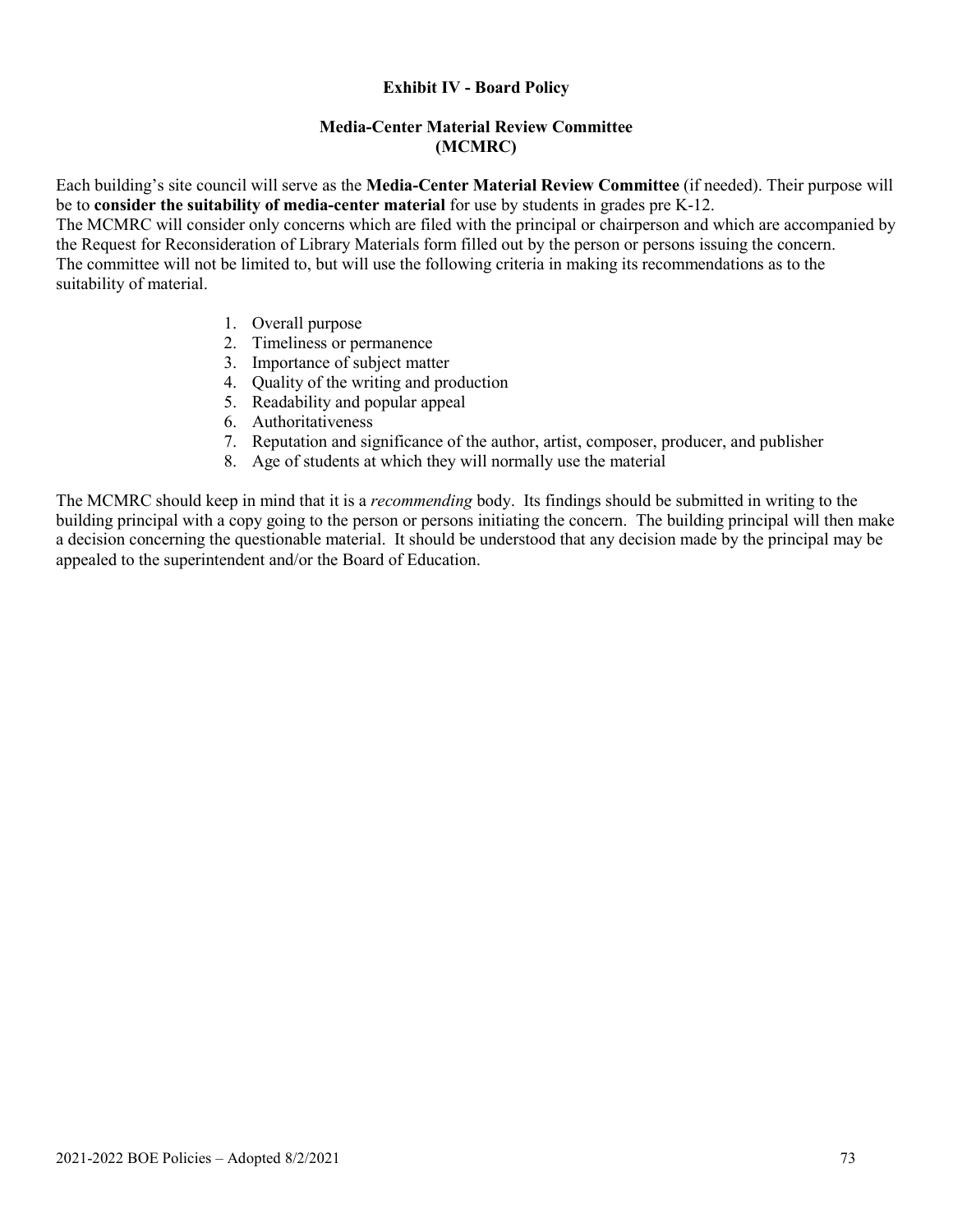### **Exhibit IV - Board Policy**

### **Media-Center Material Review Committee (MCMRC)**

Each building's site council will serve as the **Media-Center Material Review Committee** (if needed). Their purpose will be to **consider the suitability of media-center material** for use by students in grades pre K-12.

The MCMRC will consider only concerns which are filed with the principal or chairperson and which are accompanied by the Request for Reconsideration of Library Materials form filled out by the person or persons issuing the concern. The committee will not be limited to, but will use the following criteria in making its recommendations as to the suitability of material.

- 1. Overall purpose
- 2. Timeliness or permanence
- 3. Importance of subject matter
- 4. Quality of the writing and production
- 5. Readability and popular appeal
- 6. Authoritativeness
- 7. Reputation and significance of the author, artist, composer, producer, and publisher
- 8. Age of students at which they will normally use the material

The MCMRC should keep in mind that it is a *recommending* body. Its findings should be submitted in writing to the building principal with a copy going to the person or persons initiating the concern. The building principal will then make a decision concerning the questionable material. It should be understood that any decision made by the principal may be appealed to the superintendent and/or the Board of Education.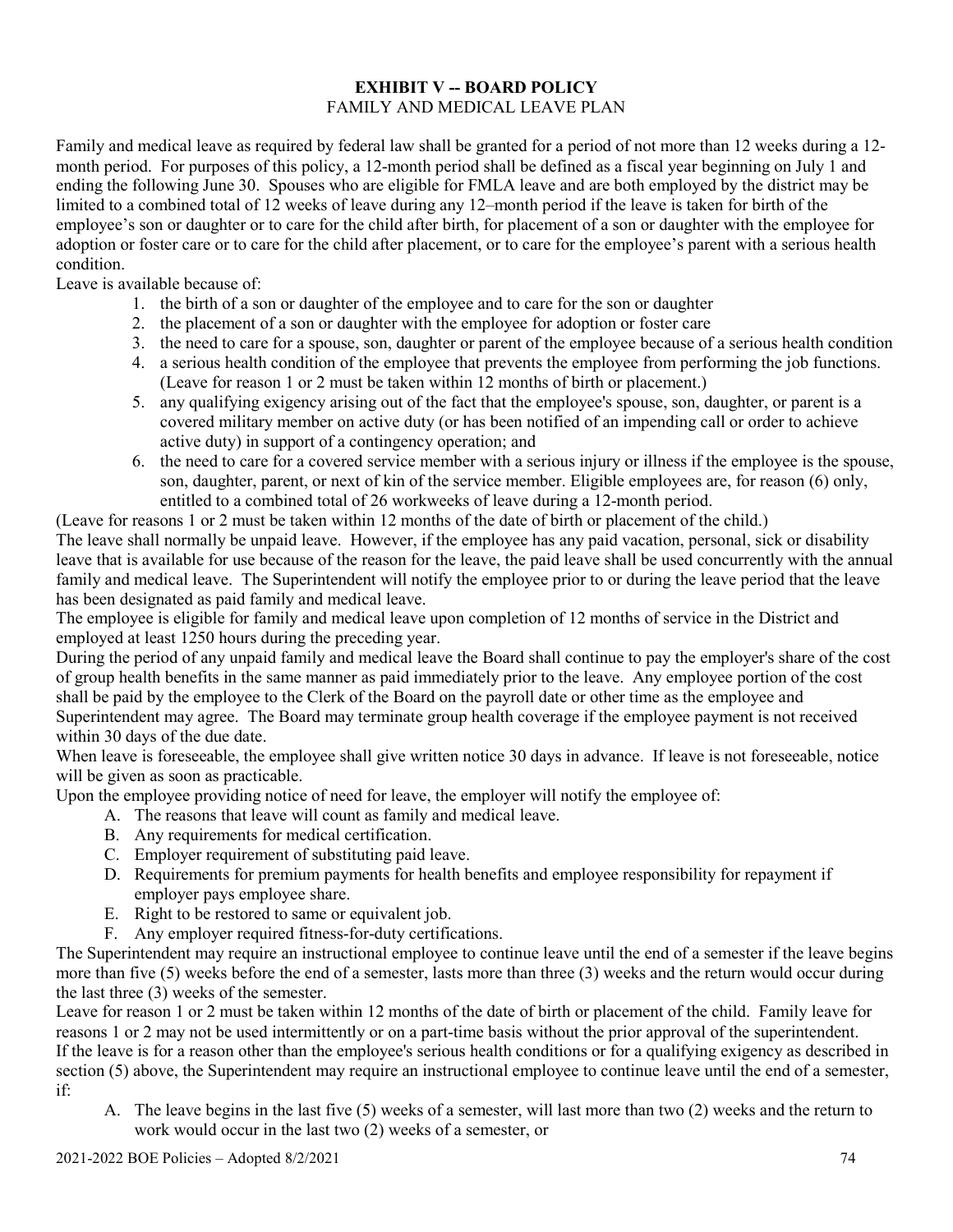### **EXHIBIT V -- BOARD POLICY** FAMILY AND MEDICAL LEAVE PLAN

Family and medical leave as required by federal law shall be granted for a period of not more than 12 weeks during a 12 month period. For purposes of this policy, a 12-month period shall be defined as a fiscal year beginning on July 1 and ending the following June 30. Spouses who are eligible for FMLA leave and are both employed by the district may be limited to a combined total of 12 weeks of leave during any 12–month period if the leave is taken for birth of the employee's son or daughter or to care for the child after birth, for placement of a son or daughter with the employee for adoption or foster care or to care for the child after placement, or to care for the employee's parent with a serious health condition.

Leave is available because of:

- 1. the birth of a son or daughter of the employee and to care for the son or daughter
- 2. the placement of a son or daughter with the employee for adoption or foster care
- 3. the need to care for a spouse, son, daughter or parent of the employee because of a serious health condition
- 4. a serious health condition of the employee that prevents the employee from performing the job functions. (Leave for reason 1 or 2 must be taken within 12 months of birth or placement.)
- 5. any qualifying exigency arising out of the fact that the employee's spouse, son, daughter, or parent is a covered military member on active duty (or has been notified of an impending call or order to achieve active duty) in support of a contingency operation; and
- 6. the need to care for a covered service member with a serious injury or illness if the employee is the spouse, son, daughter, parent, or next of kin of the service member. Eligible employees are, for reason (6) only, entitled to a combined total of 26 workweeks of leave during a 12-month period.

(Leave for reasons 1 or 2 must be taken within 12 months of the date of birth or placement of the child.)

The leave shall normally be unpaid leave. However, if the employee has any paid vacation, personal, sick or disability leave that is available for use because of the reason for the leave, the paid leave shall be used concurrently with the annual family and medical leave. The Superintendent will notify the employee prior to or during the leave period that the leave has been designated as paid family and medical leave.

The employee is eligible for family and medical leave upon completion of 12 months of service in the District and employed at least 1250 hours during the preceding year.

During the period of any unpaid family and medical leave the Board shall continue to pay the employer's share of the cost of group health benefits in the same manner as paid immediately prior to the leave. Any employee portion of the cost shall be paid by the employee to the Clerk of the Board on the payroll date or other time as the employee and Superintendent may agree. The Board may terminate group health coverage if the employee payment is not received within 30 days of the due date.

When leave is foreseeable, the employee shall give written notice 30 days in advance. If leave is not foreseeable, notice will be given as soon as practicable.

Upon the employee providing notice of need for leave, the employer will notify the employee of:

- A. The reasons that leave will count as family and medical leave.
- B. Any requirements for medical certification.
- C. Employer requirement of substituting paid leave.
- D. Requirements for premium payments for health benefits and employee responsibility for repayment if employer pays employee share.
- E. Right to be restored to same or equivalent job.
- F. Any employer required fitness-for-duty certifications.

The Superintendent may require an instructional employee to continue leave until the end of a semester if the leave begins more than five (5) weeks before the end of a semester, lasts more than three (3) weeks and the return would occur during the last three (3) weeks of the semester.

Leave for reason 1 or 2 must be taken within 12 months of the date of birth or placement of the child. Family leave for reasons 1 or 2 may not be used intermittently or on a part-time basis without the prior approval of the superintendent. If the leave is for a reason other than the employee's serious health conditions or for a qualifying exigency as described in section (5) above, the Superintendent may require an instructional employee to continue leave until the end of a semester, if:

A. The leave begins in the last five (5) weeks of a semester, will last more than two (2) weeks and the return to work would occur in the last two (2) weeks of a semester, or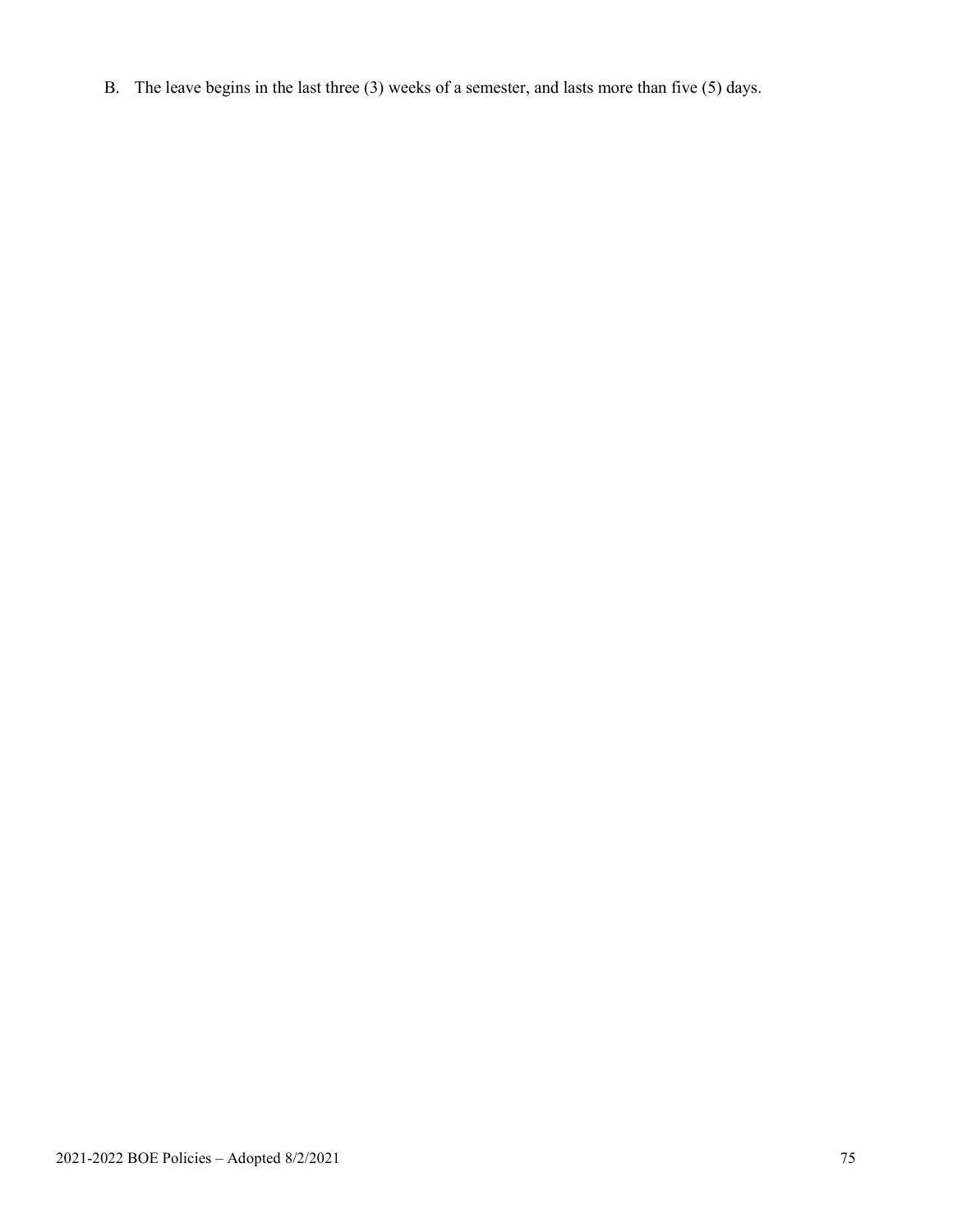B. The leave begins in the last three (3) weeks of a semester, and lasts more than five (5) days.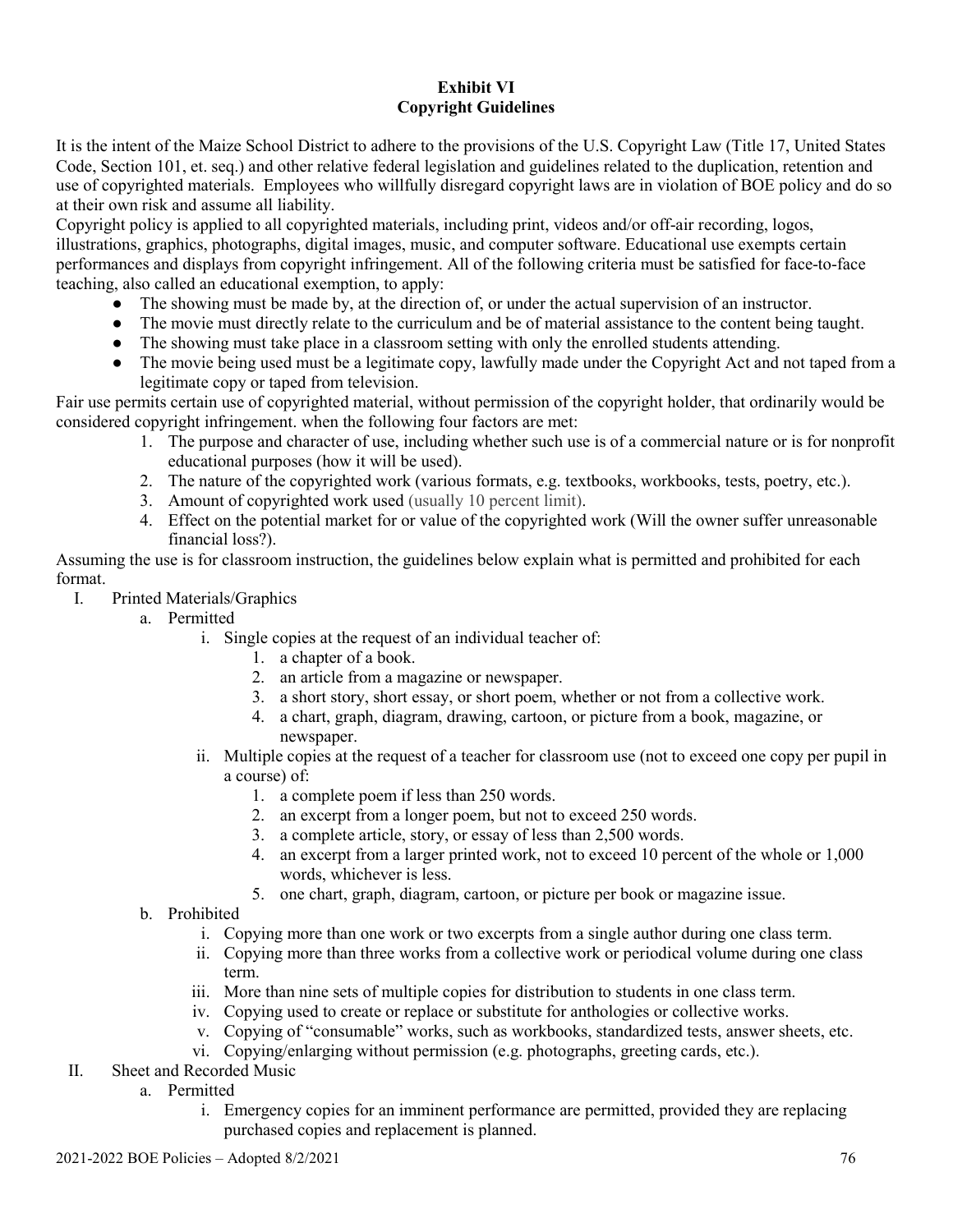## **Exhibit VI Copyright Guidelines**

It is the intent of the Maize School District to adhere to the provisions of the U.S. Copyright Law (Title 17, United States Code, Section 101, et. seq.) and other relative federal legislation and guidelines related to the duplication, retention and use of copyrighted materials. Employees who willfully disregard copyright laws are in violation of BOE policy and do so at their own risk and assume all liability.

Copyright policy is applied to all copyrighted materials, including print, videos and/or off-air recording, logos, illustrations, graphics, photographs, digital images, music, and computer software. Educational use exempts certain performances and displays from copyright infringement. All of the following criteria must be satisfied for face-to-face teaching, also called an educational exemption, to apply:

- The showing must be made by, at the direction of, or under the actual supervision of an instructor.
- The movie must directly relate to the curriculum and be of material assistance to the content being taught.
- The showing must take place in a classroom setting with only the enrolled students attending.
- The movie being used must be a legitimate copy, lawfully made under the Copyright Act and not taped from a legitimate copy or taped from television.

Fair use permits certain use of copyrighted material, without permission of the copyright holder, that ordinarily would be considered copyright infringement. when the following four factors are met:

- 1. The purpose and character of use, including whether such use is of a commercial nature or is for nonprofit educational purposes (how it will be used).
- 2. The nature of the copyrighted work (various formats, e.g. textbooks, workbooks, tests, poetry, etc.).
- 3. Amount of copyrighted work used (usually 10 percent limit).
- 4. Effect on the potential market for or value of the copyrighted work (Will the owner suffer unreasonable financial loss?).

Assuming the use is for classroom instruction, the guidelines below explain what is permitted and prohibited for each format.

- I. Printed Materials/Graphics
	- a. Permitted
		- i. Single copies at the request of an individual teacher of:
			- 1. a chapter of a book.
			- 2. an article from a magazine or newspaper.
			- 3. a short story, short essay, or short poem, whether or not from a collective work.
			- 4. a chart, graph, diagram, drawing, cartoon, or picture from a book, magazine, or newspaper.
		- ii. Multiple copies at the request of a teacher for classroom use (not to exceed one copy per pupil in a course) of:
			- 1. a complete poem if less than 250 words.
			- 2. an excerpt from a longer poem, but not to exceed 250 words.
			- 3. a complete article, story, or essay of less than 2,500 words.
			- 4. an excerpt from a larger printed work, not to exceed 10 percent of the whole or 1,000 words, whichever is less.
			- 5. one chart, graph, diagram, cartoon, or picture per book or magazine issue.

# b. Prohibited

- i. Copying more than one work or two excerpts from a single author during one class term.
- ii. Copying more than three works from a collective work or periodical volume during one class term.
- iii. More than nine sets of multiple copies for distribution to students in one class term.
- iv. Copying used to create or replace or substitute for anthologies or collective works.
- v. Copying of "consumable" works, such as workbooks, standardized tests, answer sheets, etc.
- vi. Copying/enlarging without permission (e.g. photographs, greeting cards, etc.).
- II. Sheet and Recorded Music
	- a. Permitted
		- i. Emergency copies for an imminent performance are permitted, provided they are replacing purchased copies and replacement is planned.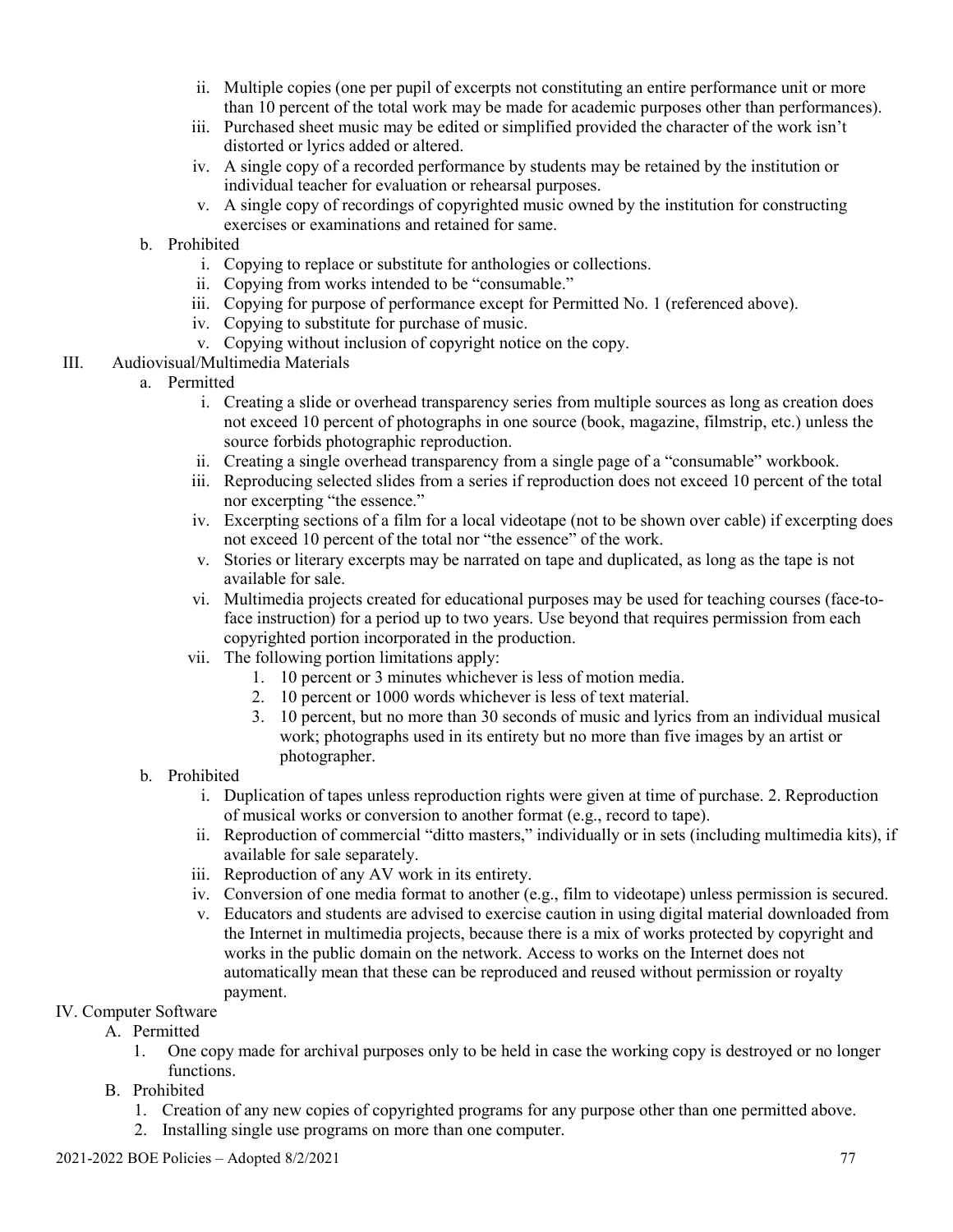- ii. Multiple copies (one per pupil of excerpts not constituting an entire performance unit or more than 10 percent of the total work may be made for academic purposes other than performances).
- iii. Purchased sheet music may be edited or simplified provided the character of the work isn't distorted or lyrics added or altered.
- iv. A single copy of a recorded performance by students may be retained by the institution or individual teacher for evaluation or rehearsal purposes.
- v. A single copy of recordings of copyrighted music owned by the institution for constructing exercises or examinations and retained for same.
- b. Prohibited
	- i. Copying to replace or substitute for anthologies or collections.
	- ii. Copying from works intended to be "consumable."
	- iii. Copying for purpose of performance except for Permitted No. 1 (referenced above).
	- iv. Copying to substitute for purchase of music.
	- v. Copying without inclusion of copyright notice on the copy.
- III. Audiovisual/Multimedia Materials
	- a. Permitted
		- i. Creating a slide or overhead transparency series from multiple sources as long as creation does not exceed 10 percent of photographs in one source (book, magazine, filmstrip, etc.) unless the source forbids photographic reproduction.
		- ii. Creating a single overhead transparency from a single page of a "consumable" workbook.
		- iii. Reproducing selected slides from a series if reproduction does not exceed 10 percent of the total nor excerpting "the essence."
		- iv. Excerpting sections of a film for a local videotape (not to be shown over cable) if excerpting does not exceed 10 percent of the total nor "the essence" of the work.
		- v. Stories or literary excerpts may be narrated on tape and duplicated, as long as the tape is not available for sale.
		- vi. Multimedia projects created for educational purposes may be used for teaching courses (face-toface instruction) for a period up to two years. Use beyond that requires permission from each copyrighted portion incorporated in the production.
		- vii. The following portion limitations apply:
			- 1. 10 percent or 3 minutes whichever is less of motion media.
			- 2. 10 percent or 1000 words whichever is less of text material.
			- 3. 10 percent, but no more than 30 seconds of music and lyrics from an individual musical work; photographs used in its entirety but no more than five images by an artist or photographer.
	- b. Prohibited
		- i. Duplication of tapes unless reproduction rights were given at time of purchase. 2. Reproduction of musical works or conversion to another format (e.g., record to tape).
		- ii. Reproduction of commercial "ditto masters," individually or in sets (including multimedia kits), if available for sale separately.
		- iii. Reproduction of any AV work in its entirety.
		- iv. Conversion of one media format to another (e.g., film to videotape) unless permission is secured.
		- v. Educators and students are advised to exercise caution in using digital material downloaded from the Internet in multimedia projects, because there is a mix of works protected by copyright and works in the public domain on the network. Access to works on the Internet does not automatically mean that these can be reproduced and reused without permission or royalty payment.

### IV. Computer Software

- A. Permitted
	- 1. One copy made for archival purposes only to be held in case the working copy is destroyed or no longer functions.
- B. Prohibited
	- 1. Creation of any new copies of copyrighted programs for any purpose other than one permitted above.
	- 2. Installing single use programs on more than one computer.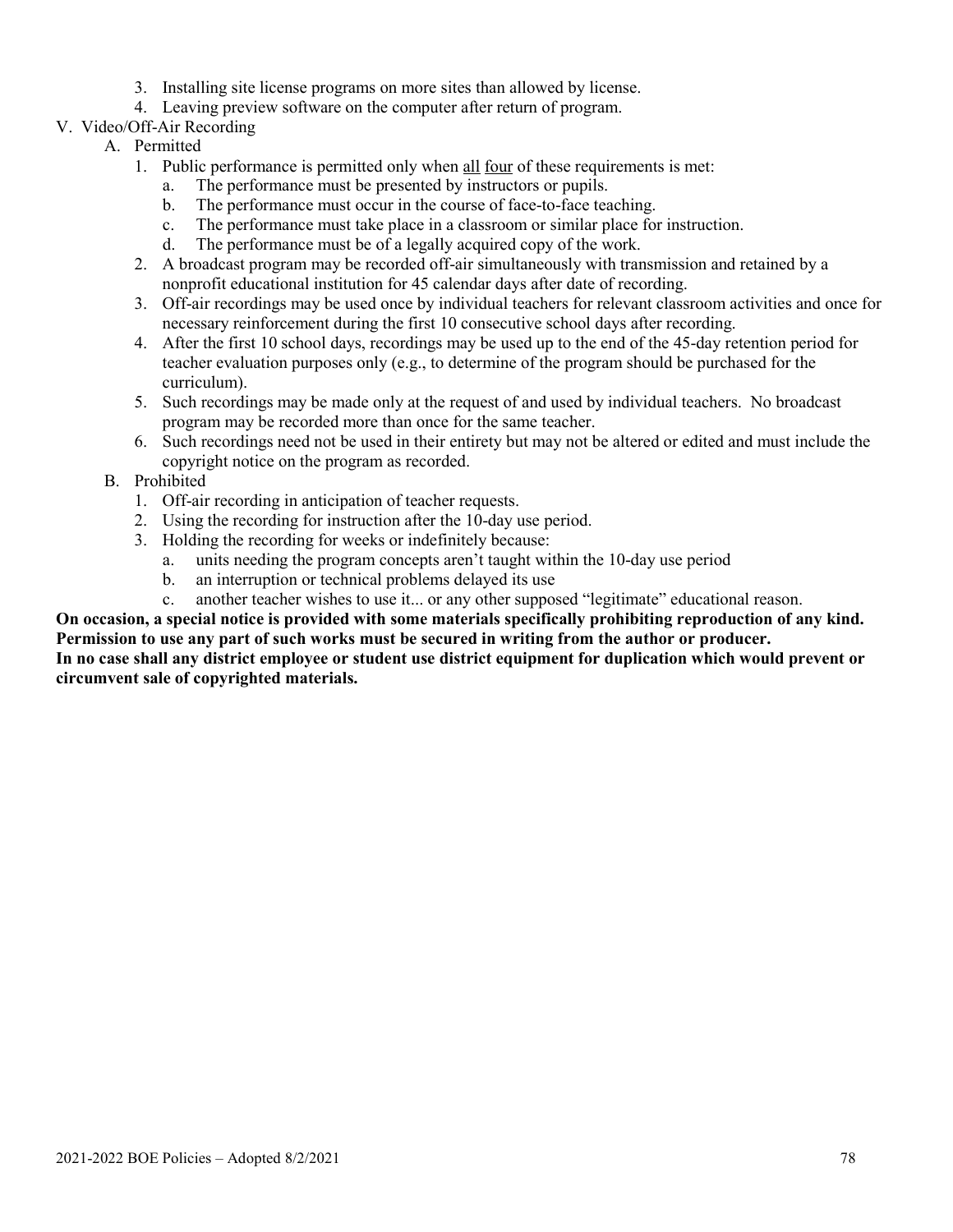- 3. Installing site license programs on more sites than allowed by license.
- 4. Leaving preview software on the computer after return of program.
- V. Video/Off-Air Recording
	- A. Permitted
		- 1. Public performance is permitted only when all four of these requirements is met:
			- a. The performance must be presented by instructors or pupils.
			- b. The performance must occur in the course of face-to-face teaching.
			- c. The performance must take place in a classroom or similar place for instruction.
			- d. The performance must be of a legally acquired copy of the work.
		- 2. A broadcast program may be recorded off-air simultaneously with transmission and retained by a nonprofit educational institution for 45 calendar days after date of recording.
		- 3. Off-air recordings may be used once by individual teachers for relevant classroom activities and once for necessary reinforcement during the first 10 consecutive school days after recording.
		- 4. After the first 10 school days, recordings may be used up to the end of the 45-day retention period for teacher evaluation purposes only (e.g., to determine of the program should be purchased for the curriculum).
		- 5. Such recordings may be made only at the request of and used by individual teachers. No broadcast program may be recorded more than once for the same teacher.
		- 6. Such recordings need not be used in their entirety but may not be altered or edited and must include the copyright notice on the program as recorded.
	- B. Prohibited
		- 1. Off-air recording in anticipation of teacher requests.
		- 2. Using the recording for instruction after the 10-day use period.
		- 3. Holding the recording for weeks or indefinitely because:
			- a. units needing the program concepts aren't taught within the 10-day use period
			- b. an interruption or technical problems delayed its use
			- c. another teacher wishes to use it... or any other supposed "legitimate" educational reason.

**On occasion, a special notice is provided with some materials specifically prohibiting reproduction of any kind. Permission to use any part of such works must be secured in writing from the author or producer.**

**In no case shall any district employee or student use district equipment for duplication which would prevent or circumvent sale of copyrighted materials.**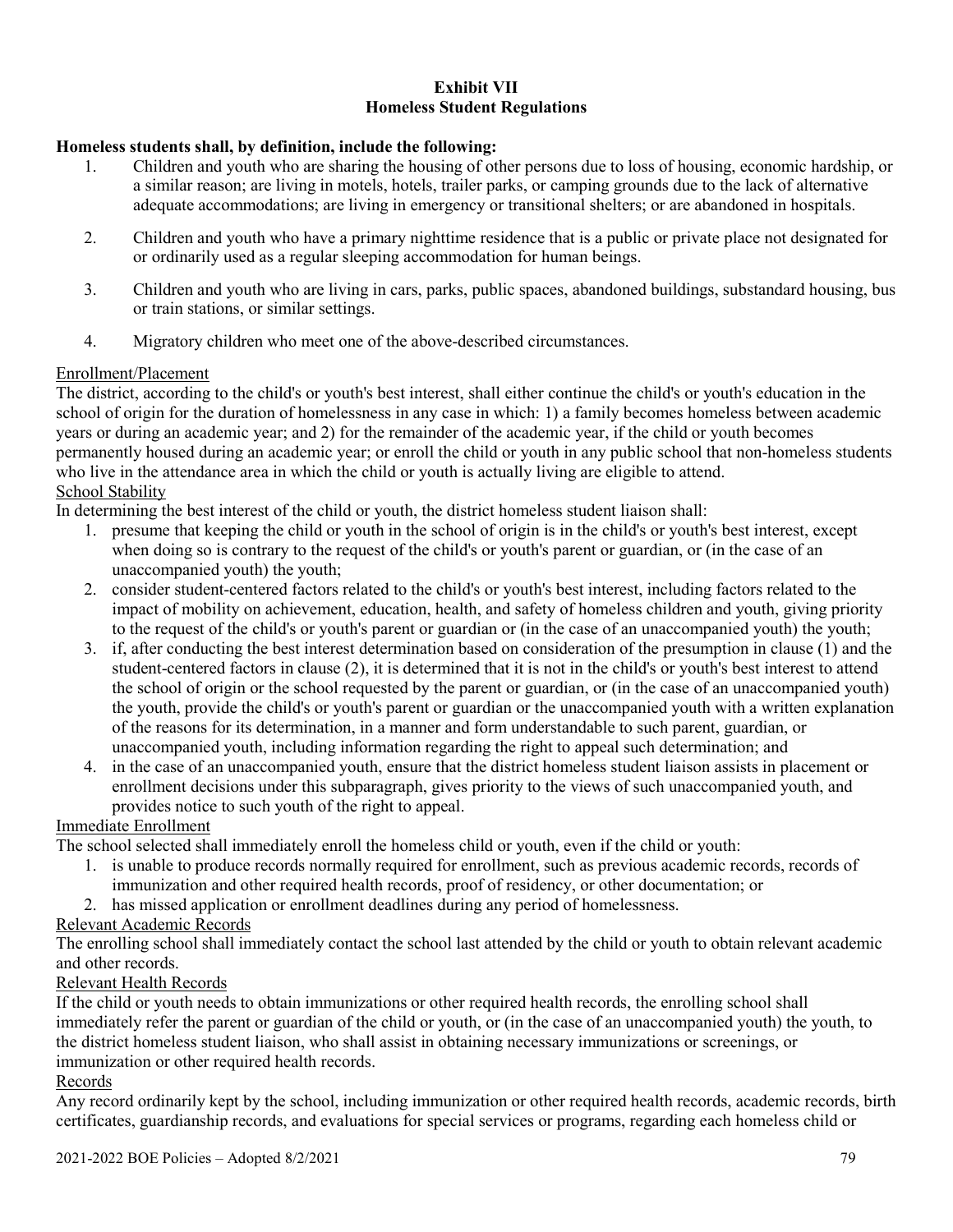### **Exhibit VII Homeless Student Regulations**

### **Homeless students shall, by definition, include the following:**

- 1. Children and youth who are sharing the housing of other persons due to loss of housing, economic hardship, or a similar reason; are living in motels, hotels, trailer parks, or camping grounds due to the lack of alternative adequate accommodations; are living in emergency or transitional shelters; or are abandoned in hospitals.
- 2. Children and youth who have a primary nighttime residence that is a public or private place not designated for or ordinarily used as a regular sleeping accommodation for human beings.
- 3. Children and youth who are living in cars, parks, public spaces, abandoned buildings, substandard housing, bus or train stations, or similar settings.
- 4. Migratory children who meet one of the above-described circumstances.

### Enrollment/Placement

The district, according to the child's or youth's best interest, shall either continue the child's or youth's education in the school of origin for the duration of homelessness in any case in which: 1) a family becomes homeless between academic years or during an academic year; and 2) for the remainder of the academic year, if the child or youth becomes permanently housed during an academic year; or enroll the child or youth in any public school that non-homeless students who live in the attendance area in which the child or youth is actually living are eligible to attend. School Stability

In determining the best interest of the child or youth, the district homeless student liaison shall:

- 1. presume that keeping the child or youth in the school of origin is in the child's or youth's best interest, except when doing so is contrary to the request of the child's or youth's parent or guardian, or (in the case of an unaccompanied youth) the youth;
- 2. consider student-centered factors related to the child's or youth's best interest, including factors related to the impact of mobility on achievement, education, health, and safety of homeless children and youth, giving priority to the request of the child's or youth's parent or guardian or (in the case of an unaccompanied youth) the youth;
- 3. if, after conducting the best interest determination based on consideration of the presumption in clause (1) and the student-centered factors in clause (2), it is determined that it is not in the child's or youth's best interest to attend the school of origin or the school requested by the parent or guardian, or (in the case of an unaccompanied youth) the youth, provide the child's or youth's parent or guardian or the unaccompanied youth with a written explanation of the reasons for its determination, in a manner and form understandable to such parent, guardian, or unaccompanied youth, including information regarding the right to appeal such determination; and
- 4. in the case of an unaccompanied youth, ensure that the district homeless student liaison assists in placement or enrollment decisions under this subparagraph, gives priority to the views of such unaccompanied youth, and provides notice to such youth of the right to appeal.

# Immediate Enrollment

The school selected shall immediately enroll the homeless child or youth, even if the child or youth:

- 1. is unable to produce records normally required for enrollment, such as previous academic records, records of immunization and other required health records, proof of residency, or other documentation; or
- 2. has missed application or enrollment deadlines during any period of homelessness.

# Relevant Academic Records

The enrolling school shall immediately contact the school last attended by the child or youth to obtain relevant academic and other records.

### Relevant Health Records

If the child or youth needs to obtain immunizations or other required health records, the enrolling school shall immediately refer the parent or guardian of the child or youth, or (in the case of an unaccompanied youth) the youth, to the district homeless student liaison, who shall assist in obtaining necessary immunizations or screenings, or immunization or other required health records.

### Records

Any record ordinarily kept by the school, including immunization or other required health records, academic records, birth certificates, guardianship records, and evaluations for special services or programs, regarding each homeless child or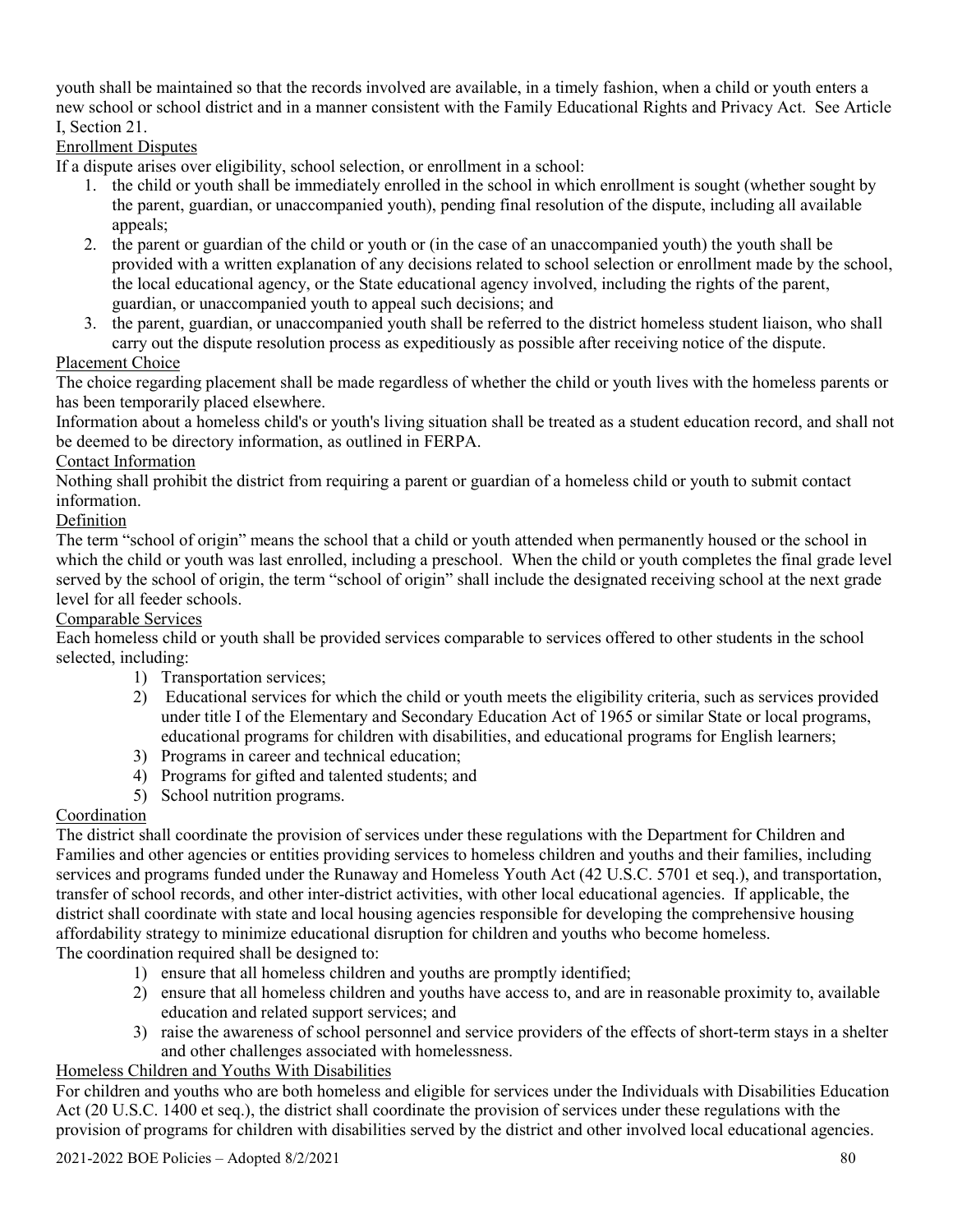youth shall be maintained so that the records involved are available, in a timely fashion, when a child or youth enters a new school or school district and in a manner consistent with the Family Educational Rights and Privacy Act. See Article I, Section 21.

Enrollment Disputes

If a dispute arises over eligibility, school selection, or enrollment in a school:

- 1. the child or youth shall be immediately enrolled in the school in which enrollment is sought (whether sought by the parent, guardian, or unaccompanied youth), pending final resolution of the dispute, including all available appeals;
- 2. the parent or guardian of the child or youth or (in the case of an unaccompanied youth) the youth shall be provided with a written explanation of any decisions related to school selection or enrollment made by the school, the local educational agency, or the State educational agency involved, including the rights of the parent, guardian, or unaccompanied youth to appeal such decisions; and
- 3. the parent, guardian, or unaccompanied youth shall be referred to the district homeless student liaison, who shall carry out the dispute resolution process as expeditiously as possible after receiving notice of the dispute.

# Placement Choice

The choice regarding placement shall be made regardless of whether the child or youth lives with the homeless parents or has been temporarily placed elsewhere.

Information about a homeless child's or youth's living situation shall be treated as a student education record, and shall not be deemed to be directory information, as outlined in FERPA.

# Contact Information

Nothing shall prohibit the district from requiring a parent or guardian of a homeless child or youth to submit contact information.

# Definition

The term "school of origin" means the school that a child or youth attended when permanently housed or the school in which the child or youth was last enrolled, including a preschool. When the child or youth completes the final grade level served by the school of origin, the term "school of origin" shall include the designated receiving school at the next grade level for all feeder schools.

# Comparable Services

Each homeless child or youth shall be provided services comparable to services offered to other students in the school selected, including:

- 1) Transportation services;
- 2) Educational services for which the child or youth meets the eligibility criteria, such as services provided under title I of the Elementary and Secondary Education Act of 1965 or similar State or local programs, educational programs for children with disabilities, and educational programs for English learners;
- 3) Programs in career and technical education;
- 4) Programs for gifted and talented students; and
- 5) School nutrition programs.

# Coordination

The district shall coordinate the provision of services under these regulations with the Department for Children and Families and other agencies or entities providing services to homeless children and youths and their families, including services and programs funded under the Runaway and Homeless Youth Act (42 U.S.C. 5701 et seq.), and transportation, transfer of school records, and other inter-district activities, with other local educational agencies. If applicable, the district shall coordinate with state and local housing agencies responsible for developing the comprehensive housing affordability strategy to minimize educational disruption for children and youths who become homeless. The coordination required shall be designed to:

- 1) ensure that all homeless children and youths are promptly identified;
- 2) ensure that all homeless children and youths have access to, and are in reasonable proximity to, available education and related support services; and
- 3) raise the awareness of school personnel and service providers of the effects of short-term stays in a shelter and other challenges associated with homelessness.

# Homeless Children and Youths With Disabilities

For children and youths who are both homeless and eligible for services under the Individuals with Disabilities Education Act (20 U.S.C. 1400 et seq.), the district shall coordinate the provision of services under these regulations with the provision of programs for children with disabilities served by the district and other involved local educational agencies.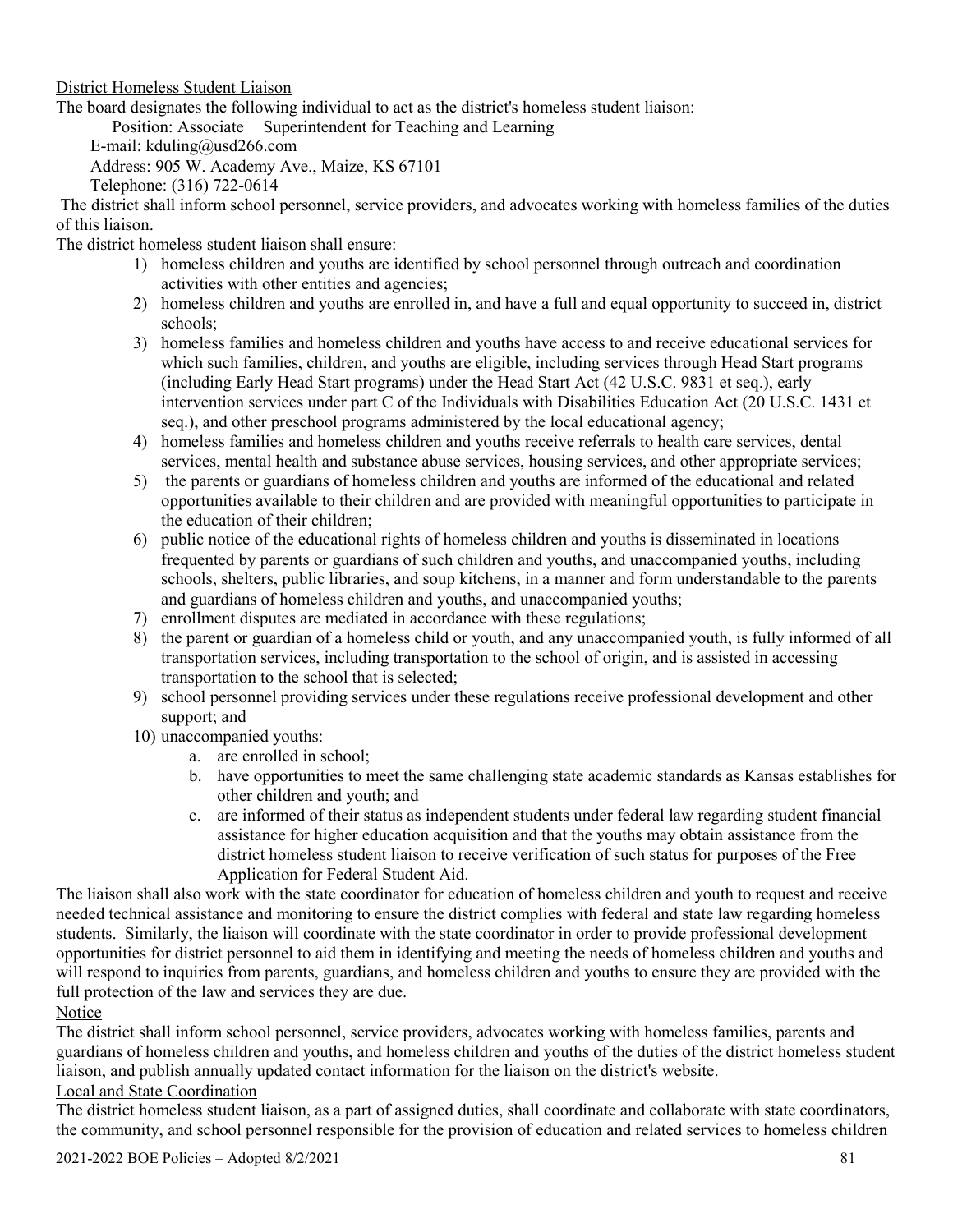### District Homeless Student Liaison

The board designates the following individual to act as the district's homeless student liaison:

Position: Associate Superintendent for Teaching and Learning

E-mail: kduling@usd266.com

Address: 905 W. Academy Ave., Maize, KS 67101

Telephone: (316) 722-0614

The district shall inform school personnel, service providers, and advocates working with homeless families of the duties of this liaison.

# The district homeless student liaison shall ensure:

- 1) homeless children and youths are identified by school personnel through outreach and coordination activities with other entities and agencies;
- 2) homeless children and youths are enrolled in, and have a full and equal opportunity to succeed in, district schools;
- 3) homeless families and homeless children and youths have access to and receive educational services for which such families, children, and youths are eligible, including services through Head Start programs (including Early Head Start programs) under the Head Start Act (42 U.S.C. 9831 et seq.), early intervention services under part C of the Individuals with Disabilities Education Act (20 U.S.C. 1431 et seq.), and other preschool programs administered by the local educational agency;
- 4) homeless families and homeless children and youths receive referrals to health care services, dental services, mental health and substance abuse services, housing services, and other appropriate services;
- 5) the parents or guardians of homeless children and youths are informed of the educational and related opportunities available to their children and are provided with meaningful opportunities to participate in the education of their children;
- 6) public notice of the educational rights of homeless children and youths is disseminated in locations frequented by parents or guardians of such children and youths, and unaccompanied youths, including schools, shelters, public libraries, and soup kitchens, in a manner and form understandable to the parents and guardians of homeless children and youths, and unaccompanied youths;
- 7) enrollment disputes are mediated in accordance with these regulations;
- 8) the parent or guardian of a homeless child or youth, and any unaccompanied youth, is fully informed of all transportation services, including transportation to the school of origin, and is assisted in accessing transportation to the school that is selected;
- 9) school personnel providing services under these regulations receive professional development and other support; and
- 10) unaccompanied youths:
	- a. are enrolled in school;
	- b. have opportunities to meet the same challenging state academic standards as Kansas establishes for other children and youth; and
	- c. are informed of their status as independent students under federal law regarding student financial assistance for higher education acquisition and that the youths may obtain assistance from the district homeless student liaison to receive verification of such status for purposes of the Free Application for Federal Student Aid.

The liaison shall also work with the state coordinator for education of homeless children and youth to request and receive needed technical assistance and monitoring to ensure the district complies with federal and state law regarding homeless students. Similarly, the liaison will coordinate with the state coordinator in order to provide professional development opportunities for district personnel to aid them in identifying and meeting the needs of homeless children and youths and will respond to inquiries from parents, guardians, and homeless children and youths to ensure they are provided with the full protection of the law and services they are due. **Notice** 

The district shall inform school personnel, service providers, advocates working with homeless families, parents and guardians of homeless children and youths, and homeless children and youths of the duties of the district homeless student liaison, and publish annually updated contact information for the liaison on the district's website. Local and State Coordination

The district homeless student liaison, as a part of assigned duties, shall coordinate and collaborate with state coordinators, the community, and school personnel responsible for the provision of education and related services to homeless children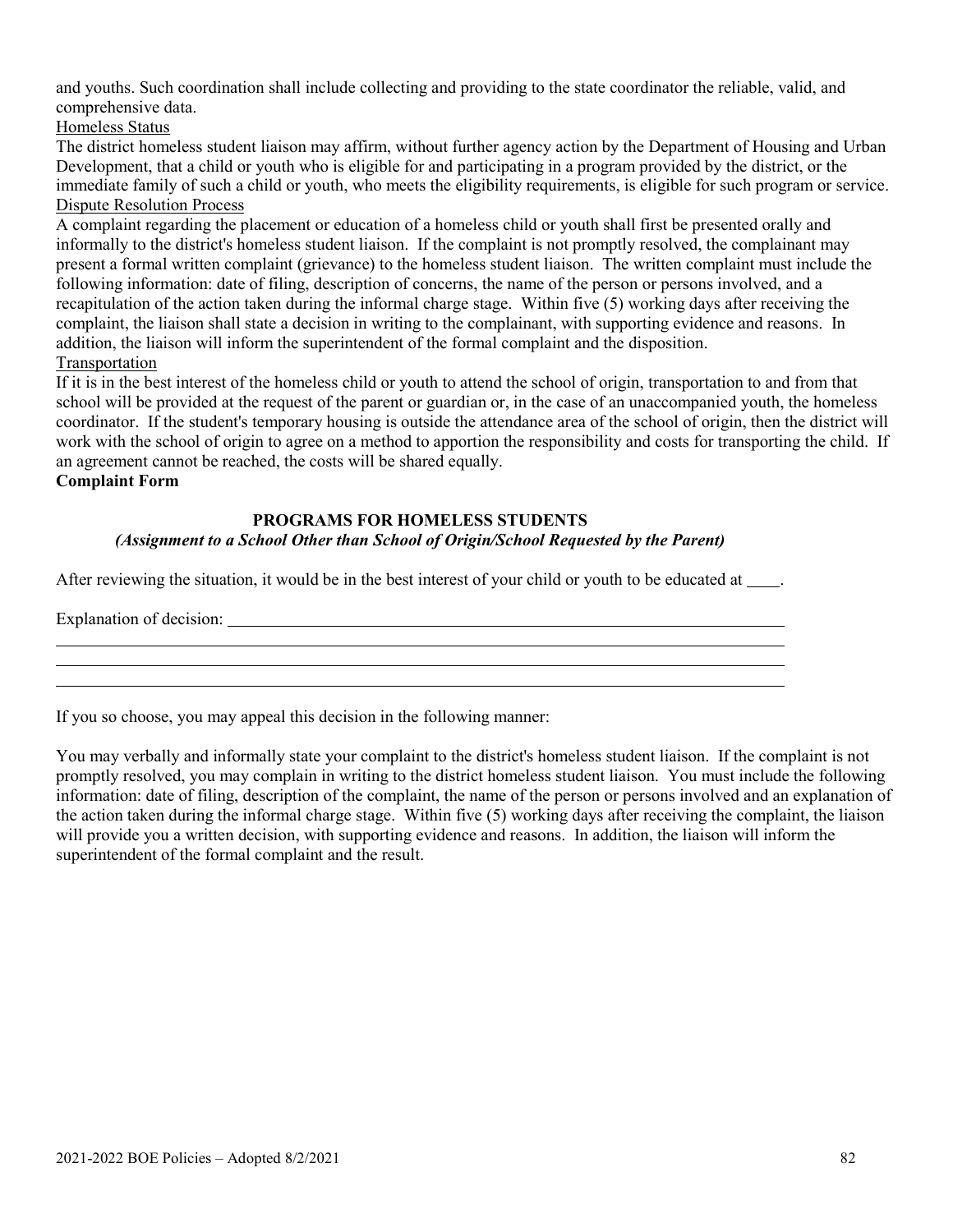and youths. Such coordination shall include collecting and providing to the state coordinator the reliable, valid, and comprehensive data.

Homeless Status

The district homeless student liaison may affirm, without further agency action by the Department of Housing and Urban Development, that a child or youth who is eligible for and participating in a program provided by the district, or the immediate family of such a child or youth, who meets the eligibility requirements, is eligible for such program or service. Dispute Resolution Process

A complaint regarding the placement or education of a homeless child or youth shall first be presented orally and informally to the district's homeless student liaison. If the complaint is not promptly resolved, the complainant may present a formal written complaint (grievance) to the homeless student liaison. The written complaint must include the following information: date of filing, description of concerns, the name of the person or persons involved, and a recapitulation of the action taken during the informal charge stage. Within five (5) working days after receiving the complaint, the liaison shall state a decision in writing to the complainant, with supporting evidence and reasons. In addition, the liaison will inform the superintendent of the formal complaint and the disposition. Transportation

If it is in the best interest of the homeless child or youth to attend the school of origin, transportation to and from that school will be provided at the request of the parent or guardian or, in the case of an unaccompanied youth, the homeless coordinator. If the student's temporary housing is outside the attendance area of the school of origin, then the district will work with the school of origin to agree on a method to apportion the responsibility and costs for transporting the child. If an agreement cannot be reached, the costs will be shared equally.

**Complaint Form**

# **PROGRAMS FOR HOMELESS STUDENTS**

# *(Assignment to a School Other than School of Origin/School Requested by the Parent)*

After reviewing the situation, it would be in the best interest of your child or youth to be educated at .

Explanation of decision: \_

If you so choose, you may appeal this decision in the following manner:

You may verbally and informally state your complaint to the district's homeless student liaison. If the complaint is not promptly resolved, you may complain in writing to the district homeless student liaison. You must include the following information: date of filing, description of the complaint, the name of the person or persons involved and an explanation of the action taken during the informal charge stage. Within five (5) working days after receiving the complaint, the liaison will provide you a written decision, with supporting evidence and reasons. In addition, the liaison will inform the superintendent of the formal complaint and the result.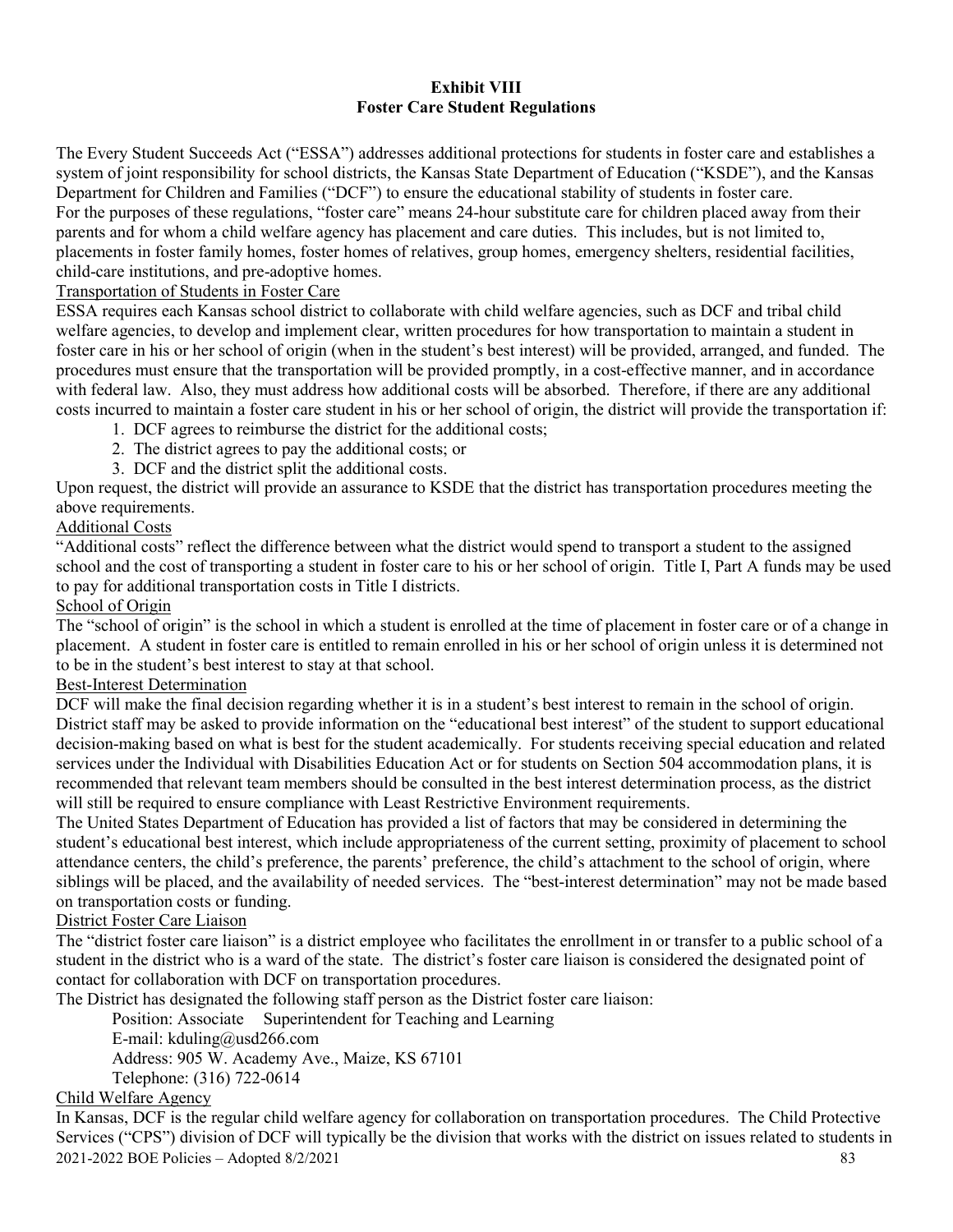## **Exhibit VIII Foster Care Student Regulations**

The Every Student Succeeds Act ("ESSA") addresses additional protections for students in foster care and establishes a system of joint responsibility for school districts, the Kansas State Department of Education ("KSDE"), and the Kansas Department for Children and Families ("DCF") to ensure the educational stability of students in foster care. For the purposes of these regulations, "foster care" means 24-hour substitute care for children placed away from their parents and for whom a child welfare agency has placement and care duties. This includes, but is not limited to, placements in foster family homes, foster homes of relatives, group homes, emergency shelters, residential facilities, child-care institutions, and pre-adoptive homes.

## Transportation of Students in Foster Care

ESSA requires each Kansas school district to collaborate with child welfare agencies, such as DCF and tribal child welfare agencies, to develop and implement clear, written procedures for how transportation to maintain a student in foster care in his or her school of origin (when in the student's best interest) will be provided, arranged, and funded. The procedures must ensure that the transportation will be provided promptly, in a cost-effective manner, and in accordance with federal law. Also, they must address how additional costs will be absorbed. Therefore, if there are any additional costs incurred to maintain a foster care student in his or her school of origin, the district will provide the transportation if:

- 1. DCF agrees to reimburse the district for the additional costs;
- 2. The district agrees to pay the additional costs; or
- 3. DCF and the district split the additional costs.

Upon request, the district will provide an assurance to KSDE that the district has transportation procedures meeting the above requirements.

# Additional Costs

"Additional costs" reflect the difference between what the district would spend to transport a student to the assigned school and the cost of transporting a student in foster care to his or her school of origin. Title I, Part A funds may be used to pay for additional transportation costs in Title I districts.

### School of Origin

The "school of origin" is the school in which a student is enrolled at the time of placement in foster care or of a change in placement. A student in foster care is entitled to remain enrolled in his or her school of origin unless it is determined not to be in the student's best interest to stay at that school.

# Best-Interest Determination

DCF will make the final decision regarding whether it is in a student's best interest to remain in the school of origin. District staff may be asked to provide information on the "educational best interest" of the student to support educational decision-making based on what is best for the student academically. For students receiving special education and related services under the Individual with Disabilities Education Act or for students on Section 504 accommodation plans, it is recommended that relevant team members should be consulted in the best interest determination process, as the district will still be required to ensure compliance with Least Restrictive Environment requirements.

The United States Department of Education has provided a list of factors that may be considered in determining the student's educational best interest, which include appropriateness of the current setting, proximity of placement to school attendance centers, the child's preference, the parents' preference, the child's attachment to the school of origin, where siblings will be placed, and the availability of needed services. The "best-interest determination" may not be made based on transportation costs or funding.

# District Foster Care Liaison

The "district foster care liaison" is a district employee who facilitates the enrollment in or transfer to a public school of a student in the district who is a ward of the state. The district's foster care liaison is considered the designated point of contact for collaboration with DCF on transportation procedures.

The District has designated the following staff person as the District foster care liaison:

Position: Associate Superintendent for Teaching and Learning

E-mail: kduling@usd266.com

Address: 905 W. Academy Ave., Maize, KS 67101

Telephone: (316) 722-0614

# Child Welfare Agency

2021-2022 BOE Policies – Adopted 8/2/2021 83 In Kansas, DCF is the regular child welfare agency for collaboration on transportation procedures. The Child Protective Services ("CPS") division of DCF will typically be the division that works with the district on issues related to students in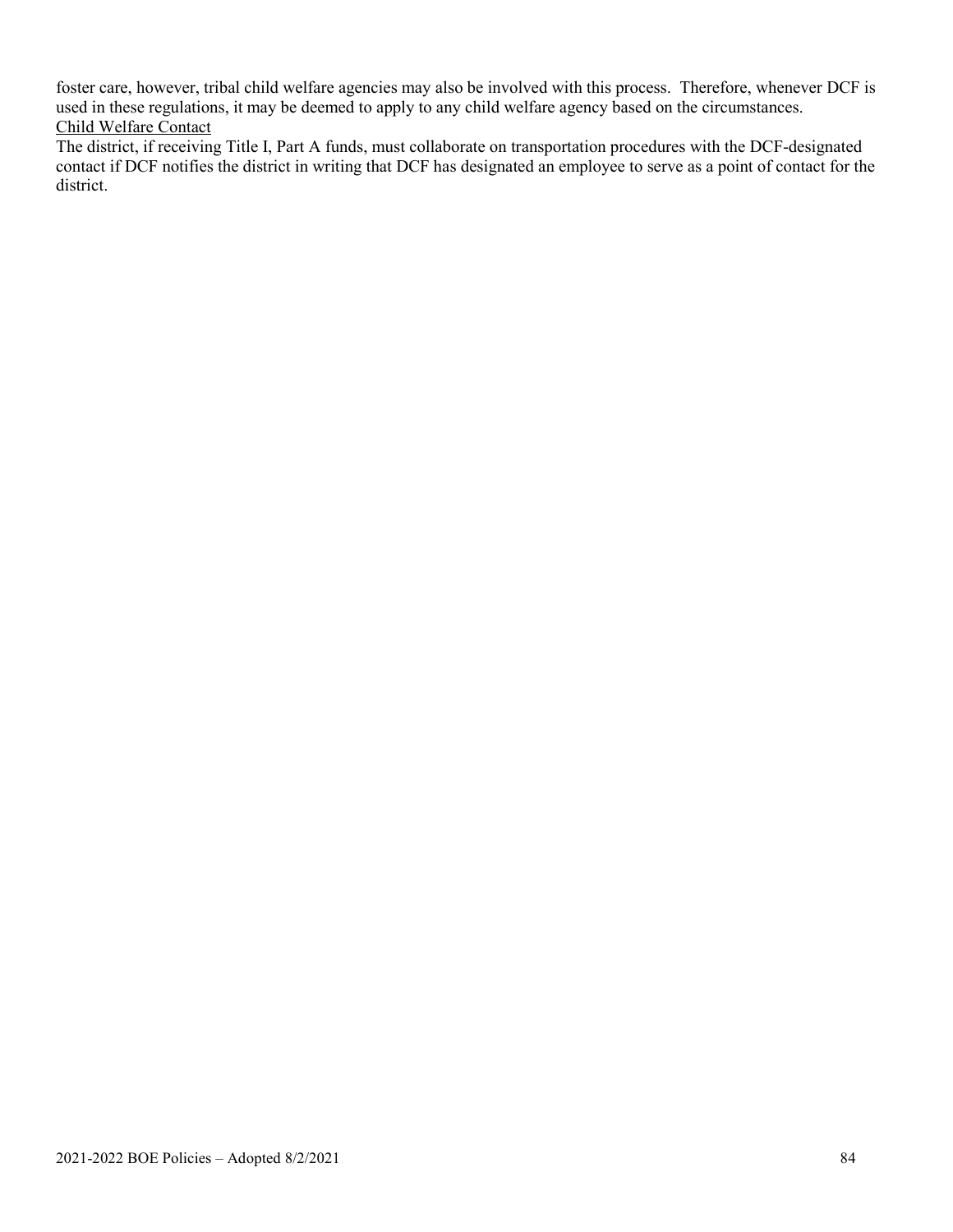foster care, however, tribal child welfare agencies may also be involved with this process. Therefore, whenever DCF is used in these regulations, it may be deemed to apply to any child welfare agency based on the circumstances. Child Welfare Contact

The district, if receiving Title I, Part A funds, must collaborate on transportation procedures with the DCF-designated contact if DCF notifies the district in writing that DCF has designated an employee to serve as a point of contact for the district.